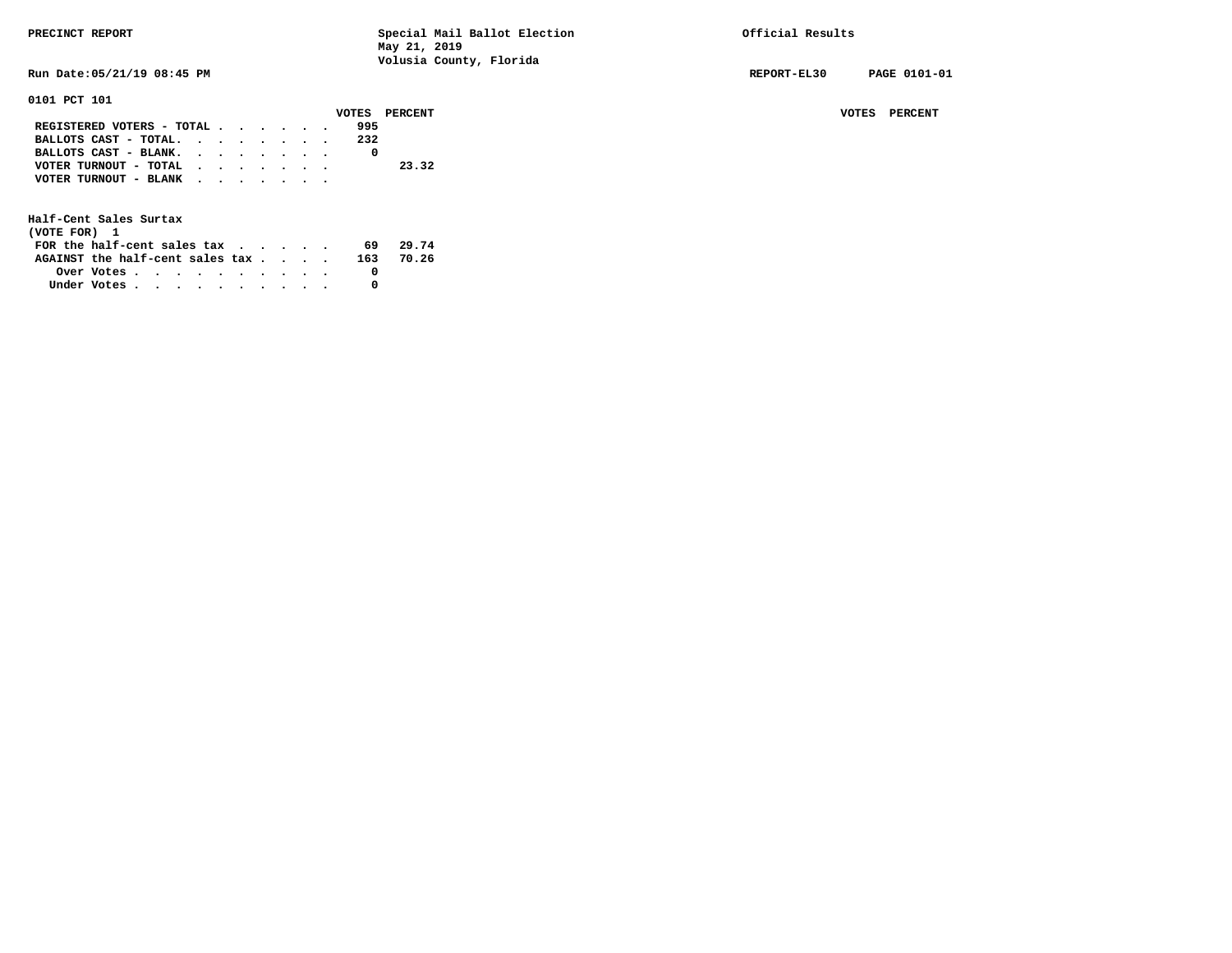| PRECINCT REPORT |
|-----------------|
|                 |

Special Mail Ballot Election **Precise Special Results May 21, 2019 Volusia County, Florida Run Date:05/21/19 08:45 PM REPORT-EL30 PAGE 0101-01 0101 PCT 101 VOTES PERCENT VOTES PERCENT** VOTES PERCENT  **REGISTERED VOTERS - TOTAL . . . . . . 995** 

| BALLOTS CAST - TOTAL. |  |  |  | 232 |       |
|-----------------------|--|--|--|-----|-------|
| BALLOTS CAST - BLANK. |  |  |  |     |       |
| VOTER TURNOUT - TOTAL |  |  |  |     | 23.32 |
| VOTER TURNOUT - BLANK |  |  |  |     |       |

| (VOTE FOR) 1                     |                                                         |  |  |  |  |     |       |
|----------------------------------|---------------------------------------------------------|--|--|--|--|-----|-------|
| FOR the half-cent sales $\alpha$ |                                                         |  |  |  |  | 69  | 29.74 |
| AGAINST the half-cent sales tax  |                                                         |  |  |  |  | 163 | 70.26 |
|                                  | Over Votes $\cdots$ $\cdots$ $\cdots$ $\cdots$ $\cdots$ |  |  |  |  |     |       |
| Under Votes                      |                                                         |  |  |  |  |     |       |
|                                  |                                                         |  |  |  |  |     |       |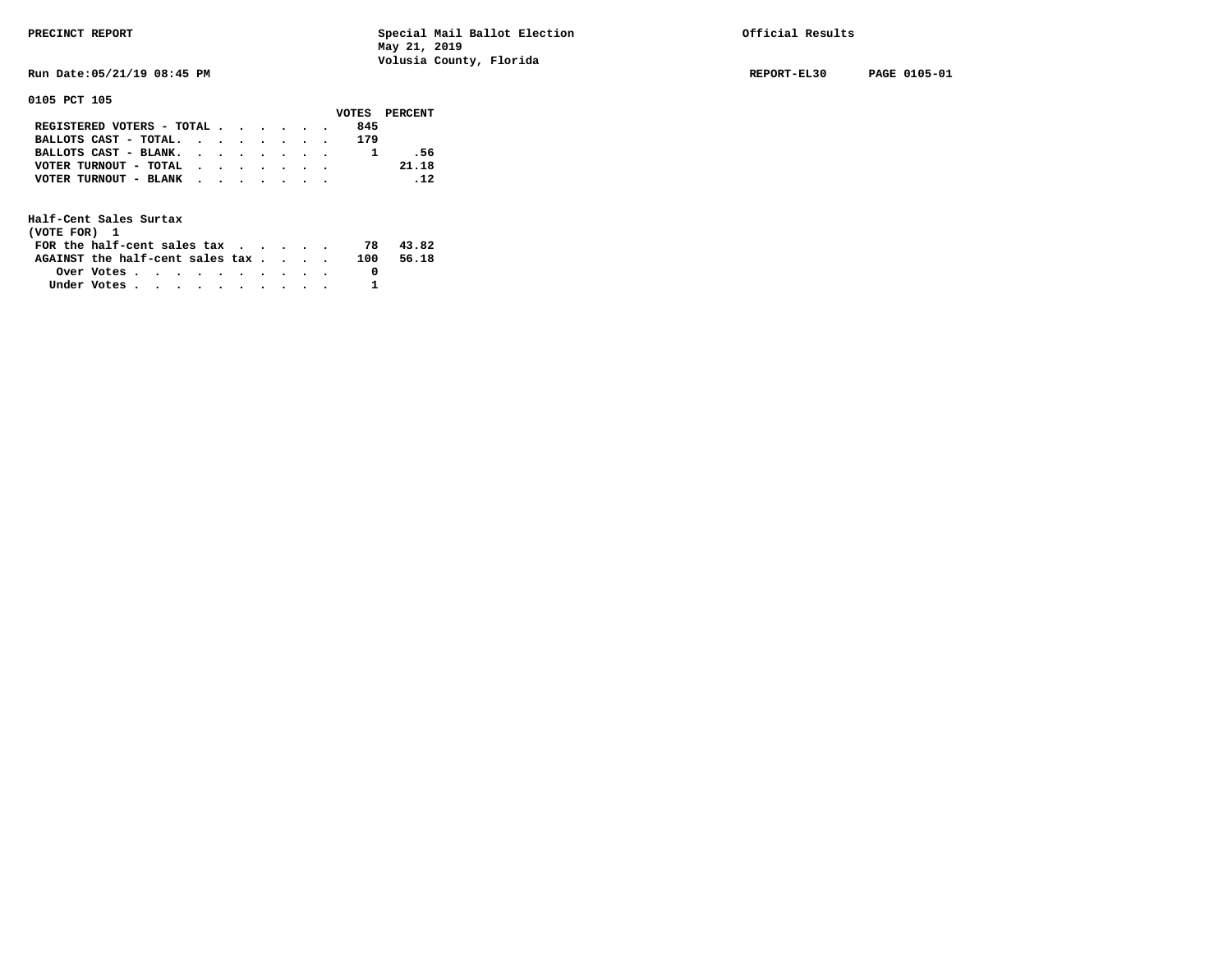**Run Date:05/21/19 08:45 PM REPORT-EL30 PAGE 0105-01** 

**0105 PCT 105** 

|                                                             |  |  |  |     | VOTES PERCENT |
|-------------------------------------------------------------|--|--|--|-----|---------------|
| REGISTERED VOTERS - TOTAL                                   |  |  |  | 845 |               |
| BALLOTS CAST - TOTAL.                                       |  |  |  | 179 |               |
| BALLOTS CAST - BLANK.                                       |  |  |  |     | - 56          |
| VOTER TURNOUT - TOTAL $\cdot \cdot \cdot \cdot \cdot \cdot$ |  |  |  |     | 21.18         |
| VOTER TURNOUT - BLANK                                       |  |  |  |     | .12           |
|                                                             |  |  |  |     |               |

| (VOTE FOR) 1                                                |            |  |  |  |  |     |       |
|-------------------------------------------------------------|------------|--|--|--|--|-----|-------|
| FOR the half-cent sales tax $\cdot$ $\cdot$ $\cdot$ $\cdot$ |            |  |  |  |  | 78  | 43.82 |
| AGAINST the half-cent sales tax                             |            |  |  |  |  | 100 | 56.18 |
|                                                             | Over Votes |  |  |  |  |     |       |
| Under Votes                                                 |            |  |  |  |  |     |       |
|                                                             |            |  |  |  |  |     |       |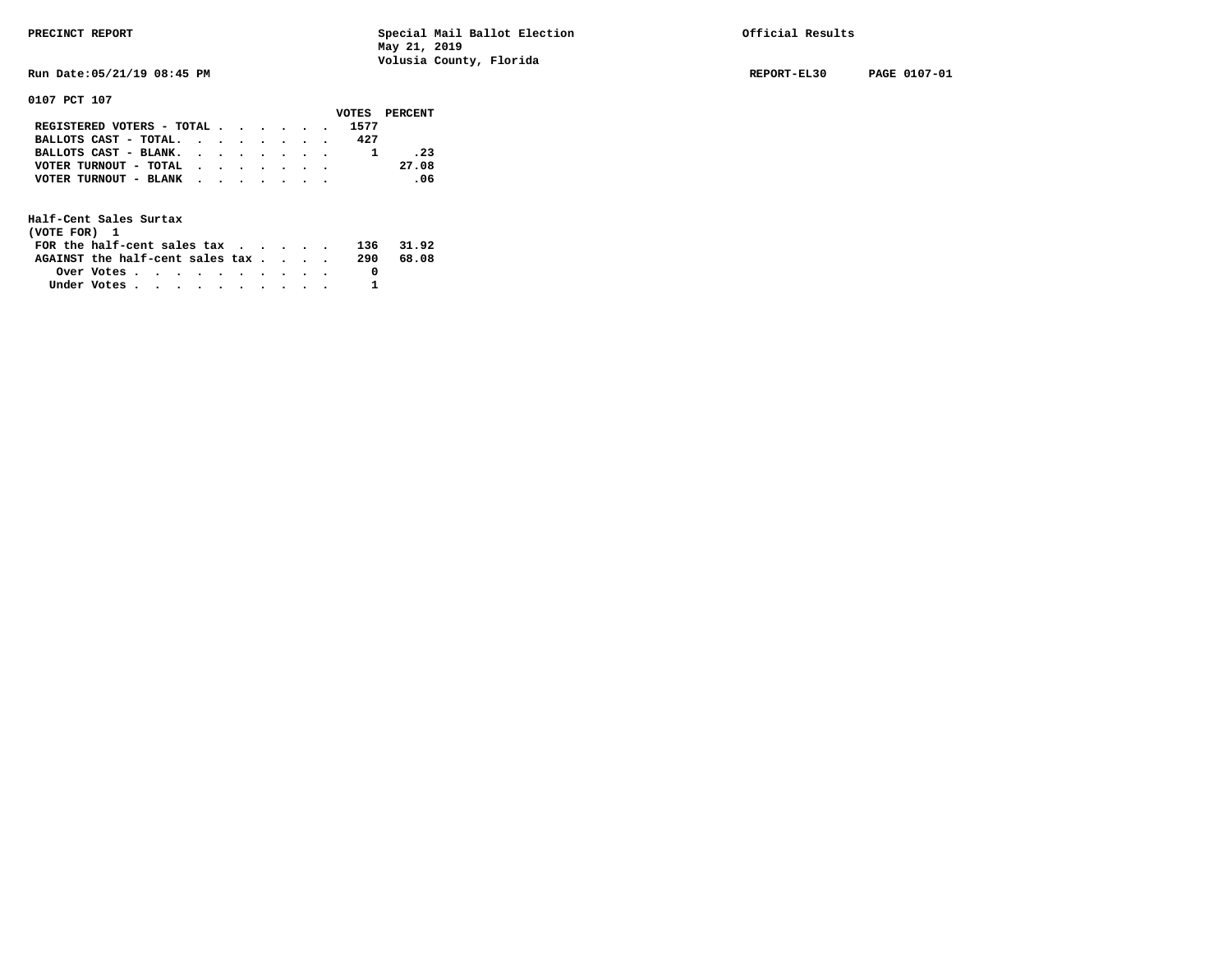**Run Date:05/21/19 08:45 PM REPORT-EL30 PAGE 0107-01** 

**0107 PCT 107** 

|                                           |  |  |  |      | VOTES PERCENT |
|-------------------------------------------|--|--|--|------|---------------|
| REGISTERED VOTERS - TOTAL                 |  |  |  | 1577 |               |
| BALLOTS CAST - TOTAL. $\cdot$             |  |  |  | 427  |               |
| BALLOTS CAST - BLANK.                     |  |  |  |      | .23           |
| VOTER TURNOUT - TOTAL $\cdot$ , , , , , , |  |  |  |      | 27.08         |
| VOTER TURNOUT - BLANK                     |  |  |  |      | .06           |
|                                           |  |  |  |      |               |

| (VOTE FOR) 1                                                |            |  |  |  |  |     |       |
|-------------------------------------------------------------|------------|--|--|--|--|-----|-------|
| FOR the half-cent sales tax $\cdot$ $\cdot$ $\cdot$ $\cdot$ |            |  |  |  |  | 136 | 31.92 |
| AGAINST the half-cent sales tax                             |            |  |  |  |  | 290 | 68.08 |
|                                                             | Over Votes |  |  |  |  |     |       |
| Under Votes                                                 |            |  |  |  |  |     |       |
|                                                             |            |  |  |  |  |     |       |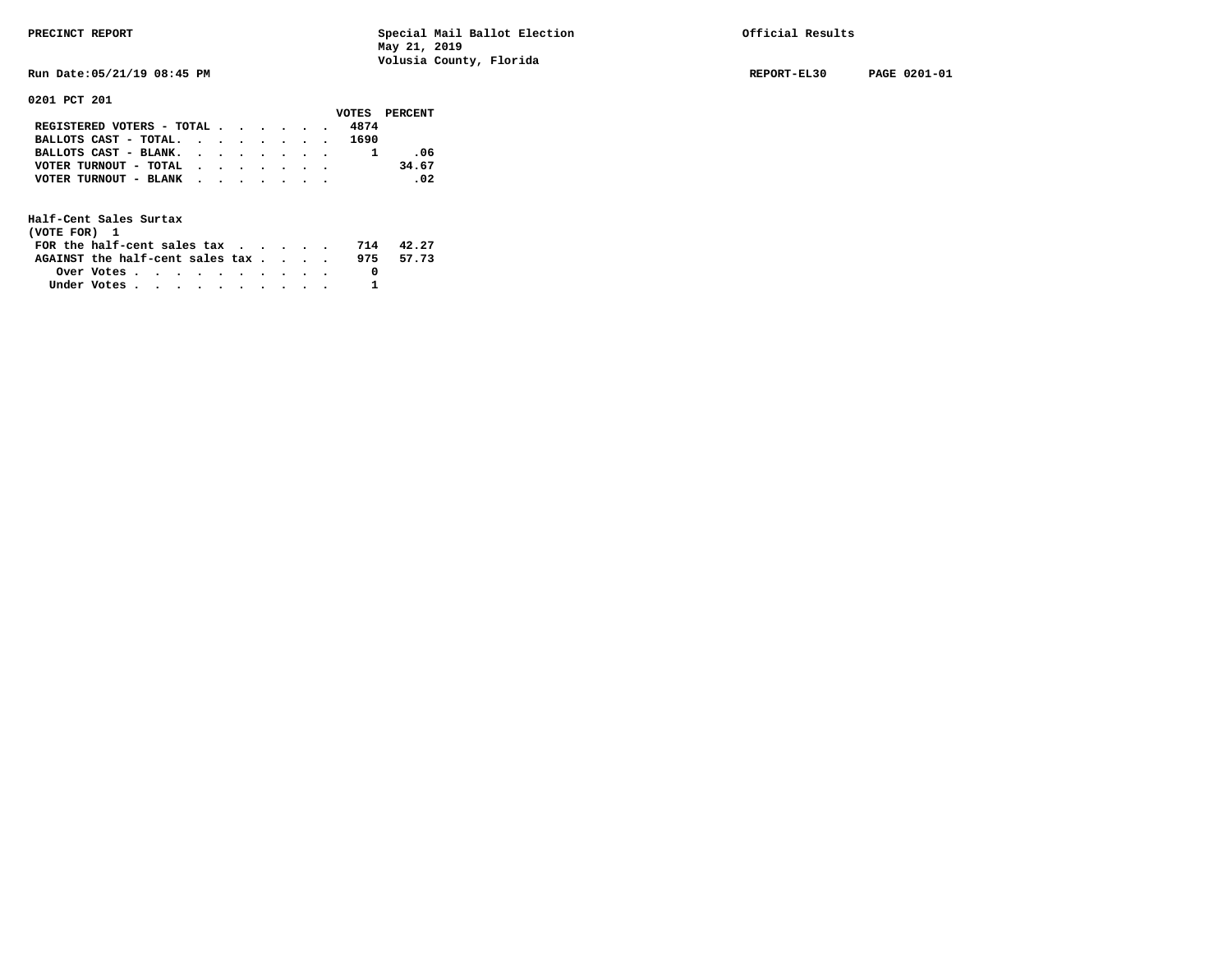**Run Date:05/21/19 08:45 PM REPORT-EL30 PAGE 0201-01** 

**0201 PCT 201** 

|                                                       |  |  |  |      | VOTES PERCENT |
|-------------------------------------------------------|--|--|--|------|---------------|
| REGISTERED VOTERS - TOTAL                             |  |  |  | 4874 |               |
| BALLOTS CAST - TOTAL. 1690                            |  |  |  |      |               |
| BALLOTS CAST - BLANK.                                 |  |  |  |      | -06           |
| VOTER TURNOUT - TOTAL $\cdot \cdot \cdot \cdot \cdot$ |  |  |  |      | 34.67         |
| VOTER TURNOUT - BLANK                                 |  |  |  |      | .02           |
|                                                       |  |  |  |      |               |
|                                                       |  |  |  |      |               |

| (VOTE FOR) 1                           |            |  |  |  |  |     |       |
|----------------------------------------|------------|--|--|--|--|-----|-------|
| FOR the half-cent sales $\mathsf{tax}$ |            |  |  |  |  | 714 | 42.27 |
| AGAINST the half-cent sales tax        |            |  |  |  |  | 975 | 57.73 |
|                                        | Over Votes |  |  |  |  |     |       |
| Under Votes                            |            |  |  |  |  |     |       |
|                                        |            |  |  |  |  |     |       |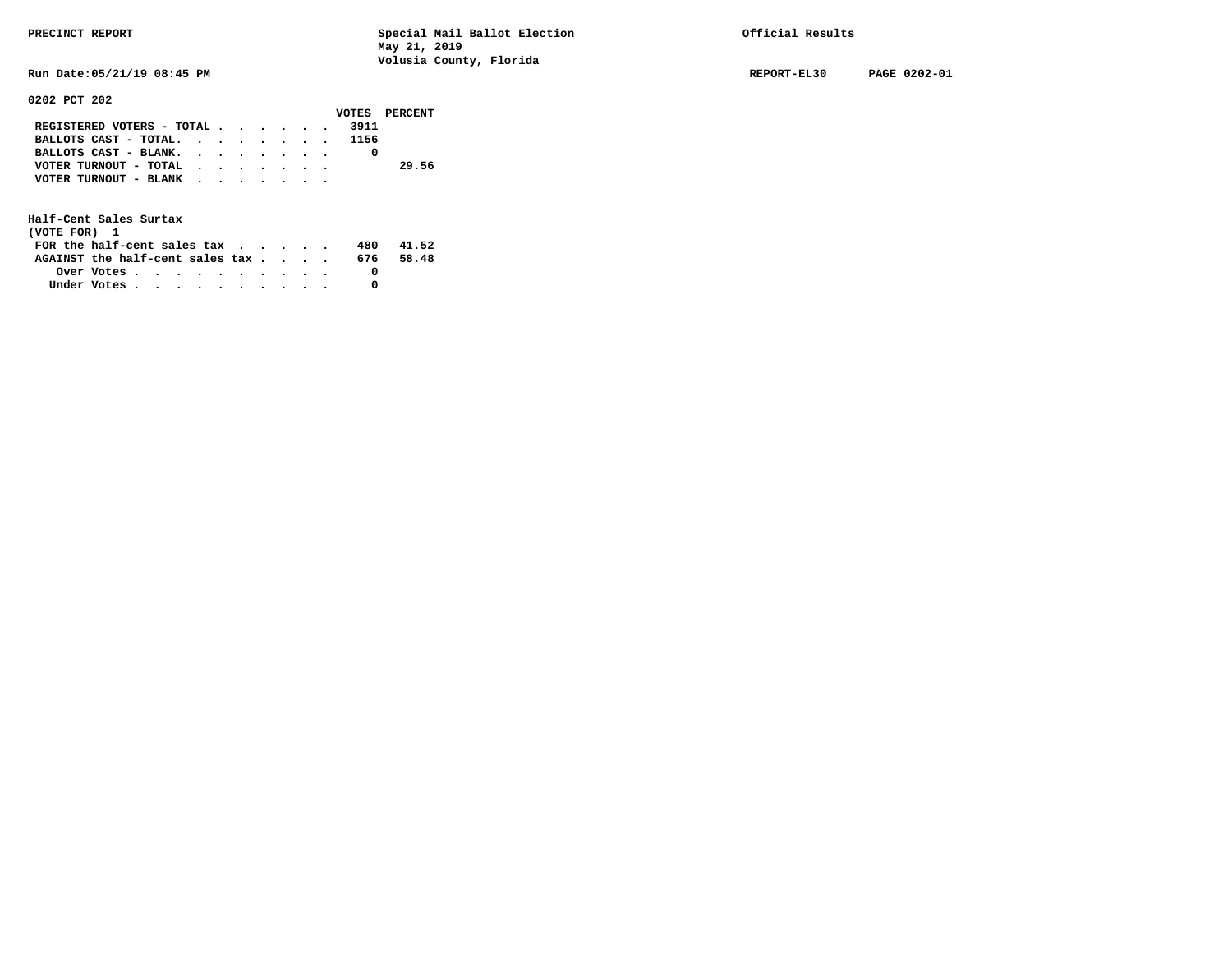**Run Date:05/21/19 08:45 PM REPORT-EL30 PAGE 0202-01** 

**0202 PCT 202** 

|                                |  |  |  | VOTES PERCENT |
|--------------------------------|--|--|--|---------------|
| REGISTERED VOTERS - TOTAL 3911 |  |  |  |               |
| BALLOTS CAST - TOTAL. 1156     |  |  |  |               |
| BALLOTS CAST - BLANK.          |  |  |  |               |
| VOTER TURNOUT - TOTAL          |  |  |  | 29.56         |
| VOTER TURNOUT - BLANK          |  |  |  |               |
|                                |  |  |  |               |

| (VOTE FOR) 1                                                |                                                         |  |  |  |  |     |       |
|-------------------------------------------------------------|---------------------------------------------------------|--|--|--|--|-----|-------|
| FOR the half-cent sales tax $\cdot$ $\cdot$ $\cdot$ $\cdot$ |                                                         |  |  |  |  | 480 | 41.52 |
| AGAINST the half-cent sales tax                             |                                                         |  |  |  |  | 676 | 58.48 |
|                                                             | Over Votes $\cdots$ $\cdots$ $\cdots$ $\cdots$ $\cdots$ |  |  |  |  |     |       |
| Under Votes                                                 |                                                         |  |  |  |  |     |       |
|                                                             |                                                         |  |  |  |  |     |       |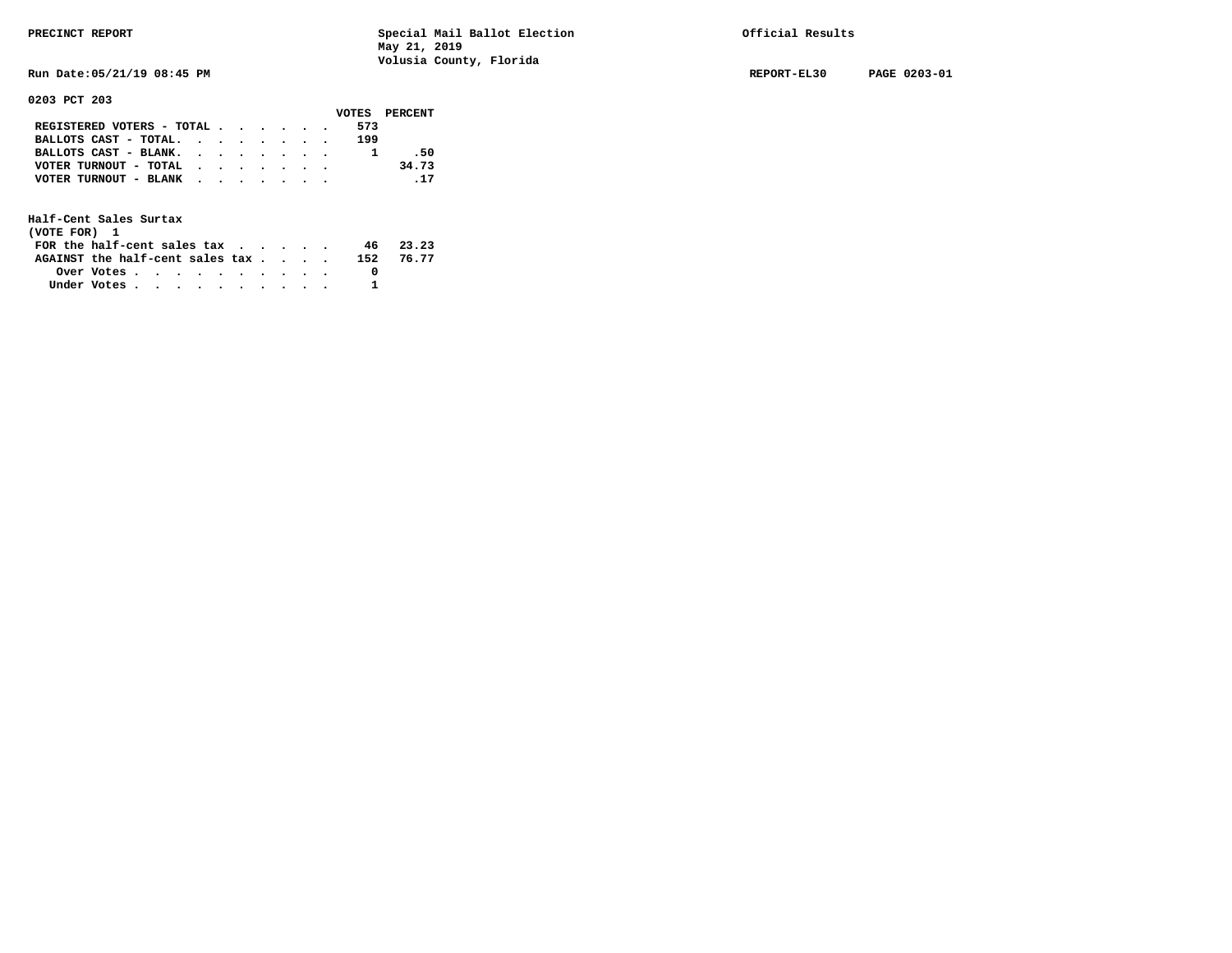**Run Date:05/21/19 08:45 PM REPORT-EL30 PAGE 0203-01** 

**0203 PCT 203** 

|                                           |  |  |  | VOTES PERCENT |
|-------------------------------------------|--|--|--|---------------|
| REGISTERED VOTERS - TOTAL                 |  |  |  | 573           |
| BALLOTS CAST - TOTAL.                     |  |  |  | 199           |
| BALLOTS CAST - BLANK.                     |  |  |  | .50           |
| VOTER TURNOUT - TOTAL $\cdot$ , , , , , , |  |  |  | 34.73         |
| VOTER TURNOUT - BLANK                     |  |  |  | .17           |
|                                           |  |  |  |               |

| (VOTE FOR) 1                           |                                                         |  |  |  |  |           |
|----------------------------------------|---------------------------------------------------------|--|--|--|--|-----------|
| FOR the half-cent sales $\mathsf{tax}$ |                                                         |  |  |  |  | 46 23.23  |
| AGAINST the half-cent sales tax        |                                                         |  |  |  |  | 152 76.77 |
|                                        | Over Votes $\cdots$ $\cdots$ $\cdots$ $\cdots$ $\cdots$ |  |  |  |  |           |
| Under Votes                            |                                                         |  |  |  |  |           |
|                                        |                                                         |  |  |  |  |           |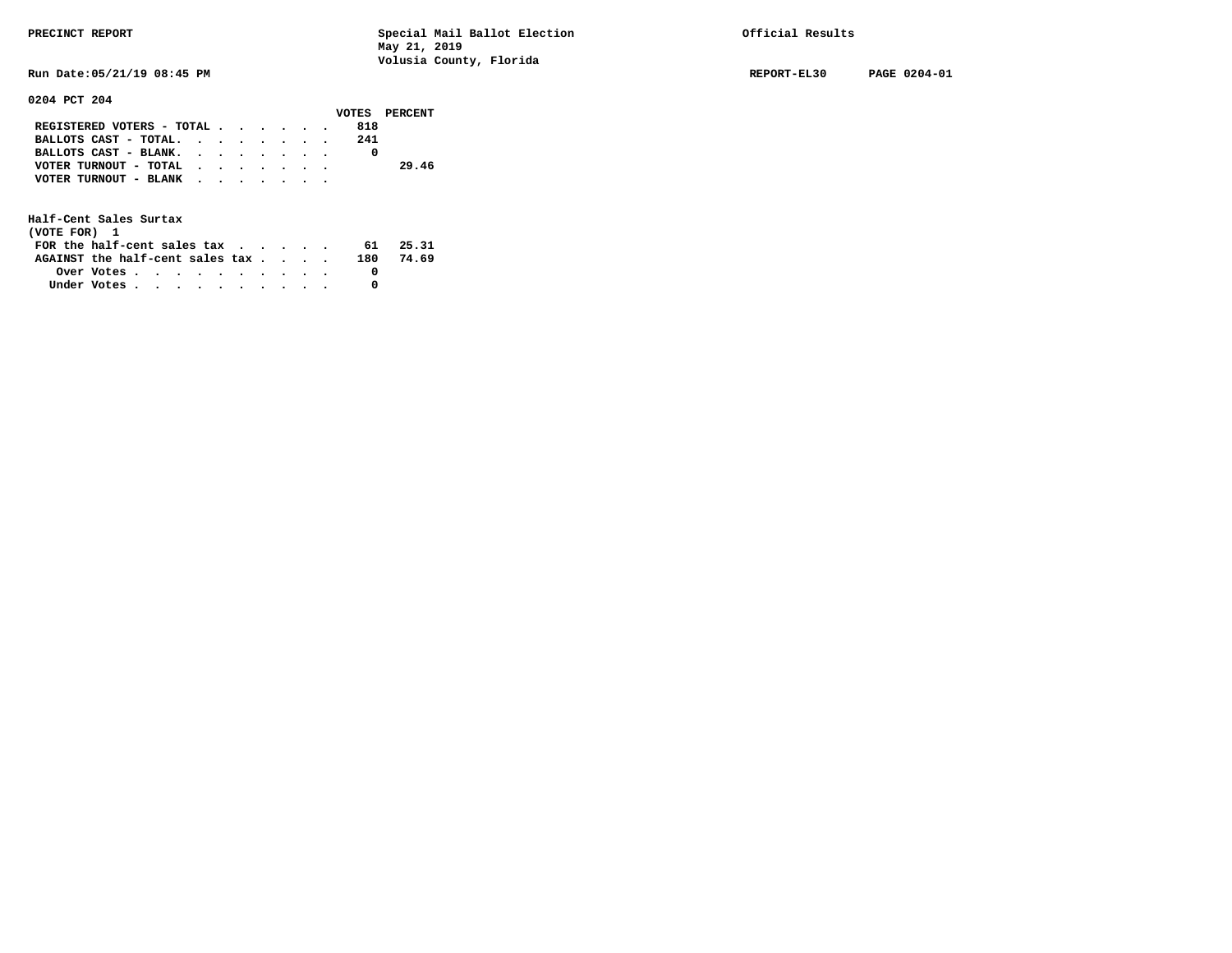**Run Date:05/21/19 08:45 PM REPORT-EL30 PAGE 0204-01** 

### **0204 PCT 204**

|                           |  |  |  |     | VOTES PERCENT |
|---------------------------|--|--|--|-----|---------------|
| REGISTERED VOTERS - TOTAL |  |  |  | 818 |               |
| BALLOTS CAST - TOTAL.     |  |  |  | 241 |               |
| BALLOTS CAST - BLANK.     |  |  |  |     |               |
| VOTER TURNOUT - TOTAL     |  |  |  |     | 29.46         |
| VOTER TURNOUT - BLANK     |  |  |  |     |               |
|                           |  |  |  |     |               |

| (VOTE FOR) 1                                                |            |  |  |  |  |     |       |
|-------------------------------------------------------------|------------|--|--|--|--|-----|-------|
| FOR the half-cent sales tax $\cdot$ $\cdot$ $\cdot$ $\cdot$ |            |  |  |  |  | 61  | 25.31 |
| AGAINST the half-cent sales tax                             |            |  |  |  |  | 180 | 74.69 |
|                                                             | Over Votes |  |  |  |  |     |       |
| Under Votes                                                 |            |  |  |  |  |     |       |
|                                                             |            |  |  |  |  |     |       |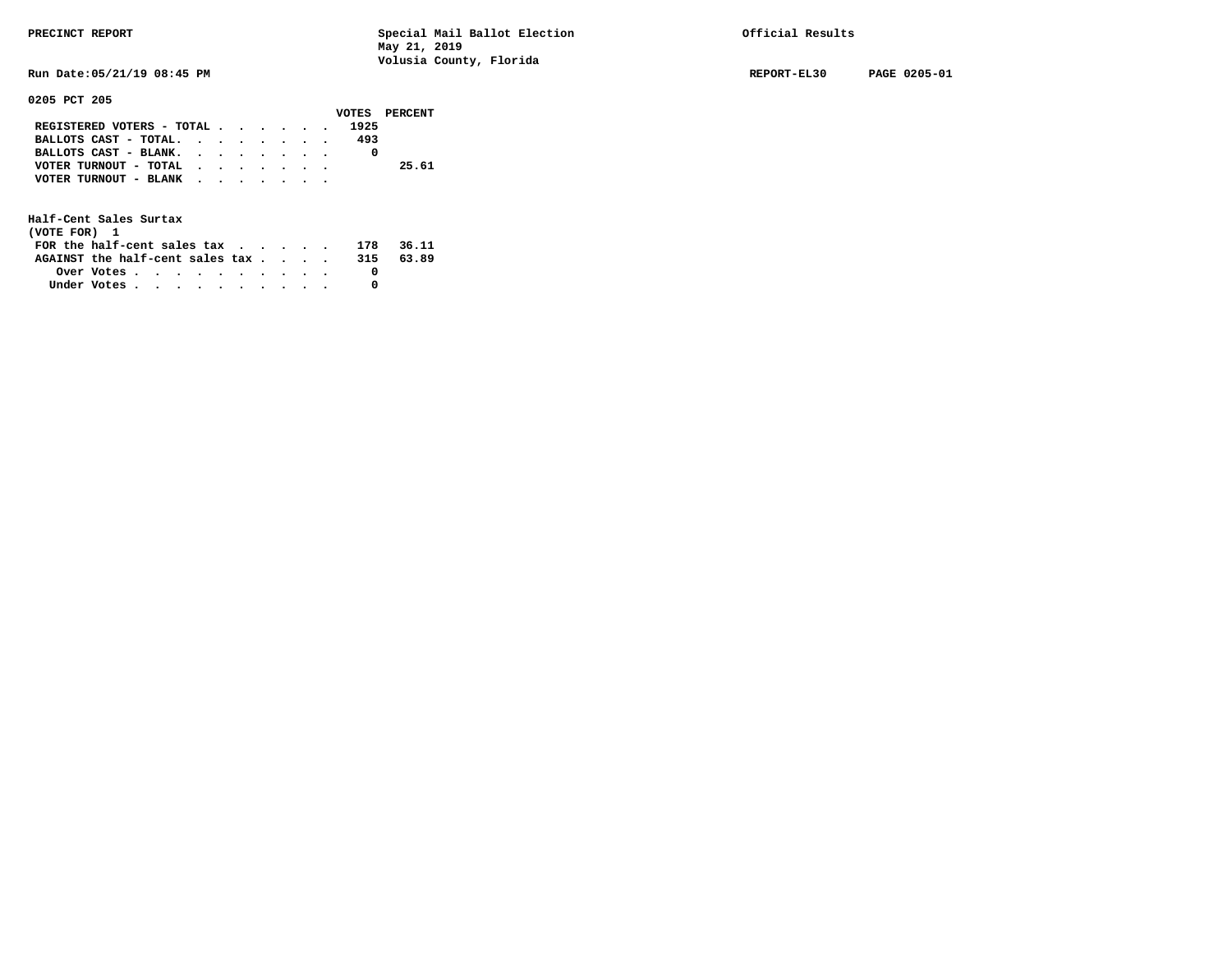**0205 PCT 205** 

**PRECINCT REPORT Special Mail Ballot Election Official Results May 21, 2019 Volusia County, Florida** 

**Run Date:05/21/19 08:45 PM REPORT-EL30 PAGE 0205-01** 

|                           |  |  |  |      | VOTES PERCENT |
|---------------------------|--|--|--|------|---------------|
| REGISTERED VOTERS - TOTAL |  |  |  | 1925 |               |
| BALLOTS CAST - TOTAL.     |  |  |  | 493  |               |
| BALLOTS CAST - BLANK.     |  |  |  |      |               |
| VOTER TURNOUT - TOTAL     |  |  |  |      | 25.61         |
| VOTER TURNOUT - BLANK     |  |  |  |      |               |
|                           |  |  |  |      |               |

| (VOTE FOR) 1                                                |            |  |  |  |  |     |       |
|-------------------------------------------------------------|------------|--|--|--|--|-----|-------|
| FOR the half-cent sales tax $\cdot$ $\cdot$ $\cdot$ $\cdot$ |            |  |  |  |  | 178 | 36.11 |
| AGAINST the half-cent sales tax                             |            |  |  |  |  | 315 | 63.89 |
|                                                             | Over Votes |  |  |  |  |     |       |
| Under Votes                                                 |            |  |  |  |  |     |       |
|                                                             |            |  |  |  |  |     |       |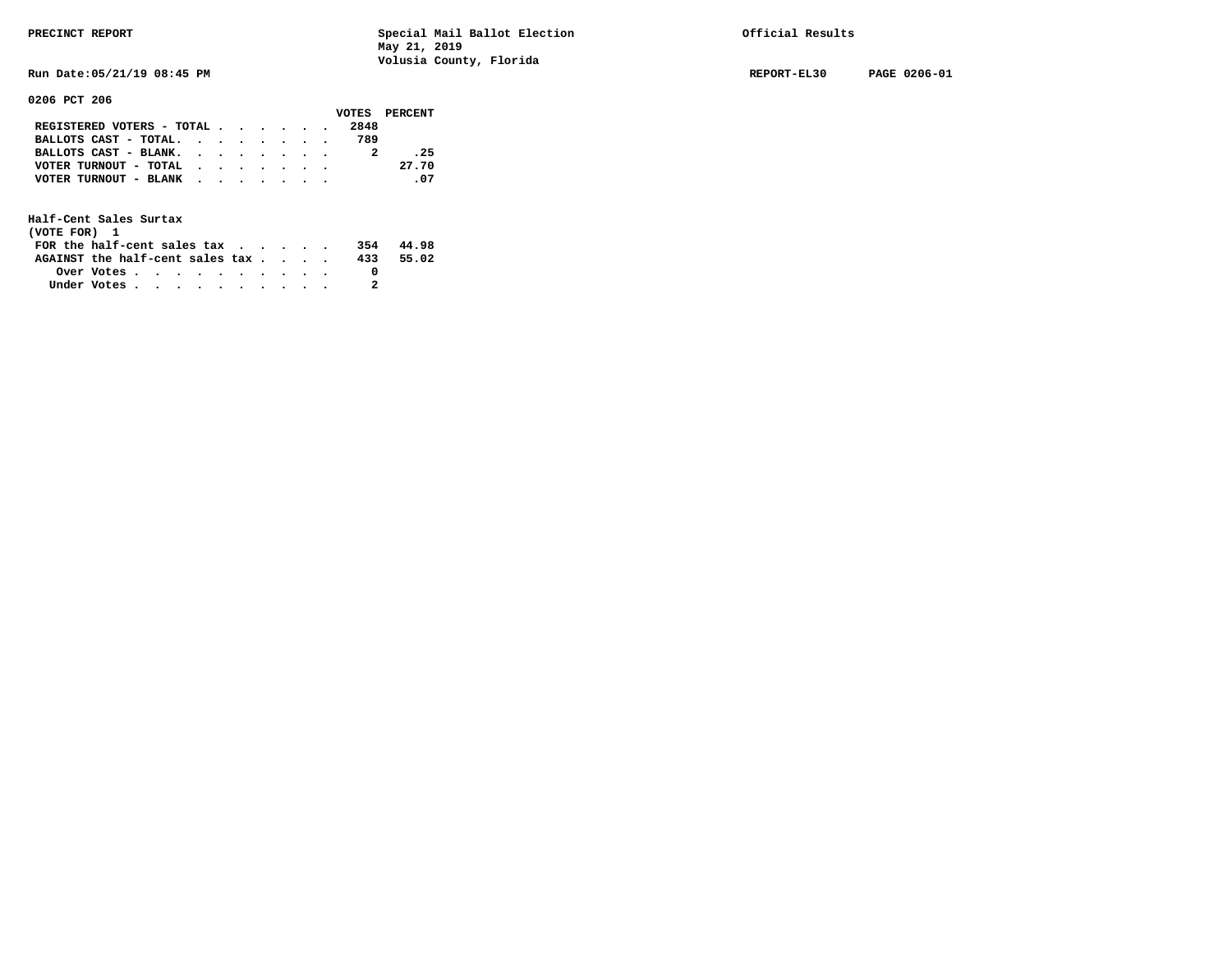**Run Date:05/21/19 08:45 PM REPORT-EL30 PAGE 0206-01** 

**0206 PCT 206** 

|                                                             |  |  |  |      | VOTES PERCENT |
|-------------------------------------------------------------|--|--|--|------|---------------|
| REGISTERED VOTERS - TOTAL                                   |  |  |  | 2848 |               |
| BALLOTS CAST - TOTAL. $\cdot$ , $\cdot$ , $\cdot$ , $\cdot$ |  |  |  | 789  |               |
| BALLOTS CAST - BLANK.                                       |  |  |  |      | .25           |
| VOTER TURNOUT - TOTAL $\cdot \cdot \cdot \cdot \cdot \cdot$ |  |  |  |      | 27.70         |
| VOTER TURNOUT - BLANK                                       |  |  |  |      | .07           |
|                                                             |  |  |  |      |               |

| (VOTE FOR) 1                           |            |  |  |  |  |     |       |
|----------------------------------------|------------|--|--|--|--|-----|-------|
| FOR the half-cent sales $\mathsf{tax}$ |            |  |  |  |  | 354 | 44.98 |
| AGAINST the half-cent sales tax        |            |  |  |  |  | 433 | 55.02 |
|                                        | Over Votes |  |  |  |  |     |       |
| Under Votes                            |            |  |  |  |  |     |       |
|                                        |            |  |  |  |  |     |       |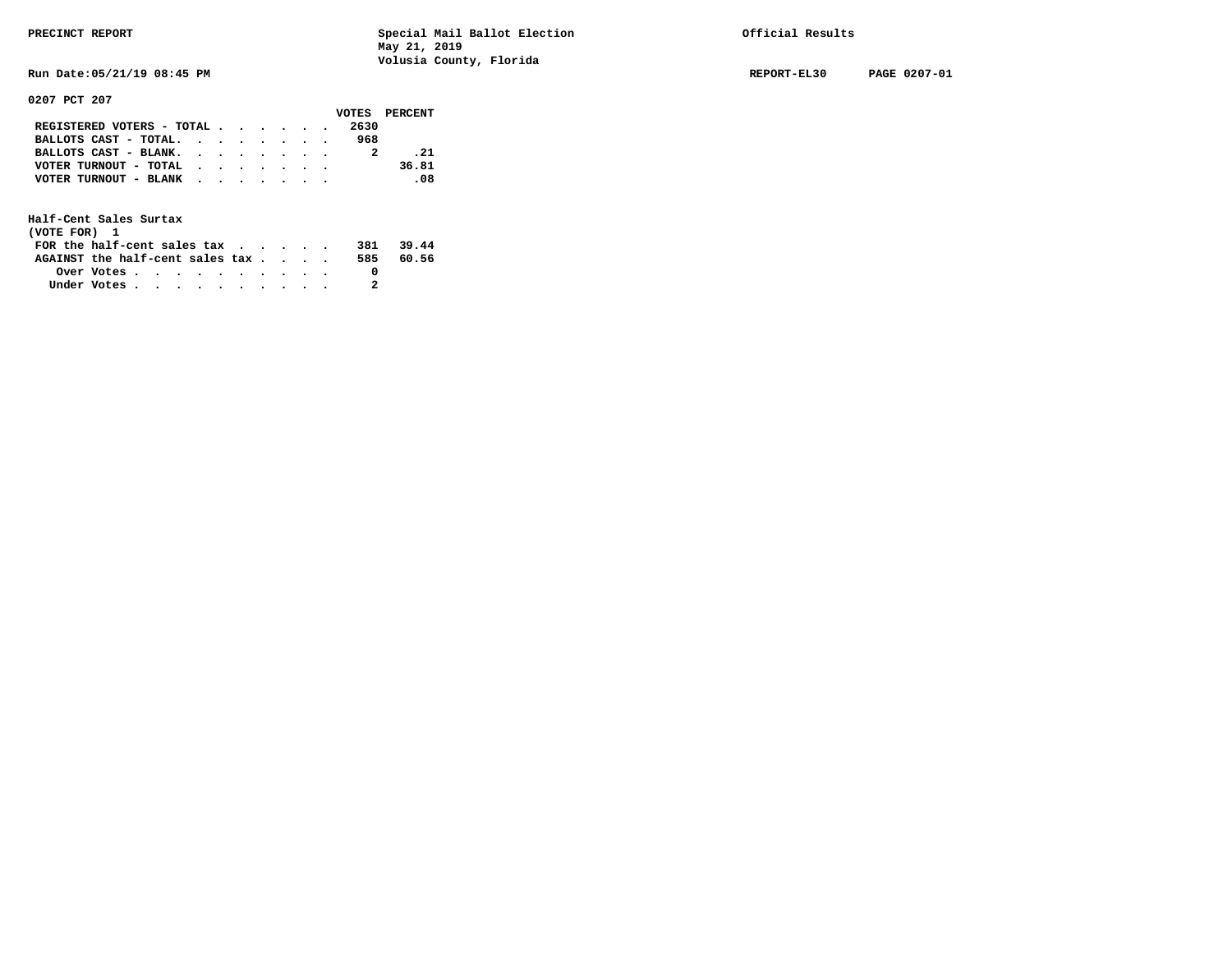**Run Date:05/21/19 08:45 PM REPORT-EL30 PAGE 0207-01** 

**0207 PCT 207** 

|                                           |  |  |  |      | VOTES PERCENT |
|-------------------------------------------|--|--|--|------|---------------|
| REGISTERED VOTERS - TOTAL                 |  |  |  | 2630 |               |
| BALLOTS CAST - TOTAL. $\cdot$             |  |  |  | 968  |               |
| BALLOTS CAST - BLANK.                     |  |  |  |      | .21           |
| VOTER TURNOUT - TOTAL $\cdot$ , , , , , , |  |  |  |      | 36.81         |
| VOTER TURNOUT - BLANK                     |  |  |  |      | -08           |
|                                           |  |  |  |      |               |

| (VOTE FOR) 1                     |            |  |  |  |  |     |       |
|----------------------------------|------------|--|--|--|--|-----|-------|
| FOR the half-cent sales $\alpha$ |            |  |  |  |  | 381 | 39.44 |
| AGAINST the half-cent sales tax  |            |  |  |  |  | 585 | 60.56 |
|                                  | Over Votes |  |  |  |  |     |       |
| Under Votes                      |            |  |  |  |  |     |       |
|                                  |            |  |  |  |  |     |       |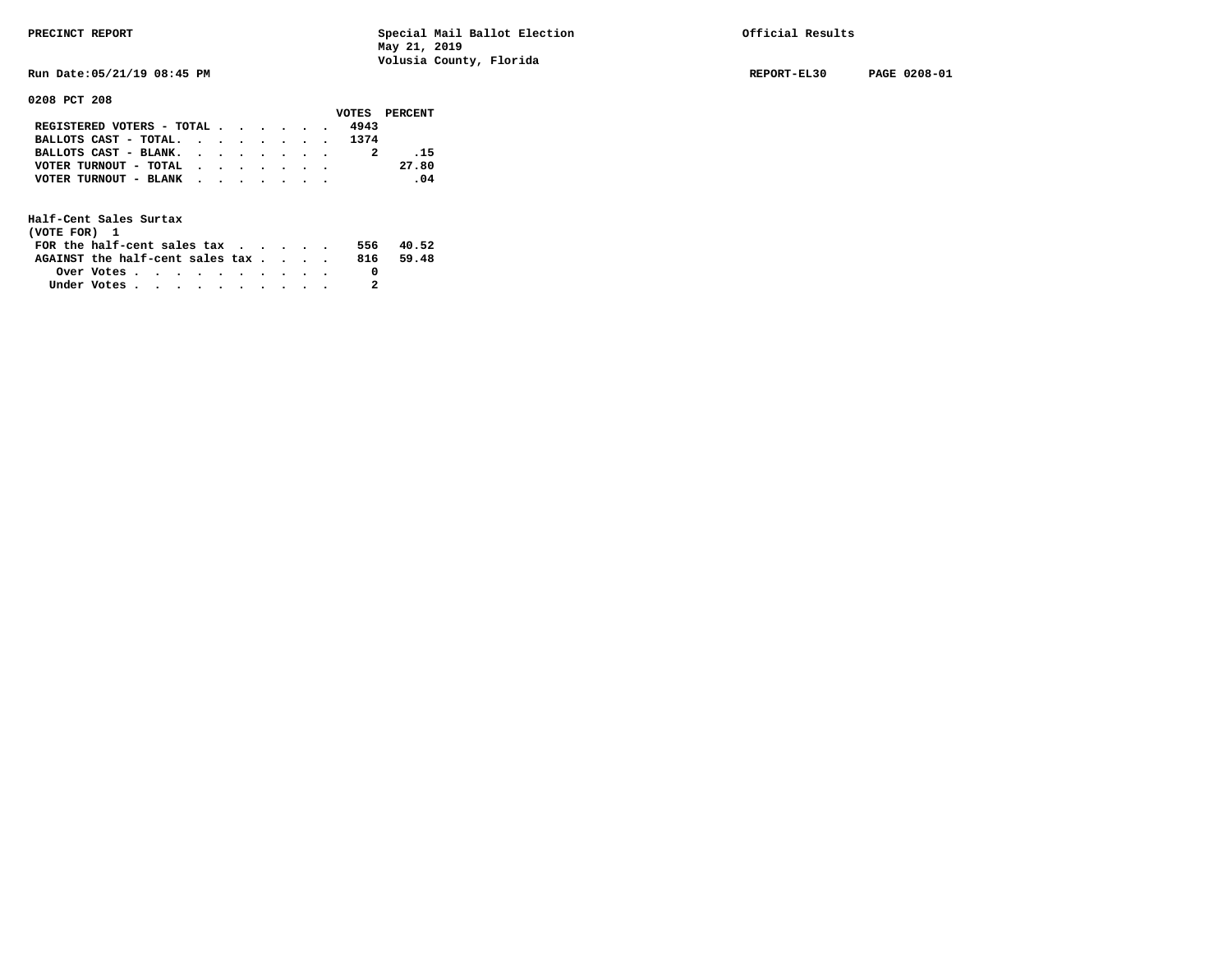**Run Date:05/21/19 08:45 PM REPORT-EL30 PAGE 0208-01** 

**0208 PCT 208** 

|                                               |  |  |  |      | VOTES PERCENT |
|-----------------------------------------------|--|--|--|------|---------------|
| REGISTERED VOTERS - TOTAL $\cdot$ , , , , , , |  |  |  | 4943 |               |
| BALLOTS CAST - TOTAL. 1374                    |  |  |  |      |               |
| BALLOTS CAST - BLANK.                         |  |  |  |      | $-15$         |
| VOTER TURNOUT - TOTAL                         |  |  |  |      | 27.80         |
| VOTER TURNOUT - BLANK                         |  |  |  |      | $\sim$ 04     |
|                                               |  |  |  |      |               |

| (VOTE FOR) 1                           |            |  |  |  |  |      |       |
|----------------------------------------|------------|--|--|--|--|------|-------|
| FOR the half-cent sales $\mathsf{tax}$ |            |  |  |  |  | 556. | 40.52 |
| AGAINST the half-cent sales tax        |            |  |  |  |  | 816  | 59.48 |
|                                        | Over Votes |  |  |  |  |      |       |
| Under Votes                            |            |  |  |  |  |      |       |
|                                        |            |  |  |  |  |      |       |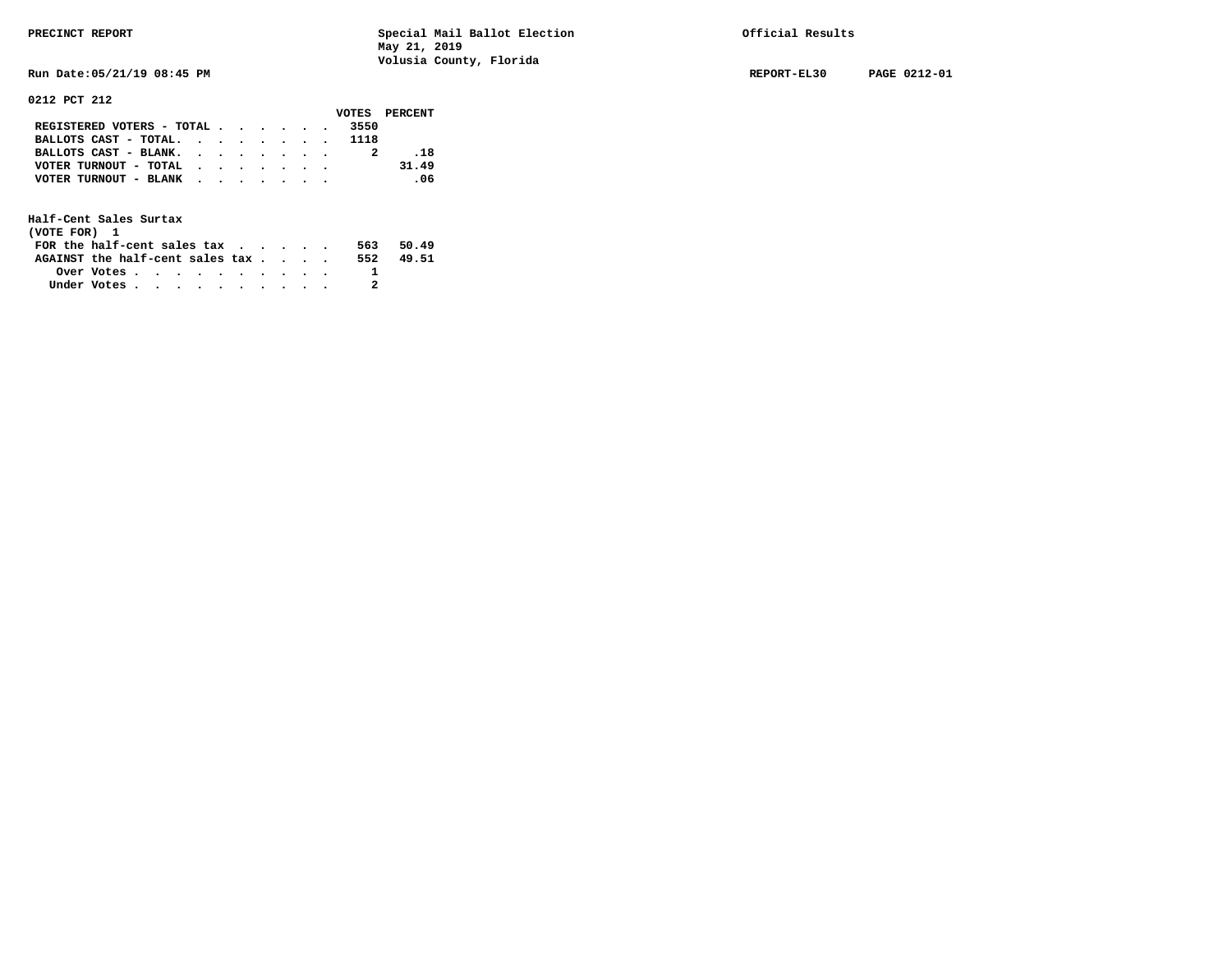**Run Date:05/21/19 08:45 PM REPORT-EL30 PAGE 0212-01** 

**0212 PCT 212** 

| 9414 ILI 414                              |  |  |  |      |               |
|-------------------------------------------|--|--|--|------|---------------|
|                                           |  |  |  |      | VOTES PERCENT |
| REGISTERED VOTERS - TOTAL                 |  |  |  | 3550 |               |
| BALLOTS CAST - TOTAL. 1118                |  |  |  |      |               |
| BALLOTS CAST - BLANK.                     |  |  |  |      | . 18          |
| VOTER TURNOUT - TOTAL $\cdot$ , , , , , , |  |  |  |      | 31.49         |
| VOTER TURNOUT - BLANK                     |  |  |  |      | .06           |
|                                           |  |  |  |      |               |

| (VOTE FOR) 1                     |            |  |  |  |  |     |       |
|----------------------------------|------------|--|--|--|--|-----|-------|
| FOR the half-cent sales $\alpha$ |            |  |  |  |  | 563 | 50.49 |
| AGAINST the half-cent sales tax  |            |  |  |  |  | 552 | 49.51 |
|                                  | Over Votes |  |  |  |  |     |       |
| Under Votes                      |            |  |  |  |  |     |       |
|                                  |            |  |  |  |  |     |       |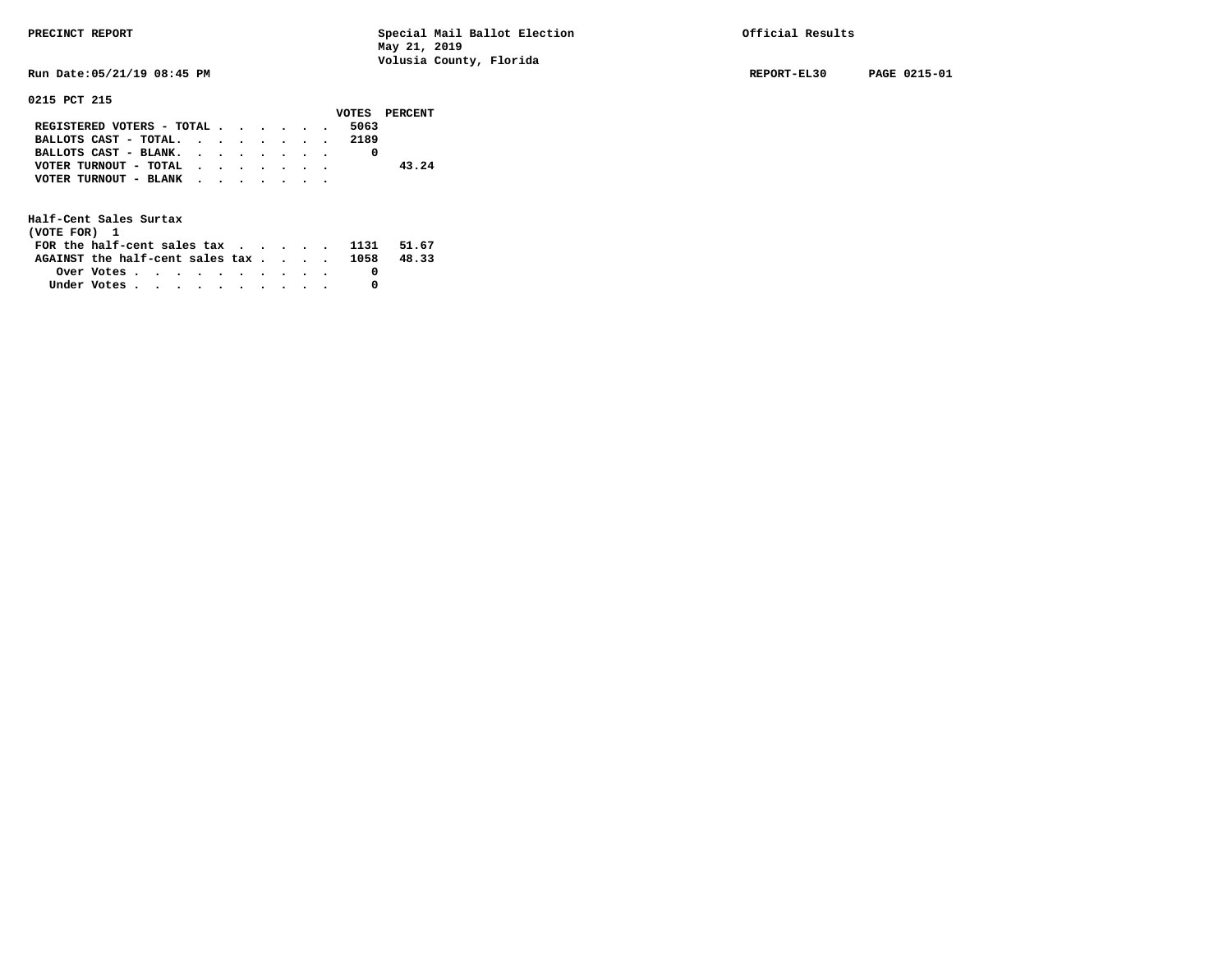**Run Date:05/21/19 08:45 PM REPORT-EL30 PAGE 0215-01** 

## **0215 PCT 215**

|                                                                           |  |  |  |      | VOTES PERCENT |
|---------------------------------------------------------------------------|--|--|--|------|---------------|
| REGISTERED VOTERS - TOTAL $\cdot$ $\cdot$ $\cdot$ $\cdot$ $\cdot$ $\cdot$ |  |  |  | 5063 |               |
| BALLOTS CAST - TOTAL. 2189                                                |  |  |  |      |               |
| BALLOTS CAST - BLANK.                                                     |  |  |  |      |               |
| VOTER TURNOUT - TOTAL                                                     |  |  |  |      | 43.24         |
| VOTER TURNOUT - BLANK                                                     |  |  |  |      |               |
|                                                                           |  |  |  |      |               |

| (VOTE FOR) 1                                                             |  |  |  |  |  |       |
|--------------------------------------------------------------------------|--|--|--|--|--|-------|
| FOR the half-cent sales tax $\cdot$ $\cdot$ $\cdot$ $\cdot$ $\cdot$ 1131 |  |  |  |  |  | 51.67 |
| AGAINST the half-cent sales tax $\ldots$ 1058                            |  |  |  |  |  | 48.33 |
|                                                                          |  |  |  |  |  |       |
| Under Votes                                                              |  |  |  |  |  |       |
|                                                                          |  |  |  |  |  |       |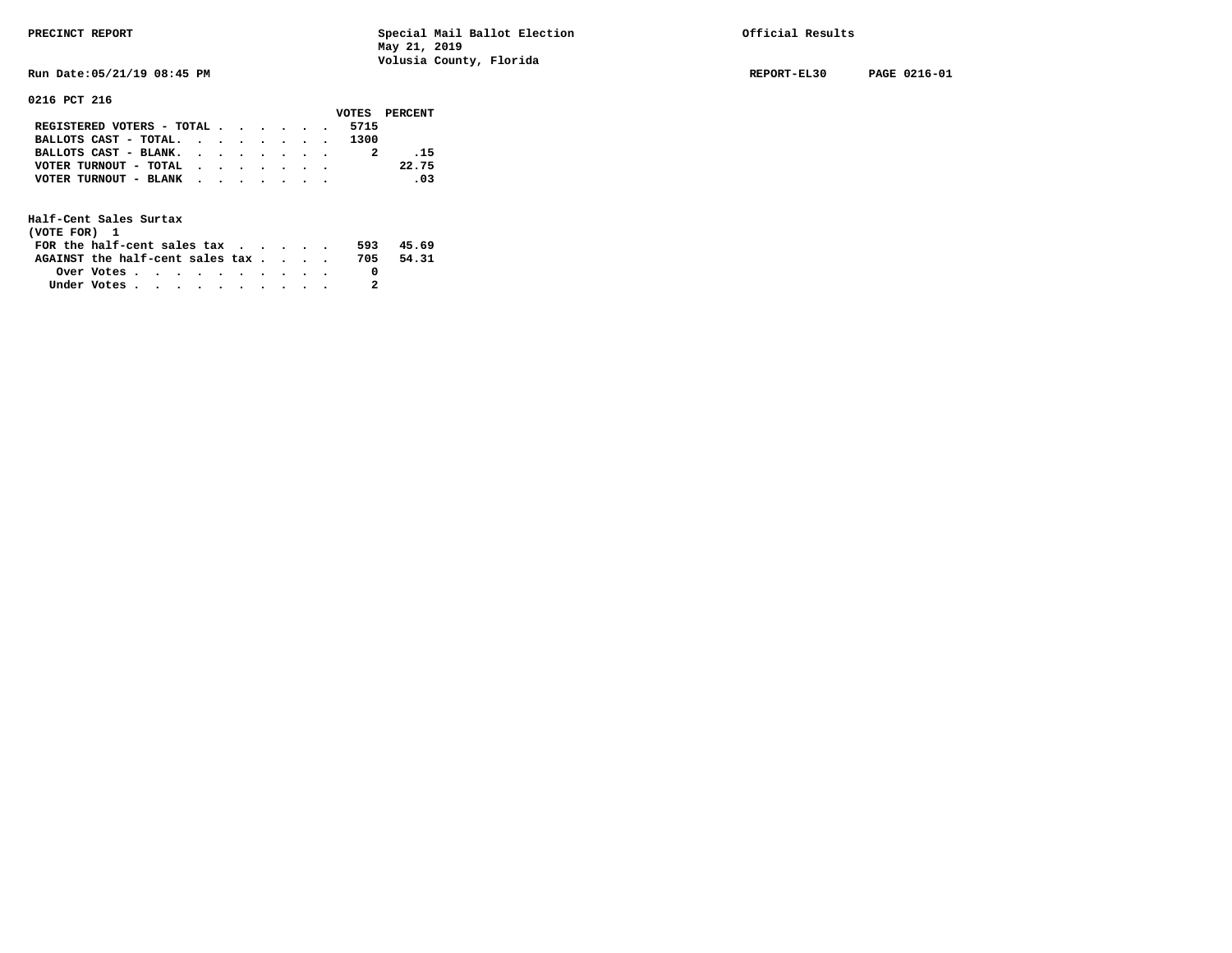**Run Date:05/21/19 08:45 PM REPORT-EL30 PAGE 0216-01** 

**0216 PCT 216** 

|                                                                           |  |  |  |      | VOTES PERCENT |
|---------------------------------------------------------------------------|--|--|--|------|---------------|
| REGISTERED VOTERS - TOTAL $\cdot$ $\cdot$ $\cdot$ $\cdot$ $\cdot$ $\cdot$ |  |  |  | 5715 |               |
| BALLOTS CAST - TOTAL. 1300                                                |  |  |  |      |               |
| BALLOTS CAST - BLANK. $\cdot$                                             |  |  |  |      | $-15$         |
| VOTER TURNOUT - TOTAL $\cdot$ , , , , , ,                                 |  |  |  |      | 22.75         |
| VOTER TURNOUT - BLANK                                                     |  |  |  |      | .03           |
|                                                                           |  |  |  |      |               |

| (VOTE FOR) 1                     |            |  |  |  |  |     |       |
|----------------------------------|------------|--|--|--|--|-----|-------|
| FOR the half-cent sales $\alpha$ |            |  |  |  |  | 593 | 45.69 |
| AGAINST the half-cent sales tax  |            |  |  |  |  | 705 | 54.31 |
|                                  | Over Votes |  |  |  |  |     |       |
| Under Votes                      |            |  |  |  |  |     |       |
|                                  |            |  |  |  |  |     |       |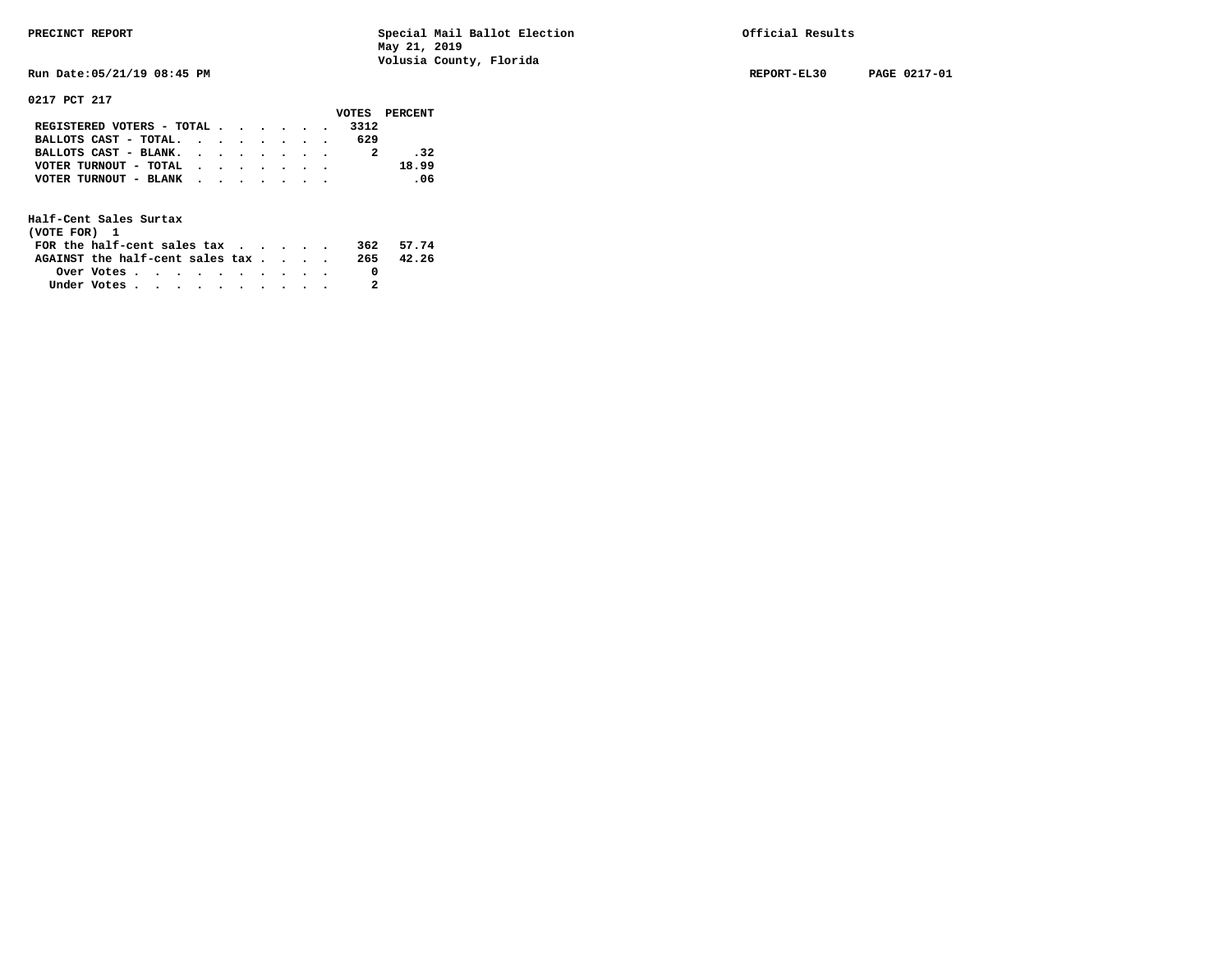**Run Date:05/21/19 08:45 PM REPORT-EL30 PAGE 0217-01** 

**0217 PCT 217** 

|                                                                           |  |  |  |      | VOTES PERCENT |
|---------------------------------------------------------------------------|--|--|--|------|---------------|
| REGISTERED VOTERS - TOTAL $\cdot$ $\cdot$ $\cdot$ $\cdot$ $\cdot$ $\cdot$ |  |  |  | 3312 |               |
| BALLOTS CAST - TOTAL. $\cdot$                                             |  |  |  | 629  |               |
| BALLOTS CAST - BLANK.                                                     |  |  |  |      | $-32$         |
| VOTER TURNOUT - TOTAL                                                     |  |  |  |      | 18.99         |
| VOTER TURNOUT - BLANK                                                     |  |  |  |      | $\sim$ 06     |
|                                                                           |  |  |  |      |               |

| (VOTE FOR) 1                           |            |  |  |  |  |     |       |
|----------------------------------------|------------|--|--|--|--|-----|-------|
| FOR the half-cent sales $\mathsf{tax}$ |            |  |  |  |  | 362 | 57.74 |
| AGAINST the half-cent sales tax        |            |  |  |  |  | 265 | 42.26 |
|                                        | Over Votes |  |  |  |  |     |       |
| Under Votes                            |            |  |  |  |  |     |       |
|                                        |            |  |  |  |  |     |       |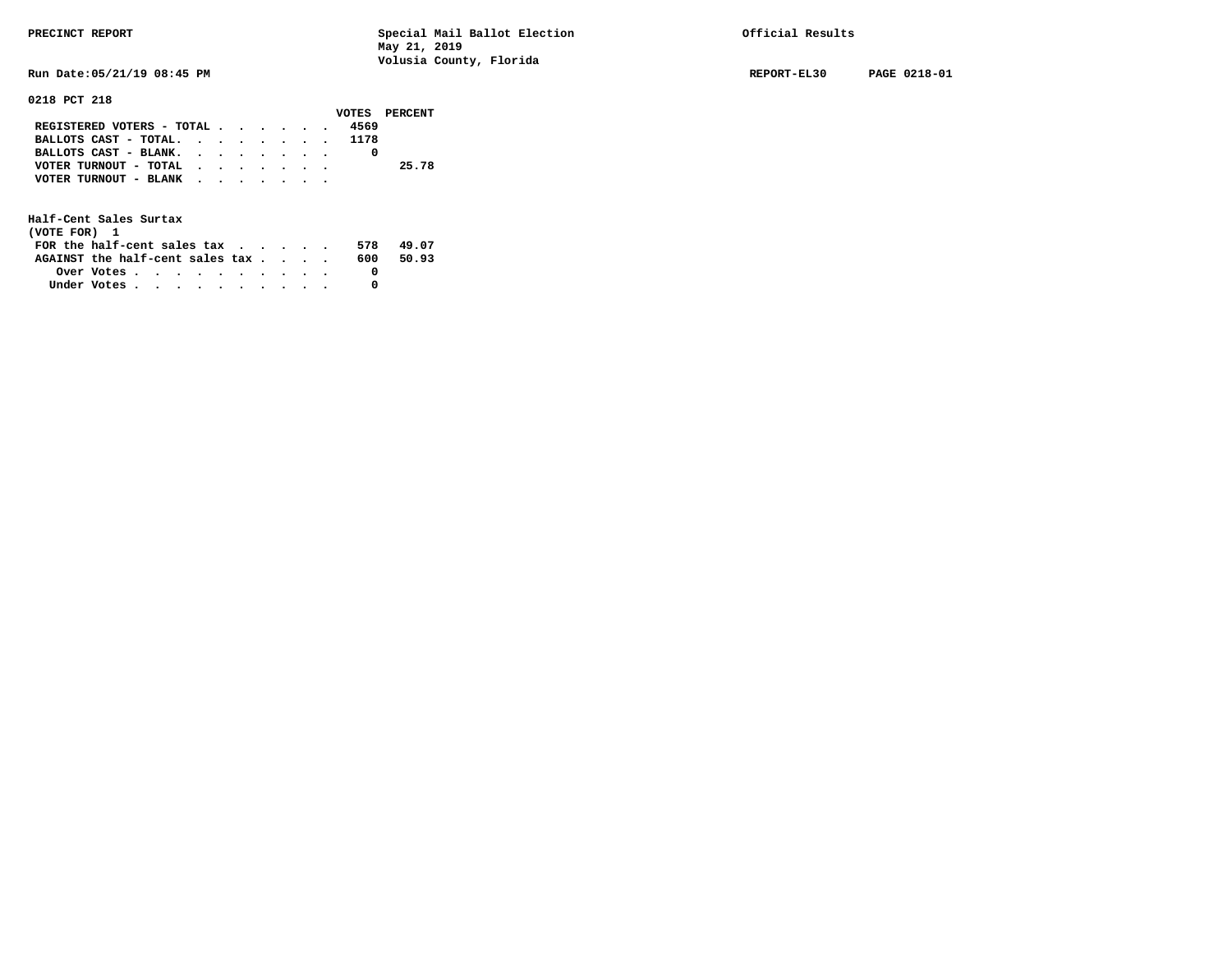**Run Date:05/21/19 08:45 PM REPORT-EL30 PAGE 0218-01** 

# **0218 PCT 218**

|                                             |  |  |  |      | VOTES PERCENT |
|---------------------------------------------|--|--|--|------|---------------|
| REGISTERED VOTERS - TOTAL $\cdot$ , , , , . |  |  |  | 4569 |               |
| BALLOTS CAST - TOTAL. 1178                  |  |  |  |      |               |
| BALLOTS CAST - BLANK.                       |  |  |  |      |               |
| VOTER TURNOUT - TOTAL                       |  |  |  |      | 25.78         |
| VOTER TURNOUT - BLANK                       |  |  |  |      |               |
|                                             |  |  |  |      |               |

| (VOTE FOR) 1                           |            |  |  |  |  |     |       |
|----------------------------------------|------------|--|--|--|--|-----|-------|
| FOR the half-cent sales $\mathsf{tax}$ |            |  |  |  |  | 578 | 49.07 |
| AGAINST the half-cent sales tax        |            |  |  |  |  | 600 | 50.93 |
|                                        | Over Votes |  |  |  |  |     |       |
| Under Votes                            |            |  |  |  |  |     |       |
|                                        |            |  |  |  |  |     |       |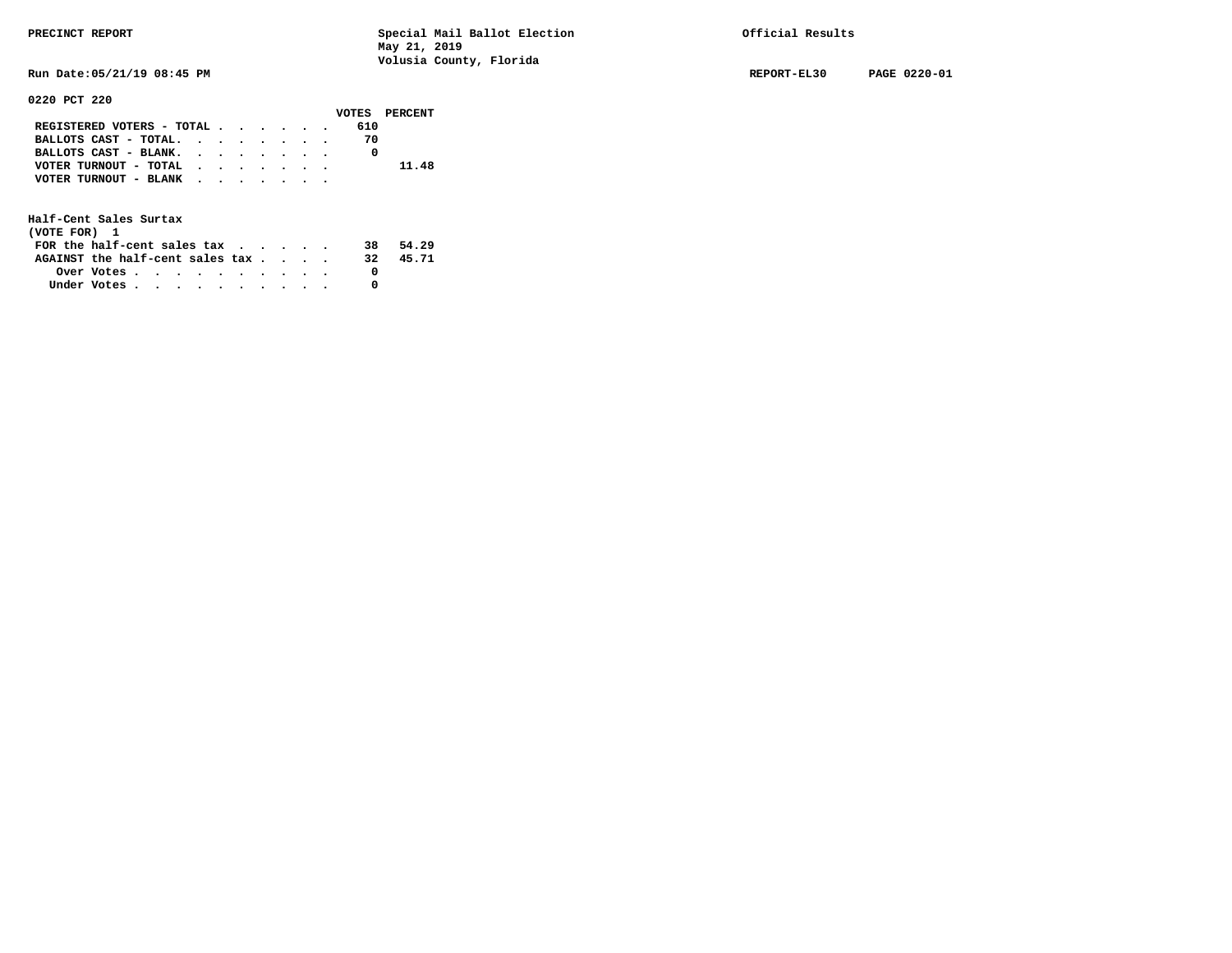**Run Date:05/21/19 08:45 PM REPORT-EL30 PAGE 0220-01** 

### **0220 PCT 220**

|                           |  |  |  |     | VOTES PERCENT |
|---------------------------|--|--|--|-----|---------------|
| REGISTERED VOTERS - TOTAL |  |  |  | 610 |               |
| BALLOTS CAST - TOTAL.     |  |  |  | 70  |               |
| BALLOTS CAST - BLANK.     |  |  |  |     |               |
| VOTER TURNOUT - TOTAL     |  |  |  |     | 11.48         |
| VOTER TURNOUT - BLANK     |  |  |  |     |               |
|                           |  |  |  |     |               |

| (VOTE FOR) 1                     |                                                         |  |  |  |  |     |       |
|----------------------------------|---------------------------------------------------------|--|--|--|--|-----|-------|
| FOR the half-cent sales $\alpha$ |                                                         |  |  |  |  | 38. | 54.29 |
| AGAINST the half-cent sales tax  |                                                         |  |  |  |  | 32. | 45.71 |
|                                  | Over Votes $\cdots$ $\cdots$ $\cdots$ $\cdots$ $\cdots$ |  |  |  |  |     |       |
| Under Votes                      |                                                         |  |  |  |  |     |       |
|                                  |                                                         |  |  |  |  |     |       |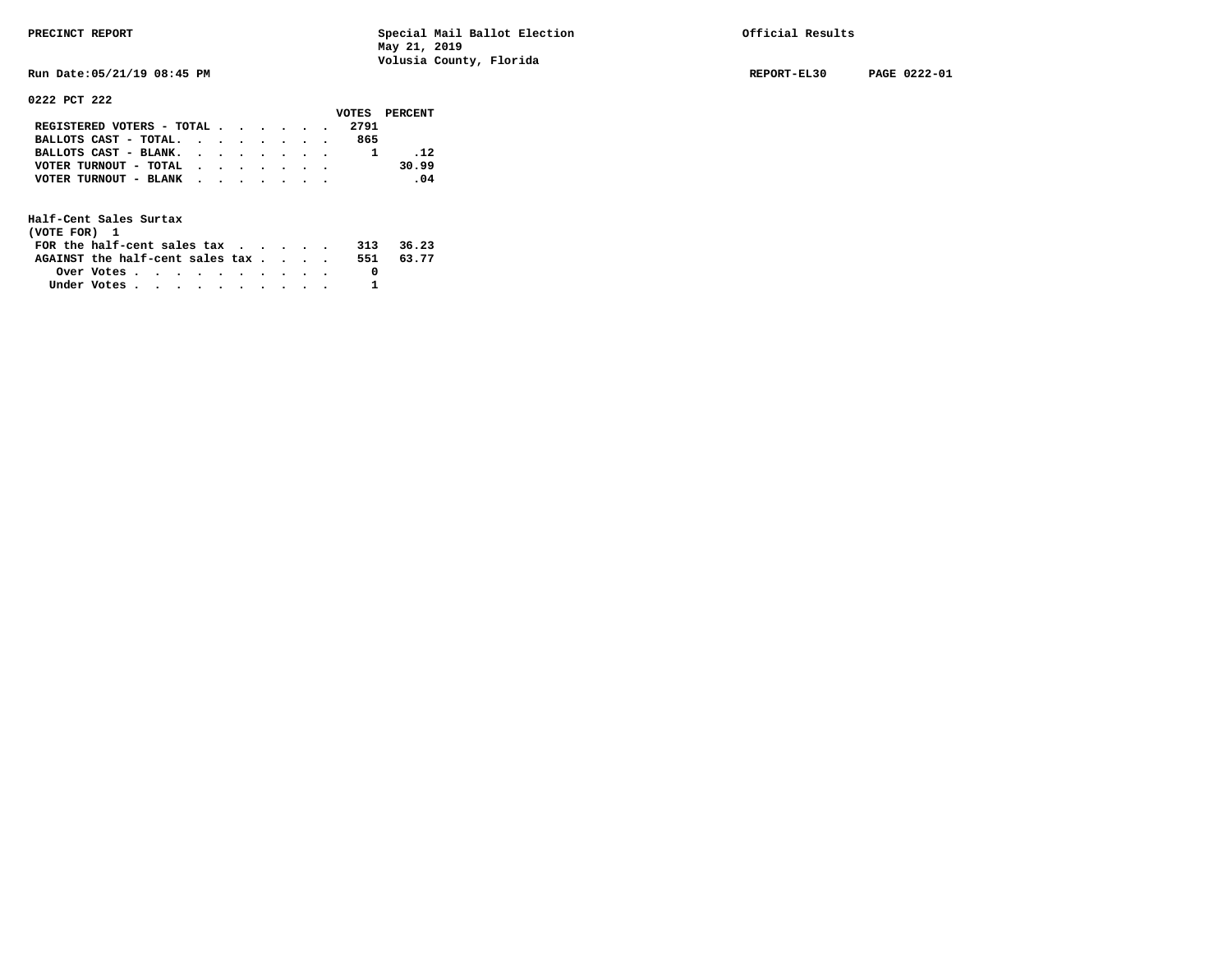**Run Date:05/21/19 08:45 PM REPORT-EL30 PAGE 0222-01** 

**0222 PCT 222** 

|                                                             |  |  |  |      | VOTES PERCENT |
|-------------------------------------------------------------|--|--|--|------|---------------|
| REGISTERED VOTERS - TOTAL                                   |  |  |  | 2791 |               |
| BALLOTS CAST - TOTAL. $\cdot$ , $\cdot$ , $\cdot$ , $\cdot$ |  |  |  | 865  |               |
| BALLOTS CAST - BLANK.                                       |  |  |  |      | .12           |
| VOTER TURNOUT - TOTAL                                       |  |  |  |      | 30.99         |
| VOTER TURNOUT - BLANK                                       |  |  |  |      | .04           |
|                                                             |  |  |  |      |               |

| (VOTE FOR) 1                           |            |  |  |  |  |     |       |
|----------------------------------------|------------|--|--|--|--|-----|-------|
| FOR the half-cent sales $\mathsf{tax}$ |            |  |  |  |  | 313 | 36.23 |
| AGAINST the half-cent sales tax        |            |  |  |  |  | 551 | 63.77 |
|                                        | Over Votes |  |  |  |  |     |       |
| Under Votes                            |            |  |  |  |  |     |       |
|                                        |            |  |  |  |  |     |       |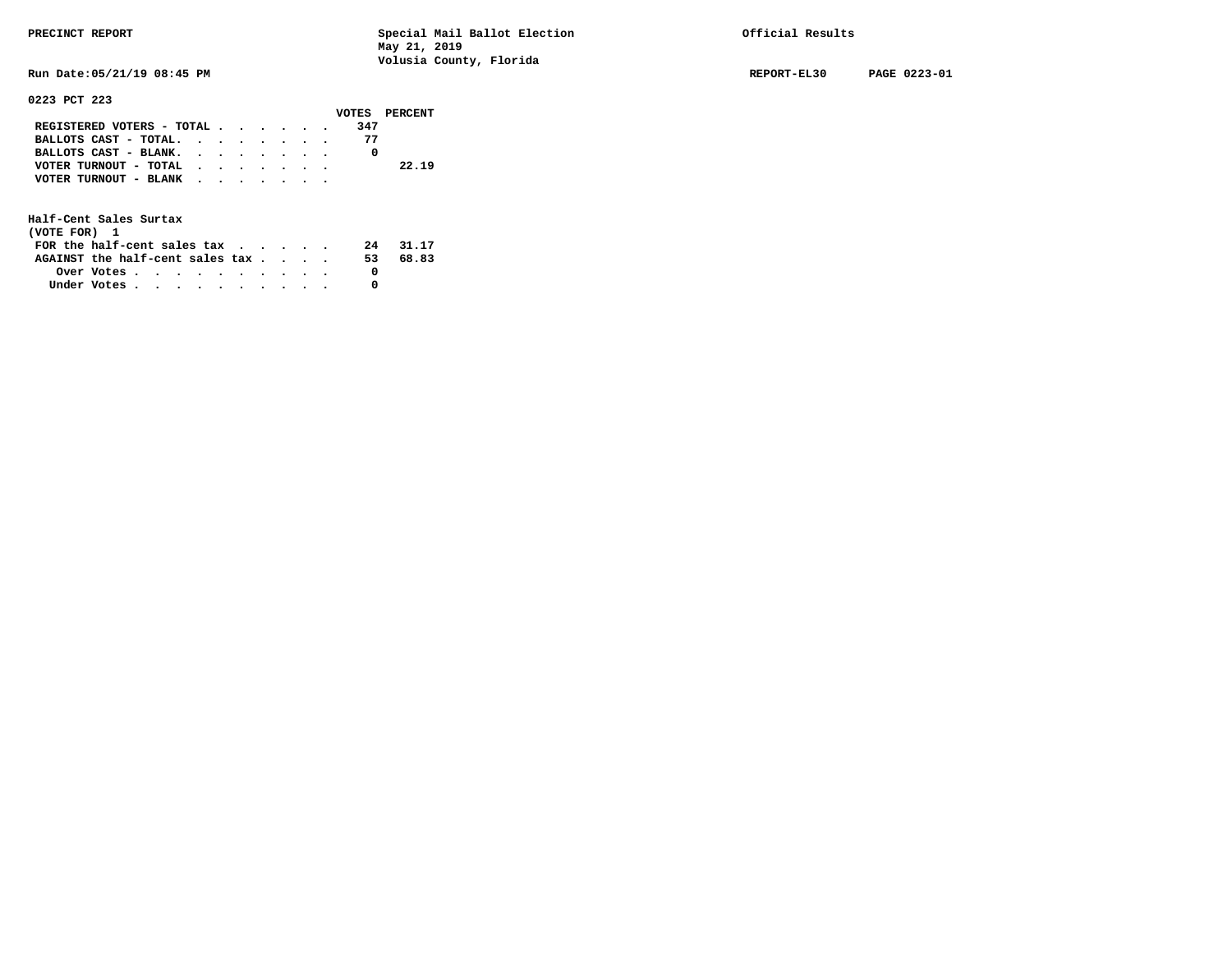**Run Date:05/21/19 08:45 PM REPORT-EL30 PAGE 0223-01** 

**0223 PCT 223** 

|                                           |  |  |  | VOTES PERCENT |
|-------------------------------------------|--|--|--|---------------|
| REGISTERED VOTERS - TOTAL                 |  |  |  | 347           |
| BALLOTS CAST - TOTAL.                     |  |  |  | 77            |
| BALLOTS CAST - BLANK.                     |  |  |  |               |
| VOTER TURNOUT - TOTAL                     |  |  |  | 22.19         |
| VOTER TURNOUT - BLANK $\cdot$ , , , , , , |  |  |  |               |
|                                           |  |  |  |               |
|                                           |  |  |  |               |

**Half-Cent Sales Surtax (VOTE FOR) 1** 

| (VOTE FOR) 1                                            |  |  |  |  |  |     |       |
|---------------------------------------------------------|--|--|--|--|--|-----|-------|
| FOR the half-cent sales $\alpha$                        |  |  |  |  |  | 24  | 31.17 |
| AGAINST the half-cent sales tax                         |  |  |  |  |  | 53. | 68.83 |
| Over Votes $\cdots$ $\cdots$ $\cdots$ $\cdots$ $\cdots$ |  |  |  |  |  |     |       |
| Under Votes                                             |  |  |  |  |  |     |       |
|                                                         |  |  |  |  |  |     |       |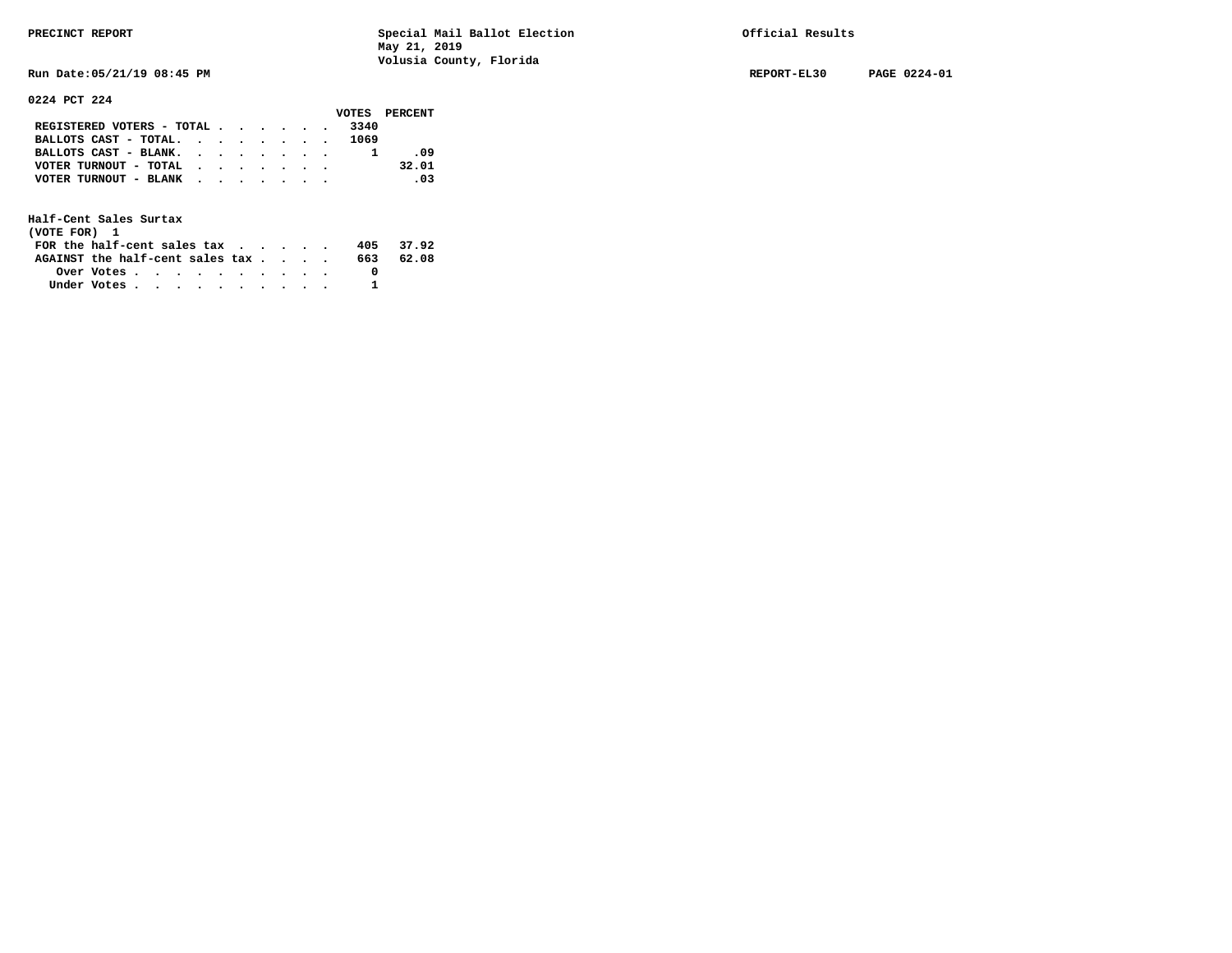**Run Date:05/21/19 08:45 PM REPORT-EL30 PAGE 0224-01** 

### **0224 PCT 224**

|                                           |  |  |  |      | VOTES PERCENT                |
|-------------------------------------------|--|--|--|------|------------------------------|
| REGISTERED VOTERS - TOTAL                 |  |  |  | 3340 |                              |
| BALLOTS CAST - TOTAL. 1069                |  |  |  |      |                              |
| BALLOTS CAST - BLANK.                     |  |  |  |      | - 09                         |
| VOTER TURNOUT - TOTAL $\cdot$ , , , , , . |  |  |  |      | 32.01                        |
| VOTER TURNOUT - BLANK                     |  |  |  |      | $\overline{\phantom{0}}$ .03 |
|                                           |  |  |  |      |                              |

| (VOTE FOR) 1                                                |            |  |  |  |  |     |           |
|-------------------------------------------------------------|------------|--|--|--|--|-----|-----------|
| FOR the half-cent sales tax $\cdot$ $\cdot$ $\cdot$ $\cdot$ |            |  |  |  |  |     | 405 37.92 |
| AGAINST the half-cent sales tax                             |            |  |  |  |  | 663 | 62.08     |
|                                                             | Over Votes |  |  |  |  |     |           |
| Under Votes                                                 |            |  |  |  |  |     |           |
|                                                             |            |  |  |  |  |     |           |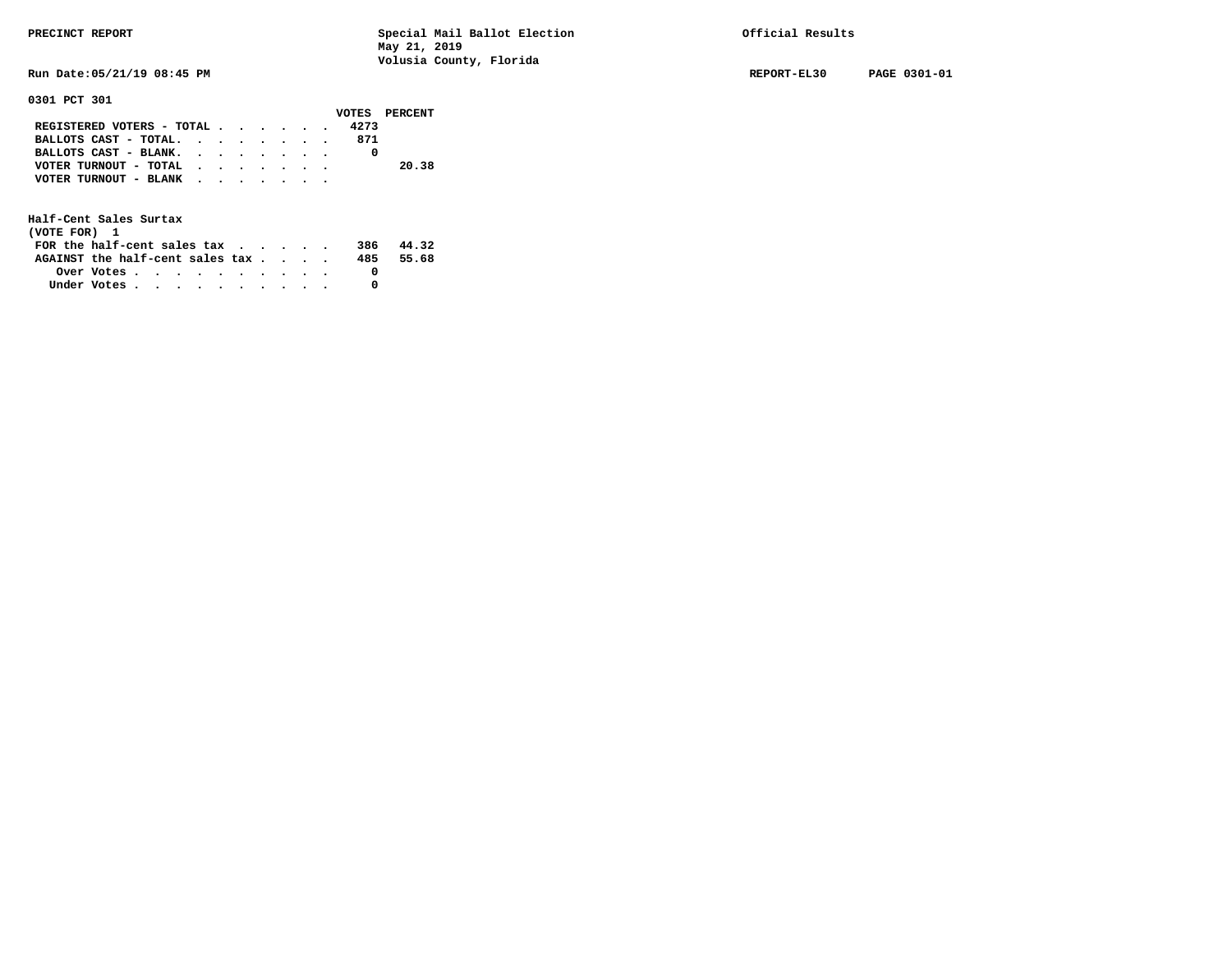**Run Date:05/21/19 08:45 PM REPORT-EL30 PAGE 0301-01** 

**0301 PCT 301** 

|                                                                           |  |  |  |      | VOTES PERCENT |
|---------------------------------------------------------------------------|--|--|--|------|---------------|
| REGISTERED VOTERS - TOTAL $\cdot$ $\cdot$ $\cdot$ $\cdot$ $\cdot$ $\cdot$ |  |  |  | 4273 |               |
| BALLOTS CAST - TOTAL.                                                     |  |  |  | 871  |               |
| BALLOTS CAST - BLANK.                                                     |  |  |  |      |               |
| VOTER TURNOUT - TOTAL                                                     |  |  |  |      | 20.38         |
| VOTER TURNOUT - BLANK                                                     |  |  |  |      |               |
|                                                                           |  |  |  |      |               |

| (VOTE FOR) 1                                            |  |  |  |  |  |     |       |
|---------------------------------------------------------|--|--|--|--|--|-----|-------|
| FOR the half-cent sales $\mathsf{tax}$                  |  |  |  |  |  | 386 | 44.32 |
| AGAINST the half-cent sales tax                         |  |  |  |  |  | 485 | 55.68 |
| Over Votes $\cdots$ $\cdots$ $\cdots$ $\cdots$ $\cdots$ |  |  |  |  |  |     |       |
| Under Votes                                             |  |  |  |  |  |     |       |
|                                                         |  |  |  |  |  |     |       |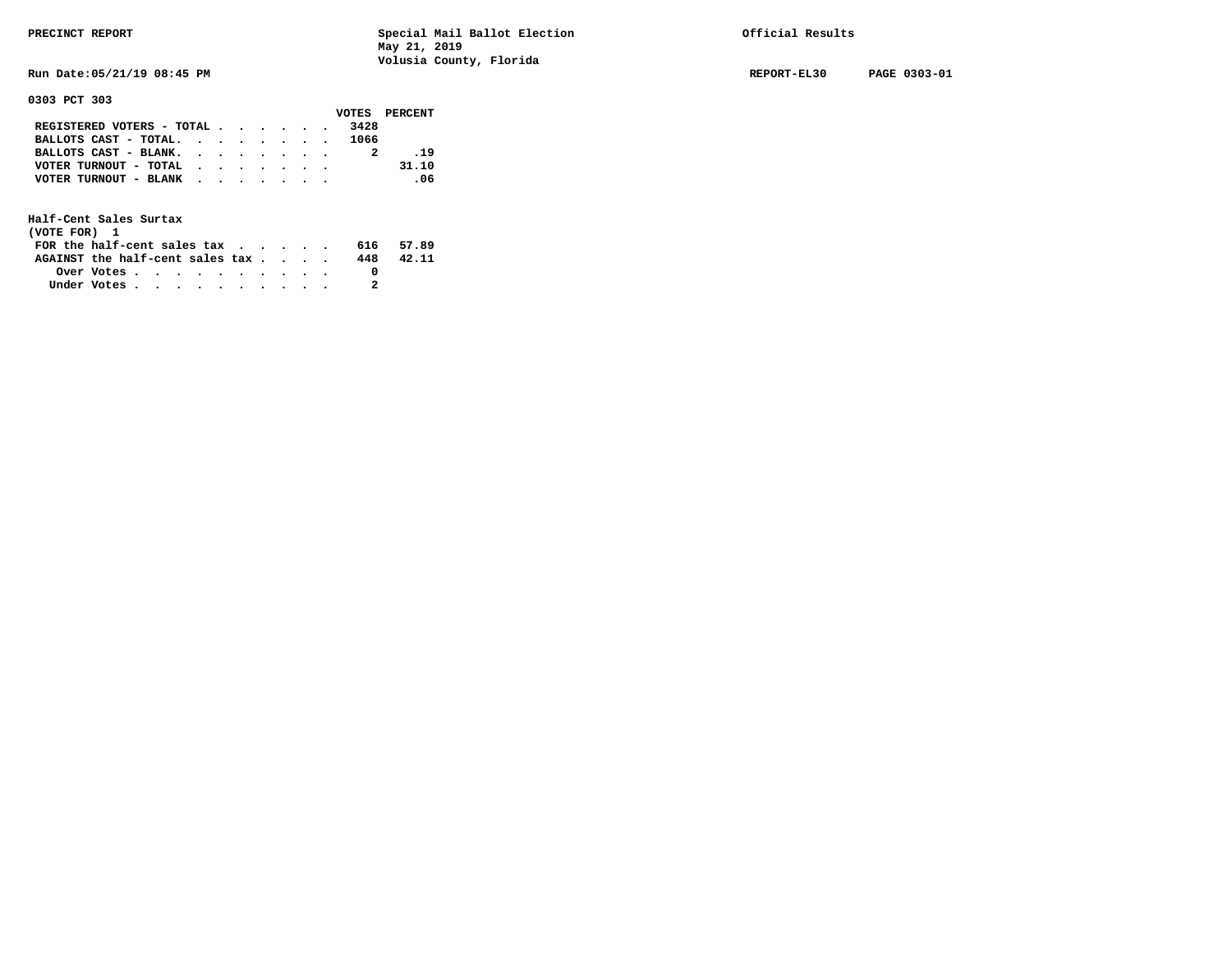**Run Date:05/21/19 08:45 PM REPORT-EL30 PAGE 0303-01** 

**0303 PCT 303** 

|                                             |  |  |  |      | VOTES PERCENT |
|---------------------------------------------|--|--|--|------|---------------|
| REGISTERED VOTERS - TOTAL $\cdot$ , , , , . |  |  |  | 3428 |               |
| BALLOTS CAST - TOTAL. 1066                  |  |  |  |      |               |
| BALLOTS CAST - BLANK.                       |  |  |  |      | .19           |
| VOTER TURNOUT - TOTAL                       |  |  |  |      | 31.10         |
| VOTER TURNOUT - BLANK                       |  |  |  |      | $\sim$ 06     |
|                                             |  |  |  |      |               |

| (VOTE FOR) 1                           |                                                         |  |  |  |  |     |       |
|----------------------------------------|---------------------------------------------------------|--|--|--|--|-----|-------|
| FOR the half-cent sales $\mathsf{tax}$ |                                                         |  |  |  |  | 616 | 57.89 |
| AGAINST the half-cent sales tax        |                                                         |  |  |  |  | 448 | 42.11 |
|                                        | Over Votes $\cdots$ $\cdots$ $\cdots$ $\cdots$ $\cdots$ |  |  |  |  |     |       |
| Under Votes                            |                                                         |  |  |  |  |     |       |
|                                        |                                                         |  |  |  |  |     |       |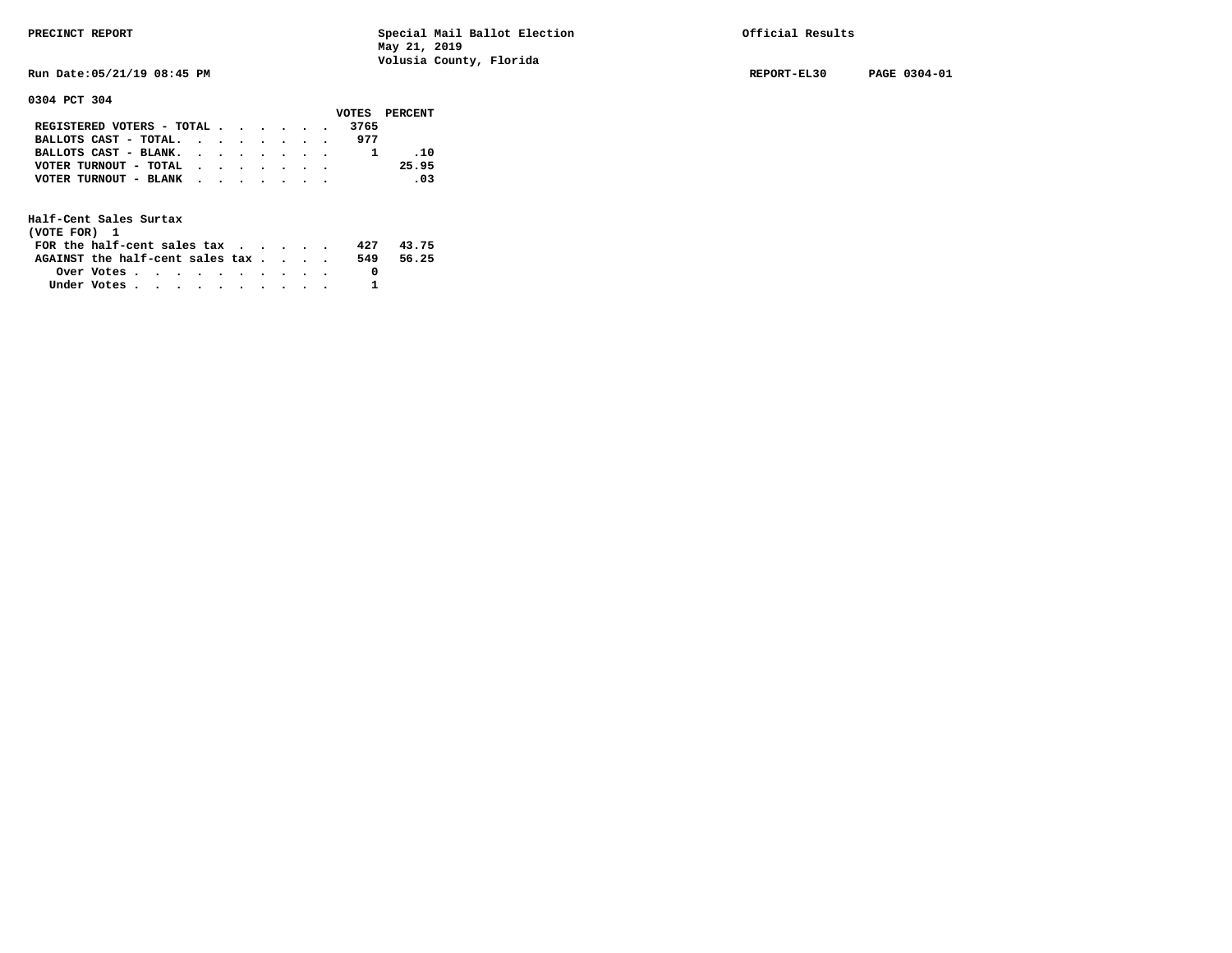**Run Date:05/21/19 08:45 PM REPORT-EL30 PAGE 0304-01** 

**0304 PCT 304** 

|                           |  |  |  |      | VOTES PERCENT |
|---------------------------|--|--|--|------|---------------|
| REGISTERED VOTERS - TOTAL |  |  |  | 3765 |               |
| BALLOTS CAST - TOTAL.     |  |  |  | 977  |               |
| BALLOTS CAST - BLANK.     |  |  |  |      | .10           |
| VOTER TURNOUT - TOTAL     |  |  |  |      | 25.95         |
| VOTER TURNOUT - BLANK     |  |  |  |      | .03           |
|                           |  |  |  |      |               |

| (VOTE FOR) 1                    |                                                         |  |  |  |  |     |       |
|---------------------------------|---------------------------------------------------------|--|--|--|--|-----|-------|
| FOR the half-cent sales tax     |                                                         |  |  |  |  | 427 | 43.75 |
| AGAINST the half-cent sales tax |                                                         |  |  |  |  | 549 | 56.25 |
|                                 | Over Votes $\cdots$ $\cdots$ $\cdots$ $\cdots$ $\cdots$ |  |  |  |  |     |       |
| Under Votes                     |                                                         |  |  |  |  |     |       |
|                                 |                                                         |  |  |  |  |     |       |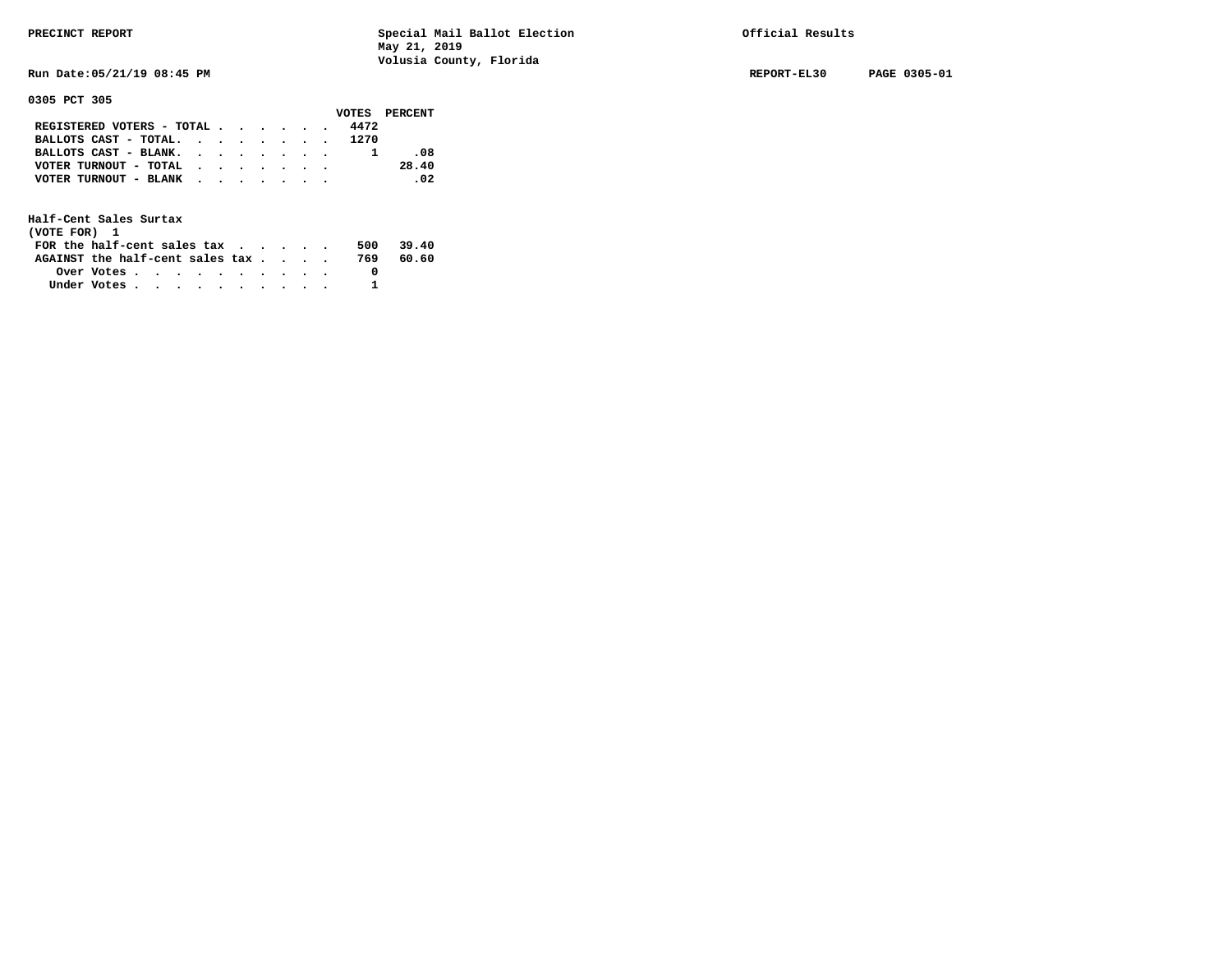**Run Date:05/21/19 08:45 PM REPORT-EL30 PAGE 0305-01** 

**0305 PCT 305** 

|                                               |  |  |  |      | VOTES PERCENT |
|-----------------------------------------------|--|--|--|------|---------------|
| REGISTERED VOTERS - TOTAL $\cdot$ , , , , , , |  |  |  | 4472 |               |
| BALLOTS CAST - TOTAL. 1270                    |  |  |  |      |               |
| BALLOTS CAST - BLANK.                         |  |  |  |      | .08           |
| VOTER TURNOUT - TOTAL                         |  |  |  |      | 28.40         |
| VOTER TURNOUT - BLANK                         |  |  |  |      | $\sim$ 02     |
|                                               |  |  |  |      |               |

| (VOTE FOR) 1                     |            |  |  |  |  |     |       |
|----------------------------------|------------|--|--|--|--|-----|-------|
| FOR the half-cent sales $\alpha$ |            |  |  |  |  | 500 | 39.40 |
| AGAINST the half-cent sales tax  |            |  |  |  |  | 769 | 60.60 |
|                                  | Over Votes |  |  |  |  |     |       |
| Under Votes                      |            |  |  |  |  |     |       |
|                                  |            |  |  |  |  |     |       |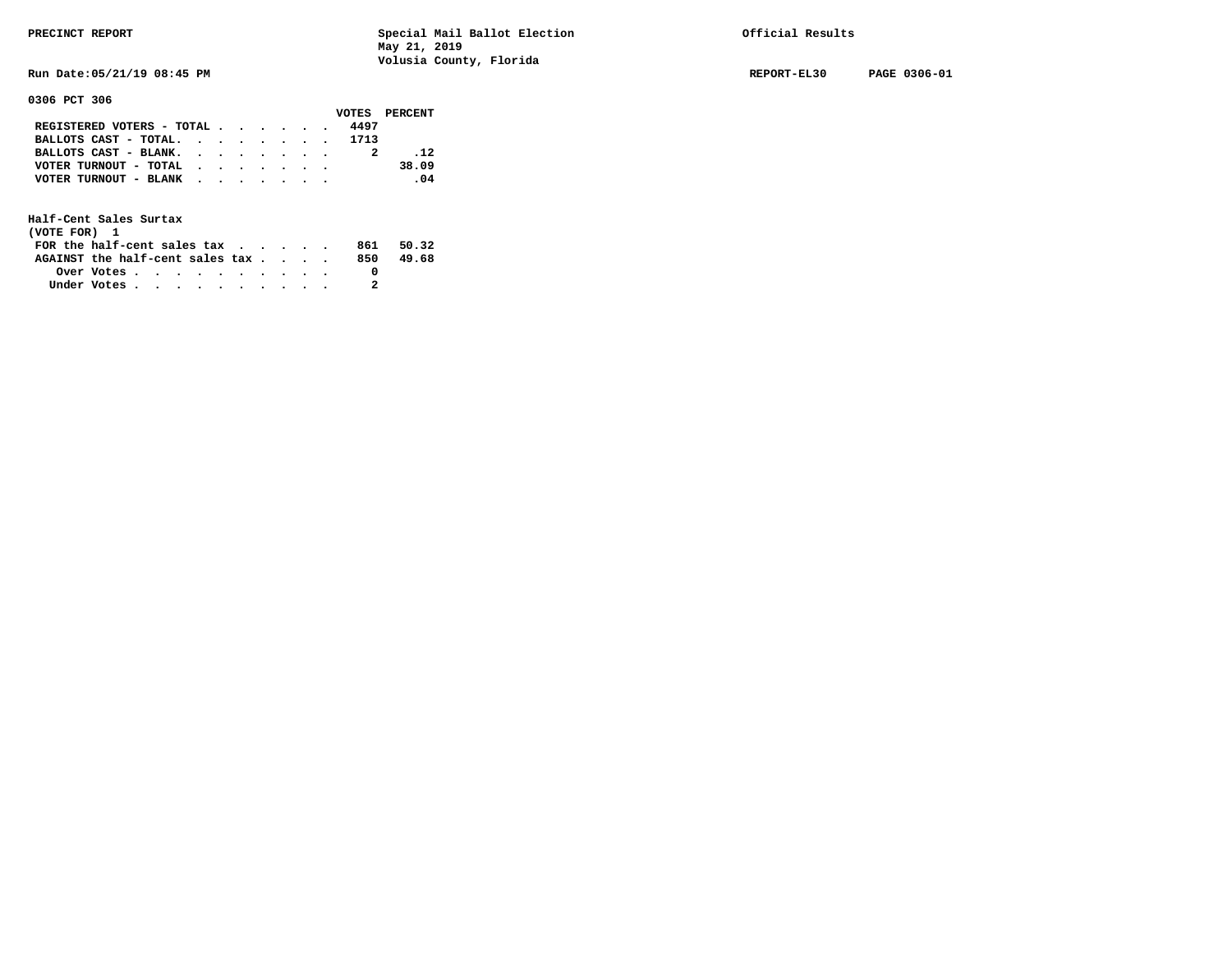**Run Date:05/21/19 08:45 PM REPORT-EL30 PAGE 0306-01** 

**0306 PCT 306** 

|                            |  |  |  |      | VOTES PERCENT |
|----------------------------|--|--|--|------|---------------|
| REGISTERED VOTERS - TOTAL  |  |  |  | 4497 |               |
| BALLOTS CAST - TOTAL. 1713 |  |  |  |      |               |
| BALLOTS CAST - BLANK.      |  |  |  |      | .12           |
| VOTER TURNOUT - TOTAL      |  |  |  |      | 38.09         |
| VOTER TURNOUT - BLANK      |  |  |  |      | .04           |
|                            |  |  |  |      |               |

| (VOTE FOR) 1                           |            |  |  |  |  |     |       |
|----------------------------------------|------------|--|--|--|--|-----|-------|
| FOR the half-cent sales $\mathsf{tax}$ |            |  |  |  |  | 861 | 50.32 |
| AGAINST the half-cent sales tax        |            |  |  |  |  | 850 | 49.68 |
|                                        | Over Votes |  |  |  |  |     |       |
| Under Votes                            |            |  |  |  |  |     |       |
|                                        |            |  |  |  |  |     |       |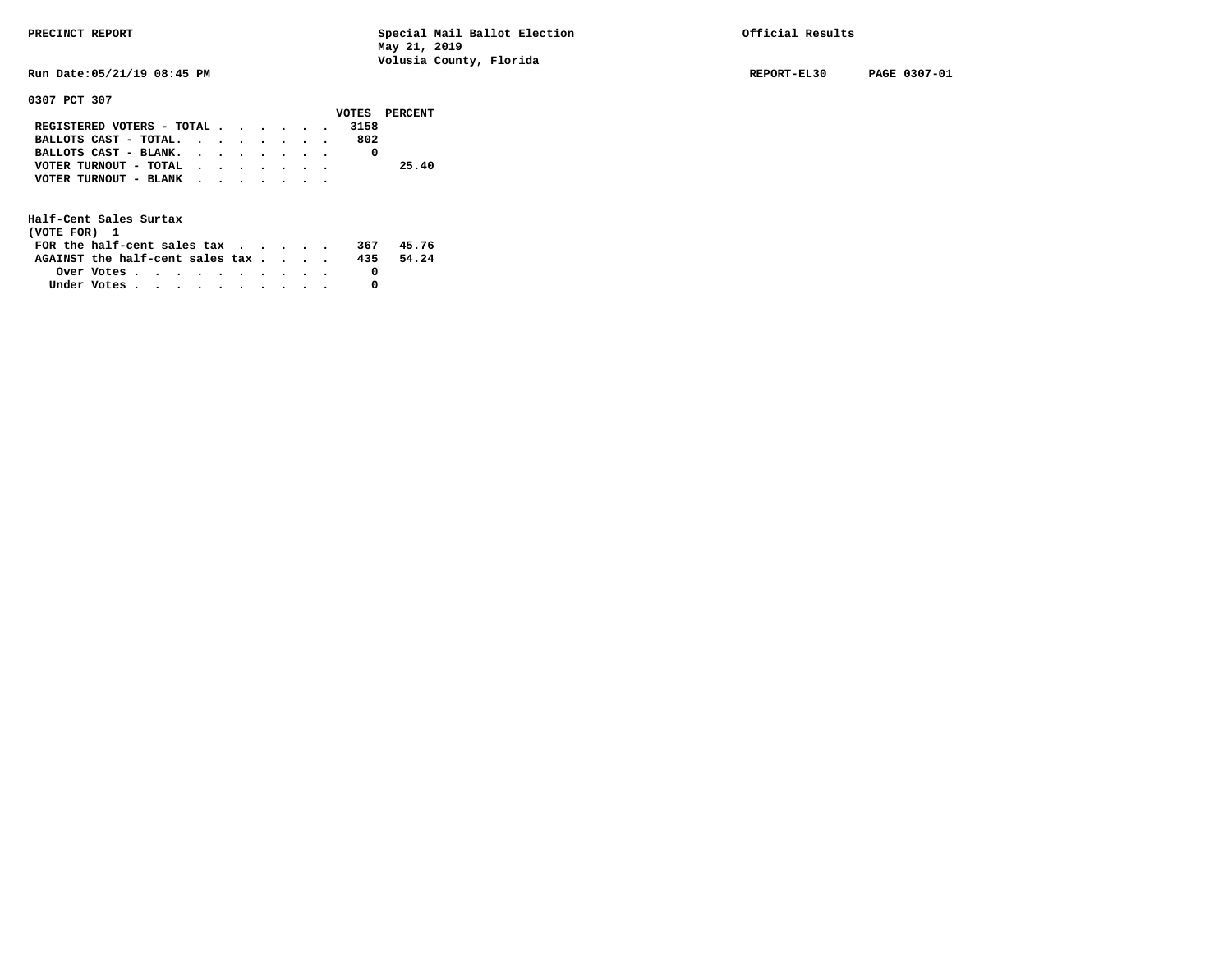**0307 PCT 307** 

**PRECINCT REPORT Special Mail Ballot Election Official Results May 21, 2019 Volusia County, Florida** 

**Run Date:05/21/19 08:45 PM REPORT-EL30 PAGE 0307-01** 

|                               |  |  |  |      | VOTES PERCENT |
|-------------------------------|--|--|--|------|---------------|
| REGISTERED VOTERS - TOTAL     |  |  |  | 3158 |               |
| BALLOTS CAST - TOTAL. $\cdot$ |  |  |  | 802  |               |
| BALLOTS CAST - BLANK.         |  |  |  |      |               |
| VOTER TURNOUT - TOTAL         |  |  |  |      | 25.40         |
| VOTER TURNOUT - BLANK         |  |  |  |      |               |
|                               |  |  |  |      |               |

| (VOTE FOR) 1                                                |            |  |  |  |  |     |       |
|-------------------------------------------------------------|------------|--|--|--|--|-----|-------|
| FOR the half-cent sales tax $\cdot$ $\cdot$ $\cdot$ $\cdot$ |            |  |  |  |  | 367 | 45.76 |
| AGAINST the half-cent sales tax                             |            |  |  |  |  | 435 | 54.24 |
|                                                             | Over Votes |  |  |  |  |     |       |
| Under Votes                                                 |            |  |  |  |  |     |       |
|                                                             |            |  |  |  |  |     |       |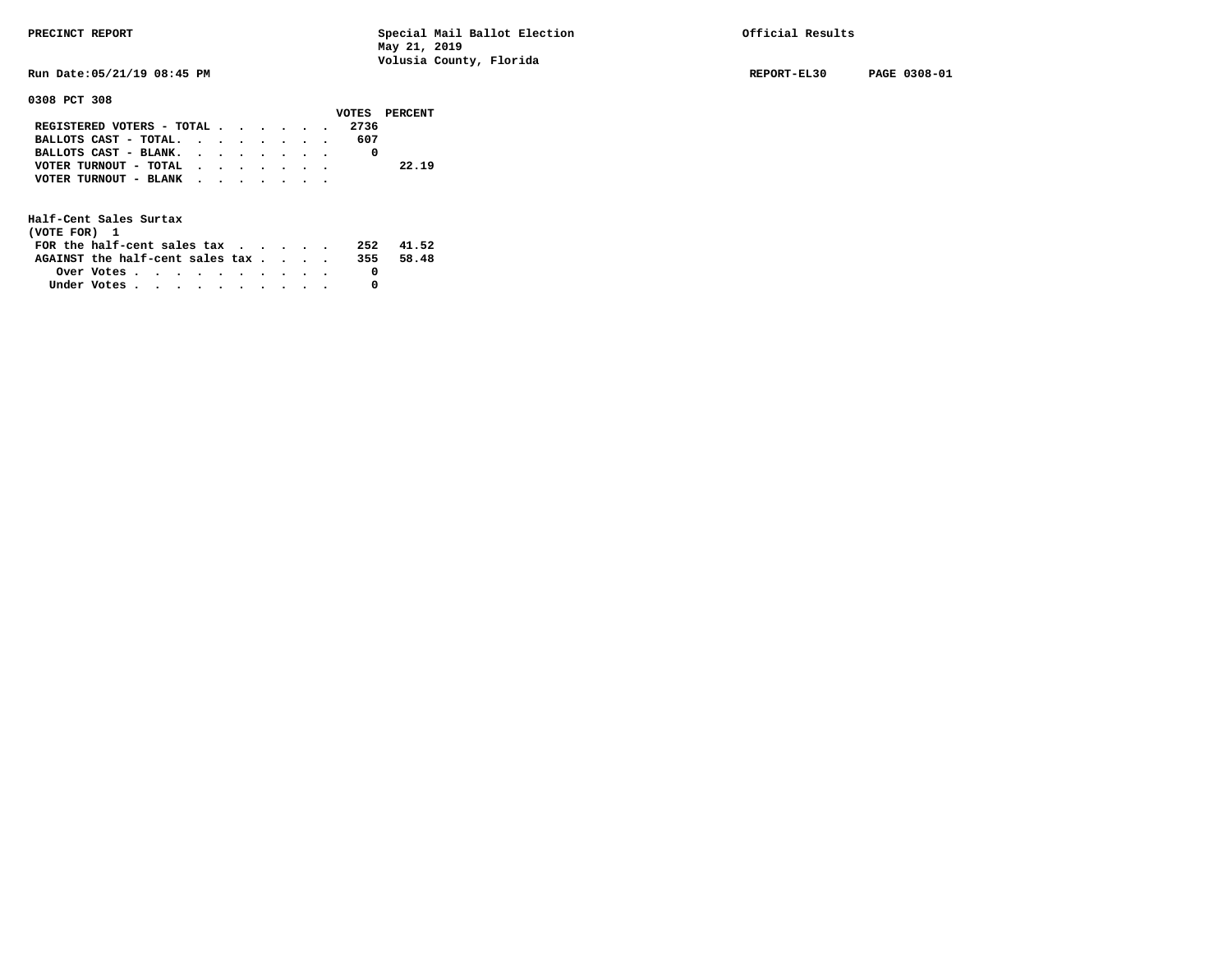**Run Date:05/21/19 08:45 PM REPORT-EL30 PAGE 0308-01** 

**0308 PCT 308** 

|                                                                           |  |  |  |      | VOTES PERCENT |
|---------------------------------------------------------------------------|--|--|--|------|---------------|
| REGISTERED VOTERS - TOTAL $\cdot$ $\cdot$ $\cdot$ $\cdot$ $\cdot$ $\cdot$ |  |  |  | 2736 |               |
| BALLOTS CAST - TOTAL.                                                     |  |  |  | 607  |               |
| BALLOTS CAST - BLANK.                                                     |  |  |  |      |               |
| VOTER TURNOUT - TOTAL $\cdot$                                             |  |  |  |      | 22.19         |
| VOTER TURNOUT - BLANK                                                     |  |  |  |      |               |
|                                                                           |  |  |  |      |               |

| (VOTE FOR) 1                                            |  |  |  |  |  |     |       |
|---------------------------------------------------------|--|--|--|--|--|-----|-------|
| FOR the half-cent sales $\alpha$                        |  |  |  |  |  | 252 | 41.52 |
| AGAINST the half-cent sales tax                         |  |  |  |  |  | 355 | 58.48 |
| Over Votes $\cdots$ $\cdots$ $\cdots$ $\cdots$ $\cdots$ |  |  |  |  |  |     |       |
| Under Votes                                             |  |  |  |  |  |     |       |
|                                                         |  |  |  |  |  |     |       |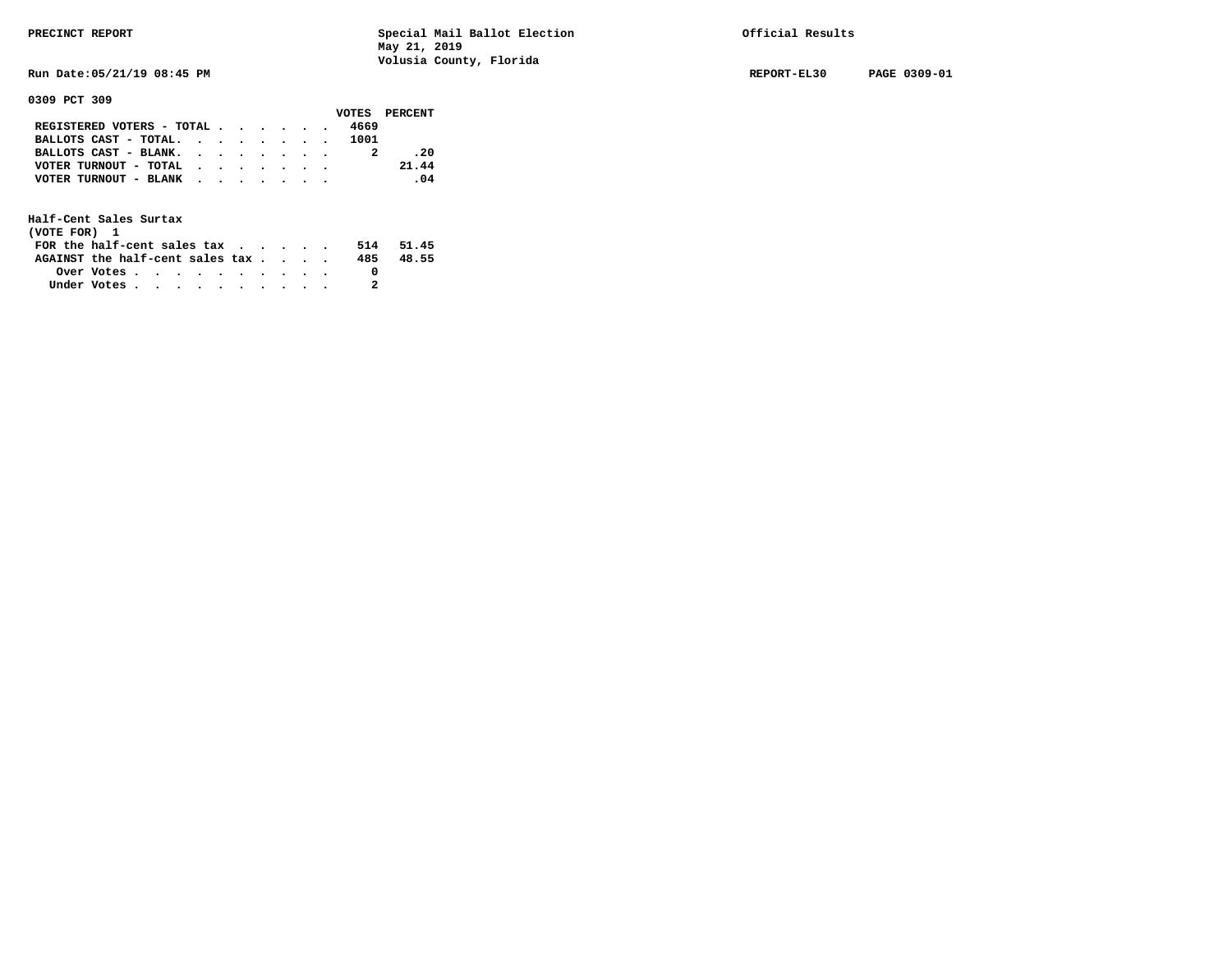**Run Date:05/21/19 08:45 PM REPORT-EL30 PAGE 0309-01** 

**0309 PCT 309** 

|                                           |  |  |  |      | VOTES PERCENT |
|-------------------------------------------|--|--|--|------|---------------|
| REGISTERED VOTERS - TOTAL                 |  |  |  | 4669 |               |
| BALLOTS CAST - TOTAL.                     |  |  |  | 1001 |               |
| BALLOTS CAST - BLANK.                     |  |  |  |      | .20           |
| VOTER TURNOUT - TOTAL $\cdot$ , , , , , , |  |  |  |      | 21.44         |
| VOTER TURNOUT - BLANK                     |  |  |  |      | .04           |
|                                           |  |  |  |      |               |

| (VOTE FOR) 1                     |                                                         |  |  |  |  |     |       |
|----------------------------------|---------------------------------------------------------|--|--|--|--|-----|-------|
| FOR the half-cent sales $\alpha$ |                                                         |  |  |  |  | 514 | 51.45 |
| AGAINST the half-cent sales tax  |                                                         |  |  |  |  | 485 | 48.55 |
|                                  | Over Votes $\cdots$ $\cdots$ $\cdots$ $\cdots$ $\cdots$ |  |  |  |  |     |       |
| Under Votes                      |                                                         |  |  |  |  |     |       |
|                                  |                                                         |  |  |  |  |     |       |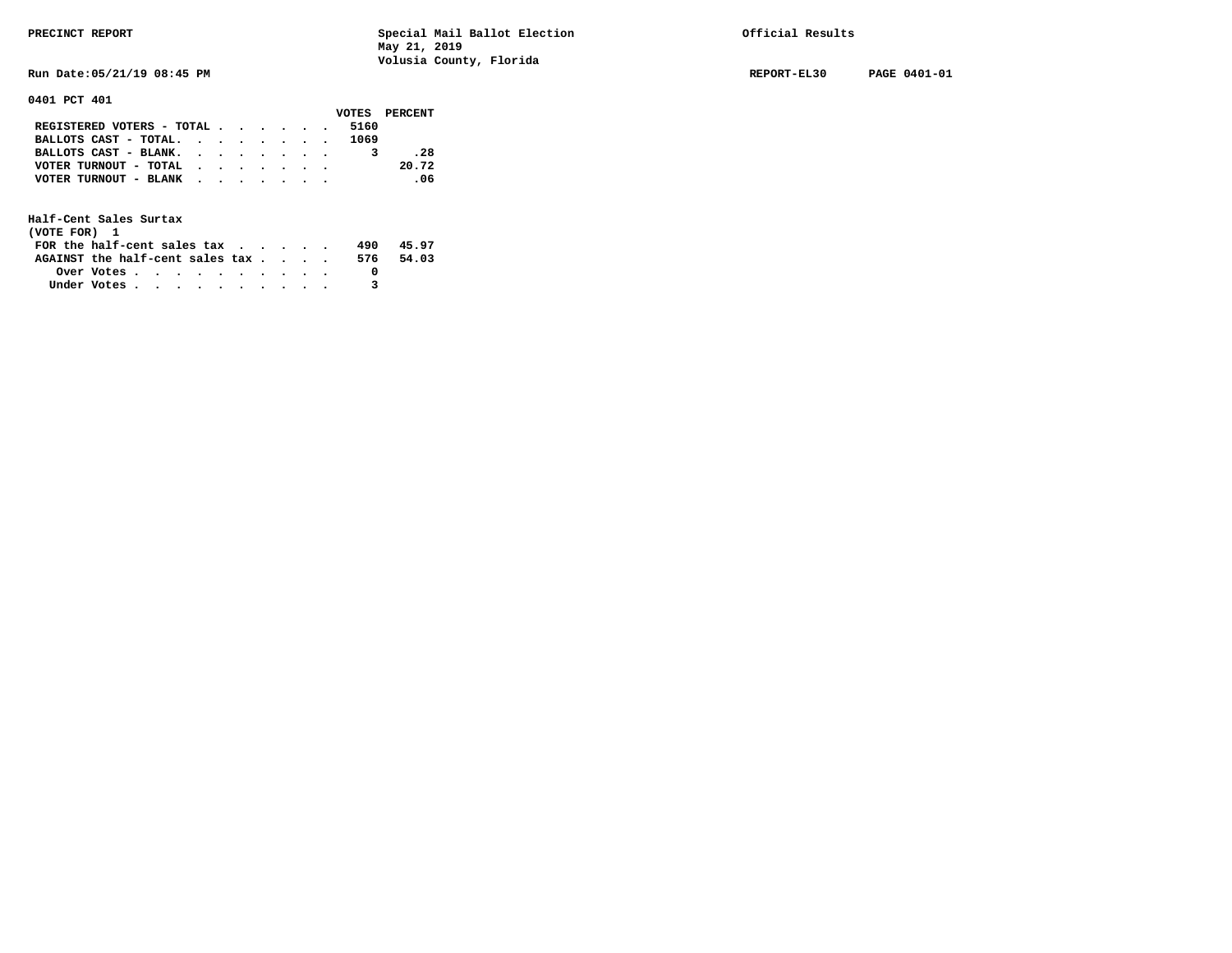**Run Date:05/21/19 08:45 PM REPORT-EL30 PAGE 0401-01** 

**0401 PCT 401** 

|                           |  |  |  |      | VOTES PERCENT |
|---------------------------|--|--|--|------|---------------|
| REGISTERED VOTERS - TOTAL |  |  |  | 5160 |               |
| BALLOTS CAST - TOTAL.     |  |  |  | 1069 |               |
| BALLOTS CAST - BLANK.     |  |  |  |      | .28           |
| VOTER TURNOUT - TOTAL     |  |  |  |      | 20.72         |
| VOTER TURNOUT - BLANK     |  |  |  |      | $\sim$ 06     |
|                           |  |  |  |      |               |

| (VOTE FOR) 1                           |            |  |  |  |  |     |       |
|----------------------------------------|------------|--|--|--|--|-----|-------|
| FOR the half-cent sales $\mathsf{tax}$ |            |  |  |  |  | 490 | 45.97 |
| AGAINST the half-cent sales tax        |            |  |  |  |  | 576 | 54.03 |
|                                        | Over Votes |  |  |  |  |     |       |
| Under Votes                            |            |  |  |  |  |     |       |
|                                        |            |  |  |  |  |     |       |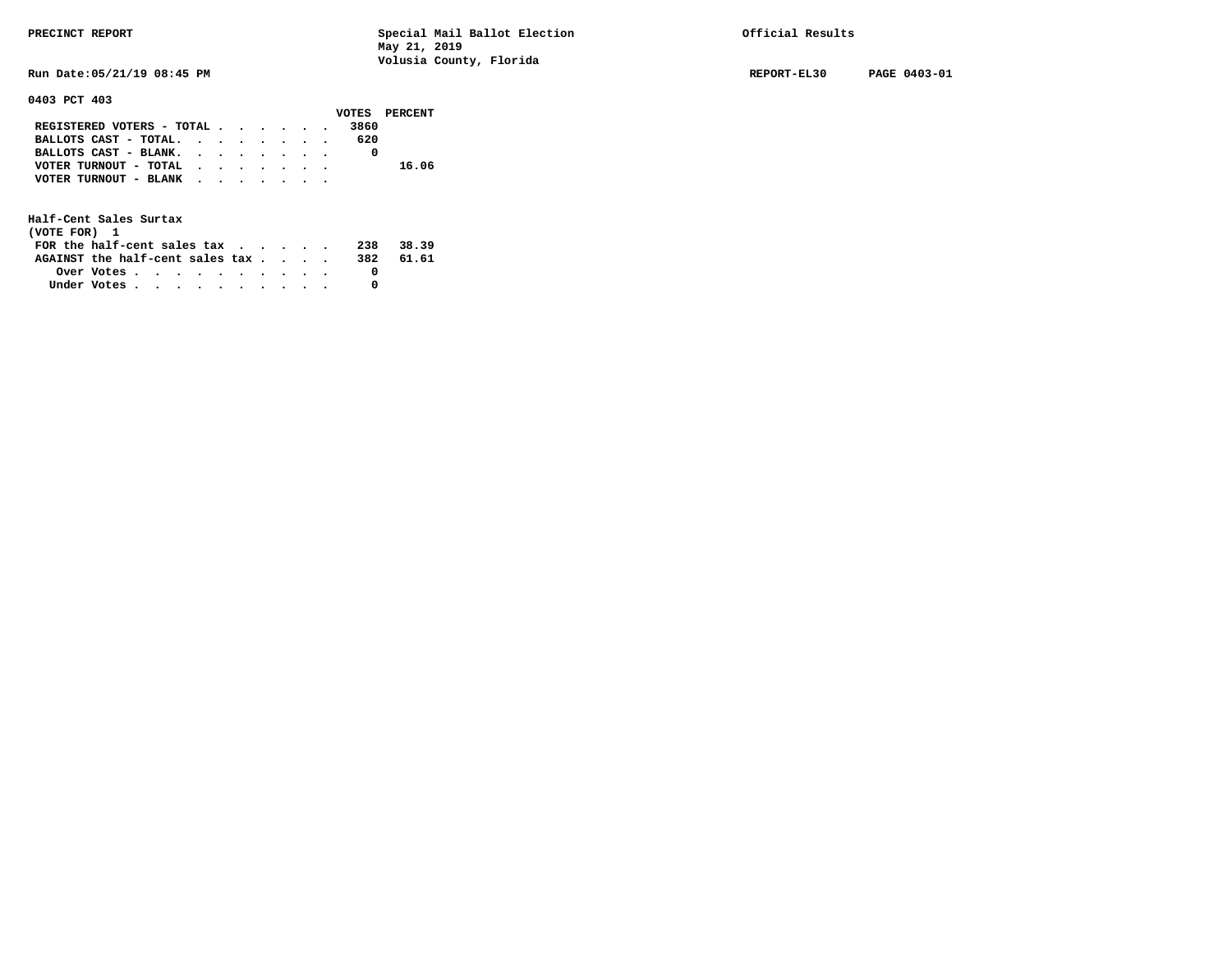**0403 PCT 403** 

**PRECINCT REPORT Special Mail Ballot Election Official Results May 21, 2019 Volusia County, Florida** 

**Run Date:05/21/19 08:45 PM REPORT-EL30 PAGE 0403-01** 

|                                                             |  |  |  |      | VOTES PERCENT |
|-------------------------------------------------------------|--|--|--|------|---------------|
| REGISTERED VOTERS - TOTAL                                   |  |  |  | 3860 |               |
| BALLOTS CAST - TOTAL. $\cdot$ , $\cdot$ , $\cdot$ , $\cdot$ |  |  |  | 620  |               |
| BALLOTS CAST - BLANK.                                       |  |  |  |      |               |
| VOTER TURNOUT - TOTAL                                       |  |  |  |      | 16.06         |
| VOTER TURNOUT - BLANK                                       |  |  |  |      |               |
|                                                             |  |  |  |      |               |

| (VOTE FOR) 1                           |                                                         |  |  |  |  |     |        |
|----------------------------------------|---------------------------------------------------------|--|--|--|--|-----|--------|
| FOR the half-cent sales $\mathsf{tax}$ |                                                         |  |  |  |  | 238 | -38.39 |
| AGAINST the half-cent sales tax        |                                                         |  |  |  |  | 382 | 61.61  |
|                                        | Over Votes $\cdots$ $\cdots$ $\cdots$ $\cdots$ $\cdots$ |  |  |  |  |     |        |
| Under Votes                            |                                                         |  |  |  |  |     |        |
|                                        |                                                         |  |  |  |  |     |        |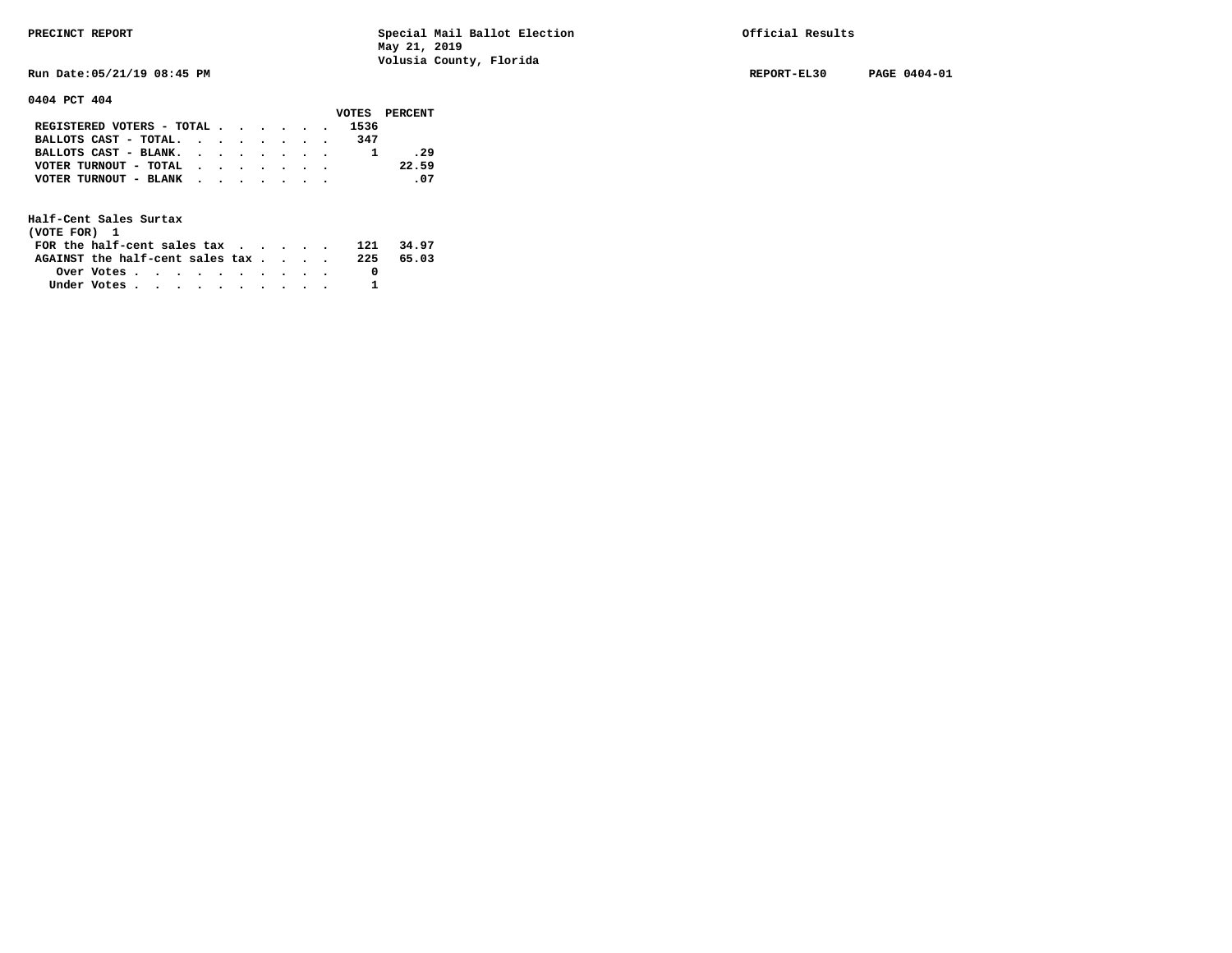**Run Date:05/21/19 08:45 PM REPORT-EL30 PAGE 0404-01** 

**0404 PCT 404** 

|                                           |  |  |  |      | VOTES PERCENT |
|-------------------------------------------|--|--|--|------|---------------|
| REGISTERED VOTERS - TOTAL                 |  |  |  | 1536 |               |
| BALLOTS CAST - TOTAL. $\cdot$             |  |  |  | 347  |               |
| BALLOTS CAST - BLANK.                     |  |  |  |      | .29           |
| VOTER TURNOUT - TOTAL $\cdot$ , , , , , , |  |  |  |      | 22.59         |
| VOTER TURNOUT - BLANK                     |  |  |  |      | .07           |
|                                           |  |  |  |      |               |

| (VOTE FOR) 1                                                |            |  |  |  |  |     |       |
|-------------------------------------------------------------|------------|--|--|--|--|-----|-------|
| FOR the half-cent sales tax $\cdot$ $\cdot$ $\cdot$ $\cdot$ |            |  |  |  |  | 121 | 34.97 |
| AGAINST the half-cent sales $\mathsf{tax}$                  |            |  |  |  |  | 225 | 65.03 |
|                                                             | Over Votes |  |  |  |  |     |       |
| Under Votes                                                 |            |  |  |  |  |     |       |
|                                                             |            |  |  |  |  |     |       |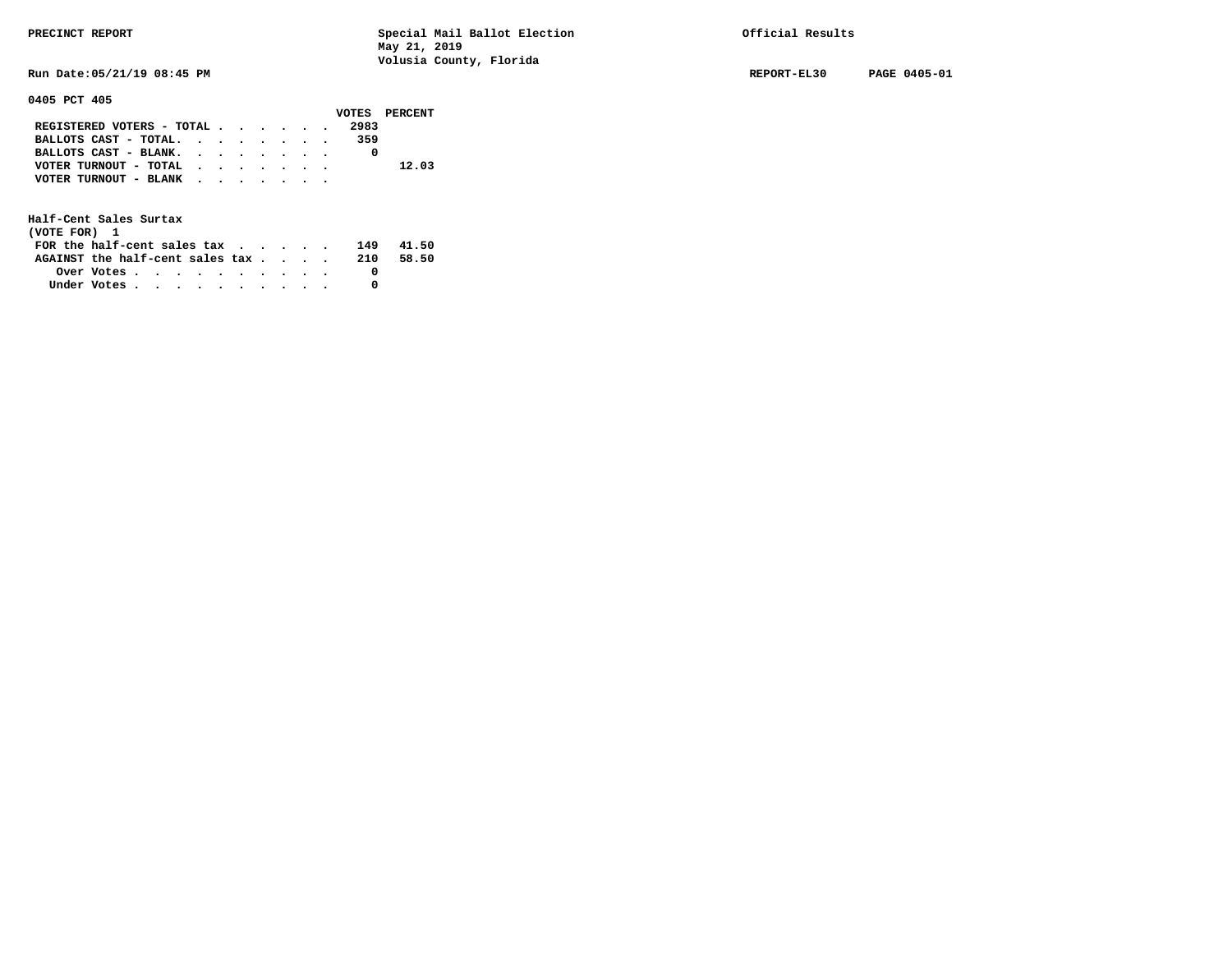**Run Date:05/21/19 08:45 PM REPORT-EL30 PAGE 0405-01** 

## **0405 PCT 405**

|                                                             |  |  |  |      | VOTES PERCENT |
|-------------------------------------------------------------|--|--|--|------|---------------|
| REGISTERED VOTERS - TOTAL                                   |  |  |  | 2983 |               |
| BALLOTS CAST - TOTAL.                                       |  |  |  | 359  |               |
| BALLOTS CAST - BLANK.                                       |  |  |  |      |               |
| VOTER TURNOUT - TOTAL $\cdot \cdot \cdot \cdot \cdot \cdot$ |  |  |  |      | 12.03         |
| VOTER TURNOUT - BLANK                                       |  |  |  |      |               |
|                                                             |  |  |  |      |               |

| (VOTE FOR) 1                           |                                                         |  |  |  |  |     |       |
|----------------------------------------|---------------------------------------------------------|--|--|--|--|-----|-------|
| FOR the half-cent sales $\mathbf{tax}$ |                                                         |  |  |  |  | 149 | 41.50 |
| AGAINST the half-cent sales tax        |                                                         |  |  |  |  | 210 | 58.50 |
|                                        | Over Votes $\cdots$ $\cdots$ $\cdots$ $\cdots$ $\cdots$ |  |  |  |  |     |       |
| Under Votes                            |                                                         |  |  |  |  |     |       |
|                                        |                                                         |  |  |  |  |     |       |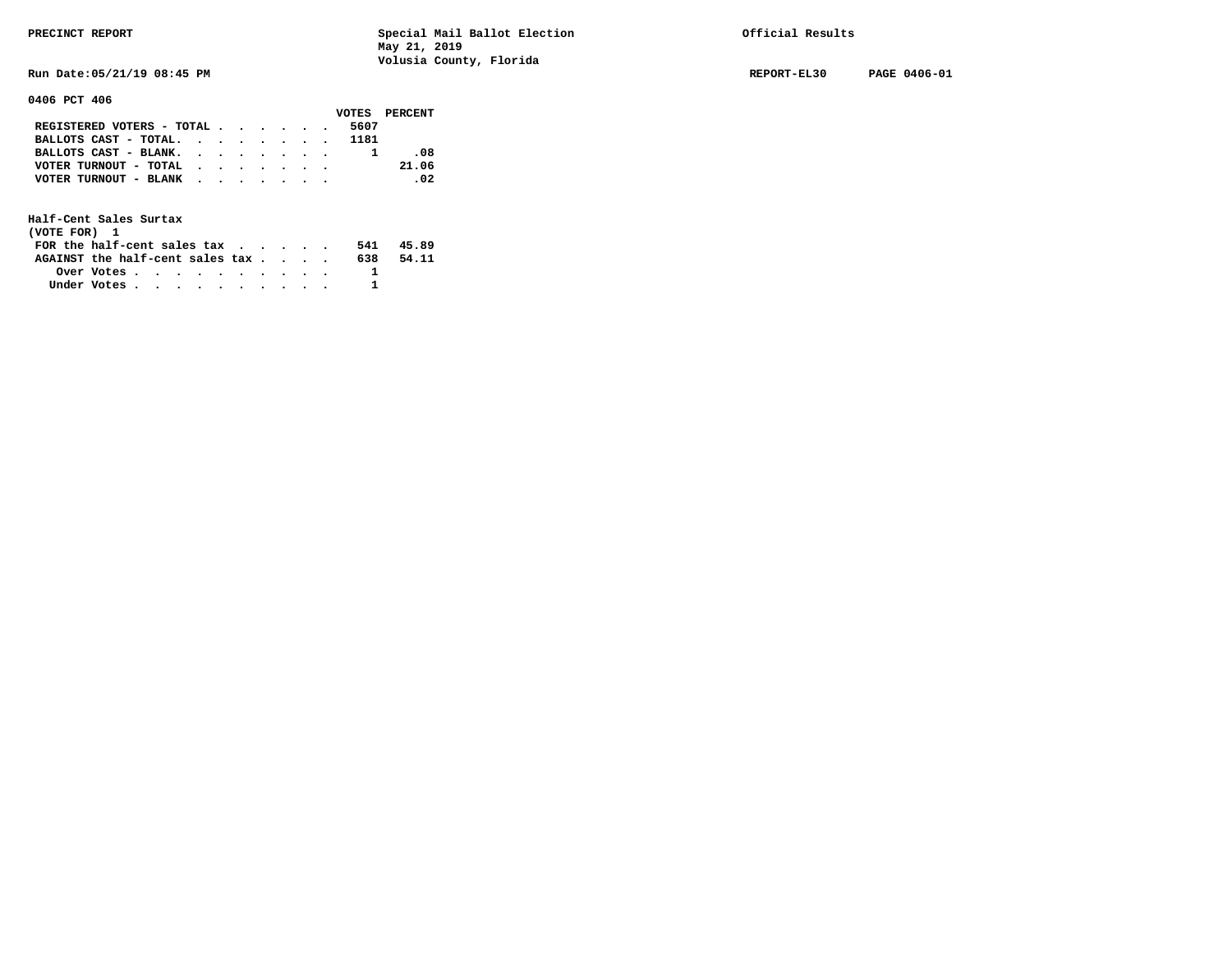**Run Date:05/21/19 08:45 PM REPORT-EL30 PAGE 0406-01** 

**0406 PCT 406** 

|                                                                           |  |  |  |      | VOTES PERCENT |
|---------------------------------------------------------------------------|--|--|--|------|---------------|
| REGISTERED VOTERS - TOTAL $\cdot$ $\cdot$ $\cdot$ $\cdot$ $\cdot$ $\cdot$ |  |  |  | 5607 |               |
| BALLOTS CAST - TOTAL. 1181                                                |  |  |  |      |               |
| BALLOTS CAST - BLANK.                                                     |  |  |  |      | .08           |
| VOTER TURNOUT - TOTAL $\cdot$ , , , , , ,                                 |  |  |  |      | 21.06         |
| VOTER TURNOUT - BLANK                                                     |  |  |  |      | $\sim$ 02     |
|                                                                           |  |  |  |      |               |

| (VOTE FOR) 1                                                |            |  |  |  |  |     |       |
|-------------------------------------------------------------|------------|--|--|--|--|-----|-------|
| FOR the half-cent sales tax $\cdot$ $\cdot$ $\cdot$ $\cdot$ |            |  |  |  |  | 541 | 45.89 |
| AGAINST the half-cent sales tax                             |            |  |  |  |  | 638 | 54.11 |
|                                                             | Over Votes |  |  |  |  |     |       |
| Under Votes                                                 |            |  |  |  |  |     |       |
|                                                             |            |  |  |  |  |     |       |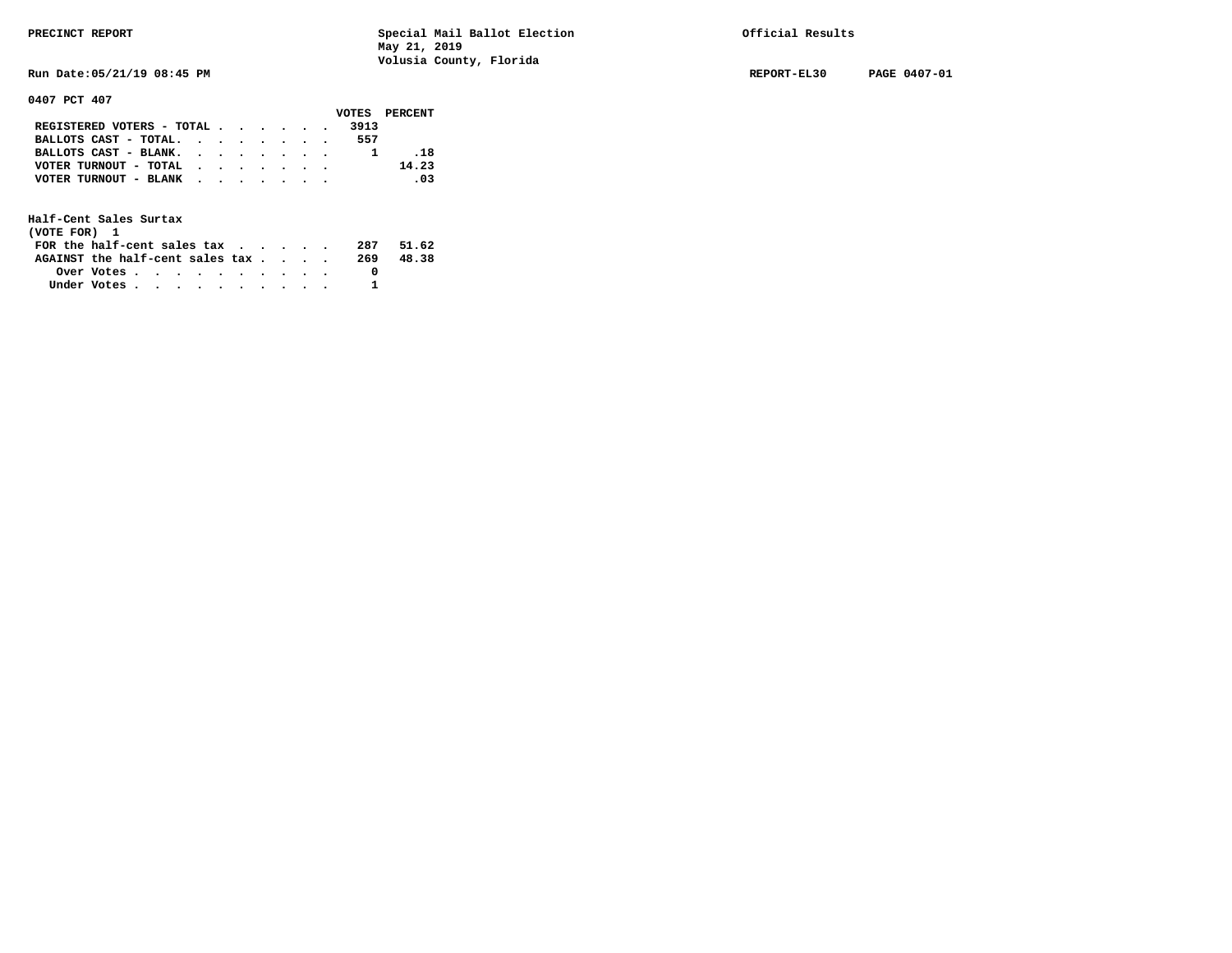**Run Date:05/21/19 08:45 PM REPORT-EL30 PAGE 0407-01** 

**0407 PCT 407** 

|                                           |  |  |  |      | VOTES PERCENT |
|-------------------------------------------|--|--|--|------|---------------|
| REGISTERED VOTERS - TOTAL                 |  |  |  | 3913 |               |
| BALLOTS CAST - TOTAL.                     |  |  |  | 557  |               |
| BALLOTS CAST - BLANK.                     |  |  |  |      | . 18          |
| VOTER TURNOUT - TOTAL $\cdot$ , , , , , , |  |  |  |      | 14.23         |
| VOTER TURNOUT - BLANK                     |  |  |  |      | .03           |
|                                           |  |  |  |      |               |

| (VOTE FOR) 1                                                |            |  |  |  |  |     |       |
|-------------------------------------------------------------|------------|--|--|--|--|-----|-------|
| FOR the half-cent sales tax $\cdot$ $\cdot$ $\cdot$ $\cdot$ |            |  |  |  |  | 287 | 51.62 |
| AGAINST the half-cent sales tax                             |            |  |  |  |  | 269 | 48.38 |
|                                                             | Over Votes |  |  |  |  |     |       |
| Under Votes                                                 |            |  |  |  |  |     |       |
|                                                             |            |  |  |  |  |     |       |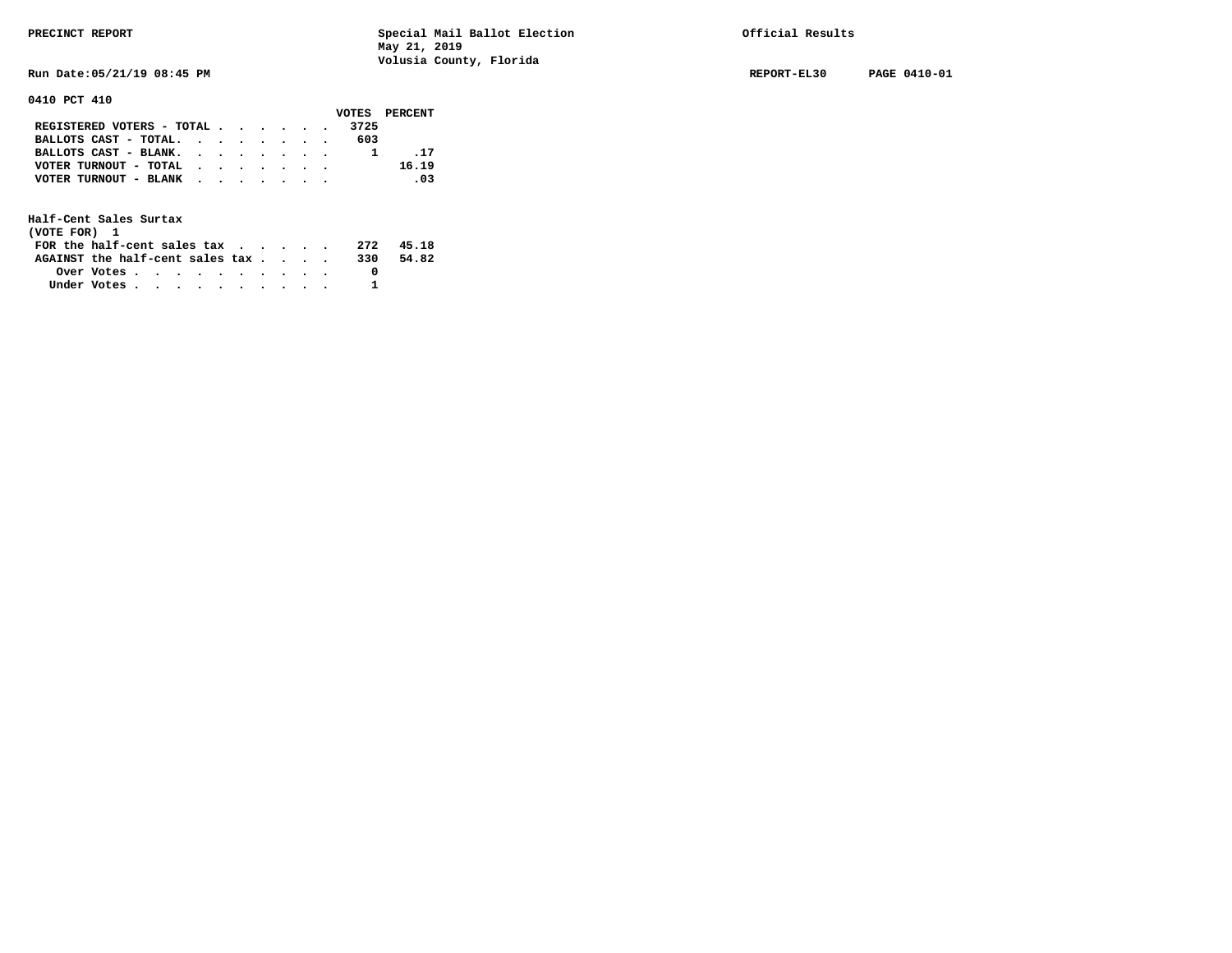**Run Date:05/21/19 08:45 PM REPORT-EL30 PAGE 0410-01** 

**0410 PCT 410** 

|                                           |  |  |  |     | VOTES PERCENT |
|-------------------------------------------|--|--|--|-----|---------------|
| REGISTERED VOTERS - TOTAL 3725            |  |  |  |     |               |
| BALLOTS CAST - TOTAL. $\cdot$             |  |  |  | 603 |               |
| BALLOTS CAST - BLANK.                     |  |  |  |     | . 17          |
| VOTER TURNOUT - TOTAL $\cdot$ , , , , , , |  |  |  |     | 16.19         |
| VOTER TURNOUT - BLANK                     |  |  |  |     | .03           |
|                                           |  |  |  |     |               |

| (VOTE FOR) 1                     |            |  |  |  |  |     |       |
|----------------------------------|------------|--|--|--|--|-----|-------|
| FOR the half-cent sales $\alpha$ |            |  |  |  |  | 272 | 45.18 |
| AGAINST the half-cent sales tax  |            |  |  |  |  | 330 | 54.82 |
|                                  | Over Votes |  |  |  |  |     |       |
| Under Votes                      |            |  |  |  |  |     |       |
|                                  |            |  |  |  |  |     |       |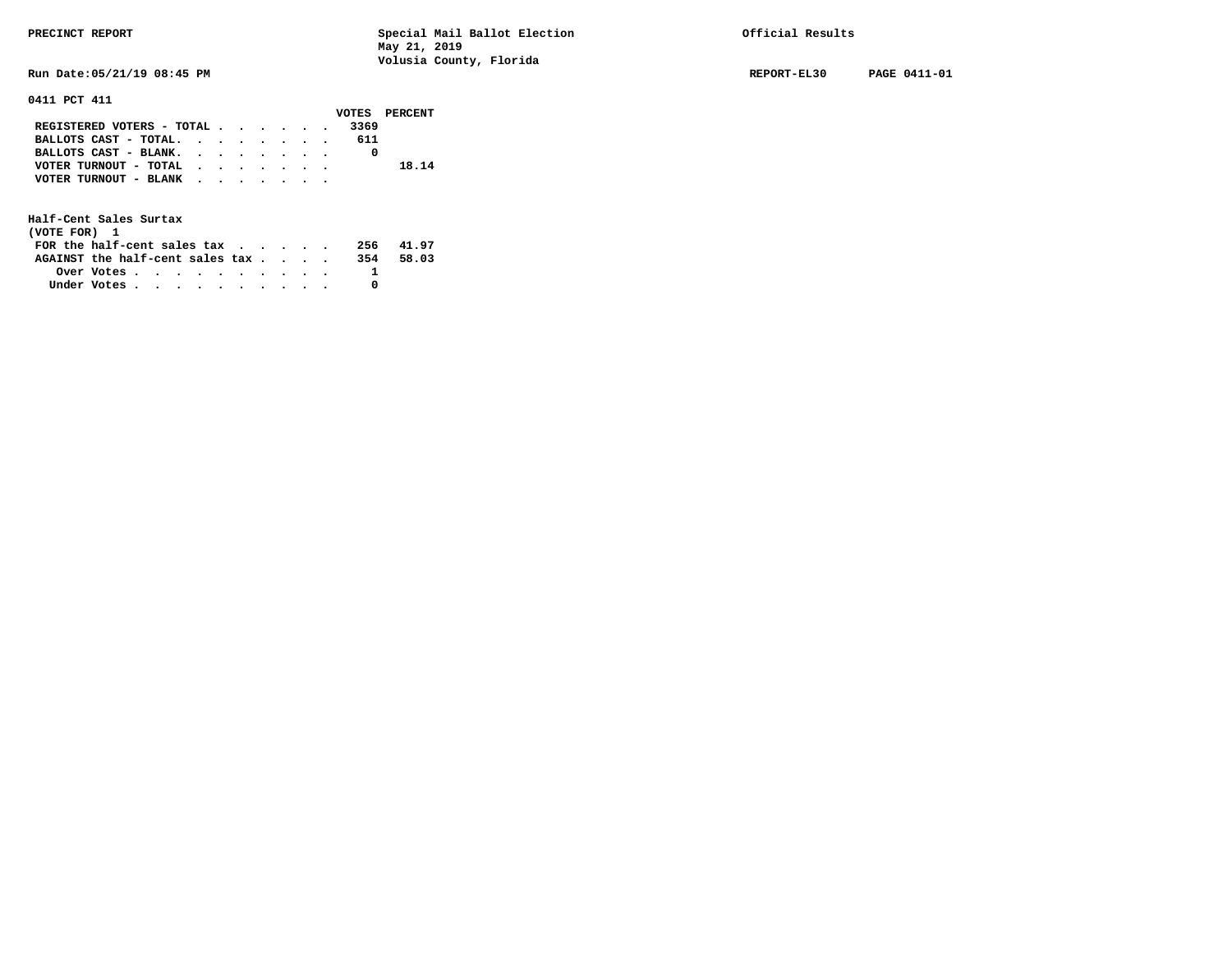**Run Date:05/21/19 08:45 PM REPORT-EL30 PAGE 0411-01** 

### **0411 PCT 411**

|                                             |  |  |  |     | VOTES PERCENT |
|---------------------------------------------|--|--|--|-----|---------------|
| REGISTERED VOTERS - TOTAL 3369              |  |  |  |     |               |
| BALLOTS CAST - TOTAL.                       |  |  |  | 611 |               |
| BALLOTS CAST - BLANK.                       |  |  |  |     |               |
| VOTER TURNOUT - TOTAL                       |  |  |  |     | 18.14         |
| VOTER TURNOUT - BLANK $\cdot$ , , , , , , , |  |  |  |     |               |
|                                             |  |  |  |     |               |

| (VOTE FOR) 1                               |            |  |  |  |  |     |       |
|--------------------------------------------|------------|--|--|--|--|-----|-------|
| FOR the half-cent sales $\alpha$           |            |  |  |  |  | 256 | 41.97 |
| AGAINST the half-cent sales $\mathbf{tax}$ |            |  |  |  |  | 354 | 58.03 |
|                                            | Over Votes |  |  |  |  |     |       |
| Under Votes                                |            |  |  |  |  |     |       |
|                                            |            |  |  |  |  |     |       |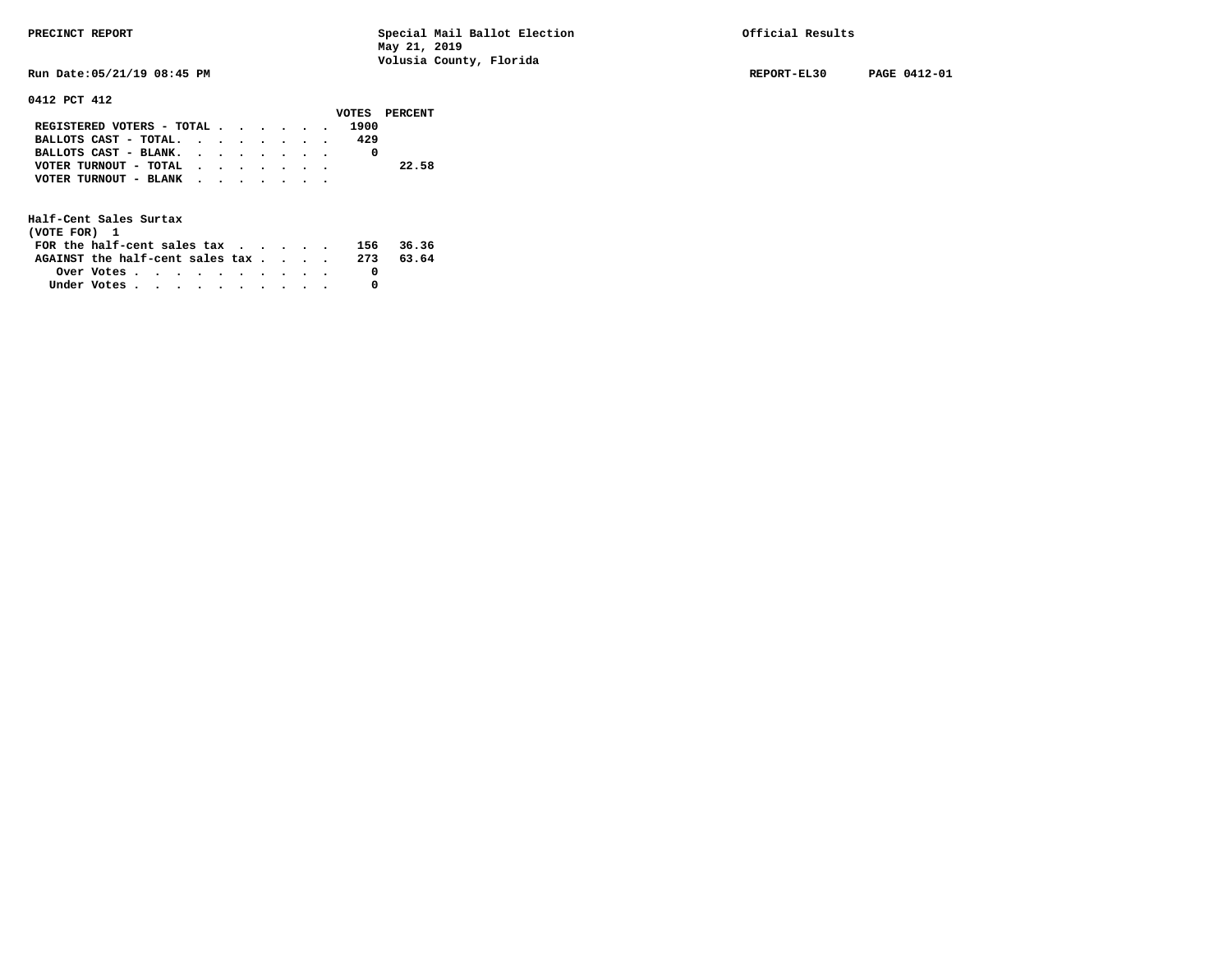**Run Date:05/21/19 08:45 PM REPORT-EL30 PAGE 0412-01** 

**0412 PCT 412** 

|                                                                           |  |  |  |      | VOTES PERCENT |
|---------------------------------------------------------------------------|--|--|--|------|---------------|
| REGISTERED VOTERS - TOTAL $\cdot$ $\cdot$ $\cdot$ $\cdot$ $\cdot$ $\cdot$ |  |  |  | 1900 |               |
| BALLOTS CAST - TOTAL. $\cdot$                                             |  |  |  | 429  |               |
| BALLOTS CAST - BLANK.                                                     |  |  |  |      |               |
| VOTER TURNOUT - TOTAL                                                     |  |  |  |      | 22.58         |
| VOTER TURNOUT - BLANK                                                     |  |  |  |      |               |
|                                                                           |  |  |  |      |               |

| (VOTE FOR) 1                                                |                                                         |  |  |  |  |     |       |
|-------------------------------------------------------------|---------------------------------------------------------|--|--|--|--|-----|-------|
| FOR the half-cent sales tax $\cdot$ $\cdot$ $\cdot$ $\cdot$ |                                                         |  |  |  |  | 156 | 36.36 |
| AGAINST the half-cent sales tax                             |                                                         |  |  |  |  | 273 | 63.64 |
|                                                             | Over Votes $\cdots$ $\cdots$ $\cdots$ $\cdots$ $\cdots$ |  |  |  |  |     |       |
| Under Votes                                                 |                                                         |  |  |  |  |     |       |
|                                                             |                                                         |  |  |  |  |     |       |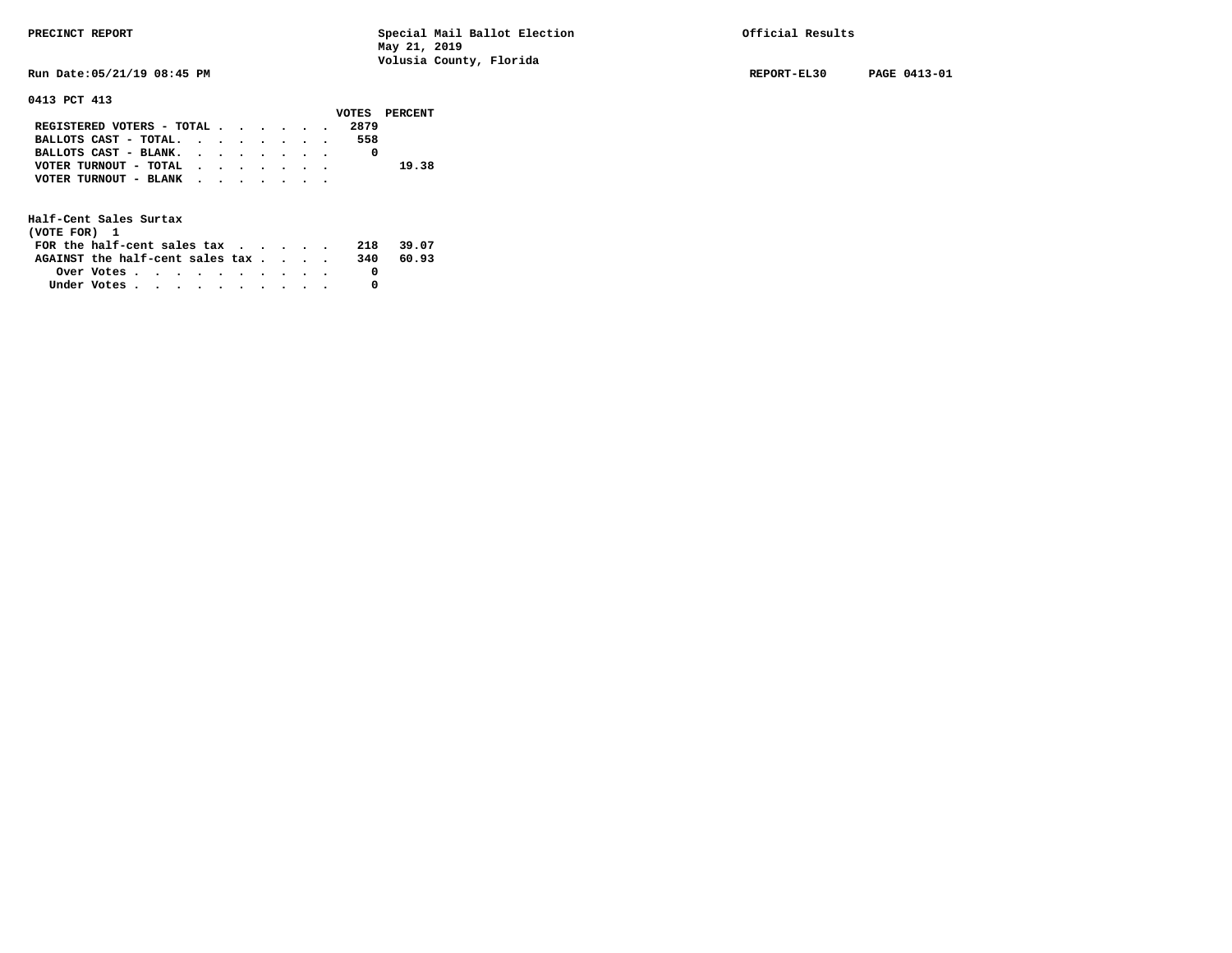**Run Date:05/21/19 08:45 PM REPORT-EL30 PAGE 0413-01** 

**0413 PCT 413** 

|                                             |  |  |  |      | VOTES PERCENT |
|---------------------------------------------|--|--|--|------|---------------|
| REGISTERED VOTERS - TOTAL                   |  |  |  | 2879 |               |
| BALLOTS CAST - TOTAL.                       |  |  |  | 558  |               |
| BALLOTS CAST - BLANK.                       |  |  |  |      |               |
| VOTER TURNOUT - TOTAL                       |  |  |  |      | 19.38         |
| VOTER TURNOUT - BLANK $\cdot$ , , , , , , , |  |  |  |      |               |
|                                             |  |  |  |      |               |

| (VOTE FOR) 1                           |                                                         |  |  |  |  |     |       |
|----------------------------------------|---------------------------------------------------------|--|--|--|--|-----|-------|
| FOR the half-cent sales $\mathsf{tax}$ |                                                         |  |  |  |  | 218 | 39.07 |
| AGAINST the half-cent sales tax        |                                                         |  |  |  |  | 340 | 60.93 |
|                                        | Over Votes $\cdots$ $\cdots$ $\cdots$ $\cdots$ $\cdots$ |  |  |  |  |     |       |
| Under Votes                            |                                                         |  |  |  |  |     |       |
|                                        |                                                         |  |  |  |  |     |       |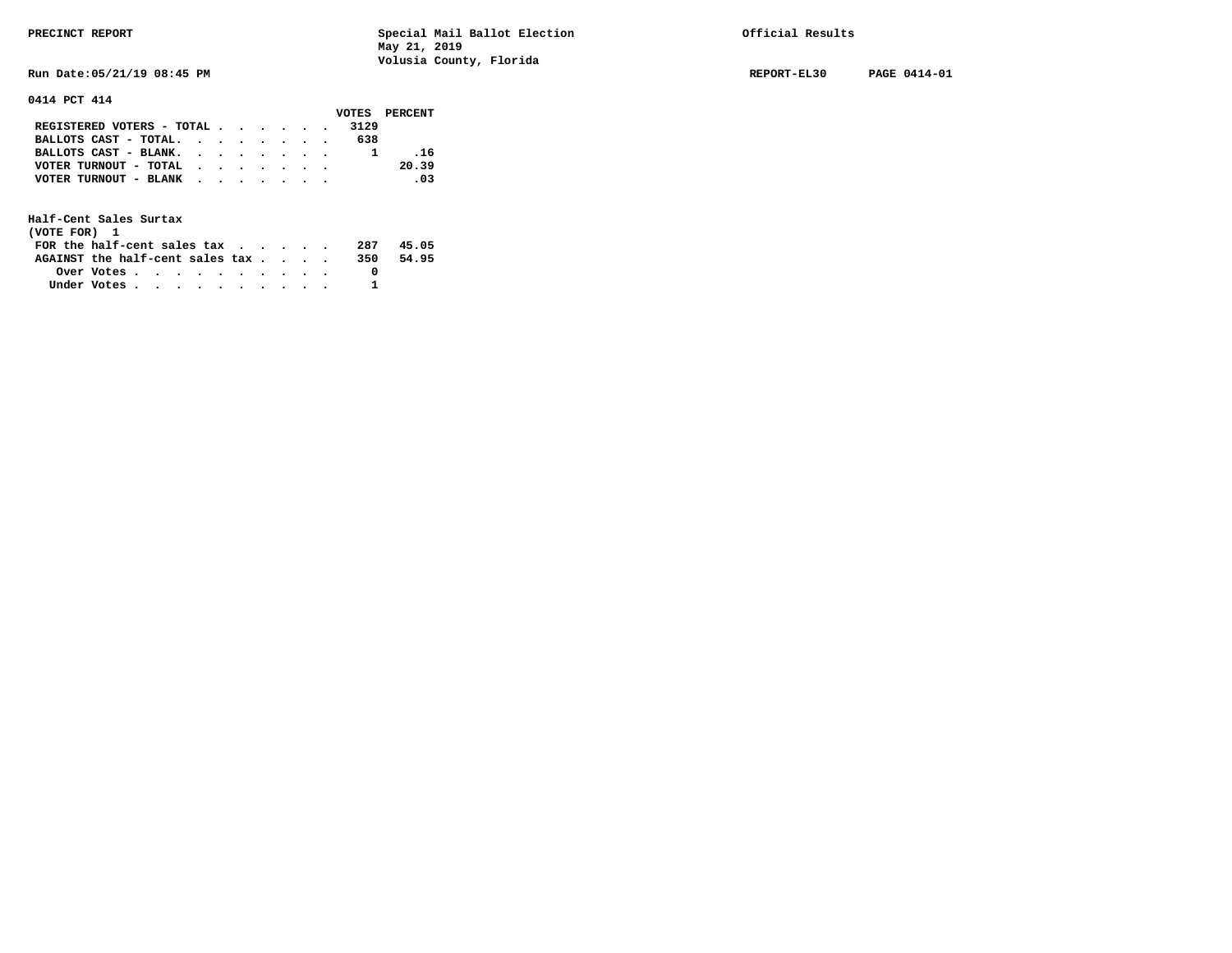**Run Date:05/21/19 08:45 PM REPORT-EL30 PAGE 0414-01** 

**0414 PCT 414** 

|                           |  |  |  |      | VOTES PERCENT |
|---------------------------|--|--|--|------|---------------|
| REGISTERED VOTERS - TOTAL |  |  |  | 3129 |               |
| BALLOTS CAST - TOTAL.     |  |  |  | 638  |               |
| BALLOTS CAST - BLANK.     |  |  |  |      | .16           |
| VOTER TURNOUT - TOTAL     |  |  |  |      | 20.39         |
| VOTER TURNOUT - BLANK     |  |  |  |      | .03           |
|                           |  |  |  |      |               |

| (VOTE FOR) 1                     |            |  |  |  |  |     |       |
|----------------------------------|------------|--|--|--|--|-----|-------|
| FOR the half-cent sales $\alpha$ |            |  |  |  |  | 287 | 45.05 |
| AGAINST the half-cent sales tax  |            |  |  |  |  | 350 | 54.95 |
|                                  | Over Votes |  |  |  |  |     |       |
| Under Votes                      |            |  |  |  |  |     |       |
|                                  |            |  |  |  |  |     |       |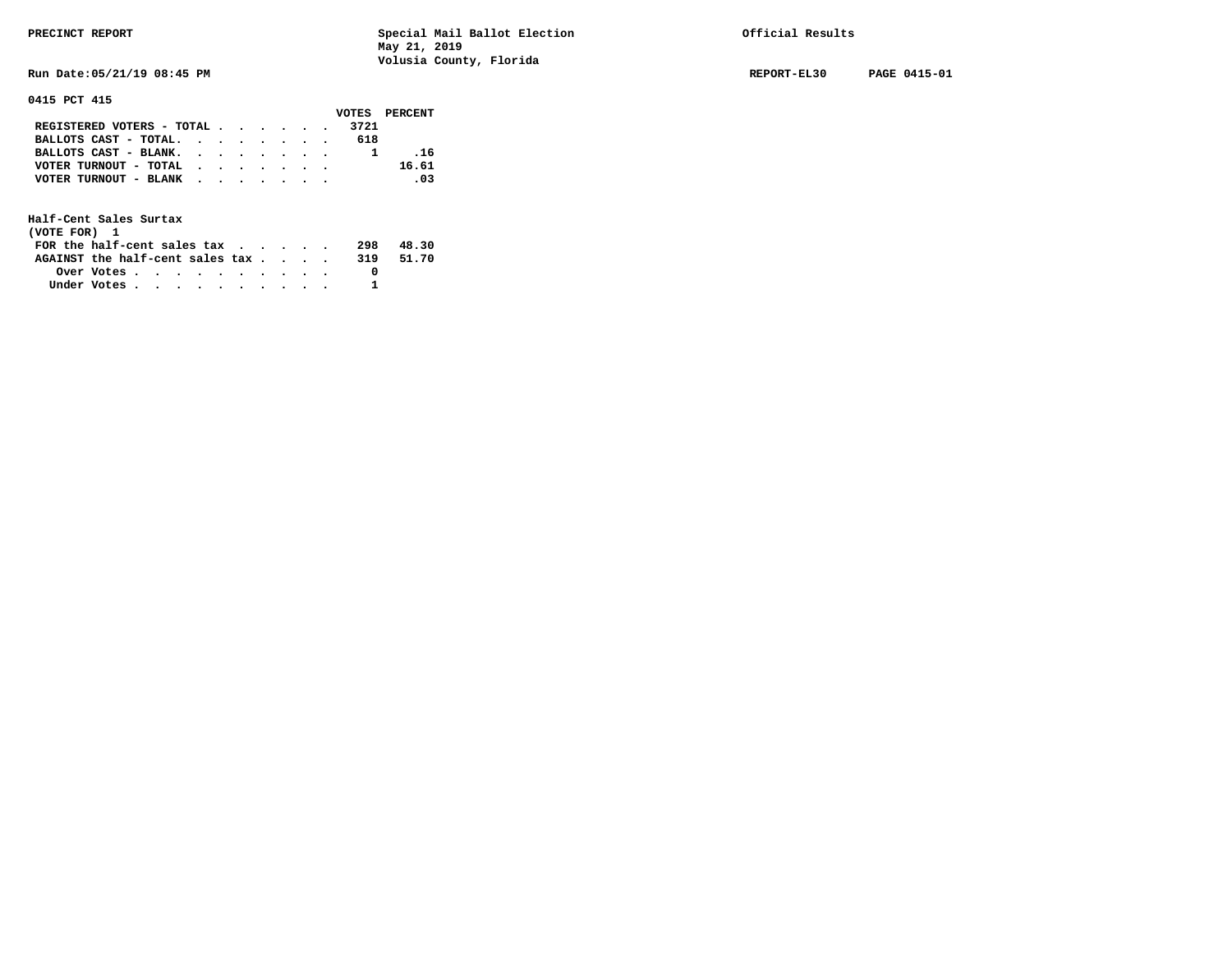**Run Date:05/21/19 08:45 PM REPORT-EL30 PAGE 0415-01** 

**0415 PCT 415** 

|                                           |  |  |  |     | VOTES PERCENT |
|-------------------------------------------|--|--|--|-----|---------------|
| REGISTERED VOTERS - TOTAL 3721            |  |  |  |     |               |
| BALLOTS CAST - TOTAL. $\cdot$             |  |  |  | 618 |               |
| BALLOTS CAST - BLANK.                     |  |  |  |     | .16           |
| VOTER TURNOUT - TOTAL $\cdot$ , , , , , , |  |  |  |     | 16.61         |
| VOTER TURNOUT - BLANK                     |  |  |  |     | .03           |
|                                           |  |  |  |     |               |

| (VOTE FOR) 1                    |                                                         |  |  |  |  |     |       |
|---------------------------------|---------------------------------------------------------|--|--|--|--|-----|-------|
| FOR the half-cent sales tax     |                                                         |  |  |  |  | 298 | 48.30 |
| AGAINST the half-cent sales tax |                                                         |  |  |  |  | 319 | 51.70 |
|                                 | Over Votes $\cdots$ $\cdots$ $\cdots$ $\cdots$ $\cdots$ |  |  |  |  |     |       |
| Under Votes                     |                                                         |  |  |  |  |     |       |
|                                 |                                                         |  |  |  |  |     |       |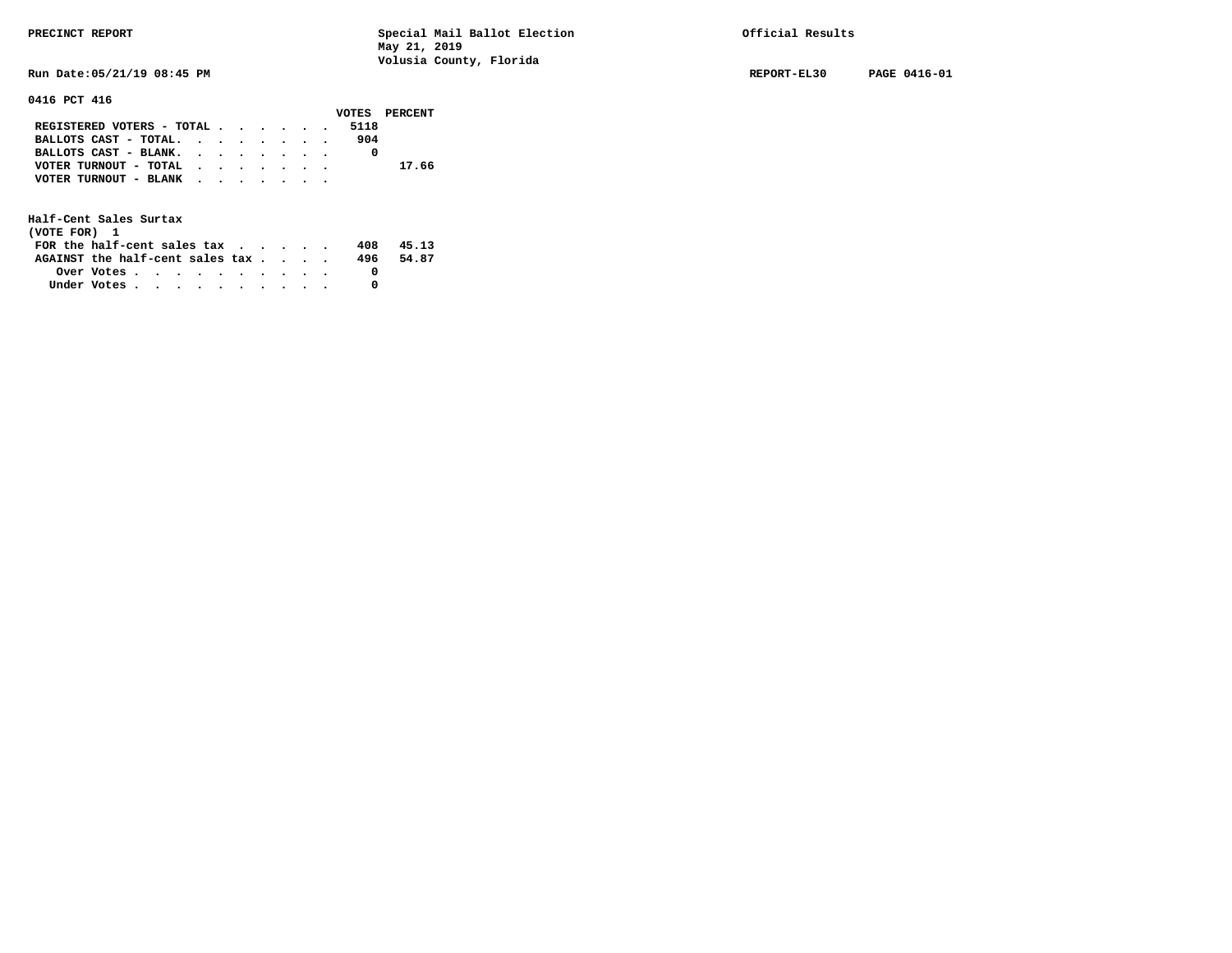**0416 PCT 416** 

**PRECINCT REPORT Special Mail Ballot Election Official Results May 21, 2019 Volusia County, Florida** 

**Run Date:05/21/19 08:45 PM REPORT-EL30 PAGE 0416-01** 

|                           |  |  |  |      | VOTES PERCENT |
|---------------------------|--|--|--|------|---------------|
| REGISTERED VOTERS - TOTAL |  |  |  | 5118 |               |
| BALLOTS CAST - TOTAL.     |  |  |  | 904  |               |
| BALLOTS CAST - BLANK.     |  |  |  |      |               |
| VOTER TURNOUT - TOTAL     |  |  |  |      | 17.66         |
| VOTER TURNOUT - BLANK     |  |  |  |      |               |
|                           |  |  |  |      |               |

| (VOTE FOR) 1                           |                                                         |  |  |  |  |     |       |
|----------------------------------------|---------------------------------------------------------|--|--|--|--|-----|-------|
| FOR the half-cent sales $\mathsf{tax}$ |                                                         |  |  |  |  | 408 | 45.13 |
| AGAINST the half-cent sales tax        |                                                         |  |  |  |  | 496 | 54.87 |
|                                        | Over Votes $\cdots$ $\cdots$ $\cdots$ $\cdots$ $\cdots$ |  |  |  |  |     |       |
| Under Votes                            |                                                         |  |  |  |  |     |       |
|                                        |                                                         |  |  |  |  |     |       |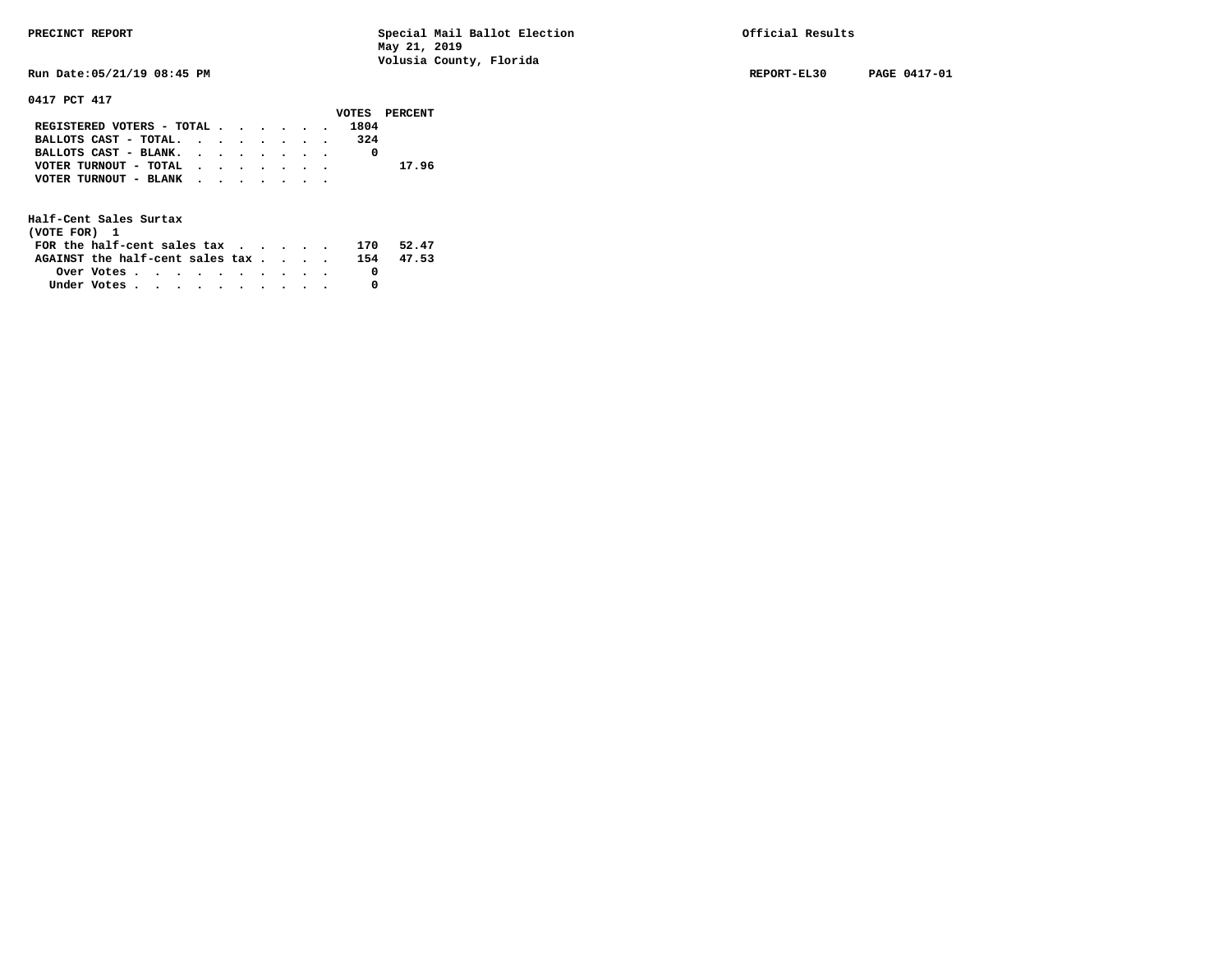**Run Date:05/21/19 08:45 PM REPORT-EL30 PAGE 0417-01** 

**0417 PCT 417** 

|                           |  |  |  |      | VOTES PERCENT |
|---------------------------|--|--|--|------|---------------|
| REGISTERED VOTERS - TOTAL |  |  |  | 1804 |               |
| BALLOTS CAST - TOTAL.     |  |  |  | 324  |               |
| BALLOTS CAST - BLANK.     |  |  |  |      |               |
| VOTER TURNOUT - TOTAL     |  |  |  |      | 17.96         |
| VOTER TURNOUT - BLANK     |  |  |  |      |               |
|                           |  |  |  |      |               |

| (VOTE FOR) 1                                                |                                                         |  |  |  |  |     |           |
|-------------------------------------------------------------|---------------------------------------------------------|--|--|--|--|-----|-----------|
| FOR the half-cent sales tax $\cdot$ $\cdot$ $\cdot$ $\cdot$ |                                                         |  |  |  |  | 170 | 52.47     |
| AGAINST the half-cent sales tax                             |                                                         |  |  |  |  |     | 154 47.53 |
|                                                             | Over Votes $\cdots$ $\cdots$ $\cdots$ $\cdots$ $\cdots$ |  |  |  |  |     |           |
| Under Votes                                                 |                                                         |  |  |  |  |     |           |
|                                                             |                                                         |  |  |  |  |     |           |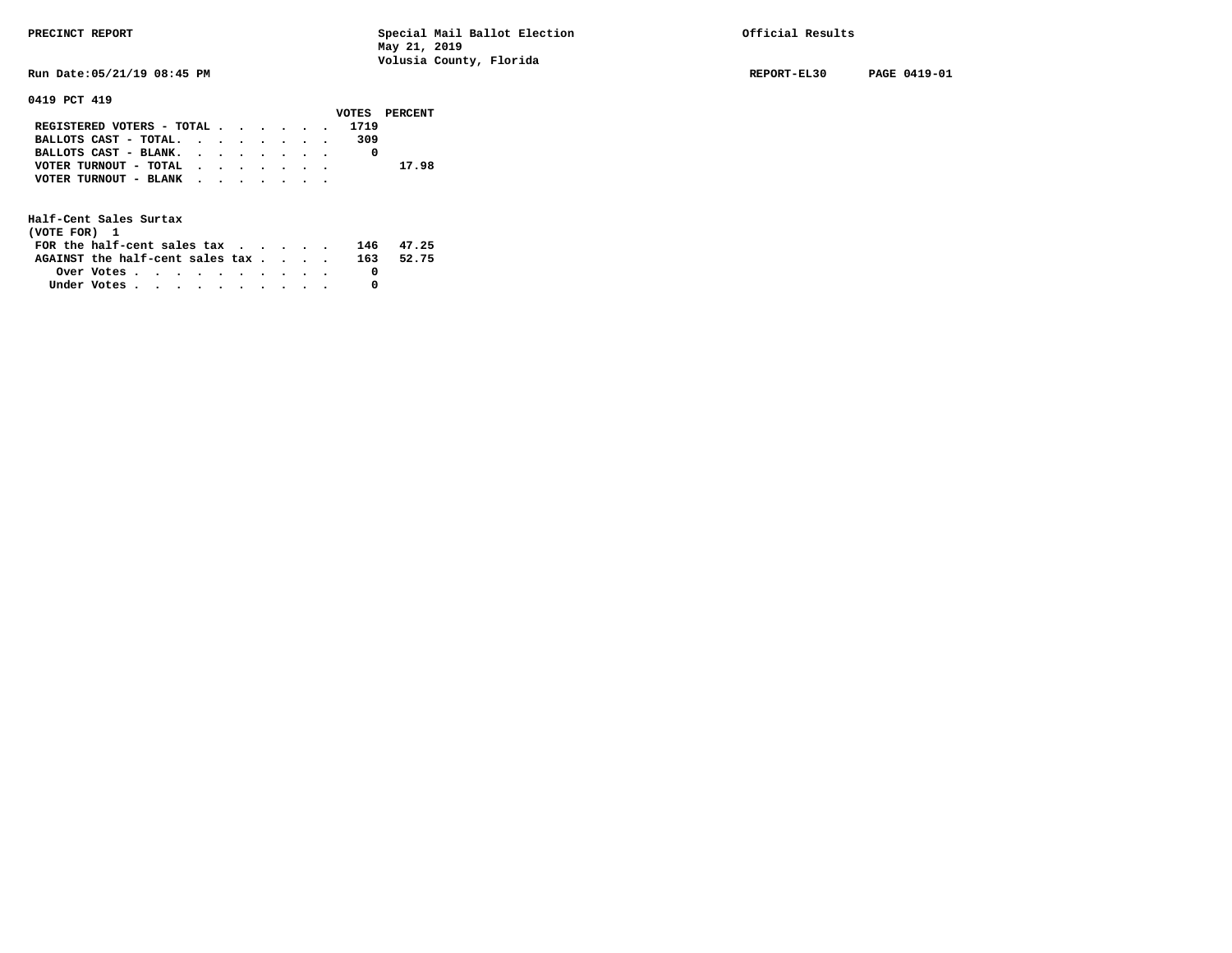**Run Date:05/21/19 08:45 PM REPORT-EL30 PAGE 0419-01** 

**0419 PCT 419** 

|                           |  |  |  |      | VOTES PERCENT |
|---------------------------|--|--|--|------|---------------|
| REGISTERED VOTERS - TOTAL |  |  |  | 1719 |               |
| BALLOTS CAST - TOTAL.     |  |  |  | 309  |               |
| BALLOTS CAST - BLANK.     |  |  |  |      |               |
| VOTER TURNOUT - TOTAL     |  |  |  |      | 17.98         |
| VOTER TURNOUT - BLANK     |  |  |  |      |               |
|                           |  |  |  |      |               |

| (VOTE FOR) 1                           |                                                         |  |  |  |  |     |       |
|----------------------------------------|---------------------------------------------------------|--|--|--|--|-----|-------|
| FOR the half-cent sales $\mathsf{tax}$ |                                                         |  |  |  |  | 146 | 47.25 |
| AGAINST the half-cent sales tax        |                                                         |  |  |  |  | 163 | 52.75 |
|                                        | Over Votes $\cdots$ $\cdots$ $\cdots$ $\cdots$ $\cdots$ |  |  |  |  |     |       |
| Under Votes                            |                                                         |  |  |  |  |     |       |
|                                        |                                                         |  |  |  |  |     |       |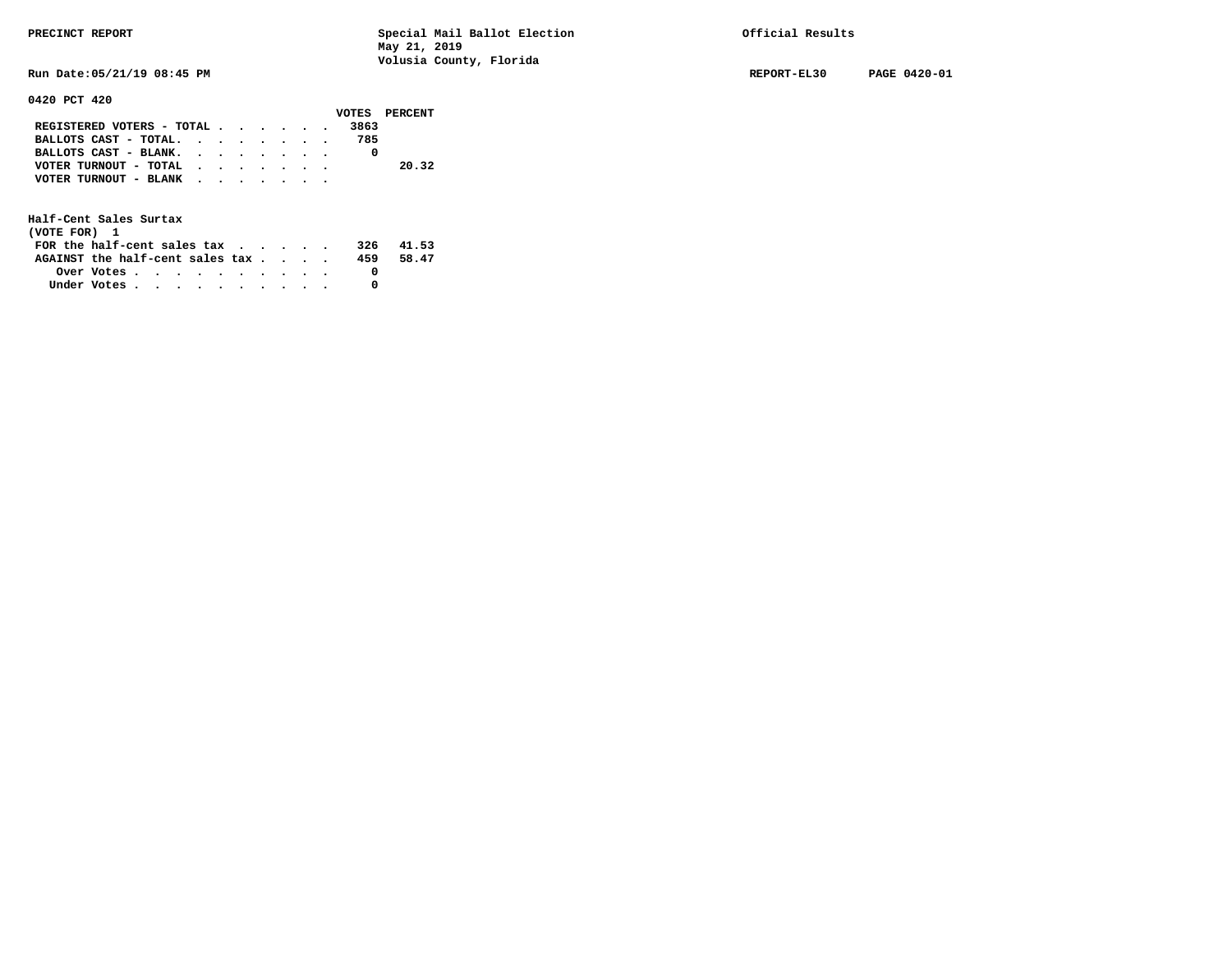**Run Date:05/21/19 08:45 PM REPORT-EL30 PAGE 0420-01** 

# **0420 PCT 420**

|                                           |  |  |  |      | VOTES PERCENT |
|-------------------------------------------|--|--|--|------|---------------|
| REGISTERED VOTERS - TOTAL                 |  |  |  | 3863 |               |
| BALLOTS CAST - TOTAL.                     |  |  |  | 785  |               |
| BALLOTS CAST - BLANK.                     |  |  |  |      |               |
| VOTER TURNOUT - TOTAL                     |  |  |  |      | 20.32         |
| VOTER TURNOUT - BLANK $\cdot$ , , , , , , |  |  |  |      |               |
|                                           |  |  |  |      |               |

| (VOTE FOR) 1                     |                                                         |  |  |  |  |     |       |
|----------------------------------|---------------------------------------------------------|--|--|--|--|-----|-------|
| FOR the half-cent sales $\alpha$ |                                                         |  |  |  |  | 326 | 41.53 |
| AGAINST the half-cent sales tax  |                                                         |  |  |  |  | 459 | 58.47 |
|                                  | Over Votes $\cdots$ $\cdots$ $\cdots$ $\cdots$ $\cdots$ |  |  |  |  |     |       |
| Under Votes                      |                                                         |  |  |  |  |     |       |
|                                  |                                                         |  |  |  |  |     |       |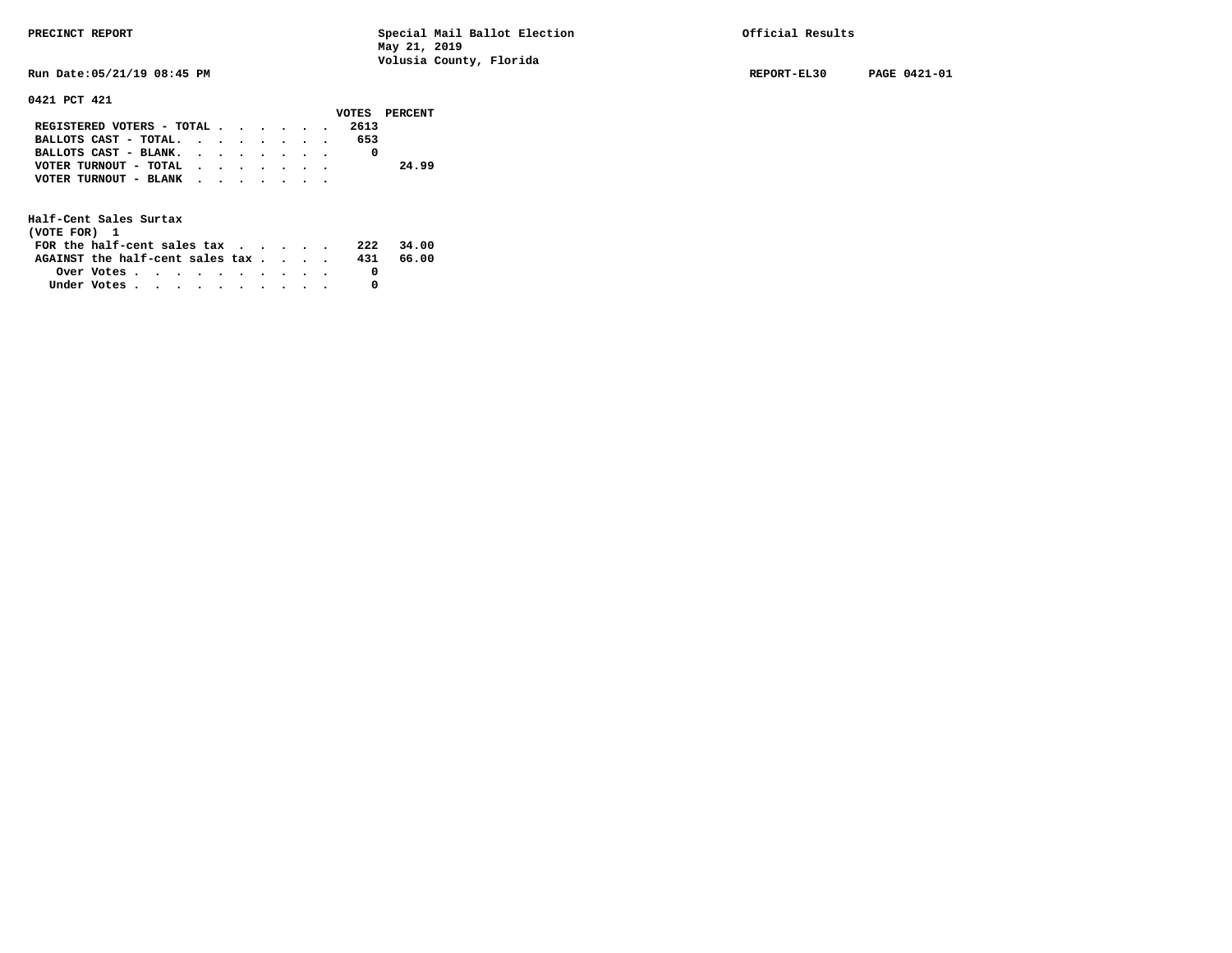**Run Date:05/21/19 08:45 PM REPORT-EL30 PAGE 0421-01** 

## **0421 PCT 421**

|                                                             |  |  |  |     | VOTES PERCENT |
|-------------------------------------------------------------|--|--|--|-----|---------------|
| REGISTERED VOTERS - TOTAL 2613                              |  |  |  |     |               |
| BALLOTS CAST - TOTAL.                                       |  |  |  | 653 |               |
| BALLOTS CAST - BLANK.                                       |  |  |  |     |               |
| VOTER TURNOUT - TOTAL $\cdot \cdot \cdot \cdot \cdot \cdot$ |  |  |  |     | 24.99         |
| VOTER TURNOUT - BLANK                                       |  |  |  |     |               |
|                                                             |  |  |  |     |               |

| (VOTE FOR) 1                                                |            |  |  |  |  |     |       |
|-------------------------------------------------------------|------------|--|--|--|--|-----|-------|
| FOR the half-cent sales tax $\cdot$ $\cdot$ $\cdot$ $\cdot$ |            |  |  |  |  | 222 | 34.00 |
| AGAINST the half-cent sales tax                             |            |  |  |  |  | 431 | 66.00 |
|                                                             | Over Votes |  |  |  |  |     |       |
| Under Votes                                                 |            |  |  |  |  |     |       |
|                                                             |            |  |  |  |  |     |       |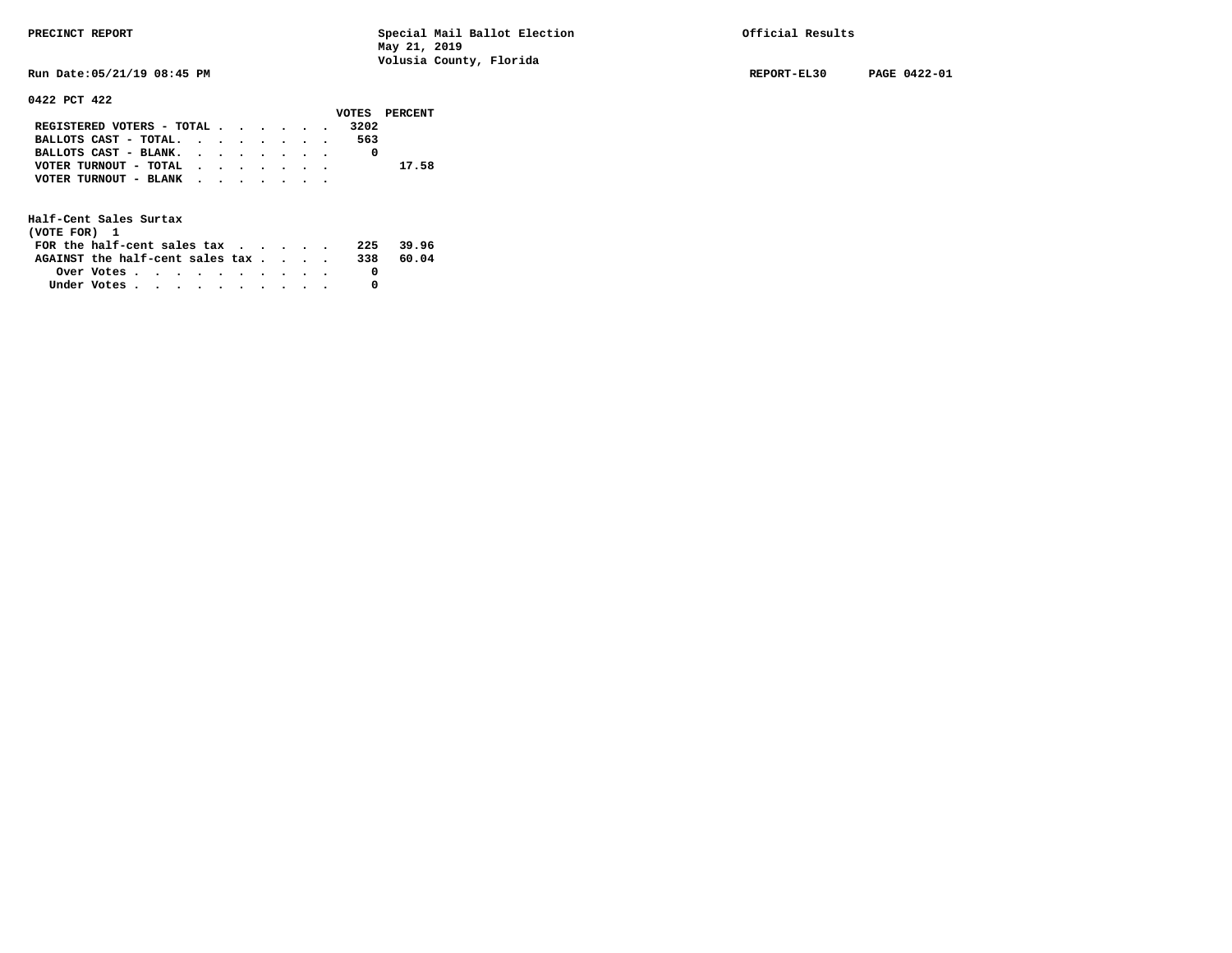**Run Date:05/21/19 08:45 PM REPORT-EL30 PAGE 0422-01** 

### **0422 PCT 422**

|                           |  |  |  |      | VOTES PERCENT |
|---------------------------|--|--|--|------|---------------|
| REGISTERED VOTERS - TOTAL |  |  |  | 3202 |               |
| BALLOTS CAST - TOTAL.     |  |  |  | 563  |               |
| BALLOTS CAST - BLANK.     |  |  |  |      |               |
| VOTER TURNOUT - TOTAL     |  |  |  |      | 17.58         |
| VOTER TURNOUT - BLANK     |  |  |  |      |               |
|                           |  |  |  |      |               |

| (VOTE FOR) 1                           |                                                         |  |  |  |  |     |       |
|----------------------------------------|---------------------------------------------------------|--|--|--|--|-----|-------|
| FOR the half-cent sales $\mathsf{tax}$ |                                                         |  |  |  |  | 225 | 39.96 |
| AGAINST the half-cent sales tax        |                                                         |  |  |  |  | 338 | 60.04 |
|                                        | Over Votes $\cdots$ $\cdots$ $\cdots$ $\cdots$ $\cdots$ |  |  |  |  |     |       |
| Under Votes                            |                                                         |  |  |  |  |     |       |
|                                        |                                                         |  |  |  |  |     |       |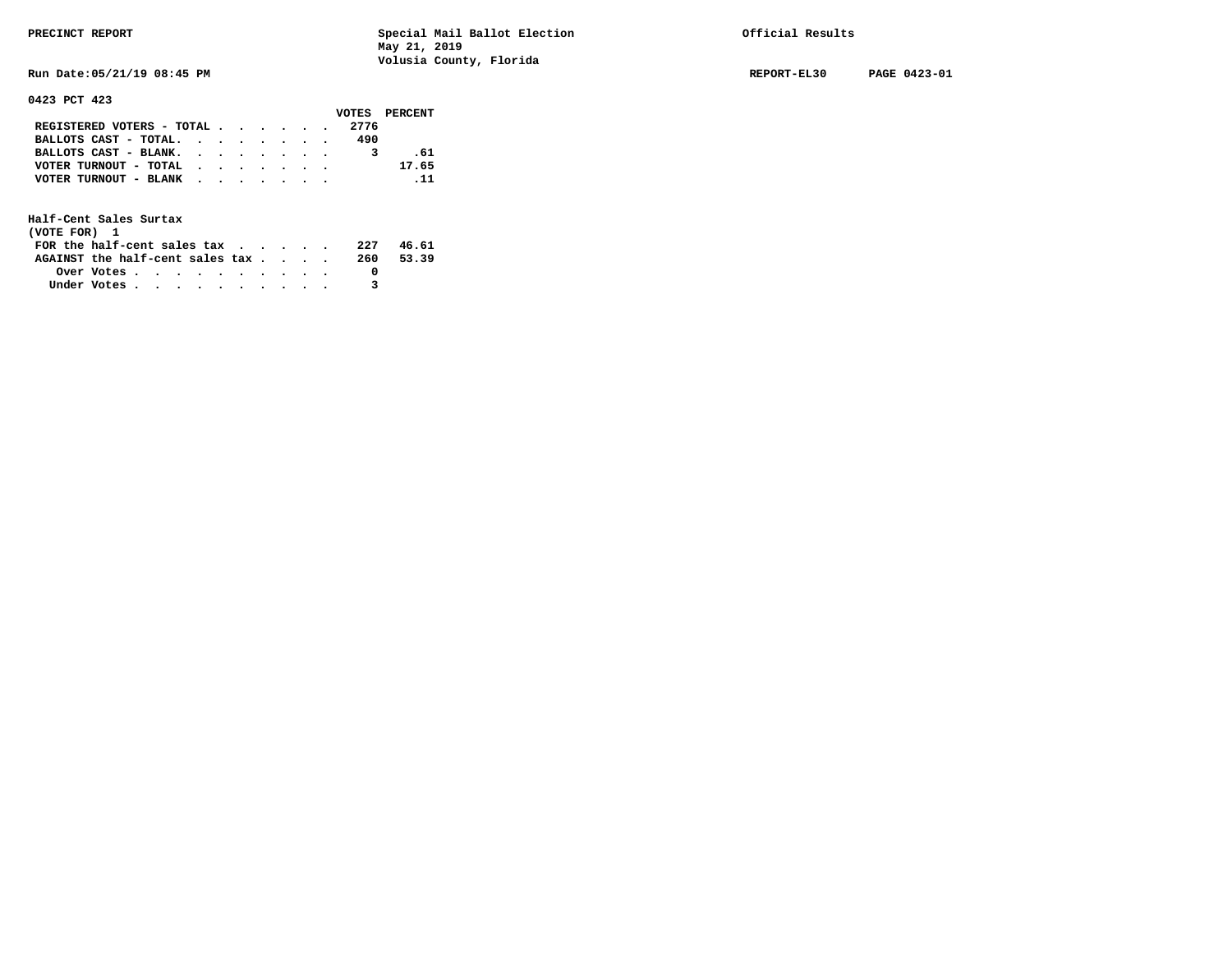**Run Date:05/21/19 08:45 PM REPORT-EL30 PAGE 0423-01** 

**0423 PCT 423** 

|                           |  |  |  |      | VOTES PERCENT |
|---------------------------|--|--|--|------|---------------|
| REGISTERED VOTERS - TOTAL |  |  |  | 2776 |               |
| BALLOTS CAST - TOTAL.     |  |  |  | 490  |               |
| BALLOTS CAST - BLANK.     |  |  |  |      | . 61          |
| VOTER TURNOUT - TOTAL     |  |  |  |      | 17.65         |
| VOTER TURNOUT - BLANK     |  |  |  |      | $\ldots$ 11   |
|                           |  |  |  |      |               |

| (VOTE FOR) 1                                                |            |  |  |  |  |     |       |
|-------------------------------------------------------------|------------|--|--|--|--|-----|-------|
| FOR the half-cent sales tax $\cdot$ $\cdot$ $\cdot$ $\cdot$ |            |  |  |  |  | 227 | 46.61 |
| AGAINST the half-cent sales tax                             |            |  |  |  |  | 260 | 53.39 |
|                                                             | Over Votes |  |  |  |  |     |       |
| Under Votes                                                 |            |  |  |  |  |     |       |
|                                                             |            |  |  |  |  |     |       |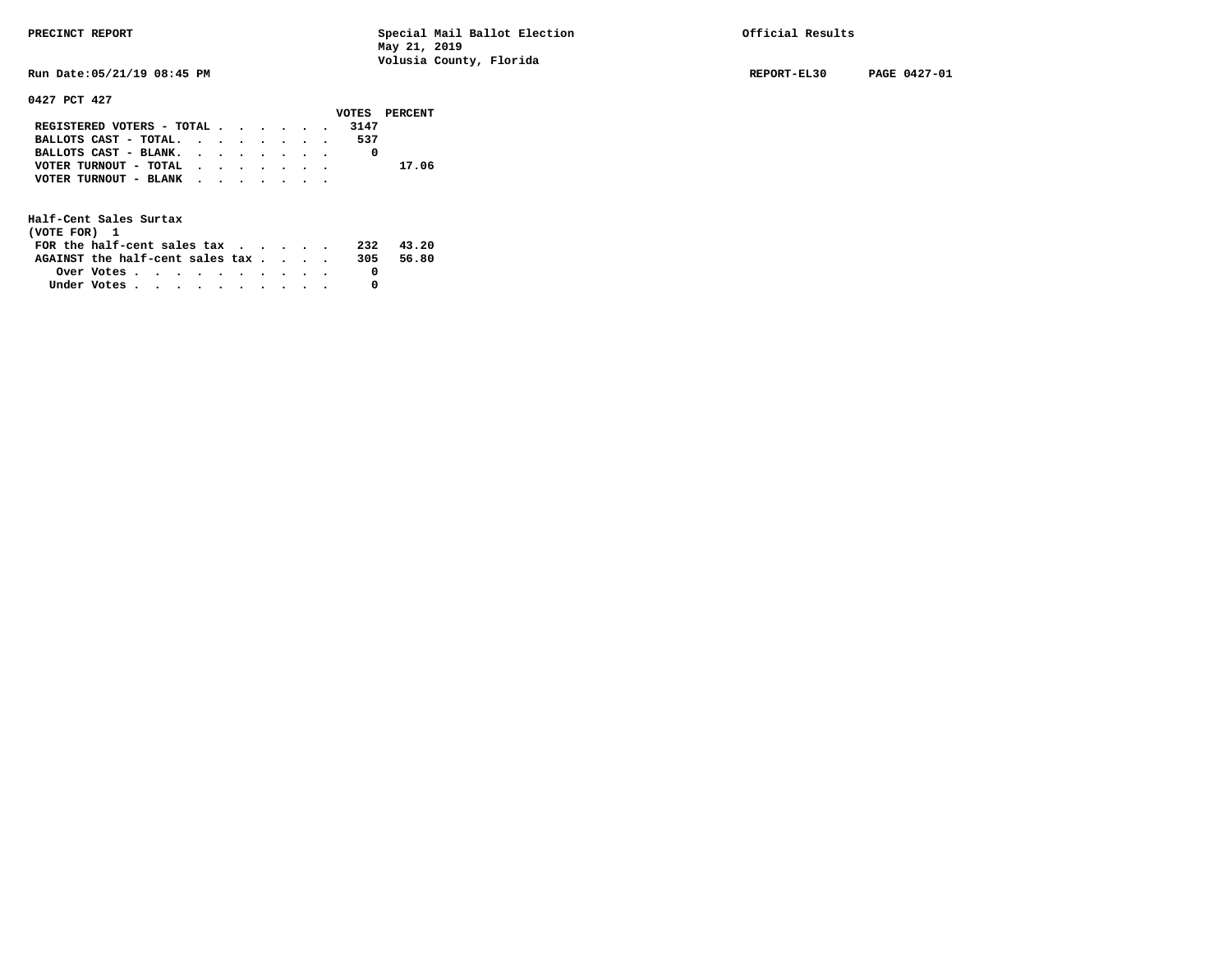**Run Date:05/21/19 08:45 PM REPORT-EL30 PAGE 0427-01** 

**0427 PCT 427** 

|                           |  |  |  |      | VOTES PERCENT |
|---------------------------|--|--|--|------|---------------|
| REGISTERED VOTERS - TOTAL |  |  |  | 3147 |               |
| BALLOTS CAST - TOTAL.     |  |  |  | 537  |               |
| BALLOTS CAST - BLANK.     |  |  |  |      |               |
| VOTER TURNOUT - TOTAL     |  |  |  |      | 17.06         |
| VOTER TURNOUT - BLANK     |  |  |  |      |               |
|                           |  |  |  |      |               |

| (VOTE FOR) 1                     |            |  |  |  |  |     |       |
|----------------------------------|------------|--|--|--|--|-----|-------|
| FOR the half-cent sales $\alpha$ |            |  |  |  |  | 232 | 43.20 |
| AGAINST the half-cent sales tax  |            |  |  |  |  | 305 | 56.80 |
|                                  | Over Votes |  |  |  |  |     |       |
| Under Votes                      |            |  |  |  |  |     |       |
|                                  |            |  |  |  |  |     |       |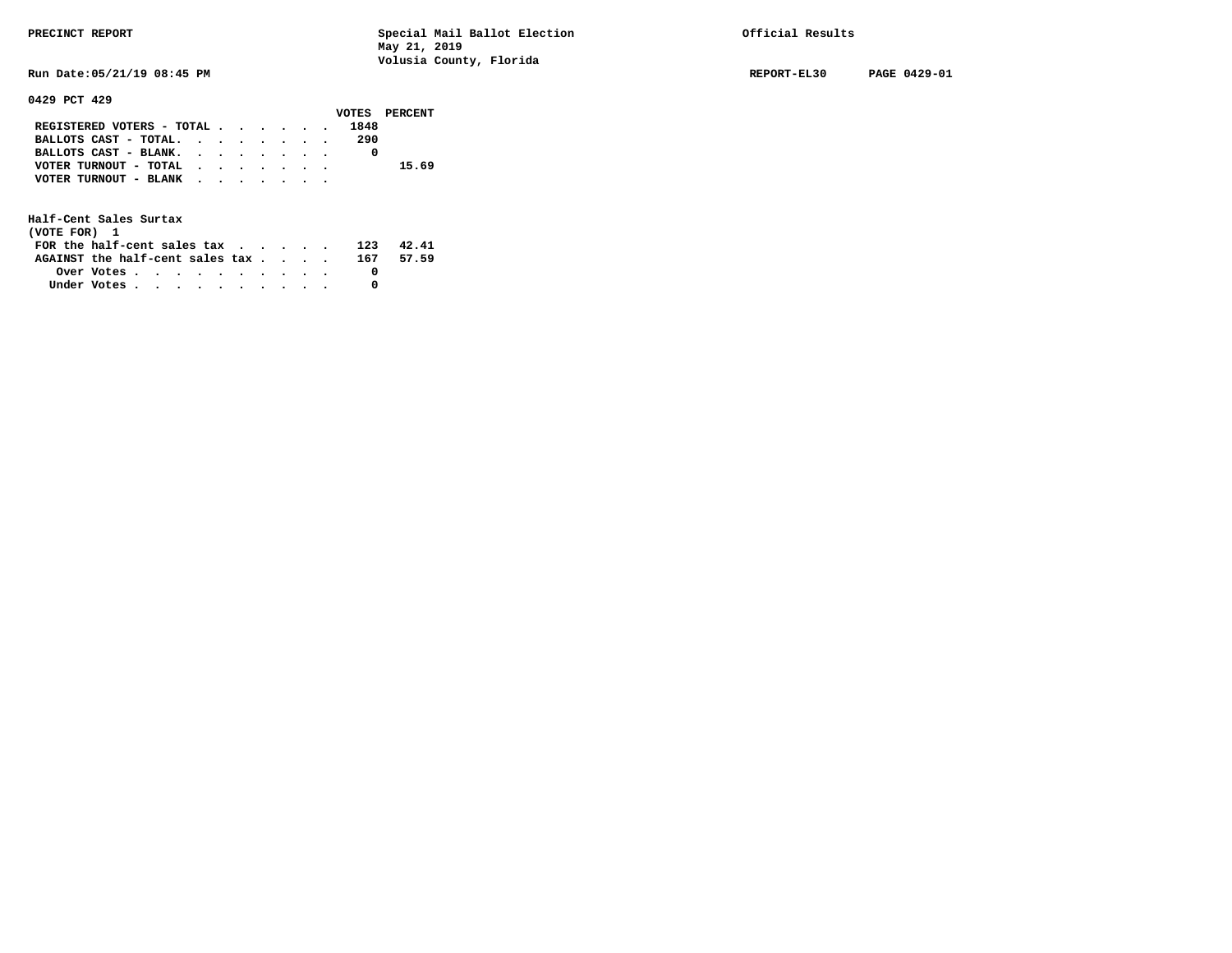**Run Date:05/21/19 08:45 PM REPORT-EL30 PAGE 0429-01** 

**0429 PCT 429** 

|                                           |  |  |  |      | VOTES PERCENT |
|-------------------------------------------|--|--|--|------|---------------|
| REGISTERED VOTERS - TOTAL                 |  |  |  | 1848 |               |
| BALLOTS CAST - TOTAL.                     |  |  |  | 290  |               |
| BALLOTS CAST - BLANK.                     |  |  |  |      |               |
| VOTER TURNOUT - TOTAL $\cdot$ , , , , , , |  |  |  |      | 15.69         |
| VOTER TURNOUT - BLANK                     |  |  |  |      |               |
|                                           |  |  |  |      |               |

| (VOTE FOR) 1                                            |  |  |  |  |  |     |       |
|---------------------------------------------------------|--|--|--|--|--|-----|-------|
| FOR the half-cent sales tax                             |  |  |  |  |  | 123 | 42.41 |
| AGAINST the half-cent sales $\text{tax}$ 167            |  |  |  |  |  |     | 57.59 |
| Over Votes $\cdots$ $\cdots$ $\cdots$ $\cdots$ $\cdots$ |  |  |  |  |  |     |       |
| Under Votes                                             |  |  |  |  |  |     |       |
|                                                         |  |  |  |  |  |     |       |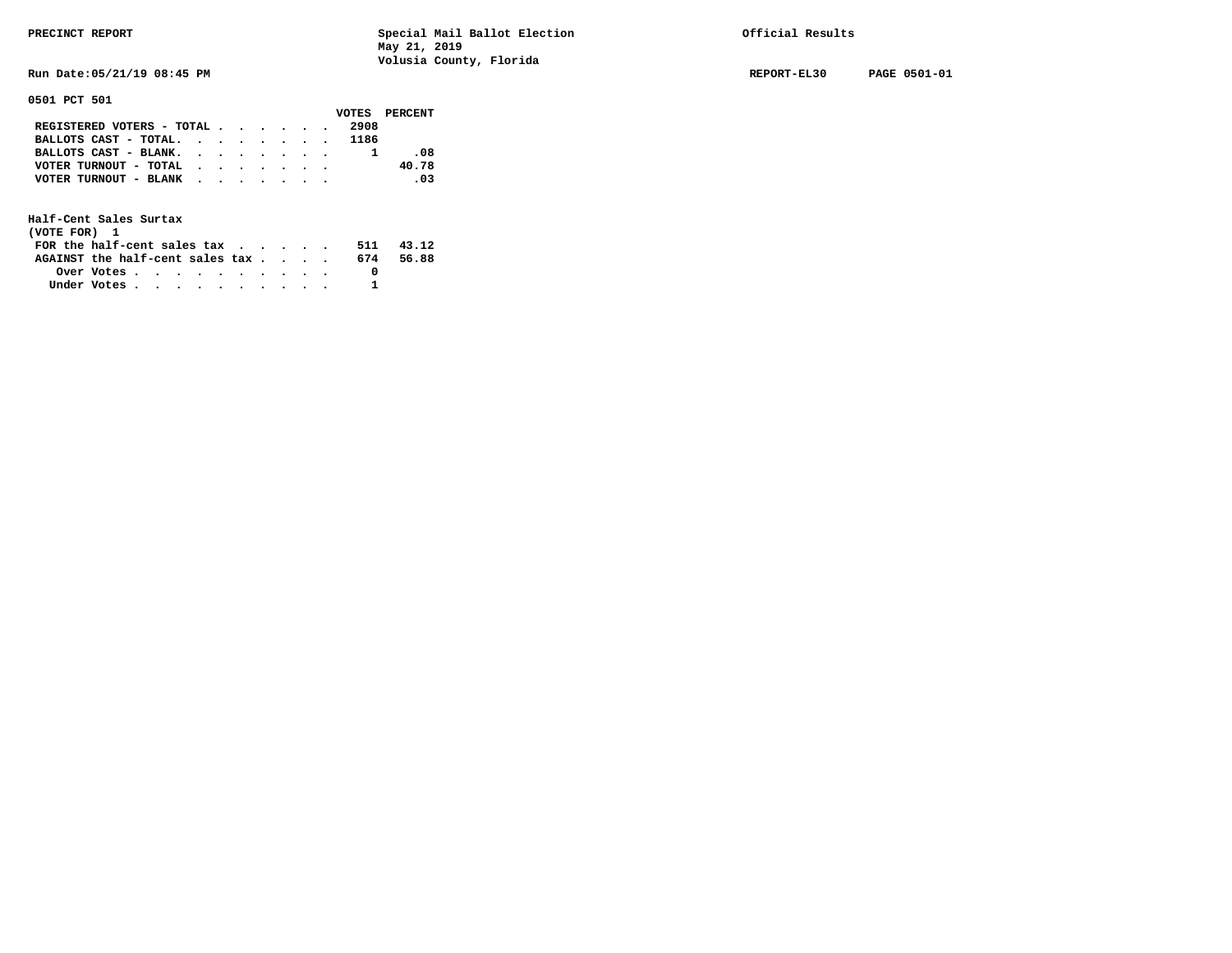**Run Date:05/21/19 08:45 PM REPORT-EL30 PAGE 0501-01** 

**0501 PCT 501** 

|                            |  |  |  |      | VOTES PERCENT |
|----------------------------|--|--|--|------|---------------|
| REGISTERED VOTERS - TOTAL  |  |  |  | 2908 |               |
| BALLOTS CAST - TOTAL. 1186 |  |  |  |      |               |
| BALLOTS CAST - BLANK.      |  |  |  |      | -08           |
| VOTER TURNOUT - TOTAL      |  |  |  |      | 40.78         |
| VOTER TURNOUT - BLANK      |  |  |  |      | .03           |
|                            |  |  |  |      |               |

| (VOTE FOR) 1                                                |            |  |  |  |  |     |       |
|-------------------------------------------------------------|------------|--|--|--|--|-----|-------|
| FOR the half-cent sales tax $\cdot$ $\cdot$ $\cdot$ $\cdot$ |            |  |  |  |  | 511 | 43.12 |
| AGAINST the half-cent sales tax                             |            |  |  |  |  | 674 | 56.88 |
|                                                             | Over Votes |  |  |  |  |     |       |
| Under Votes                                                 |            |  |  |  |  |     |       |
|                                                             |            |  |  |  |  |     |       |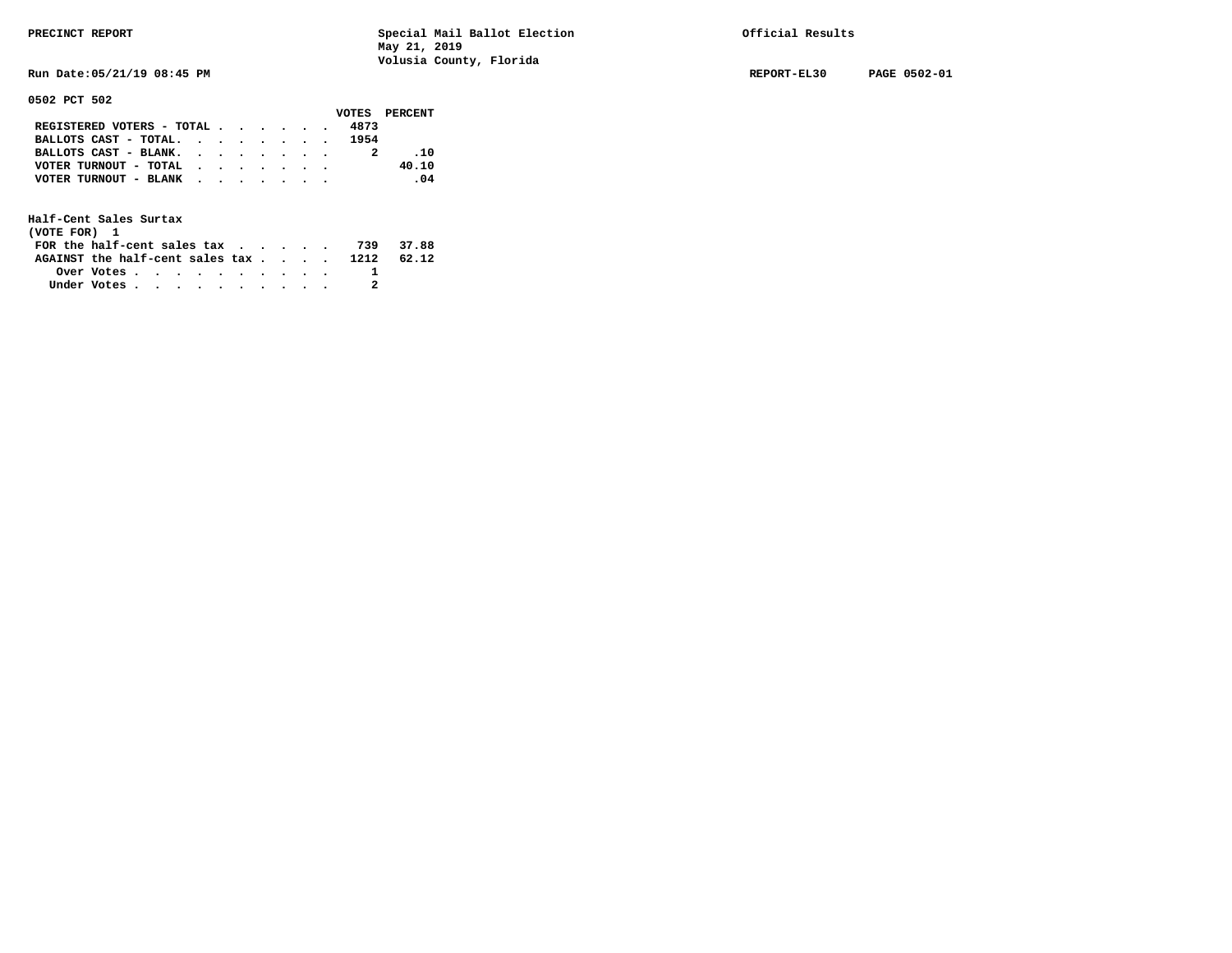**Run Date:05/21/19 08:45 PM REPORT-EL30 PAGE 0502-01** 

**0502 PCT 502** 

|                            |  |  |  |      | VOTES PERCENT |
|----------------------------|--|--|--|------|---------------|
| REGISTERED VOTERS - TOTAL  |  |  |  | 4873 |               |
| BALLOTS CAST - TOTAL. 1954 |  |  |  |      |               |
| BALLOTS CAST - BLANK.      |  |  |  |      | .10           |
| VOTER TURNOUT - TOTAL      |  |  |  |      | 40.10         |
| VOTER TURNOUT - BLANK      |  |  |  |      | .04           |
|                            |  |  |  |      |               |

| (VOTE FOR) 1                                                                          |            |  |  |  |  |  |  |
|---------------------------------------------------------------------------------------|------------|--|--|--|--|--|--|
| FOR the half-cent sales tax $\cdot$ $\cdot$ $\cdot$ $\cdot$ $\cdot$ $\cdot$ 739 37.88 |            |  |  |  |  |  |  |
| AGAINST the half-cent sales tax 1212 62.12                                            |            |  |  |  |  |  |  |
|                                                                                       | Over Votes |  |  |  |  |  |  |
| Under Votes                                                                           |            |  |  |  |  |  |  |
|                                                                                       |            |  |  |  |  |  |  |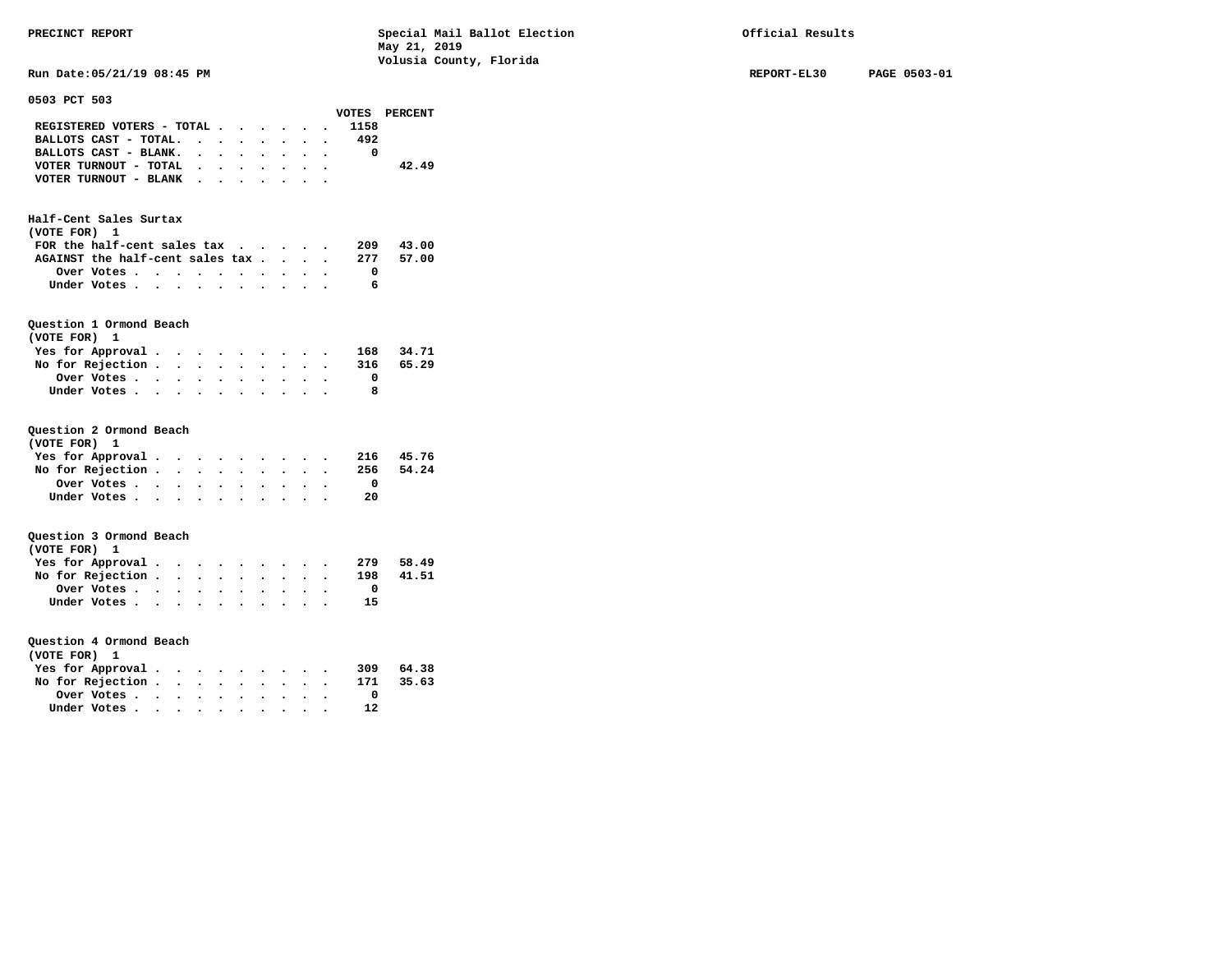**PRECINCT REPORT Special Mail Ballot Election Official Results May 21, 2019 Volusia County, Florida Run Date:05/21/19 08:45 PM REPORT-EL30 PAGE 0503-01** 

| Kun Date:05/ZI/I9 08:45 PM                                                 |                      |                      |                                     |                                                                                                                                                                                                                               |                      |                                        |           |                      |                                           |               |  |
|----------------------------------------------------------------------------|----------------------|----------------------|-------------------------------------|-------------------------------------------------------------------------------------------------------------------------------------------------------------------------------------------------------------------------------|----------------------|----------------------------------------|-----------|----------------------|-------------------------------------------|---------------|--|
| 0503 PCT 503                                                               |                      |                      |                                     |                                                                                                                                                                                                                               |                      |                                        |           |                      |                                           | VOTES PERCENT |  |
| REGISTERED VOTERS - TOTAL                                                  |                      |                      |                                     |                                                                                                                                                                                                                               |                      |                                        |           |                      | 1158                                      |               |  |
| BALLOTS CAST - TOTAL.                                                      |                      | $\sim$               |                                     | $\ddot{\phantom{0}}$                                                                                                                                                                                                          | $\bullet$            |                                        |           |                      | 492                                       |               |  |
| BALLOTS CAST - BLANK. .                                                    |                      |                      | $\ddot{\phantom{0}}$                | $\ddot{\phantom{0}}$                                                                                                                                                                                                          | $\bullet$            |                                        |           |                      | 0                                         |               |  |
| VOTER TURNOUT - TOTAL                                                      |                      | $\ddot{\phantom{0}}$ | $\ddot{\phantom{0}}$                |                                                                                                                                                                                                                               |                      | $\sim$                                 | $\bullet$ | $\bullet$            |                                           | 42.49         |  |
| VOTER TURNOUT - BLANK                                                      |                      |                      |                                     | $\ddot{\phantom{0}}$                                                                                                                                                                                                          | $\ddot{\phantom{a}}$ |                                        |           |                      |                                           |               |  |
|                                                                            |                      |                      |                                     |                                                                                                                                                                                                                               |                      |                                        |           |                      |                                           |               |  |
| Half-Cent Sales Surtax<br>(VOTE FOR) 1<br>FOR the half-cent sales $\alpha$ |                      |                      |                                     |                                                                                                                                                                                                                               |                      |                                        |           |                      | 209                                       | 43.00         |  |
| AGAINST the half-cent sales tax                                            |                      |                      |                                     |                                                                                                                                                                                                                               |                      |                                        | $\bullet$ |                      |                                           |               |  |
|                                                                            |                      |                      |                                     |                                                                                                                                                                                                                               |                      |                                        | $\bullet$ | $\ddot{\phantom{0}}$ | 277                                       | 57.00         |  |
| Over Votes                                                                 | $\ddot{\phantom{1}}$ | $\ddot{\phantom{0}}$ |                                     |                                                                                                                                                                                                                               |                      | $\sim$ $\sim$                          |           |                      | $\mathbf{0}$                              |               |  |
| Under Votes                                                                |                      | $\sim$ $\sim$        | $\ddot{\phantom{a}}$                | $\ddot{\phantom{a}}$                                                                                                                                                                                                          |                      | $\mathbf{r}$ . The set of $\mathbf{r}$ | $\sim$    |                      | 6                                         |               |  |
| Question 1 Ormond Beach<br>(VOTE FOR)<br>1                                 |                      |                      |                                     |                                                                                                                                                                                                                               |                      |                                        |           |                      |                                           |               |  |
| Yes for Approval                                                           |                      |                      |                                     |                                                                                                                                                                                                                               |                      |                                        |           |                      |                                           | 34.71         |  |
| No for Rejection .                                                         | $\sim$ $\sim$ $\sim$ |                      | $\ddot{\phantom{0}}$                | $\ddot{\phantom{0}}$                                                                                                                                                                                                          | $\ddot{\phantom{0}}$ |                                        |           |                      | $\begin{array}{c} 168 \\ 316 \end{array}$ | 65.29         |  |
| Over Votes                                                                 |                      |                      |                                     |                                                                                                                                                                                                                               |                      |                                        |           |                      | $\Omega$                                  |               |  |
| Under Votes                                                                | $\sim$ $\sim$ $\sim$ | $\sim$ $\sim$        | $\bullet$ .<br>$\ddot{\phantom{a}}$ | $\bullet$                                                                                                                                                                                                                     |                      |                                        |           |                      | 8                                         |               |  |
|                                                                            |                      |                      |                                     |                                                                                                                                                                                                                               |                      |                                        |           |                      |                                           |               |  |
|                                                                            |                      |                      |                                     |                                                                                                                                                                                                                               |                      |                                        |           |                      |                                           |               |  |
| Question 2 Ormond Beach<br>(VOTE FOR) 1                                    |                      |                      |                                     |                                                                                                                                                                                                                               |                      |                                        |           |                      |                                           |               |  |
| Yes for Approval.                                                          |                      |                      |                                     | . The contract of the contract of the contract of the contract of the contract of the contract of the contract of the contract of the contract of the contract of the contract of the contract of the contract of the contrac |                      |                                        |           |                      |                                           | 216 45.76     |  |
| No for Rejection .                                                         | $\sim$               | $\ddot{\phantom{0}}$ |                                     | $\bullet$                                                                                                                                                                                                                     |                      |                                        |           |                      | 256                                       | 54.24         |  |
| Over Votes                                                                 | $\sim$ $\sim$ $\sim$ |                      | $\bullet$ .                         | $\bullet$                                                                                                                                                                                                                     | $\bullet$            | $\bullet$                              | $\bullet$ |                      | $\overline{\mathbf{0}}$                   |               |  |
| Under Votes                                                                |                      | $\bullet$            | $\bullet$                           |                                                                                                                                                                                                                               |                      |                                        |           |                      | 20                                        |               |  |
|                                                                            |                      |                      |                                     |                                                                                                                                                                                                                               |                      |                                        |           |                      |                                           |               |  |
| Question 3 Ormond Beach                                                    |                      |                      |                                     |                                                                                                                                                                                                                               |                      |                                        |           |                      |                                           |               |  |
| (VOTE FOR) 1                                                               |                      |                      |                                     |                                                                                                                                                                                                                               |                      |                                        |           |                      |                                           |               |  |
| Yes for Approval                                                           |                      |                      |                                     |                                                                                                                                                                                                                               |                      |                                        |           |                      | 279                                       | 58.49         |  |
| No for Rejection                                                           |                      |                      | $\ddot{\phantom{0}}$                |                                                                                                                                                                                                                               |                      |                                        |           |                      | 198                                       | 41.51         |  |
| Over Votes                                                                 |                      | $\ddot{\phantom{0}}$ |                                     |                                                                                                                                                                                                                               |                      |                                        |           |                      | $\overline{\mathbf{0}}$                   |               |  |
| Under Votes                                                                |                      |                      | $\ddot{\phantom{0}}$                | $\bullet$                                                                                                                                                                                                                     | $\bullet$            |                                        |           |                      | 15                                        |               |  |
|                                                                            |                      |                      |                                     |                                                                                                                                                                                                                               |                      |                                        |           |                      |                                           |               |  |
|                                                                            |                      |                      |                                     |                                                                                                                                                                                                                               |                      |                                        |           |                      |                                           |               |  |
| Question 4 Ormond Beach                                                    |                      |                      |                                     |                                                                                                                                                                                                                               |                      |                                        |           |                      |                                           |               |  |
| (VOTE FOR) 1                                                               |                      |                      |                                     |                                                                                                                                                                                                                               |                      |                                        |           |                      |                                           |               |  |
| Yes for Approval.                                                          |                      |                      |                                     |                                                                                                                                                                                                                               |                      |                                        |           |                      |                                           | 309 64.38     |  |
| No for Rejection                                                           |                      |                      | $\bullet$                           |                                                                                                                                                                                                                               |                      |                                        |           |                      | 171                                       | 35.63         |  |
| Over Votes                                                                 | $\sim$               | $\bullet$            |                                     |                                                                                                                                                                                                                               |                      |                                        |           |                      | $\overline{\mathbf{0}}$                   |               |  |
| Under Votes                                                                |                      |                      | $\ddot{\phantom{0}}$                |                                                                                                                                                                                                                               | $\bullet$ .          |                                        |           |                      | 12                                        |               |  |
|                                                                            |                      |                      |                                     |                                                                                                                                                                                                                               |                      |                                        |           |                      |                                           |               |  |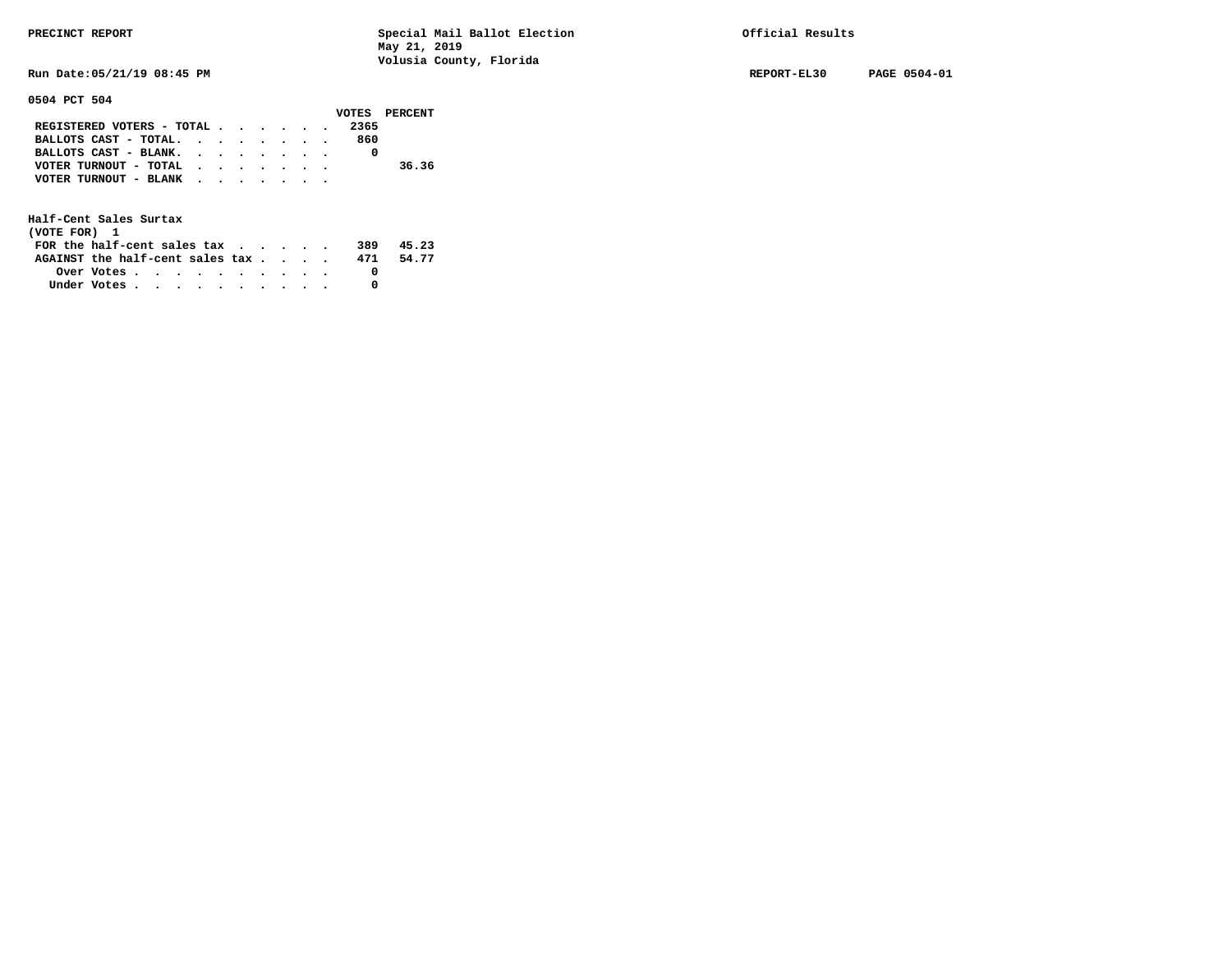**Run Date:05/21/19 08:45 PM REPORT-EL30 PAGE 0504-01** 

## **0504 PCT 504**

|                           |  |  |  |      | VOTES PERCENT |
|---------------------------|--|--|--|------|---------------|
| REGISTERED VOTERS - TOTAL |  |  |  | 2365 |               |
| BALLOTS CAST - TOTAL.     |  |  |  | 860  |               |
| BALLOTS CAST - BLANK.     |  |  |  |      |               |
| VOTER TURNOUT - TOTAL     |  |  |  |      | 36.36         |
| VOTER TURNOUT - BLANK     |  |  |  |      |               |
|                           |  |  |  |      |               |

| (VOTE FOR) 1                           |                                                         |  |  |  |  |     |       |
|----------------------------------------|---------------------------------------------------------|--|--|--|--|-----|-------|
| FOR the half-cent sales $\mathbf{tax}$ |                                                         |  |  |  |  | 389 | 45.23 |
| AGAINST the half-cent sales tax        |                                                         |  |  |  |  | 471 | 54.77 |
|                                        | Over Votes $\cdots$ $\cdots$ $\cdots$ $\cdots$ $\cdots$ |  |  |  |  |     |       |
| Under Votes                            |                                                         |  |  |  |  |     |       |
|                                        |                                                         |  |  |  |  |     |       |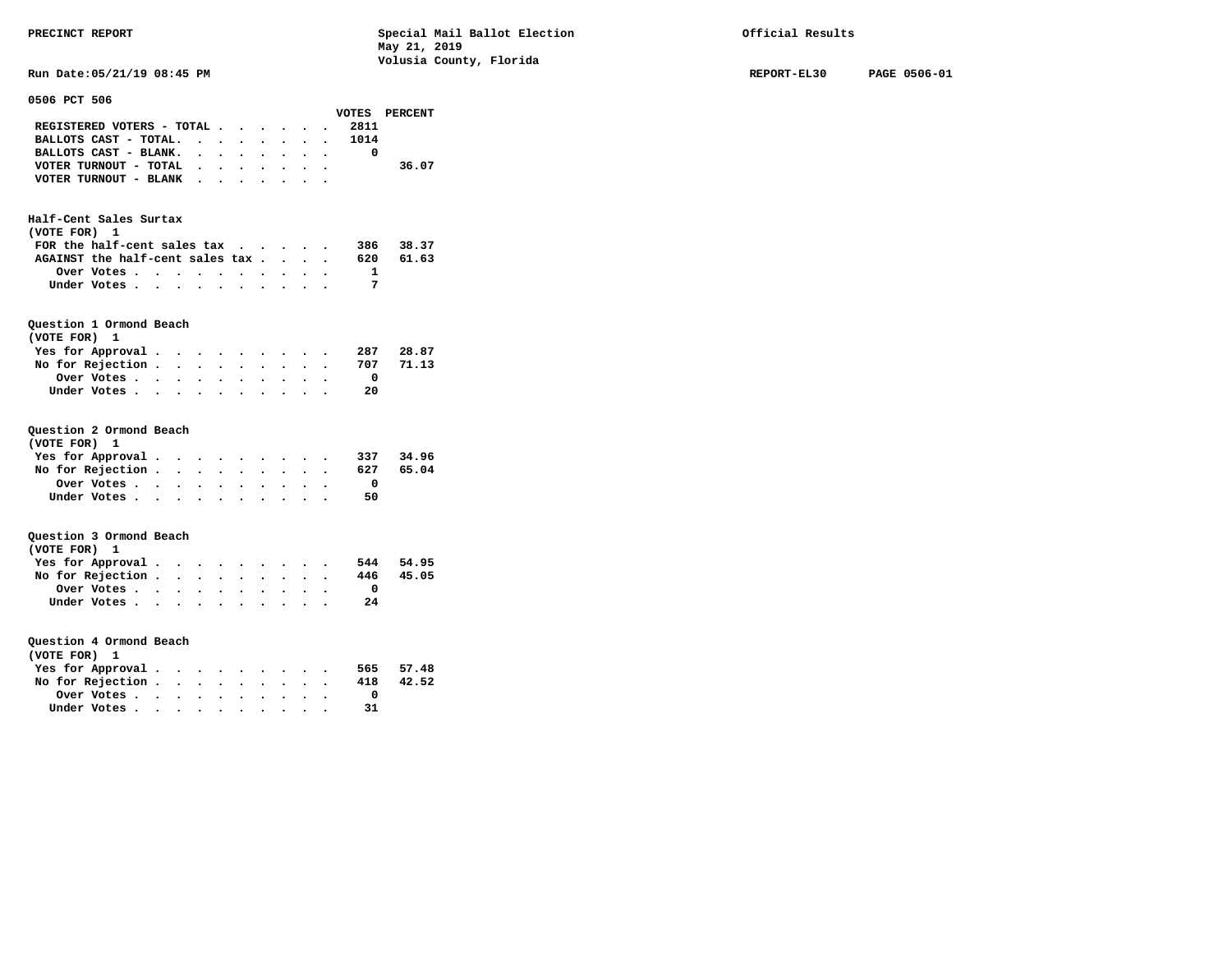|                                                                                               |                                    |               | vorusia county, rioriua |             |              |
|-----------------------------------------------------------------------------------------------|------------------------------------|---------------|-------------------------|-------------|--------------|
| Run Date: 05/21/19 08:45 PM                                                                   |                                    |               |                         | REPORT-EL30 | PAGE 0506-01 |
| 0506 PCT 506                                                                                  |                                    |               |                         |             |              |
|                                                                                               |                                    | VOTES PERCENT |                         |             |              |
| REGISTERED VOTERS - TOTAL                                                                     |                                    | 2811          |                         |             |              |
| BALLOTS CAST - TOTAL.<br>$\ddot{\phantom{0}}$                                                 | $\sim$                             | 1014          |                         |             |              |
| BALLOTS CAST - BLANK.<br>$\sim$ $\sim$<br>$\cdot$ $\cdot$                                     | $\cdot$ $\cdot$ $\cdot$ $\cdot$    | $\mathbf 0$   |                         |             |              |
| VOTER TURNOUT - TOTAL<br>$\cdot$ $\cdot$ $\cdot$ $\cdot$ $\cdot$                              |                                    |               | 36.07                   |             |              |
| VOTER TURNOUT - BLANK<br>$\cdot$ $\cdot$ $\cdot$ $\cdot$ $\cdot$                              | $\sim$<br>$\overline{\phantom{a}}$ |               |                         |             |              |
|                                                                                               |                                    |               |                         |             |              |
| Half-Cent Sales Surtax                                                                        |                                    |               |                         |             |              |
| (VOTE FOR) 1                                                                                  |                                    |               |                         |             |              |
| FOR the half-cent sales $\alpha$                                                              |                                    | 386           | 38.37                   |             |              |
| AGAINST the half-cent sales tax                                                               |                                    | 620           | 61.63                   |             |              |
| Over Votes                                                                                    |                                    | 1             |                         |             |              |
| Under Votes                                                                                   |                                    | 7             |                         |             |              |
|                                                                                               |                                    |               |                         |             |              |
| Question 1 Ormond Beach                                                                       |                                    |               |                         |             |              |
| (VOTE FOR) 1                                                                                  |                                    |               |                         |             |              |
| Yes for Approval.                                                                             |                                    | 287           | 28.87                   |             |              |
| No for Rejection.<br>$\cdots$                                                                 | $\ddot{\phantom{a}}$               | 707           | 71.13                   |             |              |
| Over Votes                                                                                    |                                    | 0             |                         |             |              |
| Under Votes                                                                                   |                                    | 20            |                         |             |              |
|                                                                                               |                                    |               |                         |             |              |
| Question 2 Ormond Beach                                                                       |                                    |               |                         |             |              |
| (VOTE FOR) 1                                                                                  |                                    |               |                         |             |              |
| Yes for Approval.                                                                             |                                    | 337           | 34.96                   |             |              |
| No for Rejection.<br>$\mathbf{r}$ , $\mathbf{r}$ , $\mathbf{r}$ , $\mathbf{r}$ , $\mathbf{r}$ |                                    | 627           | 65.04                   |             |              |
| Over Votes                                                                                    |                                    | 0             |                         |             |              |
| Under Votes                                                                                   |                                    | 50            |                         |             |              |
|                                                                                               |                                    |               |                         |             |              |
| Question 3 Ormond Beach                                                                       |                                    |               |                         |             |              |
| (VOTE FOR) 1                                                                                  |                                    |               |                         |             |              |
| Yes for Approval.                                                                             |                                    | 544           | 54.95                   |             |              |
| No for Rejection.                                                                             |                                    | 446           | 45.05                   |             |              |
| Over Votes                                                                                    |                                    | 0             |                         |             |              |
| Under Votes                                                                                   |                                    | 24            |                         |             |              |
|                                                                                               |                                    |               |                         |             |              |
| Question 4 Ormond Beach                                                                       |                                    |               |                         |             |              |
| (VOTE FOR) 1                                                                                  |                                    |               |                         |             |              |
| Yes for Approval.                                                                             |                                    | 565           | 57.48                   |             |              |
| No for Rejection.<br>$\cdots$                                                                 |                                    | 418           | 42.52                   |             |              |
| Over Votes.<br>$\cdots$                                                                       |                                    | 0             |                         |             |              |
| Under Votes                                                                                   |                                    | 31            |                         |             |              |
|                                                                                               |                                    |               |                         |             |              |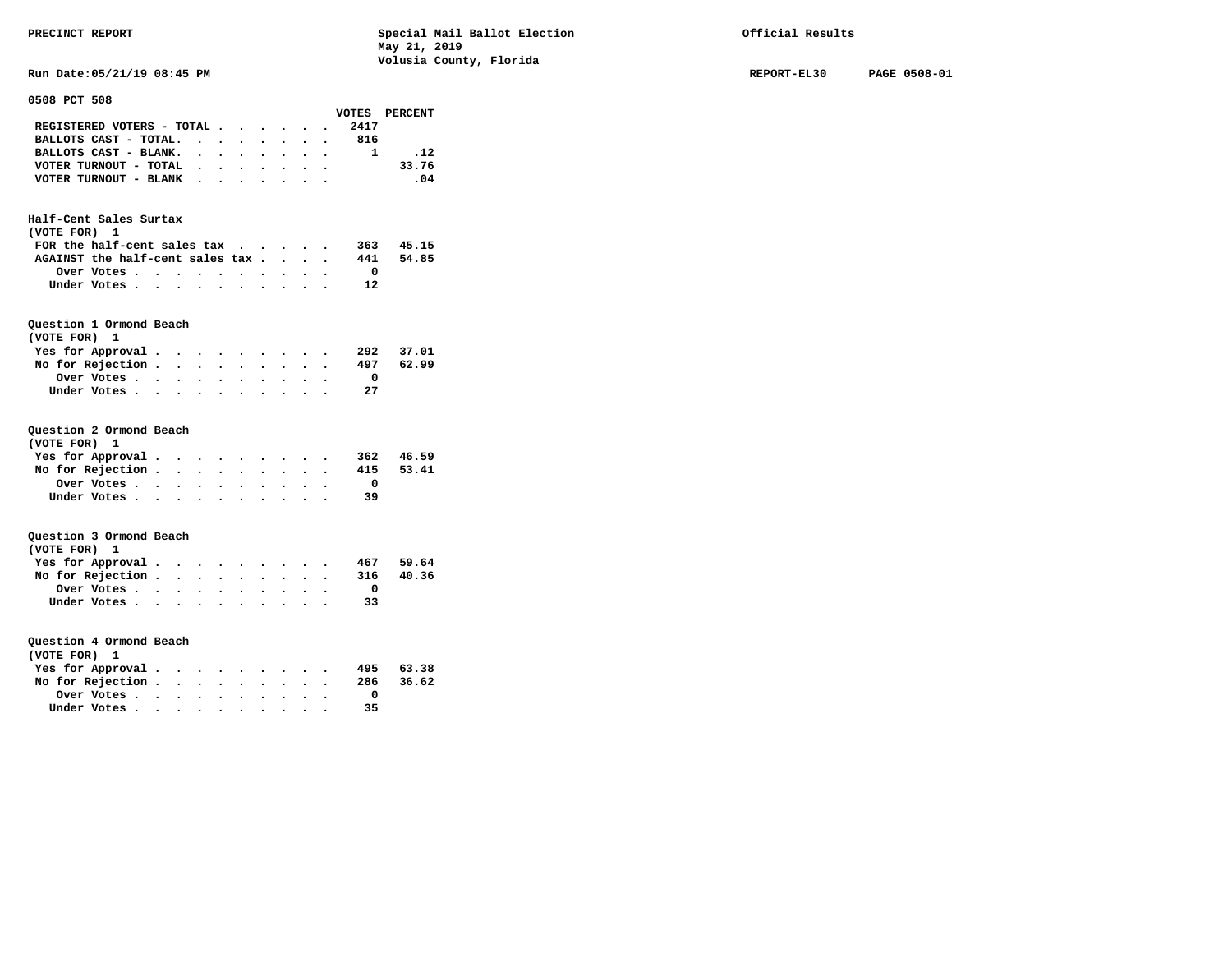**Run Date:05/21/19 08:45 PM REPORT-EL30 PAGE 0508-01** 

| 0508 PCT 508                     |                      |                                   |                      |                      |                                 |                      |                      |                      |           |                         |               |
|----------------------------------|----------------------|-----------------------------------|----------------------|----------------------|---------------------------------|----------------------|----------------------|----------------------|-----------|-------------------------|---------------|
|                                  |                      |                                   |                      |                      |                                 |                      |                      |                      |           |                         | VOTES PERCENT |
| REGISTERED VOTERS - TOTAL        |                      |                                   |                      |                      |                                 |                      |                      |                      |           | 2417                    |               |
| BALLOTS CAST - TOTAL.            |                      |                                   |                      |                      | $\cdot$ $\cdot$ $\cdot$ $\cdot$ | $\bullet$ .          | $\ddot{\phantom{0}}$ | $\bullet$            | $\bullet$ | 816                     |               |
| BALLOTS CAST - BLANK.            |                      |                                   | $\ddot{\phantom{0}}$ | $\ddot{\phantom{0}}$ | $\ddot{\phantom{0}}$            |                      | $\ddot{\phantom{0}}$ |                      |           | $\mathbf{1}$            | .12           |
| VOTER TURNOUT - TOTAL            |                      |                                   | $\bullet$            | $\ddot{\phantom{0}}$ | $\bullet$                       |                      | $\bullet$            |                      | $\bullet$ |                         | 33.76         |
| VOTER TURNOUT - BLANK            |                      |                                   | $\ddot{\phantom{0}}$ |                      |                                 |                      |                      |                      |           |                         | .04           |
|                                  |                      |                                   |                      |                      |                                 |                      |                      |                      |           |                         |               |
| Half-Cent Sales Surtax           |                      |                                   |                      |                      |                                 |                      |                      |                      |           |                         |               |
| (VOTE FOR) 1                     |                      |                                   |                      |                      |                                 |                      |                      |                      |           |                         |               |
| FOR the half-cent sales tax      |                      |                                   |                      |                      |                                 |                      |                      | $\ddot{\phantom{0}}$ | $\bullet$ | 363                     | 45.15         |
| AGAINST the half-cent sales tax. |                      |                                   |                      |                      |                                 |                      | $\ddot{\phantom{0}}$ | $\bullet$            |           | 441                     | 54.85         |
| Over Votes.                      | $\ddot{\phantom{0}}$ | $\ddot{\phantom{0}}$              | $\bullet$            |                      |                                 |                      |                      |                      |           | $\mathbf{O}$            |               |
| Under Votes                      |                      |                                   | $\ddot{\phantom{a}}$ | $\bullet$            |                                 |                      |                      |                      |           | 12                      |               |
|                                  |                      |                                   |                      |                      |                                 |                      |                      |                      |           |                         |               |
|                                  |                      |                                   |                      |                      |                                 |                      |                      |                      |           |                         |               |
| Question 1 Ormond Beach          |                      |                                   |                      |                      |                                 |                      |                      |                      |           |                         |               |
| (VOTE FOR) 1                     |                      |                                   |                      |                      |                                 |                      |                      |                      |           |                         |               |
| Yes for Approval.                |                      | $\cdot$ $\cdot$                   |                      |                      |                                 |                      |                      |                      |           | 292                     | 37.01         |
| No for Rejection .               |                      | $\ddot{\phantom{0}}$              | $\ddot{\phantom{0}}$ |                      | $\bullet$                       | $\ddot{\phantom{0}}$ | $\ddot{\phantom{a}}$ |                      |           | 497                     | 62.99         |
| Over Votes                       |                      | $\ddot{\phantom{0}}$              | $\ddot{\phantom{0}}$ |                      |                                 |                      |                      |                      |           | $\overline{\mathbf{0}}$ |               |
| Under Votes                      |                      |                                   |                      |                      |                                 |                      |                      |                      |           | 27                      |               |
|                                  |                      |                                   |                      |                      |                                 |                      |                      |                      |           |                         |               |
|                                  |                      |                                   |                      |                      |                                 |                      |                      |                      |           |                         |               |
| Question 2 Ormond Beach          |                      |                                   |                      |                      |                                 |                      |                      |                      |           |                         |               |
| (VOTE FOR)<br>1                  |                      |                                   |                      |                      |                                 |                      |                      |                      |           |                         |               |
| Yes for Approval.                |                      | $\bullet$                         | $\bullet$            |                      |                                 |                      |                      |                      |           |                         | 362 46.59     |
| No for Rejection .               |                      | $\ddot{\phantom{0}}$              | $\ddot{\phantom{a}}$ |                      | $\ddot{\phantom{a}}$            | $\sim$               |                      |                      |           | 415                     | 53.41         |
| Over Votes                       |                      | $\bullet$ .                       | $\bullet$ .          |                      |                                 |                      |                      |                      |           | $\overline{\mathbf{0}}$ |               |
| Under Votes                      |                      |                                   | $\ddot{\phantom{a}}$ | $\overline{a}$       |                                 |                      |                      |                      |           | -39                     |               |
|                                  |                      |                                   |                      |                      |                                 |                      |                      |                      |           |                         |               |
|                                  |                      |                                   |                      |                      |                                 |                      |                      |                      |           |                         |               |
| Question 3 Ormond Beach          |                      |                                   |                      |                      |                                 |                      |                      |                      |           |                         |               |
| (VOTE FOR) 1                     |                      |                                   |                      |                      |                                 |                      |                      |                      |           |                         |               |
| Yes for Approval.                |                      | $\cdot$ .                         |                      | $\bullet$            |                                 | $\bullet$            |                      |                      |           | 467                     | 59.64         |
| No for Rejection .               |                      | $\bullet$ .                       | $\ddot{\phantom{0}}$ | $\bullet$            | $\bullet$                       |                      |                      |                      |           | 316                     | 40.36         |
| Over Votes                       |                      | $\bullet$                         | $\ddot{\phantom{a}}$ |                      |                                 |                      |                      |                      |           | $\overline{\mathbf{0}}$ |               |
| Under Votes                      |                      |                                   |                      |                      |                                 |                      |                      |                      |           | 33                      |               |
|                                  |                      |                                   |                      | $\bullet$            |                                 | $\bullet$            |                      |                      |           |                         |               |
|                                  |                      |                                   |                      |                      |                                 |                      |                      |                      |           |                         |               |
| Question 4 Ormond Beach          |                      |                                   |                      |                      |                                 |                      |                      |                      |           |                         |               |
| (VOTE FOR) 1                     |                      |                                   |                      |                      |                                 |                      |                      |                      |           |                         |               |
| Yes for Approval.                |                      |                                   |                      |                      |                                 |                      |                      |                      |           | 495                     | 63.38         |
| No for Rejection.                |                      | $\bullet$<br>$\ddot{\phantom{0}}$ | $\ddot{\phantom{a}}$ |                      |                                 |                      |                      |                      |           | 286                     | 36.62         |
|                                  |                      |                                   |                      |                      |                                 |                      |                      |                      |           | $\mathbf{0}$            |               |
| Over Votes                       |                      | $\bullet$ .                       | $\ddot{\phantom{0}}$ | $\bullet$            | $\bullet$                       | $\bullet$            |                      |                      |           |                         |               |
| Under Votes.                     | $\sim$               | $\ddot{\phantom{0}}$              |                      |                      | $\ddot{\phantom{a}}$            |                      |                      |                      |           | 35                      |               |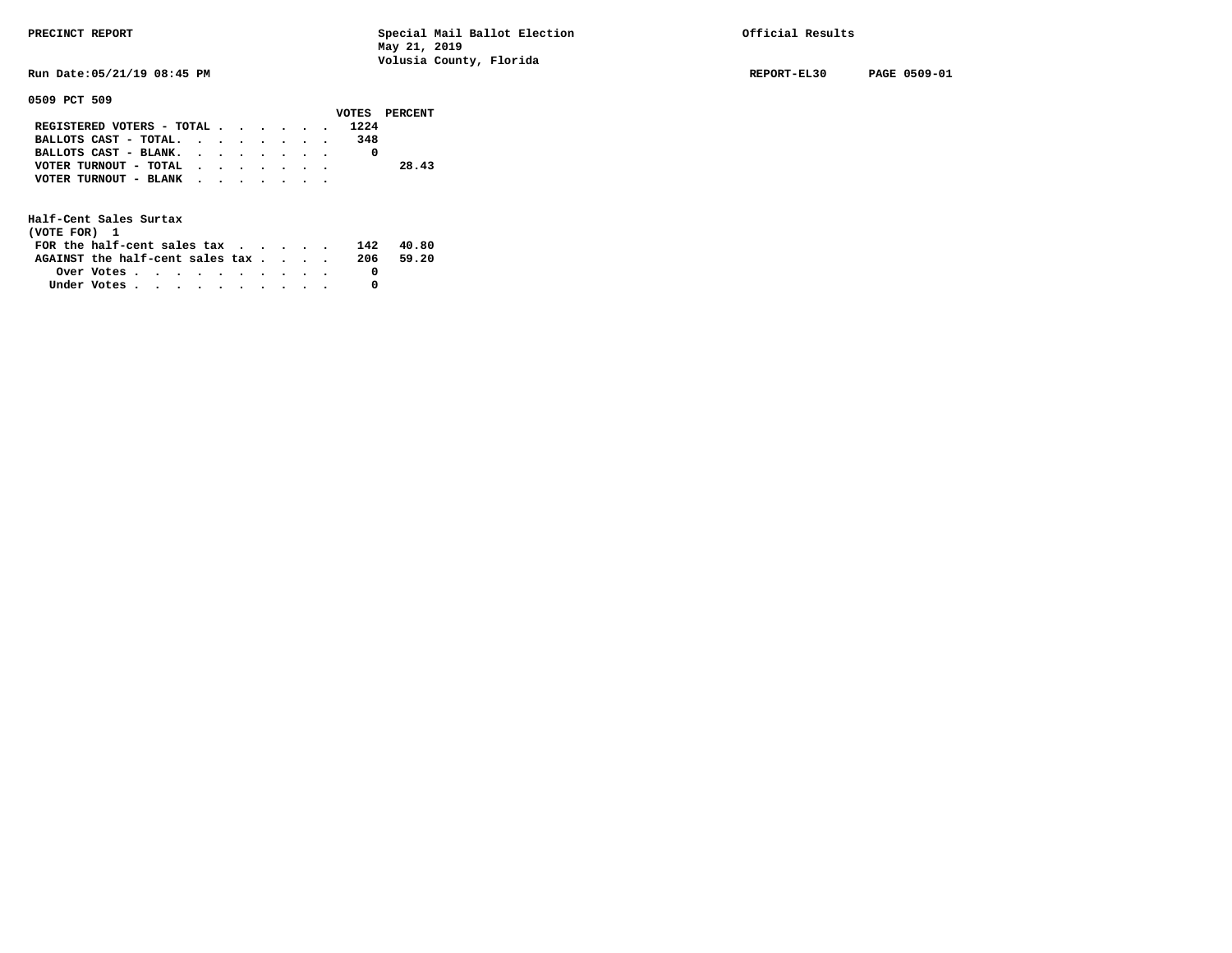**Run Date:05/21/19 08:45 PM REPORT-EL30 PAGE 0509-01** 

### **0509 PCT 509**

|                                |  |  |     | VOTES PERCENT |
|--------------------------------|--|--|-----|---------------|
| REGISTERED VOTERS - TOTAL 1224 |  |  |     |               |
| BALLOTS CAST - TOTAL.          |  |  | 348 |               |
| BALLOTS CAST - BLANK.          |  |  |     |               |
| VOTER TURNOUT - TOTAL          |  |  |     | 28.43         |
| VOTER TURNOUT - BLANK          |  |  |     |               |
|                                |  |  |     |               |

| (VOTE FOR) 1                                                |            |  |  |  |  |      |       |
|-------------------------------------------------------------|------------|--|--|--|--|------|-------|
| FOR the half-cent sales tax $\cdot$ $\cdot$ $\cdot$ $\cdot$ |            |  |  |  |  | 142  | 40.80 |
| AGAINST the half-cent sales tax                             |            |  |  |  |  | -206 | 59.20 |
|                                                             | Over Votes |  |  |  |  |      |       |
| Under Votes                                                 |            |  |  |  |  |      |       |
|                                                             |            |  |  |  |  |      |       |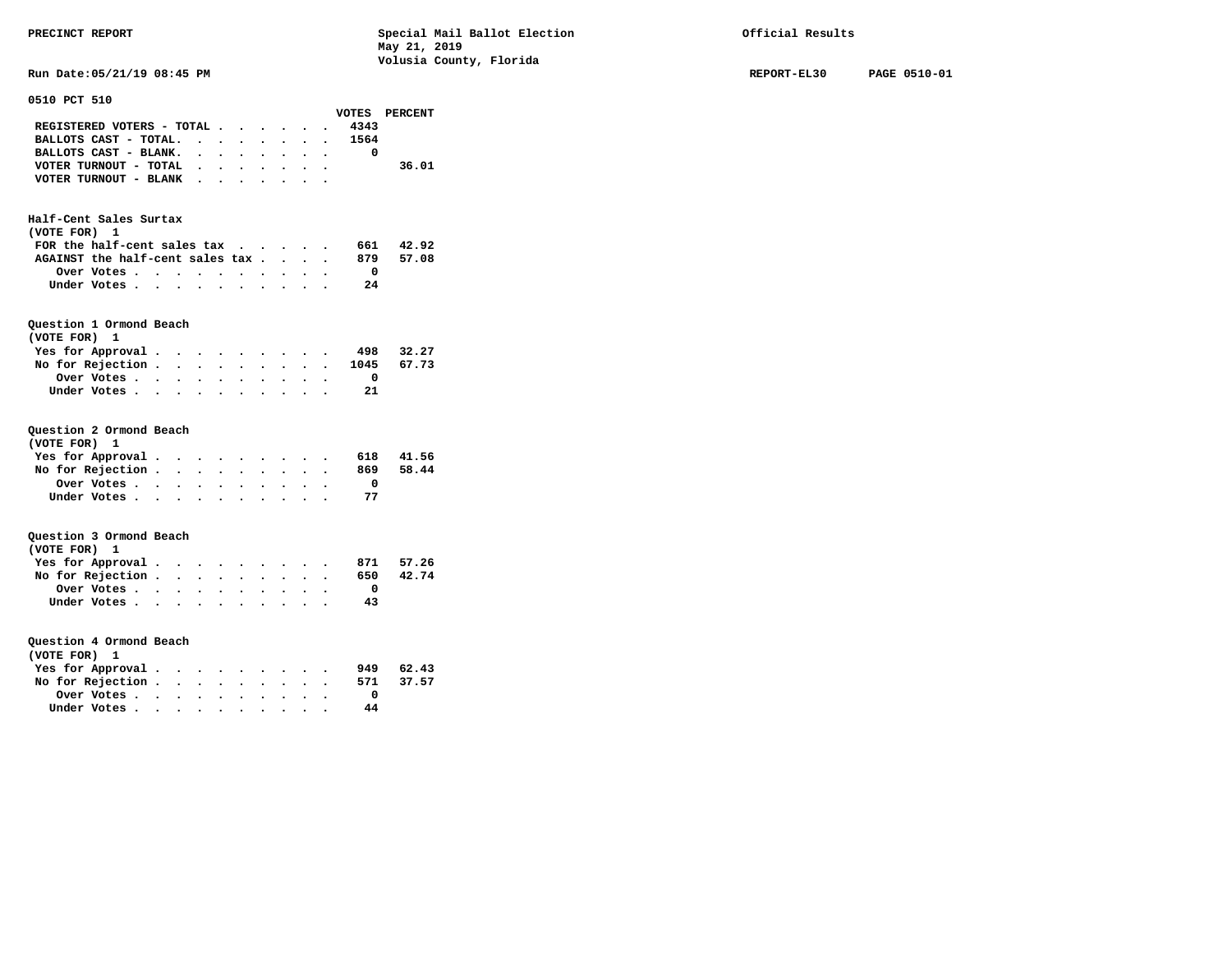**Run Date:05/21/19 08:45 PM REPORT-EL30 PAGE 0510-01** 

| 0510 PCT 510                     |                      |                                                                        |                      |                                                        |                      |                      |             |                      |                         |               |
|----------------------------------|----------------------|------------------------------------------------------------------------|----------------------|--------------------------------------------------------|----------------------|----------------------|-------------|----------------------|-------------------------|---------------|
|                                  |                      |                                                                        |                      |                                                        |                      |                      |             |                      |                         | VOTES PERCENT |
| REGISTERED VOTERS - TOTAL        |                      |                                                                        |                      |                                                        |                      |                      |             |                      | 4343                    |               |
| BALLOTS CAST - TOTAL.            |                      |                                                                        |                      |                                                        | $\ddot{\phantom{0}}$ | $\ddot{\phantom{0}}$ | $\bullet$   | $\ddot{\phantom{0}}$ | 1564                    |               |
| BALLOTS CAST - BLANK.            |                      | $\sim$                                                                 | $\ddot{\phantom{0}}$ |                                                        |                      |                      |             |                      | $\overline{\mathbf{0}}$ |               |
| VOTER TURNOUT - TOTAL .          |                      |                                                                        | $\bullet$ .          | $\ddot{\phantom{a}}$                                   | $\bullet$            |                      |             |                      |                         | 36.01         |
| VOTER TURNOUT - BLANK            |                      |                                                                        |                      |                                                        |                      |                      |             |                      |                         |               |
|                                  |                      |                                                                        |                      |                                                        |                      |                      |             |                      |                         |               |
| Half-Cent Sales Surtax           |                      |                                                                        |                      |                                                        |                      |                      |             |                      |                         |               |
| (VOTE FOR)<br>1                  |                      |                                                                        |                      |                                                        |                      |                      |             |                      |                         |               |
| FOR the half-cent sales tax      |                      |                                                                        |                      |                                                        |                      | $\bullet$            | $\bullet$ . |                      |                         | 661 42.92     |
| AGAINST the half-cent sales tax. |                      |                                                                        |                      |                                                        |                      | $\ddot{\phantom{0}}$ | $\bullet$   |                      | 879                     | 57.08         |
| Over Votes                       | $\ddot{\phantom{0}}$ | $\ddot{\phantom{0}}$                                                   | $\ddot{\phantom{a}}$ | $\ddot{\phantom{0}}$                                   |                      |                      |             |                      | $\overline{\mathbf{0}}$ |               |
| Under Votes                      |                      |                                                                        | $\ddot{\phantom{0}}$ | $\ddot{\phantom{a}}$                                   | $\bullet$            | $\ddot{\phantom{0}}$ | $\bullet$   |                      | - 24                    |               |
|                                  |                      |                                                                        |                      |                                                        |                      |                      |             |                      |                         |               |
| Question 1 Ormond Beach          |                      |                                                                        |                      |                                                        |                      |                      |             |                      |                         |               |
| (VOTE FOR)<br>1                  |                      |                                                                        |                      |                                                        |                      |                      |             |                      |                         |               |
| Yes for Approval.                |                      | $\bullet$                                                              | $\bullet$            |                                                        |                      |                      |             |                      | 498                     | 32.27         |
| No for Rejection .               |                      | $\ddot{\phantom{0}}$                                                   | $\ddot{\phantom{0}}$ | $\ddot{\phantom{0}}$                                   | $\ddot{\phantom{0}}$ | $\ddot{\phantom{0}}$ |             |                      | $\ddot{\phantom{0}}$    | 1045 67.73    |
| Over Votes                       |                      | $\bullet$ $\bullet$ $\bullet$                                          | $\bullet$ .          | $\ddot{\phantom{0}}$                                   | $\bullet$ .          |                      |             |                      | $\overline{\mathbf{0}}$ |               |
| Under Votes                      |                      |                                                                        | $\ddot{\phantom{0}}$ |                                                        |                      |                      |             |                      | 21                      |               |
|                                  |                      |                                                                        |                      |                                                        |                      |                      |             |                      |                         |               |
| Question 2 Ormond Beach          |                      |                                                                        |                      |                                                        |                      |                      |             |                      |                         |               |
| (VOTE FOR) 1                     |                      |                                                                        |                      |                                                        |                      |                      |             |                      |                         |               |
| Yes for Approval.                |                      | $\bullet$ , $\bullet$ , $\bullet$                                      |                      | $\bullet \qquad \bullet \qquad \bullet \qquad \bullet$ |                      |                      |             | $\ddot{\phantom{0}}$ | 618                     | 41.56         |
| No for Rejection .               | $\ddot{\phantom{0}}$ | $\ddot{\phantom{0}}$                                                   | $\ddot{\phantom{0}}$ |                                                        |                      |                      |             |                      | 869                     | 58.44         |
| Over Votes                       |                      | $\bullet$ $\bullet$ $\bullet$                                          | $\bullet$ .          | $\bullet$                                              | $\bullet$            |                      |             |                      | $\overline{\mathbf{0}}$ |               |
| Under Votes                      |                      |                                                                        |                      |                                                        |                      |                      |             |                      | 77                      |               |
|                                  |                      |                                                                        |                      |                                                        |                      |                      |             |                      |                         |               |
| Question 3 Ormond Beach          |                      |                                                                        |                      |                                                        |                      |                      |             |                      |                         |               |
| (VOTE FOR)<br>1                  |                      |                                                                        |                      |                                                        |                      |                      |             |                      |                         |               |
| Yes for Approval.                |                      | $\bullet$ $\bullet$ $\bullet$                                          | $\bullet$            |                                                        |                      |                      |             |                      |                         | 871 57.26     |
| No for Rejection .               |                      | $\bullet$ . $\bullet$ .                                                | $\bullet$            |                                                        | $\bullet$            |                      |             |                      | 650                     | 42.74         |
| Over Votes                       | $\ddot{\phantom{0}}$ | $\ddot{\phantom{0}}$                                                   |                      |                                                        |                      |                      |             |                      | $\overline{\mathbf{0}}$ |               |
| Under Votes                      |                      |                                                                        | $\bullet$            |                                                        |                      |                      |             |                      | 43                      |               |
|                                  |                      |                                                                        |                      |                                                        |                      |                      |             |                      |                         |               |
| Question 4 Ormond Beach          |                      |                                                                        |                      |                                                        |                      |                      |             |                      |                         |               |
| (VOTE FOR)<br>1                  |                      |                                                                        |                      |                                                        |                      |                      |             |                      |                         |               |
| Yes for Approval.                | $\bullet$            |                                                                        |                      |                                                        |                      |                      |             |                      |                         | 949 62.43     |
| No for Rejection .               |                      | $\bullet$ .<br><br><br>$\bullet$ .<br><br><br><br><br><br><br><br><br> | $\ddot{\phantom{0}}$ | $\ddot{\phantom{0}}$                                   | $\ddot{\phantom{0}}$ | $\ddot{\phantom{0}}$ |             |                      | 571                     | 37.57         |
| Over Votes                       | $\bullet$ .          | $\bullet$ .                                                            | $\bullet$ .          | $\bullet$                                              | $\bullet$            |                      |             |                      | 0                       |               |
| Under Votes                      | $\ddot{\phantom{0}}$ | $\ddot{\phantom{0}}$                                                   | $\ddot{\phantom{a}}$ | $\ddot{\phantom{0}}$                                   | $\ddot{\phantom{0}}$ |                      |             |                      | 44                      |               |
|                                  |                      |                                                                        |                      |                                                        |                      |                      |             |                      |                         |               |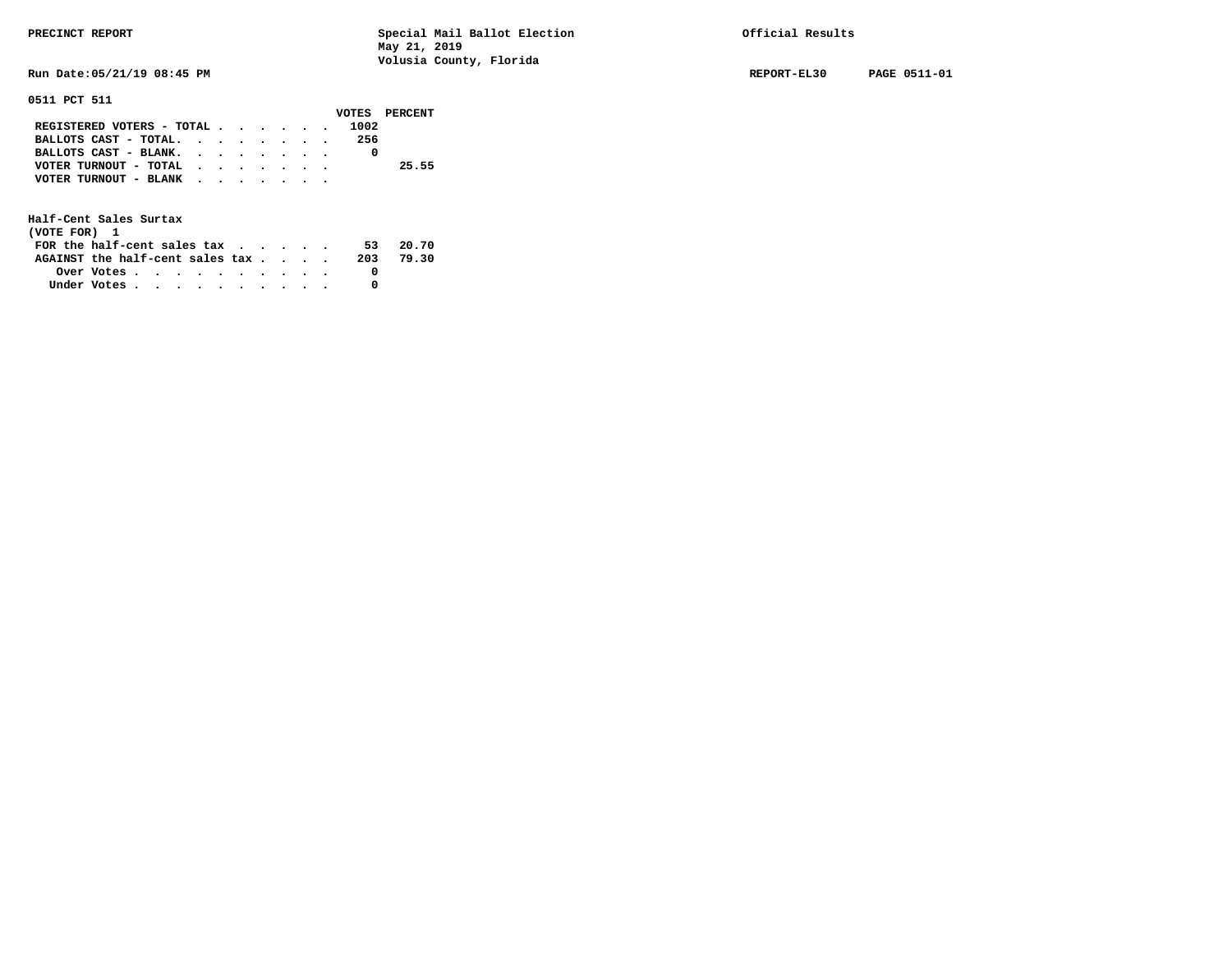**Run Date:05/21/19 08:45 PM REPORT-EL30 PAGE 0511-01** 

**0511 PCT 511** 

|                                           |  |  |  |      | VOTES PERCENT |
|-------------------------------------------|--|--|--|------|---------------|
| REGISTERED VOTERS - TOTAL                 |  |  |  | 1002 |               |
| BALLOTS CAST - TOTAL. $\cdot$             |  |  |  | 256  |               |
| BALLOTS CAST - BLANK.                     |  |  |  |      |               |
| VOTER TURNOUT - TOTAL $\cdot$ , , , , , , |  |  |  |      | 25.55         |
| VOTER TURNOUT - BLANK                     |  |  |  |      |               |
|                                           |  |  |  |      |               |

| (VOTE FOR) 1                                            |  |  |  |  |  |     |       |
|---------------------------------------------------------|--|--|--|--|--|-----|-------|
| FOR the half-cent sales $\mathsf{tax}$                  |  |  |  |  |  | 53. | 20.70 |
| AGAINST the half-cent sales tax                         |  |  |  |  |  | 203 | 79.30 |
| Over Votes $\cdots$ $\cdots$ $\cdots$ $\cdots$ $\cdots$ |  |  |  |  |  |     |       |
| Under Votes                                             |  |  |  |  |  |     |       |
|                                                         |  |  |  |  |  |     |       |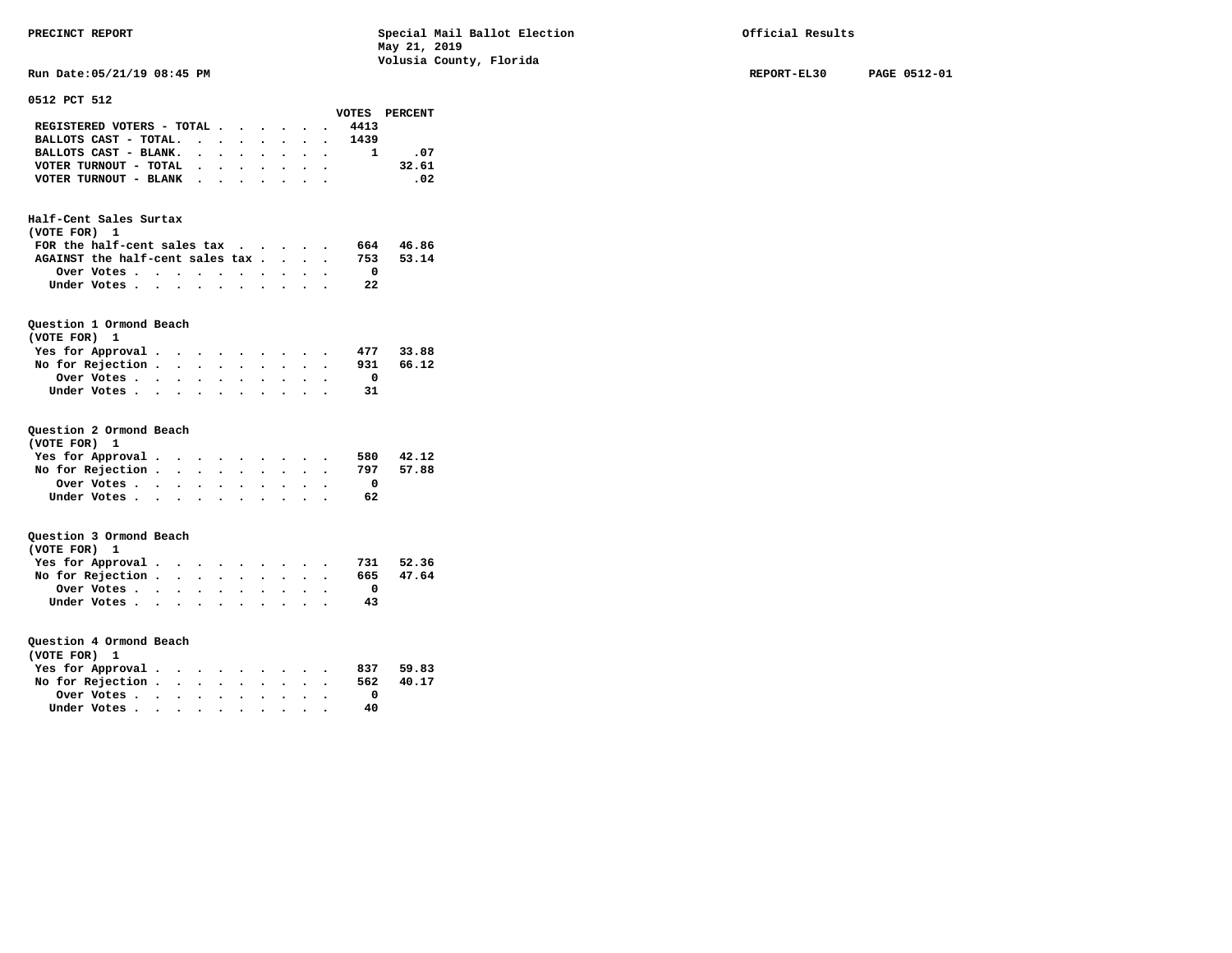**Run Date:05/21/19 08:45 PM REPORT-EL30 PAGE 0512-01** 

| 0512 PCT 512                                          |                      |                         |                      |                      |           |                      |           |                                          |               |
|-------------------------------------------------------|----------------------|-------------------------|----------------------|----------------------|-----------|----------------------|-----------|------------------------------------------|---------------|
|                                                       |                      |                         |                      |                      |           |                      |           |                                          | VOTES PERCENT |
| REGISTERED VOTERS - TOTAL                             |                      |                         |                      |                      | $\bullet$ |                      |           | 4413                                     |               |
| BALLOTS CAST - TOTAL.                                 |                      | $\bullet$               | $\ddot{\phantom{0}}$ | $\bullet$            | $\bullet$ | $\bullet$            | $\bullet$ | 1439<br>$\bullet$ . The set of $\bullet$ |               |
| BALLOTS CAST - BLANK.                                 |                      | $\ddot{\phantom{0}}$    | $\ddot{\phantom{0}}$ |                      |           |                      |           | 1                                        | .07           |
| VOTER TURNOUT - TOTAL .                               |                      |                         | $\ddot{\phantom{0}}$ | $\bullet$            | $\bullet$ | $\bullet$            | $\bullet$ | $\bullet$                                | 32.61         |
| VOTER TURNOUT - BLANK                                 |                      | $\bullet$               |                      | $\bullet$            |           |                      |           |                                          | .02           |
|                                                       |                      |                         |                      |                      |           |                      |           |                                          |               |
| Half-Cent Sales Surtax<br>(VOTE FOR) 1                |                      |                         |                      |                      |           |                      |           |                                          |               |
| FOR the half-cent sales tax                           |                      |                         |                      |                      |           |                      |           |                                          | 664 46.86     |
| AGAINST the half-cent sales tax.                      |                      |                         |                      |                      |           | $\ddot{\phantom{0}}$ | $\bullet$ | 753<br>$\bullet$                         | 53.14         |
| Over Votes                                            | $\cdot$              | $\cdot$                 |                      |                      |           |                      |           | $\Omega$                                 |               |
| Under Votes                                           |                      |                         | $\bullet$            | $\ddot{\phantom{0}}$ | $\bullet$ | $\bullet$            |           | 22                                       |               |
|                                                       |                      |                         |                      |                      |           |                      |           |                                          |               |
| Question 1 Ormond Beach<br>(VOTE FOR)<br>$\mathbf{1}$ |                      |                         |                      |                      |           |                      |           |                                          |               |
| Yes for Approval.                                     | $\bullet$            | $\bullet$               |                      |                      |           |                      |           | 477                                      | 33.88         |
| No for Rejection                                      |                      | $\ddot{\phantom{0}}$    | $\ddot{\phantom{0}}$ |                      |           |                      |           |                                          | $931$ 66.12   |
| Over Votes                                            | $\bullet$            | $\bullet$               | $\ddot{\phantom{0}}$ | $\ddot{\phantom{0}}$ |           |                      |           | $\Omega$                                 |               |
| Under Votes                                           | $\sim$               | $\ddot{\phantom{a}}$    |                      |                      |           |                      |           | 31                                       |               |
|                                                       |                      |                         |                      |                      |           |                      |           |                                          |               |
| Question 2 Ormond Beach<br>(VOTE FOR)<br>$\mathbf{1}$ |                      |                         |                      |                      |           |                      |           |                                          |               |
| Yes for Approval .                                    |                      | $\cdot$ $\cdot$ $\cdot$ | $\bullet$            |                      |           |                      |           |                                          | 580 42.12     |
| No for Rejection .                                    | $\bullet$            | $\ddot{\phantom{0}}$    | $\ddot{\phantom{0}}$ | $\bullet$            |           |                      |           | 797                                      | 57.88         |
| Over Votes                                            | $\ddot{\phantom{a}}$ | $\ddot{\phantom{0}}$    | $\cdot$              | $\ddot{\phantom{0}}$ |           |                      |           | $\mathbf{0}$                             |               |
| Under Votes                                           |                      |                         | $\ddot{\phantom{0}}$ | $\ddot{\phantom{0}}$ | $\bullet$ |                      |           | 62                                       |               |
|                                                       |                      |                         |                      |                      |           |                      |           |                                          |               |
| Question 3 Ormond Beach<br>(VOTE FOR)<br>1            |                      |                         |                      |                      |           |                      |           |                                          |               |
| Yes for Approval.                                     | $\bullet$            | $\bullet$ .             |                      |                      |           |                      |           | 731                                      | 52.36         |
| No for Rejection                                      |                      |                         | $\ddot{\phantom{0}}$ | $\ddot{\phantom{0}}$ | $\bullet$ |                      |           | 665                                      | 47.64         |
| Over Votes                                            | $\bullet$            | $\bullet$               | $\bullet$            |                      |           |                      |           | $\mathbf{0}$                             |               |
| Under Votes                                           | $\ddot{\phantom{0}}$ | $\ddot{\phantom{a}}$    |                      |                      |           |                      |           | 43                                       |               |
|                                                       |                      |                         |                      |                      |           |                      |           |                                          |               |
| Question 4 Ormond Beach<br>(VOTE FOR) 1               |                      |                         |                      |                      |           |                      |           |                                          |               |
| Yes for Approval.                                     | $\bullet$            | $\bullet$               |                      |                      |           |                      |           | 837                                      | 59.83         |
| No for Rejection.                                     | $\ddot{\phantom{0}}$ | $\ddot{\phantom{0}}$    | $\ddot{\phantom{0}}$ |                      |           |                      |           | 562                                      | 40.17         |
| Over Votes                                            | $\bullet$            | $\bullet$               | $\ddot{\phantom{0}}$ | $\ddot{\phantom{0}}$ | $\bullet$ |                      |           | $\mathbf{o}$                             |               |
| Under Votes                                           | $\ddot{\phantom{0}}$ |                         |                      |                      |           |                      |           | 40                                       |               |
|                                                       |                      |                         |                      |                      |           |                      |           |                                          |               |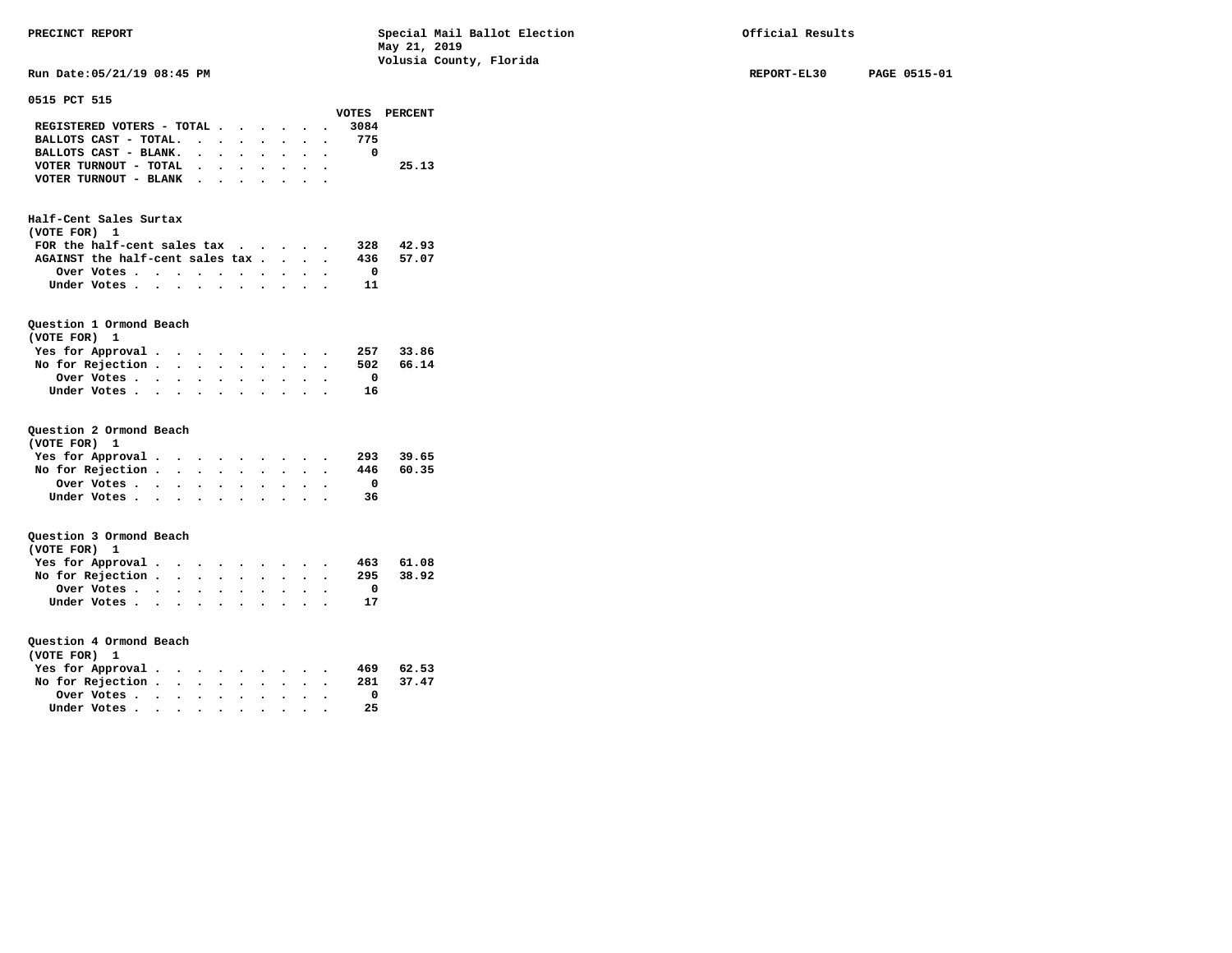**Run Date:05/21/19 08:45 PM REPORT-EL30 PAGE 0515-01** 

| 0515 PCT 515                     |                      |                                        |                      |                                                 |                      |                      |           |                      |                         |               |  |
|----------------------------------|----------------------|----------------------------------------|----------------------|-------------------------------------------------|----------------------|----------------------|-----------|----------------------|-------------------------|---------------|--|
|                                  |                      |                                        |                      |                                                 |                      |                      |           |                      |                         | VOTES PERCENT |  |
| REGISTERED VOTERS - TOTAL        |                      |                                        |                      |                                                 |                      |                      |           |                      | 3084                    |               |  |
| BALLOTS CAST - TOTAL.            |                      |                                        |                      |                                                 | $\bullet$ .          | $\ddot{\phantom{0}}$ | $\bullet$ | $\bullet$            | 775                     |               |  |
| BALLOTS CAST - BLANK. .          |                      |                                        |                      | $\ddotsc$                                       | $\bullet$ .          |                      |           |                      | $\overline{\mathbf{0}}$ |               |  |
| VOTER TURNOUT - TOTAL            |                      |                                        |                      | $\cdot$ $\cdot$ $\cdot$ $\cdot$ $\cdot$         |                      |                      |           | $\ddot{\phantom{0}}$ |                         | 25.13         |  |
| VOTER TURNOUT - BLANK            |                      |                                        |                      |                                                 |                      |                      |           |                      |                         |               |  |
|                                  |                      |                                        |                      |                                                 |                      |                      |           |                      |                         |               |  |
|                                  |                      |                                        |                      |                                                 |                      |                      |           |                      |                         |               |  |
| Half-Cent Sales Surtax           |                      |                                        |                      |                                                 |                      |                      |           |                      |                         |               |  |
| (VOTE FOR) 1                     |                      |                                        |                      |                                                 |                      |                      |           |                      |                         |               |  |
| FOR the half-cent sales tax      |                      |                                        |                      |                                                 |                      |                      |           |                      |                         | 328 42.93     |  |
| AGAINST the half-cent sales tax. |                      |                                        |                      |                                                 |                      | $\ddot{\phantom{0}}$ |           |                      |                         | 436 57.07     |  |
| Over Votes                       |                      | $\ddot{\phantom{0}}$                   |                      |                                                 |                      |                      |           |                      | $\overline{\mathbf{0}}$ |               |  |
| Under Votes                      |                      |                                        |                      |                                                 | $\sim$ $\sim$        |                      |           |                      | 11                      |               |  |
|                                  |                      |                                        |                      |                                                 |                      |                      |           |                      |                         |               |  |
|                                  |                      |                                        |                      |                                                 |                      |                      |           |                      |                         |               |  |
| Question 1 Ormond Beach          |                      |                                        |                      |                                                 |                      |                      |           |                      |                         |               |  |
| (VOTE FOR)<br>1                  |                      |                                        |                      |                                                 |                      |                      |           |                      |                         |               |  |
| Yes for Approval.                | $\ddot{\phantom{0}}$ | $\bullet$ .                            |                      | $\cdot$ $\cdot$ $\cdot$                         |                      |                      |           |                      |                         | 257 33.86     |  |
| No for Rejection .               |                      |                                        |                      | $\cdot$ $\cdot$ $\cdot$ $\cdot$ $\cdot$ $\cdot$ |                      |                      |           |                      |                         | 502 66.14     |  |
| Over Votes                       |                      |                                        |                      | $\cdot$ $\cdot$ $\cdot$ $\cdot$ $\cdot$         |                      |                      |           |                      | $\overline{\mathbf{0}}$ |               |  |
| Under Votes                      |                      | $\mathbf{r}$ . The set of $\mathbf{r}$ |                      |                                                 |                      |                      |           |                      | 16                      |               |  |
|                                  |                      |                                        |                      |                                                 |                      |                      |           |                      |                         |               |  |
|                                  |                      |                                        |                      |                                                 |                      |                      |           |                      |                         |               |  |
| Question 2 Ormond Beach          |                      |                                        |                      |                                                 |                      |                      |           |                      |                         |               |  |
| (VOTE FOR) 1                     |                      |                                        |                      |                                                 |                      |                      |           |                      |                         |               |  |
| Yes for Approval                 |                      |                                        |                      |                                                 |                      |                      |           |                      |                         | . 293 39.65   |  |
| No for Rejection .               | $\bullet$ .          | $\ddot{\phantom{0}}$                   | $\ddot{\phantom{0}}$ | $\bullet$                                       | $\bullet$            |                      |           |                      |                         | 446 60.35     |  |
| Over Votes                       | $\bullet$            | $\bullet$ .                            |                      | $\ddotsc$                                       | $\bullet$            |                      |           |                      | $\overline{\mathbf{0}}$ |               |  |
| Under Votes                      |                      | $\ddot{\phantom{1}}$                   |                      |                                                 |                      |                      |           |                      | 36                      |               |  |
|                                  |                      |                                        |                      |                                                 |                      |                      |           |                      |                         |               |  |
|                                  |                      |                                        |                      |                                                 |                      |                      |           |                      |                         |               |  |
| Question 3 Ormond Beach          |                      |                                        |                      |                                                 |                      |                      |           |                      |                         |               |  |
| (VOTE FOR) 1                     |                      |                                        |                      |                                                 |                      |                      |           |                      |                         |               |  |
| Yes for Approval.                | $\bullet$ .          |                                        |                      |                                                 |                      |                      |           |                      |                         | 463 61.08     |  |
| No for Rejection                 |                      |                                        | $\bullet$            | $\bullet$                                       |                      |                      |           |                      |                         | 295 38.92     |  |
| Over Votes                       | $\bullet$ .          | $\ddot{\phantom{0}}$                   |                      |                                                 |                      |                      |           |                      | $\overline{\mathbf{0}}$ |               |  |
| Under Votes                      |                      |                                        |                      |                                                 |                      |                      |           |                      | 17                      |               |  |
|                                  |                      |                                        |                      |                                                 |                      |                      |           |                      |                         |               |  |
|                                  |                      |                                        |                      |                                                 |                      |                      |           |                      |                         |               |  |
| Question 4 Ormond Beach          |                      |                                        |                      |                                                 |                      |                      |           |                      |                         |               |  |
| (VOTE FOR) 1                     |                      |                                        |                      |                                                 |                      |                      |           |                      |                         |               |  |
| Yes for Approval.                | $\bullet$ .          |                                        |                      |                                                 |                      |                      |           |                      |                         | 469 62.53     |  |
| No for Rejection .               | $\ddot{\phantom{0}}$ | $\ddot{\phantom{0}}$                   |                      |                                                 | $\ddot{\phantom{0}}$ |                      |           |                      | 281                     | 37.47         |  |
| Over Votes                       | $\sim$ $\sim$ $\sim$ |                                        |                      | $\ddotsc$                                       | $\bullet$ .          |                      |           |                      | $^{\circ}$              |               |  |
| Under Votes                      |                      | $\sim$                                 |                      |                                                 |                      |                      |           |                      | 25                      |               |  |
|                                  |                      |                                        |                      |                                                 |                      |                      |           |                      |                         |               |  |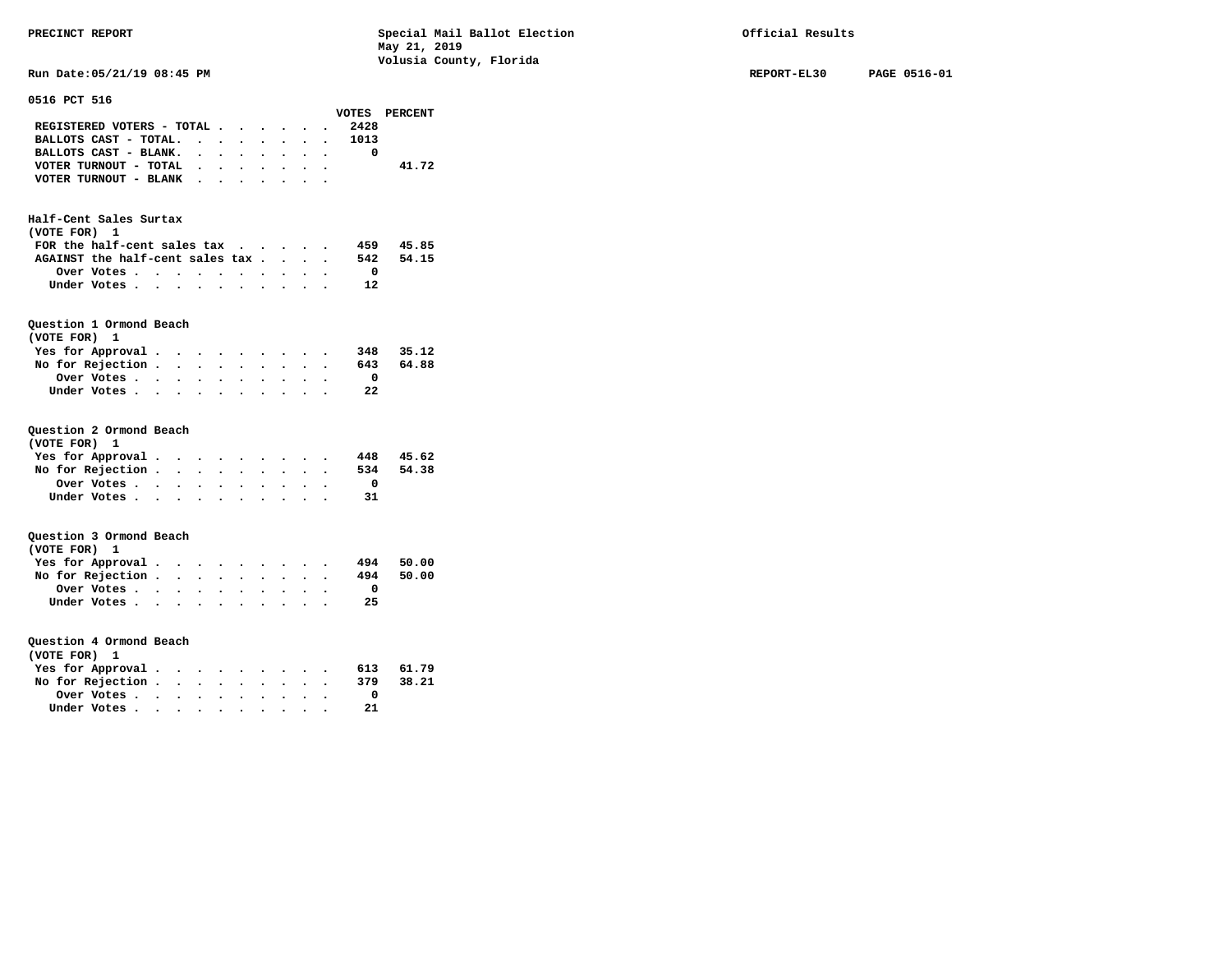**Run Date:05/21/19 08:45 PM REPORT-EL30 PAGE 0516-01** 

| 0516 PCT 516                               |                      |                      |                      |                                 |                      |                      |                      |                      |                         |               |  |
|--------------------------------------------|----------------------|----------------------|----------------------|---------------------------------|----------------------|----------------------|----------------------|----------------------|-------------------------|---------------|--|
|                                            |                      |                      |                      |                                 |                      |                      |                      |                      |                         | VOTES PERCENT |  |
| REGISTERED VOTERS - TOTAL                  |                      |                      |                      |                                 |                      |                      |                      |                      | 2428                    |               |  |
| BALLOTS CAST - TOTAL.                      |                      |                      |                      |                                 | $\sim$               | $\sim$               | $\ddot{\phantom{0}}$ |                      | 1013<br>$\bullet$ .     |               |  |
| BALLOTS CAST - BLANK. .                    |                      |                      |                      | $\ddotsc$                       | $\bullet$            |                      |                      |                      | $\mathbf{0}$            |               |  |
| VOTER TURNOUT - TOTAL                      |                      | $\ddot{\phantom{0}}$ |                      | $\ddotsc$                       | $\sim$               | $\ddot{\phantom{0}}$ |                      |                      |                         | 41.72         |  |
| VOTER TURNOUT - BLANK                      |                      |                      |                      |                                 |                      |                      |                      |                      |                         |               |  |
|                                            |                      |                      |                      |                                 |                      |                      |                      |                      |                         |               |  |
| Half-Cent Sales Surtax<br>(VOTE FOR)<br>1  |                      |                      |                      |                                 |                      |                      |                      |                      |                         |               |  |
| FOR the half-cent sales tax                |                      |                      |                      |                                 |                      |                      |                      |                      |                         | 459 45.85     |  |
| AGAINST the half-cent sales tax.           |                      |                      |                      |                                 |                      | $\ddot{\phantom{0}}$ | $\ddot{\phantom{0}}$ | $\ddot{\phantom{0}}$ | 542                     | 54.15         |  |
| Over Votes                                 |                      | $\ddot{\phantom{0}}$ |                      |                                 |                      |                      |                      |                      | $\overline{\mathbf{0}}$ |               |  |
|                                            |                      |                      | $\bullet$            | $\ddot{\phantom{0}}$            |                      |                      |                      |                      | 12                      |               |  |
| Under Votes                                |                      |                      | $\ddot{\phantom{a}}$ | $\ddot{\phantom{0}}$            | $\sim$               |                      |                      |                      |                         |               |  |
|                                            |                      |                      |                      |                                 |                      |                      |                      |                      |                         |               |  |
| Question 1 Ormond Beach<br>(VOTE FOR)<br>1 |                      |                      |                      |                                 |                      |                      |                      |                      |                         |               |  |
| Yes for Approval.                          | $\bullet$            |                      |                      |                                 |                      |                      |                      |                      | 348                     | 35.12         |  |
| No for Rejection .                         | $\ddot{\phantom{1}}$ |                      |                      | $\cdot$ $\cdot$ $\cdot$ $\cdot$ |                      |                      |                      |                      | 643                     | 64.88         |  |
| Over Votes                                 | $\sim$ $\sim$ $\sim$ |                      |                      | $\ddotsc$                       |                      |                      |                      |                      | $\overline{0}$          |               |  |
| Under Votes                                |                      | $\sim$ $\sim$        |                      |                                 |                      |                      |                      |                      | 22                      |               |  |
|                                            |                      |                      |                      |                                 |                      |                      |                      |                      |                         |               |  |
|                                            |                      |                      |                      |                                 |                      |                      |                      |                      |                         |               |  |
| Question 2 Ormond Beach                    |                      |                      |                      |                                 |                      |                      |                      |                      |                         |               |  |
| (VOTE FOR) 1                               |                      |                      |                      |                                 |                      |                      |                      |                      |                         |               |  |
| Yes for Approval                           |                      |                      |                      |                                 |                      |                      |                      | $\ddot{\phantom{0}}$ |                         | 448 45.62     |  |
| No for Rejection .                         | $\sim$               | $\ddot{\phantom{0}}$ | $\ddot{\phantom{0}}$ | $\bullet$                       |                      |                      |                      |                      | 534                     | 54.38         |  |
| Over Votes                                 | $\bullet$ .          | $\bullet$ .          |                      | $\bullet$ $\bullet$             | $\ddot{\phantom{0}}$ | $\sim$               |                      |                      | $\overline{\mathbf{0}}$ |               |  |
| Under Votes                                | $\ddot{\phantom{0}}$ |                      |                      |                                 |                      |                      |                      |                      | 31                      |               |  |
|                                            |                      |                      |                      |                                 |                      |                      |                      |                      |                         |               |  |
|                                            |                      |                      |                      |                                 |                      |                      |                      |                      |                         |               |  |
| Question 3 Ormond Beach                    |                      |                      |                      |                                 |                      |                      |                      |                      |                         |               |  |
| (VOTE FOR) 1                               |                      |                      |                      |                                 |                      |                      |                      |                      |                         |               |  |
| Yes for Approval                           |                      | $\bullet$ .          |                      |                                 |                      |                      |                      |                      | 494                     | 50.00         |  |
| No for Rejection                           |                      |                      | $\ddot{\phantom{0}}$ | $\bullet$                       | $\bullet$ .          |                      |                      |                      | 494                     | 50.00         |  |
| Over Votes                                 | $\bullet$ .          | $\ddot{\phantom{0}}$ | $\ddot{\phantom{0}}$ | $\bullet$                       |                      |                      |                      |                      | $\overline{\mathbf{0}}$ |               |  |
| Under Votes                                |                      |                      |                      |                                 |                      |                      |                      |                      | 25                      |               |  |
|                                            |                      |                      |                      |                                 |                      |                      |                      |                      |                         |               |  |
|                                            |                      |                      |                      |                                 |                      |                      |                      |                      |                         |               |  |
| Question 4 Ormond Beach                    |                      |                      |                      |                                 |                      |                      |                      |                      |                         |               |  |
| (VOTE FOR)<br>$\mathbf{1}$                 |                      |                      |                      |                                 |                      |                      |                      |                      |                         |               |  |
| Yes for Approval                           |                      |                      |                      |                                 |                      |                      |                      |                      |                         | 613 61.79     |  |
| No for Rejection .                         | $\ddot{\phantom{1}}$ |                      | $\ddot{\phantom{0}}$ | $\ddot{\phantom{0}}$            |                      | $\ddot{\phantom{a}}$ |                      |                      | 379                     | 38.21         |  |
|                                            |                      |                      |                      |                                 | $\ddot{\phantom{0}}$ |                      |                      |                      | $\mathbf{0}$            |               |  |
| Over Votes                                 | $\sim$ $\sim$ $\sim$ |                      |                      | $\ddotsc$                       | $\ddot{\phantom{0}}$ |                      |                      |                      |                         |               |  |
| Under Votes                                |                      | $\ddot{\phantom{a}}$ |                      | $\ddot{\phantom{a}}$            |                      | $\ddot{\phantom{0}}$ |                      |                      | 21                      |               |  |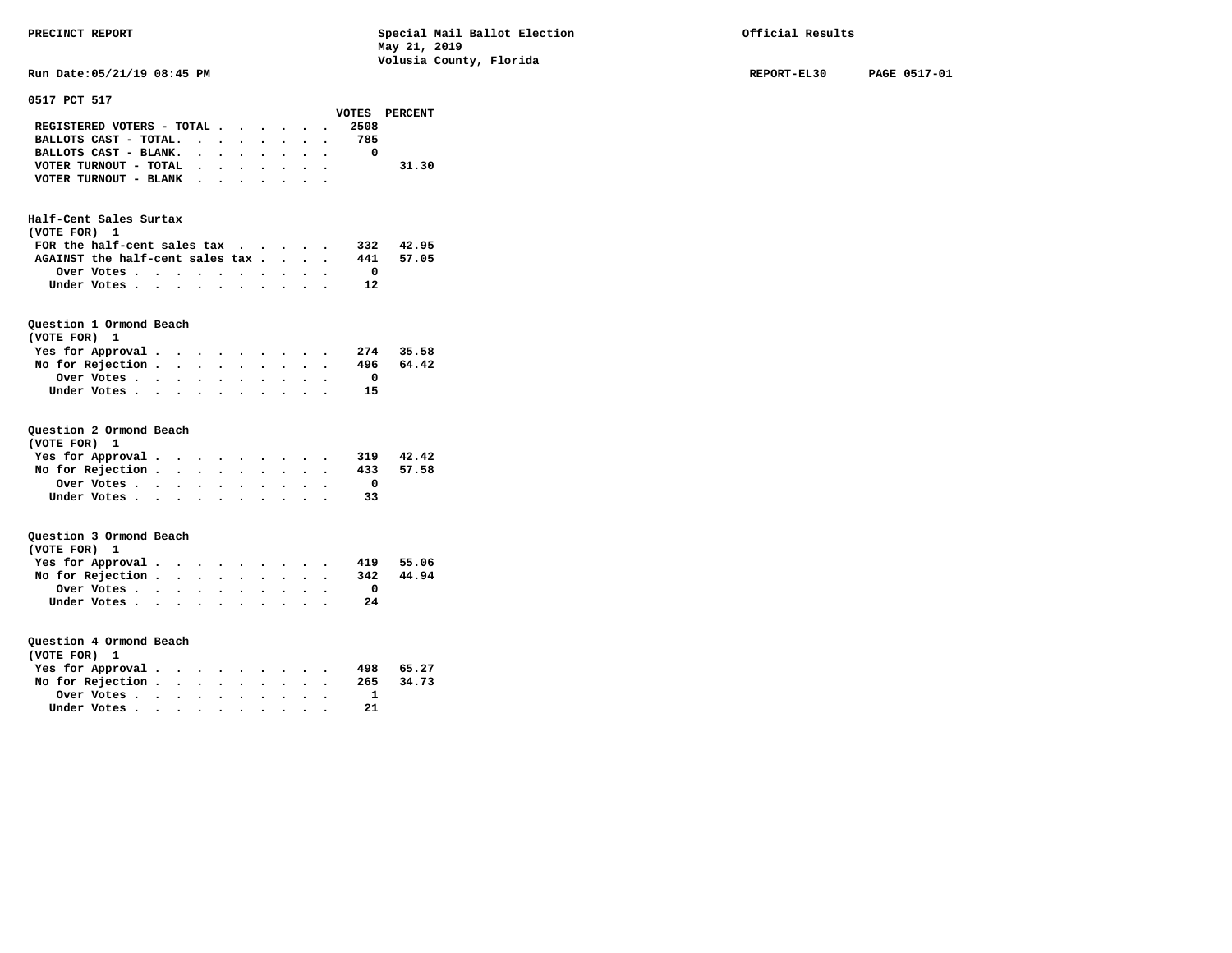**Run Date:05/21/19 08:45 PM REPORT-EL30 PAGE 0517-01** 

| 0517 PCT 517                     |                      |                                              |                      |                                               |                      |                      |             |           |                         |               |
|----------------------------------|----------------------|----------------------------------------------|----------------------|-----------------------------------------------|----------------------|----------------------|-------------|-----------|-------------------------|---------------|
|                                  |                      |                                              |                      |                                               |                      |                      |             |           |                         | VOTES PERCENT |
| REGISTERED VOTERS - TOTAL        |                      |                                              |                      |                                               |                      | $\bullet$            |             |           | 2508                    |               |
| BALLOTS CAST - TOTAL.            |                      | $\ddot{\phantom{0}}$                         |                      | $\bullet$                                     | $\bullet$            |                      |             |           | 785                     |               |
| BALLOTS CAST - BLANK.            |                      | $\sim$                                       |                      | $\bullet$                                     | $\cdot$              | $\ddot{\phantom{0}}$ |             |           | 0                       |               |
| VOTER TURNOUT - TOTAL            |                      |                                              | $\ddot{\phantom{0}}$ | $\ddot{\phantom{0}}$                          | $\bullet$            |                      |             |           |                         | 31.30         |
| VOTER TURNOUT - BLANK            |                      |                                              | $\ddot{\phantom{0}}$ |                                               |                      |                      |             |           |                         |               |
|                                  |                      |                                              |                      |                                               |                      |                      |             |           |                         |               |
|                                  |                      |                                              |                      |                                               |                      |                      |             |           |                         |               |
| Half-Cent Sales Surtax           |                      |                                              |                      |                                               |                      |                      |             |           |                         |               |
| (VOTE FOR) 1                     |                      |                                              |                      |                                               |                      |                      |             |           |                         |               |
| FOR the half-cent sales tax      |                      |                                              |                      |                                               |                      | $\sim$ $\sim$        | $\bullet$ . | $\bullet$ |                         | 332 42.95     |
| AGAINST the half-cent sales tax. |                      |                                              |                      |                                               |                      | $\ddot{\phantom{0}}$ |             |           | 441                     | 57.05         |
| Over Votes                       |                      | $\bullet$                                    | $\bullet$            | $\bullet$                                     | $\bullet$            | $\bullet$            | $\bullet$   |           | $\overline{\mathbf{0}}$ |               |
| Under Votes                      |                      | $\bullet$<br>$\bullet$                       | $\bullet$            | $\ddot{\phantom{0}}$                          | $\bullet$            |                      |             |           | 12                      |               |
|                                  |                      |                                              |                      |                                               |                      |                      |             |           |                         |               |
|                                  |                      |                                              |                      |                                               |                      |                      |             |           |                         |               |
| Question 1 Ormond Beach          |                      |                                              |                      |                                               |                      |                      |             |           |                         |               |
| (VOTE FOR) 1                     |                      |                                              |                      |                                               |                      |                      |             |           |                         |               |
| Yes for Approval.                |                      | $\ddot{\phantom{0}}$                         |                      |                                               |                      |                      |             |           | 274                     | 35.58         |
| No for Rejection .               |                      | $\sim$<br>$\ddot{\phantom{0}}$               | $\ddot{\phantom{0}}$ | $\ddot{\phantom{0}}$                          | $\bullet$            | $\bullet$            |             |           | 496                     | 64.42         |
| Over Votes                       |                      | $\ddot{\phantom{0}}$<br>$\ddot{\phantom{0}}$ |                      |                                               |                      |                      |             |           | $\overline{\mathbf{0}}$ |               |
| Under Votes                      |                      | $\ddot{\phantom{0}}$                         | $\ddot{\phantom{a}}$ |                                               |                      |                      |             |           | 15                      |               |
|                                  |                      |                                              |                      |                                               |                      |                      |             |           |                         |               |
|                                  |                      |                                              |                      |                                               |                      |                      |             |           |                         |               |
| Question 2 Ormond Beach          |                      |                                              |                      |                                               |                      |                      |             |           |                         |               |
| (VOTE FOR) 1                     |                      |                                              |                      |                                               |                      |                      |             |           |                         |               |
| Yes for Approval.                |                      | $\bullet$ .<br>$\bullet$ .                   |                      | $\ddotsc$                                     |                      |                      |             |           | 319                     | 42.42         |
| No for Rejection.                |                      | $\ddot{\phantom{0}}$<br>$\ddot{\phantom{0}}$ |                      | $\ddot{\phantom{0}}$                          |                      |                      |             |           | 433                     | 57.58         |
| Over Votes                       |                      | $\bullet$ .<br>$\bullet$ .                   | $\bullet$            |                                               |                      |                      |             |           | $\mathbf{0}$            |               |
| Under Votes.                     | $\cdot$ $\cdot$      | $\ddot{\phantom{a}}$                         |                      | $\bullet$                                     |                      |                      |             |           | 33                      |               |
|                                  |                      |                                              |                      |                                               |                      |                      |             |           |                         |               |
|                                  |                      |                                              |                      |                                               |                      |                      |             |           |                         |               |
| Question 3 Ormond Beach          |                      |                                              |                      |                                               |                      |                      |             |           |                         |               |
| (VOTE FOR) 1                     |                      |                                              |                      |                                               |                      |                      |             |           |                         |               |
| Yes for Approval.                |                      | $\sim$ $\sim$<br>$\bullet$                   |                      |                                               |                      |                      |             |           | 419                     | 55.06         |
| No for Rejection .               |                      | $\ddot{\phantom{0}}$<br>$\ddot{\phantom{0}}$ |                      | $\bullet$ . The set of $\bullet$<br>$\bullet$ | $\bullet$ .          |                      |             |           | 342                     | 44.94         |
| Over Votes                       |                      |                                              | $\ddot{\phantom{0}}$ | $\cdot$                                       |                      |                      |             |           | $\mathbf{O}$            |               |
|                                  | $\ddot{\phantom{0}}$ | $\ddot{\phantom{a}}$                         | $\ddot{\phantom{a}}$ |                                               |                      |                      |             |           |                         |               |
| Under Votes                      |                      |                                              | $\bullet$            |                                               |                      |                      |             |           | 24                      |               |
|                                  |                      |                                              |                      |                                               |                      |                      |             |           |                         |               |
|                                  |                      |                                              |                      |                                               |                      |                      |             |           |                         |               |
| Question 4 Ormond Beach          |                      |                                              |                      |                                               |                      |                      |             |           |                         |               |
| (VOTE FOR)<br>1                  |                      |                                              |                      |                                               |                      |                      |             |           |                         |               |
| Yes for Approval.                |                      | $\bullet$                                    |                      |                                               |                      |                      |             |           | 498                     | 65.27         |
| No for Rejection.                |                      | $\ddot{\phantom{0}}$<br>$\ddot{\phantom{0}}$ | $\bullet$            |                                               | $\ddot{\phantom{0}}$ |                      |             |           | 265                     | 34.73         |
| Over Votes.                      | $\bullet$            | $\ddot{\phantom{0}}$<br>$\bullet$ .          |                      | $\bullet$                                     |                      |                      |             |           | $\mathbf{1}$            |               |
| Under Votes                      | $\ddot{\phantom{a}}$ | $\ddot{\phantom{a}}$                         |                      |                                               |                      |                      |             |           | 21                      |               |
|                                  |                      |                                              |                      |                                               |                      |                      |             |           |                         |               |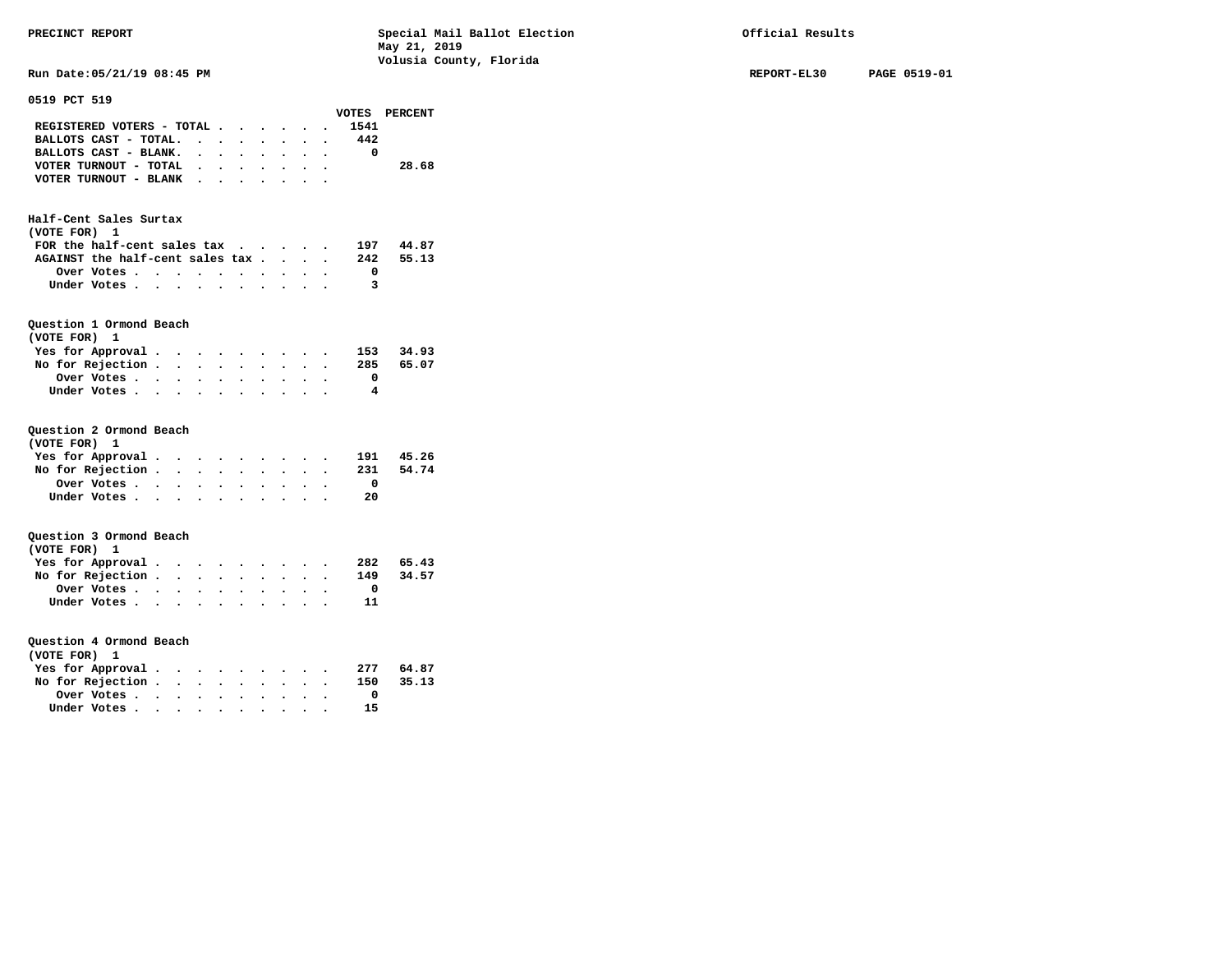|                                                                          |                      |          | volusia County, Florida |             |              |
|--------------------------------------------------------------------------|----------------------|----------|-------------------------|-------------|--------------|
| Run Date: 05/21/19 08:45 PM                                              |                      |          |                         | REPORT-EL30 | PAGE 0519-01 |
|                                                                          |                      |          |                         |             |              |
| 0519 PCT 519                                                             |                      |          | VOTES PERCENT           |             |              |
| REGISTERED VOTERS - TOTAL                                                | $\ddot{\phantom{a}}$ | 1541     |                         |             |              |
| BALLOTS CAST - TOTAL.<br>$\cdot$ $\cdot$ $\cdot$                         | $\sim$               | 442      |                         |             |              |
| $\sim$ $\sim$                                                            |                      |          |                         |             |              |
| BALLOTS CAST - BLANK.<br>$\cdot$ $\cdot$ $\cdot$<br>$\ddot{\phantom{0}}$ |                      | 0        |                         |             |              |
| VOTER TURNOUT - TOTAL<br>$\cdot$ $\cdot$ $\cdot$ $\cdot$ $\cdot$         |                      |          | 28.68                   |             |              |
| VOTER TURNOUT - BLANK<br>$\cdot$                                         | $\cdot$ .            |          |                         |             |              |
|                                                                          |                      |          |                         |             |              |
| Half-Cent Sales Surtax                                                   |                      |          |                         |             |              |
| (VOTE FOR) 1                                                             |                      |          |                         |             |              |
| FOR the half-cent sales tax                                              |                      | 197      | 44.87                   |             |              |
| AGAINST the half-cent sales tax                                          |                      | 242      | 55.13                   |             |              |
|                                                                          |                      | 0        |                         |             |              |
| Over Votes                                                               |                      |          |                         |             |              |
| Under Votes                                                              |                      | 3        |                         |             |              |
|                                                                          |                      |          |                         |             |              |
| Question 1 Ormond Beach                                                  |                      |          |                         |             |              |
| (VOTE FOR) 1                                                             |                      |          |                         |             |              |
| Yes for Approval.<br>$\cdots$                                            |                      | 153      | 34.93                   |             |              |
|                                                                          |                      |          |                         |             |              |
| No for Rejection.<br>$\cdots$                                            |                      | 285      | 65.07                   |             |              |
| Over Votes.                                                              |                      | 0        |                         |             |              |
| Under Votes                                                              |                      | 4        |                         |             |              |
|                                                                          |                      |          |                         |             |              |
| Question 2 Ormond Beach                                                  |                      |          |                         |             |              |
| (VOTE FOR) 1                                                             |                      |          |                         |             |              |
| Yes for Approval.<br>$\cdots$                                            |                      | 191      | 45.26                   |             |              |
|                                                                          |                      |          | 54.74                   |             |              |
| No for Rejection.<br>$\cdots$                                            |                      | 231      |                         |             |              |
| Over Votes                                                               |                      | 0        |                         |             |              |
| Under Votes                                                              |                      | 20       |                         |             |              |
|                                                                          |                      |          |                         |             |              |
| Question 3 Ormond Beach                                                  |                      |          |                         |             |              |
| (VOTE FOR) 1                                                             |                      |          |                         |             |              |
| Yes for Approval.                                                        |                      | 282      | 65.43                   |             |              |
| $\cdots$<br>No for Rejection.                                            |                      | 149      | 34.57                   |             |              |
|                                                                          |                      | $\Omega$ |                         |             |              |
| Over Votes.                                                              |                      |          |                         |             |              |
| Under Votes                                                              |                      | 11       |                         |             |              |
|                                                                          |                      |          |                         |             |              |
| Question 4 Ormond Beach                                                  |                      |          |                         |             |              |
| (VOTE FOR) 1                                                             |                      |          |                         |             |              |
| Yes for Approval.<br>$\cdots$                                            |                      | 277      | 64.87                   |             |              |
| No for Rejection.<br>$\cdots$                                            |                      | 150      | 35.13                   |             |              |
| Over Votes                                                               |                      | 0        |                         |             |              |
| Under Votes                                                              |                      | 15       |                         |             |              |
|                                                                          |                      |          |                         |             |              |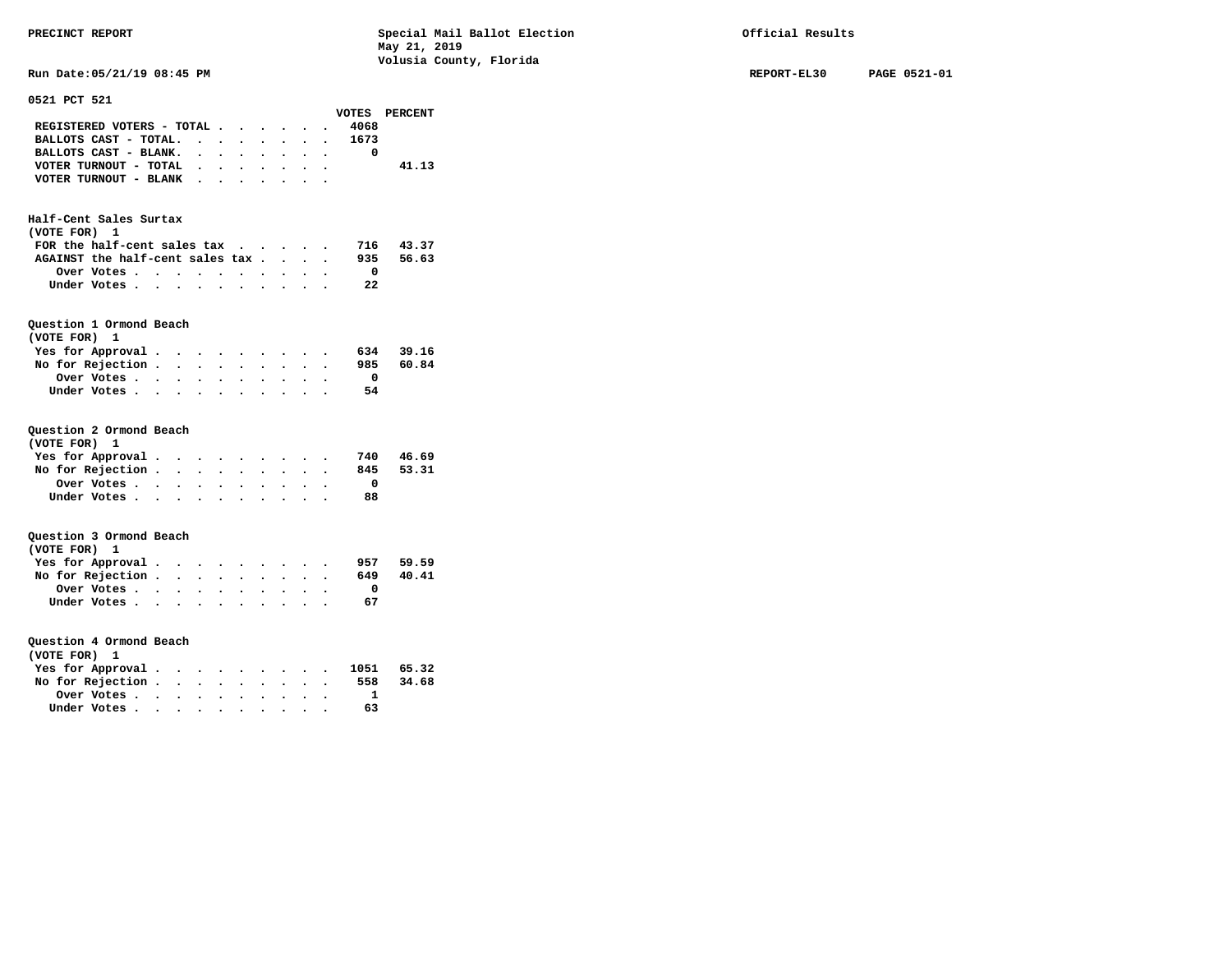| Run Date:05/21/19 08:45 PM                                                                                                                                                                                                                                         | REPORT-EL30 |
|--------------------------------------------------------------------------------------------------------------------------------------------------------------------------------------------------------------------------------------------------------------------|-------------|
| 0521 PCT 521                                                                                                                                                                                                                                                       |             |
| VOTES PERCENT                                                                                                                                                                                                                                                      |             |
| REGISTERED VOTERS - TOTAL<br>4068                                                                                                                                                                                                                                  |             |
| BALLOTS CAST - TOTAL.<br>1673<br>$\mathbf{r}$ . The contract of the contract of the contract of the contract of the contract of the contract of the contract of the contract of the contract of the contract of the contract of the contract of the contract of th |             |
| BALLOTS CAST - BLANK.<br>0<br>$\mathbf{r}$ , $\mathbf{r}$ , $\mathbf{r}$ , $\mathbf{r}$ , $\mathbf{r}$ , $\mathbf{r}$                                                                                                                                              |             |
| VOTER TURNOUT - TOTAL<br>41.13<br>$\cdots$                                                                                                                                                                                                                         |             |
| VOTER TURNOUT - BLANK                                                                                                                                                                                                                                              |             |
| Half-Cent Sales Surtax                                                                                                                                                                                                                                             |             |
| (VOTE FOR) 1                                                                                                                                                                                                                                                       |             |
| FOR the half-cent sales tax<br>43.37<br>716                                                                                                                                                                                                                        |             |
| AGAINST the half-cent sales tax<br>935<br>56.63                                                                                                                                                                                                                    |             |
| Over Votes<br>$\overline{\phantom{0}}$                                                                                                                                                                                                                             |             |
| Under Votes<br>22                                                                                                                                                                                                                                                  |             |
|                                                                                                                                                                                                                                                                    |             |
| Question 1 Ormond Beach                                                                                                                                                                                                                                            |             |
| (VOTE FOR) 1                                                                                                                                                                                                                                                       |             |
| Yes for Approval.<br>634<br>39.16<br>$\cdots$                                                                                                                                                                                                                      |             |
| No for Rejection<br>985<br>60.84                                                                                                                                                                                                                                   |             |
| Over Votes<br>$\mathbf 0$                                                                                                                                                                                                                                          |             |
| 54<br>Under Votes                                                                                                                                                                                                                                                  |             |
|                                                                                                                                                                                                                                                                    |             |
| Question 2 Ormond Beach                                                                                                                                                                                                                                            |             |
| (VOTE FOR) 1                                                                                                                                                                                                                                                       |             |
| 46.69<br>Yes for Approval.<br>740                                                                                                                                                                                                                                  |             |
| 53.31<br>No for Rejection<br>845                                                                                                                                                                                                                                   |             |
| 0<br>Over Votes                                                                                                                                                                                                                                                    |             |
| 88<br>Under Votes                                                                                                                                                                                                                                                  |             |
| Question 3 Ormond Beach                                                                                                                                                                                                                                            |             |
| (VOTE FOR) 1                                                                                                                                                                                                                                                       |             |
| Yes for Approval.<br>59.59<br>957                                                                                                                                                                                                                                  |             |
| No for Rejection<br>649<br>40.41                                                                                                                                                                                                                                   |             |
| Over Votes.<br>0                                                                                                                                                                                                                                                   |             |
| Under Votes<br>67                                                                                                                                                                                                                                                  |             |
|                                                                                                                                                                                                                                                                    |             |
| Question 4 Ormond Beach                                                                                                                                                                                                                                            |             |
| (VOTE FOR) 1                                                                                                                                                                                                                                                       |             |
| Yes for Approval.<br>65.32<br>1051                                                                                                                                                                                                                                 |             |
| No for Rejection<br>558<br>34.68                                                                                                                                                                                                                                   |             |
| Over Votes<br>1                                                                                                                                                                                                                                                    |             |
| 63<br>Under Votes.                                                                                                                                                                                                                                                 |             |
|                                                                                                                                                                                                                                                                    |             |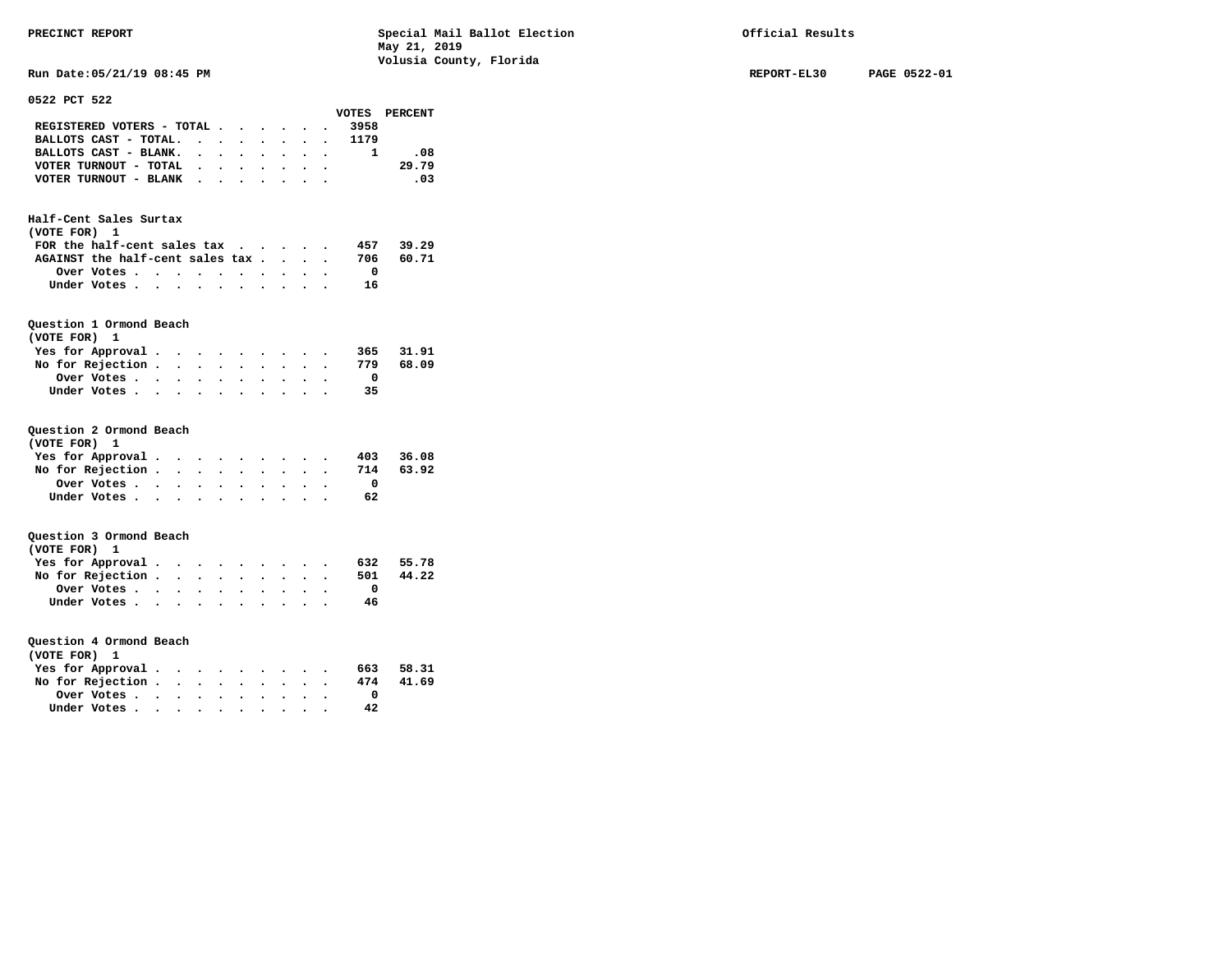**Run Date:05/21/19 08:45 PM REPORT-EL30 PAGE 0522-01** 

| 0522 PCT 522 |
|--------------|
|--------------|

|                                  |           |                                              |                                              |                                |                      |           |           |                      | VOTES                   | <b>PERCENT</b> |
|----------------------------------|-----------|----------------------------------------------|----------------------------------------------|--------------------------------|----------------------|-----------|-----------|----------------------|-------------------------|----------------|
| REGISTERED VOTERS - TOTAL        |           |                                              |                                              |                                | $\bullet$            |           |           |                      | 3958                    |                |
| BALLOTS CAST - TOTAL.            |           | $\cdot$                                      | $\sim$ $\sim$                                | $\ddot{\phantom{0}}$           | $\ddot{\phantom{1}}$ | $\bullet$ | $\bullet$ |                      | 1179<br>$\bullet$ .     |                |
| BALLOTS CAST - BLANK.            |           | $\ddot{\phantom{0}}$                         | $\sim$                                       | $\cdot$                        | $\ddot{\phantom{0}}$ |           |           | $\cdot$ $\cdot$      | $\mathbf{1}$            | .08            |
| VOTER TURNOUT - TOTAL            |           |                                              | $\ddot{\phantom{0}}$                         | $\ddot{\phantom{0}}$           |                      |           |           | $\ddot{\phantom{a}}$ |                         | 29.79          |
| VOTER TURNOUT - BLANK            |           |                                              |                                              | $\ddot{\phantom{0}}$           | $\bullet$            |           |           |                      |                         | $\ldots$ 03    |
|                                  |           |                                              |                                              |                                |                      |           |           |                      |                         |                |
|                                  |           |                                              |                                              |                                |                      |           |           |                      |                         |                |
| Half-Cent Sales Surtax           |           |                                              |                                              |                                |                      |           |           |                      |                         |                |
| (VOTE FOR) 1                     |           |                                              |                                              |                                |                      |           |           |                      |                         |                |
| FOR the half-cent sales tax      |           |                                              |                                              |                                |                      |           |           |                      | 457                     | 39.29          |
| AGAINST the half-cent sales tax. |           |                                              |                                              |                                |                      |           |           |                      | 706                     | 60.71          |
| Over Votes                       |           | $\ddot{\phantom{1}}$                         | $\bullet$                                    |                                | $\ddot{\phantom{1}}$ | $\bullet$ |           |                      | $\overline{\mathbf{0}}$ |                |
| Under Votes                      |           | $\bullet$<br>$\bullet$                       | $\ddot{\phantom{a}}$                         |                                | $\ddot{\phantom{0}}$ |           |           |                      | 16                      |                |
|                                  |           |                                              |                                              |                                |                      |           |           |                      |                         |                |
|                                  |           |                                              |                                              |                                |                      |           |           |                      |                         |                |
| Question 1 Ormond Beach<br>1     |           |                                              |                                              |                                |                      |           |           |                      |                         |                |
| (VOTE FOR)                       |           |                                              |                                              |                                |                      |           |           |                      |                         |                |
| Yes for Approval.                |           | $\bullet$                                    |                                              |                                |                      |           |           |                      | 365<br>779              | 31.91<br>68.09 |
| No for Rejection .<br>Over Votes |           | $\ddot{\phantom{0}}$                         |                                              | $\ddot{\phantom{0}}$           |                      |           |           |                      | $\overline{\mathbf{0}}$ |                |
|                                  |           | $\ddotsc$                                    | $\sim$                                       |                                |                      |           |           |                      |                         |                |
| Under Votes                      |           | $\ddot{\phantom{1}}$                         | $\sim$                                       | $\ddot{\phantom{a}}$           |                      |           |           |                      | -35                     |                |
|                                  |           |                                              |                                              |                                |                      |           |           |                      |                         |                |
| Question 2 Ormond Beach          |           |                                              |                                              |                                |                      |           |           |                      |                         |                |
| (VOTE FOR) 1                     |           |                                              |                                              |                                |                      |           |           |                      |                         |                |
| Yes for Approval.                |           | $\ddot{\phantom{0}}$<br>$\bullet$            |                                              |                                |                      |           |           |                      | 403                     | 36.08          |
| No for Rejection                 |           |                                              | $\sim$ $-$                                   | $\bullet$                      |                      |           |           |                      | 714                     | 63.92          |
| Over Votes.                      | $\bullet$ | $\bullet$<br>$\bullet$                       |                                              |                                |                      |           |           |                      | $\overline{\mathbf{0}}$ |                |
| Under Votes                      |           | $\sim$                                       |                                              |                                |                      |           |           |                      | 62                      |                |
|                                  |           |                                              |                                              |                                |                      |           |           |                      |                         |                |
| Question 3 Ormond Beach          |           |                                              |                                              |                                |                      |           |           |                      |                         |                |
| (VOTE FOR) 1                     |           |                                              |                                              |                                |                      |           |           |                      |                         |                |
|                                  |           |                                              |                                              |                                |                      |           |           |                      |                         |                |
| Yes for Approval                 |           |                                              |                                              |                                |                      |           |           |                      | 632<br>501              | 55.78<br>44.22 |
| No for Rejection .               |           | $\bullet$ .<br>$\bullet$                     |                                              | $\bullet$                      |                      |           |           |                      |                         |                |
| Over Votes                       |           | $\ddot{\phantom{0}}$<br>$\ddot{\phantom{0}}$ |                                              | $\sim$<br>$\ddot{\phantom{0}}$ |                      |           |           |                      | $\overline{\mathbf{0}}$ |                |
| Under Votes                      |           | $\ddot{\phantom{0}}$                         | $\cdot$ $\cdot$                              |                                |                      |           |           |                      | - 46                    |                |
|                                  |           |                                              |                                              |                                |                      |           |           |                      |                         |                |
| Question 4 Ormond Beach          |           |                                              |                                              |                                |                      |           |           |                      |                         |                |
| (VOTE FOR) 1                     |           |                                              |                                              |                                |                      |           |           |                      |                         |                |
| Yes for Approval.                |           | $\bullet$<br>$\cdot$                         |                                              | $\ddot{\phantom{0}}$           |                      |           |           |                      | 663                     | 58.31          |
| No for Rejection.                |           | $\ddot{\phantom{0}}$<br>$\ddot{\phantom{0}}$ |                                              | $\ddot{\phantom{0}}$           |                      |           |           |                      | 474                     | 41.69          |
| Over Votes                       | $\bullet$ | $\ddot{\phantom{a}}$                         | $\ddot{\phantom{a}}$                         | $\ddot{\phantom{0}}$           | $\ddot{\phantom{0}}$ |           |           |                      | $\overline{\mathbf{0}}$ |                |
| Under Votes                      |           | $\ddot{\phantom{0}}$                         | $\ddot{\phantom{a}}$<br>$\ddot{\phantom{0}}$ |                                |                      |           |           |                      | 42                      |                |
|                                  |           |                                              |                                              |                                |                      |           |           |                      |                         |                |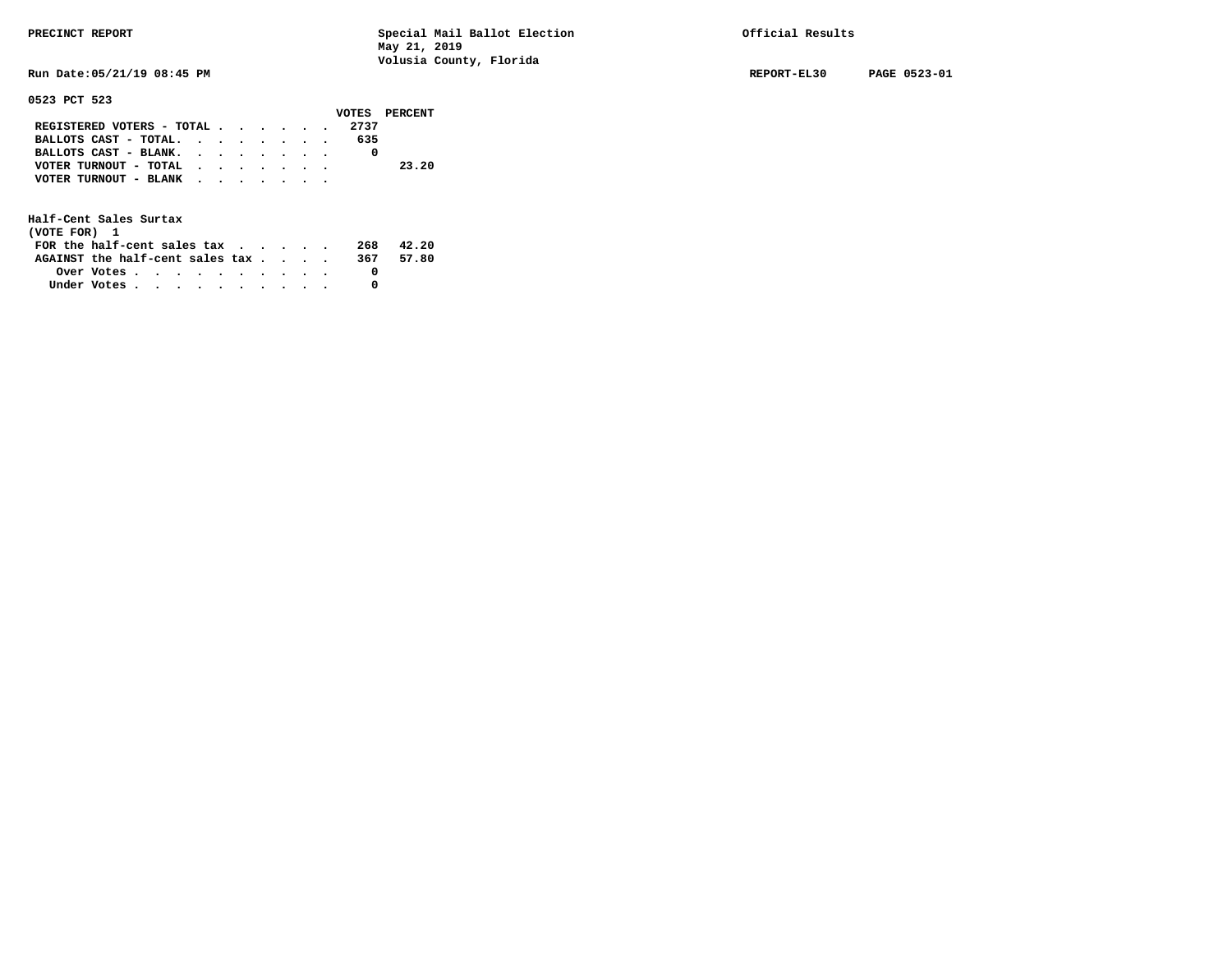**Run Date:05/21/19 08:45 PM REPORT-EL30 PAGE 0523-01** 

**0523 PCT 523** 

|                           |  |  |  |  |      | VOTES PERCENT |
|---------------------------|--|--|--|--|------|---------------|
| REGISTERED VOTERS - TOTAL |  |  |  |  | 2737 |               |
| BALLOTS CAST - TOTAL.     |  |  |  |  | 635  |               |
| BALLOTS CAST - BLANK.     |  |  |  |  |      |               |
| VOTER TURNOUT - TOTAL     |  |  |  |  |      | 23.20         |
| VOTER TURNOUT - BLANK     |  |  |  |  |      |               |
|                           |  |  |  |  |      |               |

| (VOTE FOR) 1                     |            |  |  |  |  |     |       |
|----------------------------------|------------|--|--|--|--|-----|-------|
| FOR the half-cent sales $\alpha$ |            |  |  |  |  | 268 | 42.20 |
| AGAINST the half-cent sales tax  |            |  |  |  |  | 367 | 57.80 |
|                                  | Over Votes |  |  |  |  |     |       |
| Under Votes                      |            |  |  |  |  |     |       |
|                                  |            |  |  |  |  |     |       |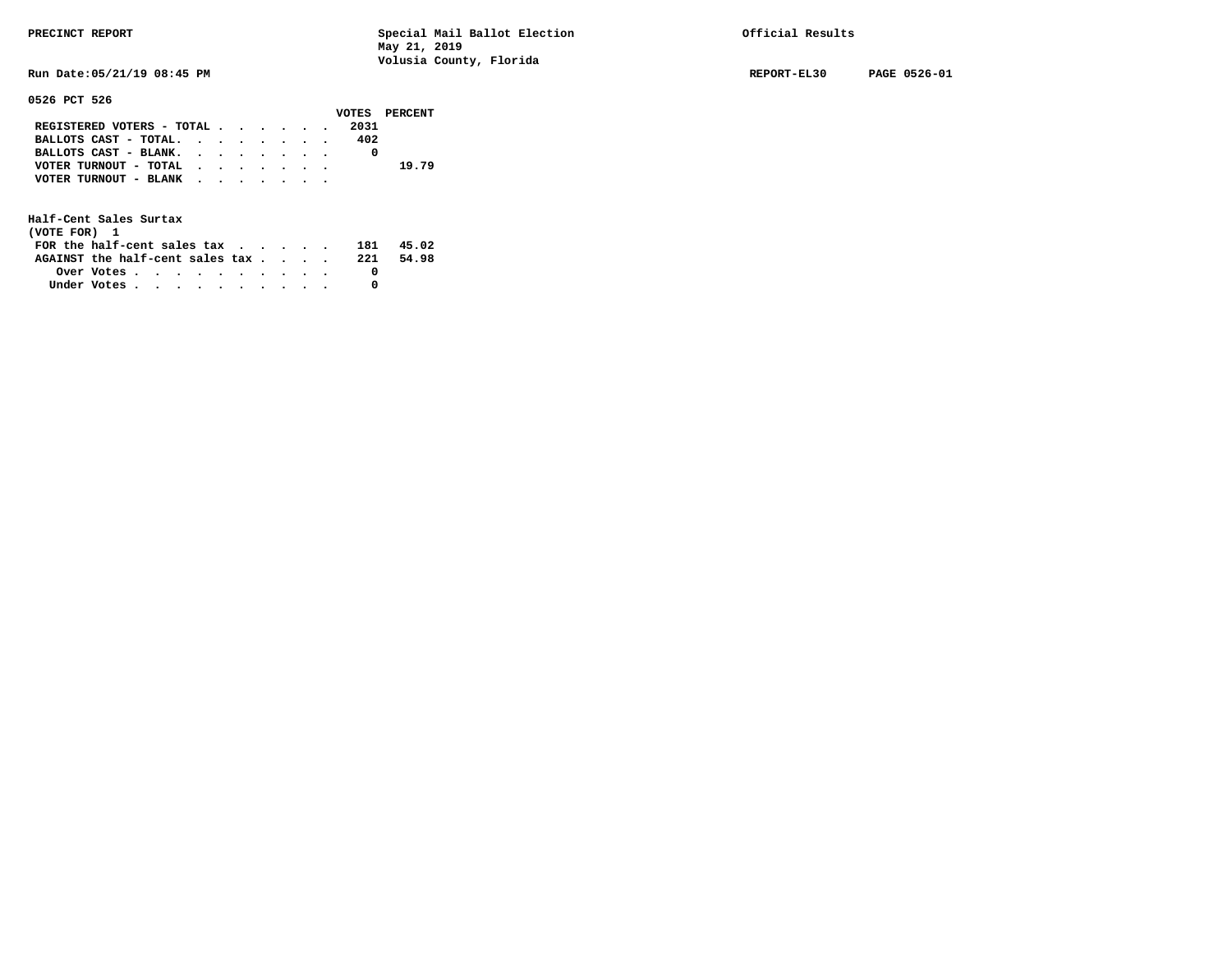**0526 PCT 526** 

**PRECINCT REPORT Special Mail Ballot Election Official Results May 21, 2019 Volusia County, Florida** 

**Run Date:05/21/19 08:45 PM REPORT-EL30 PAGE 0526-01** 

|                           |  |  |  |      | VOTES PERCENT |
|---------------------------|--|--|--|------|---------------|
| REGISTERED VOTERS - TOTAL |  |  |  | 2031 |               |
| BALLOTS CAST - TOTAL.     |  |  |  | 402  |               |
| BALLOTS CAST - BLANK.     |  |  |  |      |               |
| VOTER TURNOUT - TOTAL     |  |  |  |      | 19.79         |
| VOTER TURNOUT - BLANK     |  |  |  |      |               |
|                           |  |  |  |      |               |

| (VOTE FOR) 1                                            |  |  |  |  |  |      |       |
|---------------------------------------------------------|--|--|--|--|--|------|-------|
| FOR the half-cent sales $\mathsf{tax}$                  |  |  |  |  |  | 181  | 45.02 |
| AGAINST the half-cent sales tax                         |  |  |  |  |  | -221 | 54.98 |
| Over Votes $\cdots$ $\cdots$ $\cdots$ $\cdots$ $\cdots$ |  |  |  |  |  |      |       |
| Under Votes                                             |  |  |  |  |  |      |       |
|                                                         |  |  |  |  |  |      |       |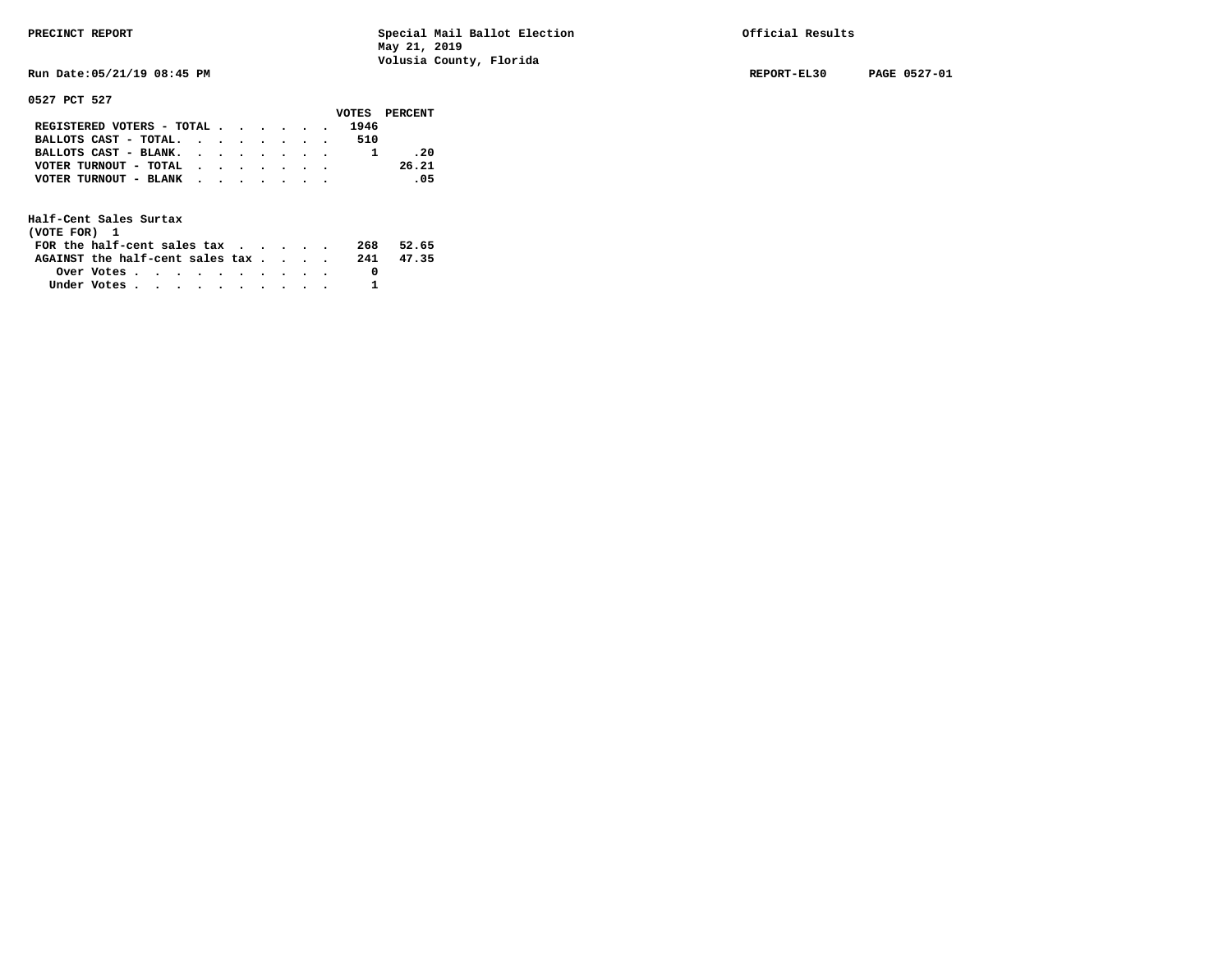**Run Date:05/21/19 08:45 PM REPORT-EL30 PAGE 0527-01** 

**0527 PCT 527** 

|                                                                           |  |  |  |      | VOTES PERCENT |
|---------------------------------------------------------------------------|--|--|--|------|---------------|
| REGISTERED VOTERS - TOTAL $\cdot$ $\cdot$ $\cdot$ $\cdot$ $\cdot$ $\cdot$ |  |  |  | 1946 |               |
| BALLOTS CAST - TOTAL.                                                     |  |  |  | 510  |               |
| BALLOTS CAST - BLANK.                                                     |  |  |  |      | .20           |
| VOTER TURNOUT - TOTAL $\cdot$ , , , , , ,                                 |  |  |  |      | 26.21         |
| VOTER TURNOUT - BLANK                                                     |  |  |  |      | - 05          |
|                                                                           |  |  |  |      |               |

| (VOTE FOR) 1                               |            |  |  |  |  |     |       |
|--------------------------------------------|------------|--|--|--|--|-----|-------|
| FOR the half-cent sales $\mathsf{tax}$     |            |  |  |  |  | 268 | 52.65 |
| AGAINST the half-cent sales $\mathsf{tax}$ |            |  |  |  |  | 241 | 47.35 |
|                                            | Over Votes |  |  |  |  |     |       |
| Under Votes                                |            |  |  |  |  |     |       |
|                                            |            |  |  |  |  |     |       |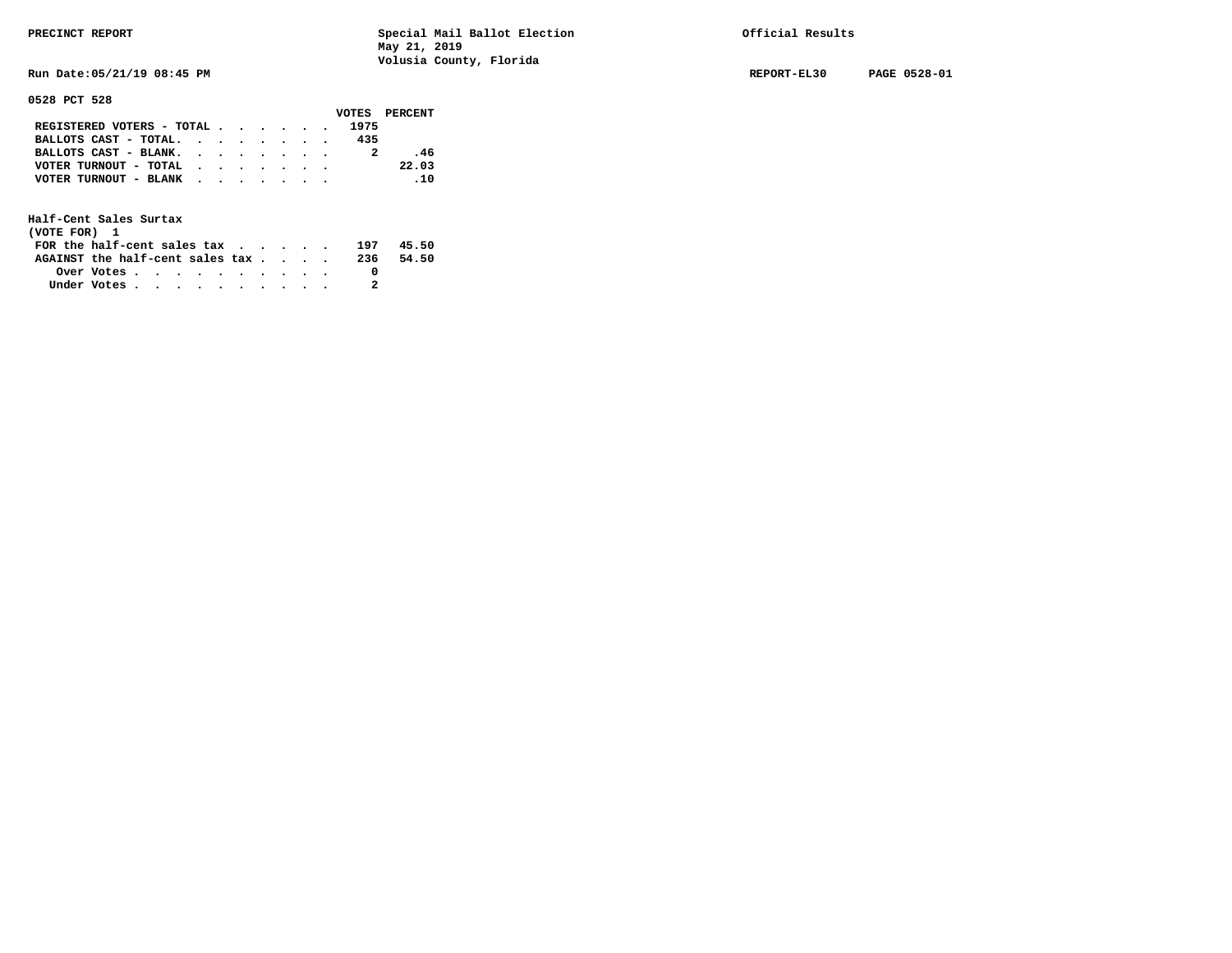**Run Date:05/21/19 08:45 PM REPORT-EL30 PAGE 0528-01** 

**0528 PCT 528** 

|                                                                           |  |  |  | VOTES PERCENT |
|---------------------------------------------------------------------------|--|--|--|---------------|
| REGISTERED VOTERS - TOTAL $\cdot$ $\cdot$ $\cdot$ $\cdot$ $\cdot$ $\cdot$ |  |  |  | 1975          |
| BALLOTS CAST - TOTAL. $\cdot$ , $\cdot$ , $\cdot$ , $\cdot$               |  |  |  | 435           |
| BALLOTS CAST - BLANK.                                                     |  |  |  | . 46          |
| VOTER TURNOUT - TOTAL $\cdot \cdot \cdot \cdot \cdot \cdot$               |  |  |  | 22.03         |
| VOTER TURNOUT - BLANK                                                     |  |  |  | $\sim$ 10     |
|                                                                           |  |  |  |               |

| (VOTE FOR) 1                                                |            |  |  |  |  |     |       |
|-------------------------------------------------------------|------------|--|--|--|--|-----|-------|
| FOR the half-cent sales tax $\cdot$ $\cdot$ $\cdot$ $\cdot$ |            |  |  |  |  | 197 | 45.50 |
| AGAINST the half-cent sales tax                             |            |  |  |  |  | 236 | 54.50 |
|                                                             | Over Votes |  |  |  |  |     |       |
| Under Votes                                                 |            |  |  |  |  |     |       |
|                                                             |            |  |  |  |  |     |       |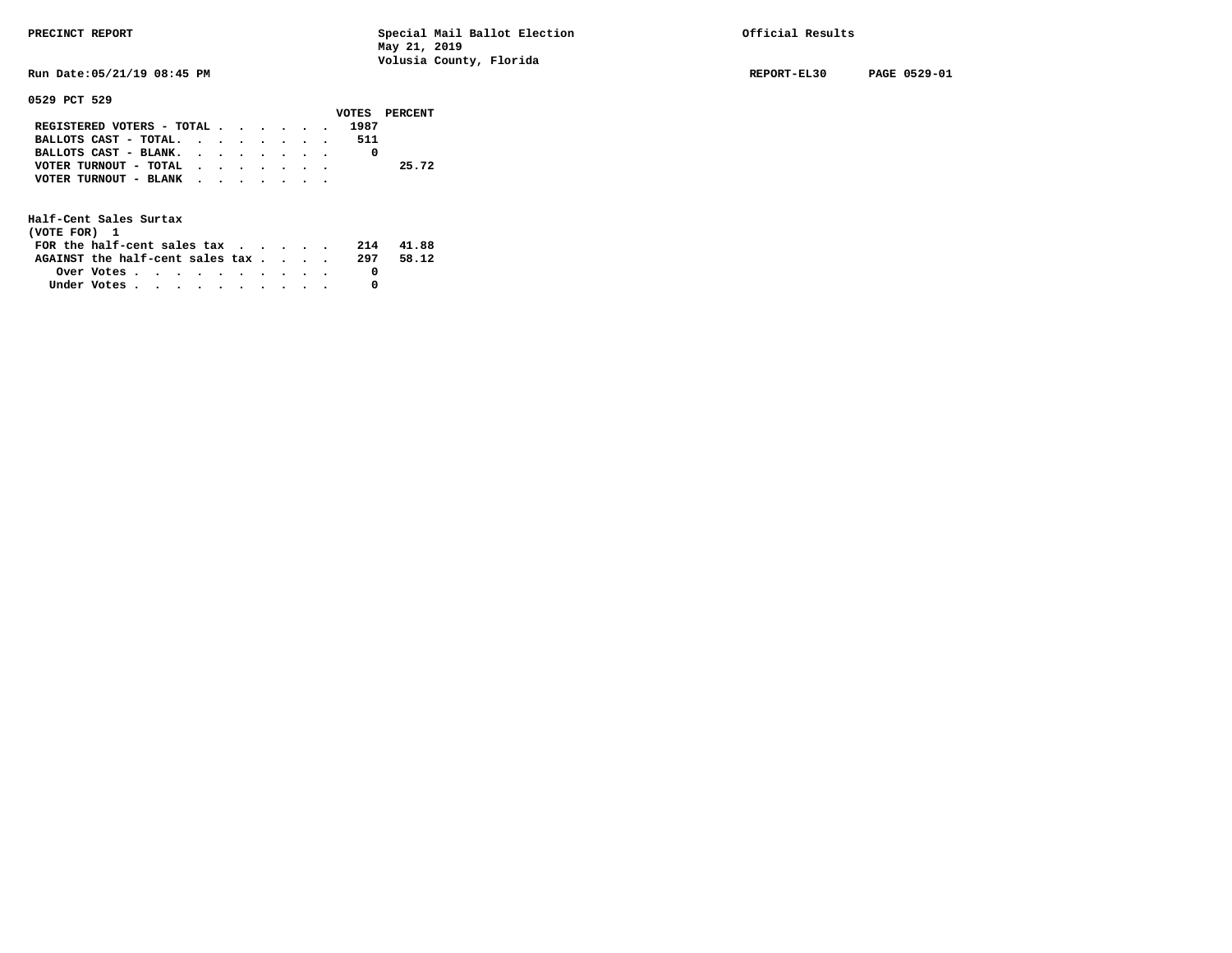**Run Date:05/21/19 08:45 PM REPORT-EL30 PAGE 0529-01** 

### **0529 PCT 529**

|                           |  |  |  |      | VOTES PERCENT |
|---------------------------|--|--|--|------|---------------|
| REGISTERED VOTERS - TOTAL |  |  |  | 1987 |               |
| BALLOTS CAST - TOTAL.     |  |  |  | 511  |               |
| BALLOTS CAST - BLANK.     |  |  |  |      |               |
| VOTER TURNOUT - TOTAL     |  |  |  |      | 25.72         |
| VOTER TURNOUT - BLANK     |  |  |  |      |               |
|                           |  |  |  |      |               |

| (VOTE FOR) 1                                            |  |  |  |  |  |     |       |
|---------------------------------------------------------|--|--|--|--|--|-----|-------|
| FOR the half-cent sales tax                             |  |  |  |  |  | 214 | 41.88 |
| AGAINST the half-cent sales tax                         |  |  |  |  |  | 297 | 58.12 |
| Over Votes $\cdots$ $\cdots$ $\cdots$ $\cdots$ $\cdots$ |  |  |  |  |  |     |       |
| Under Votes                                             |  |  |  |  |  |     |       |
|                                                         |  |  |  |  |  |     |       |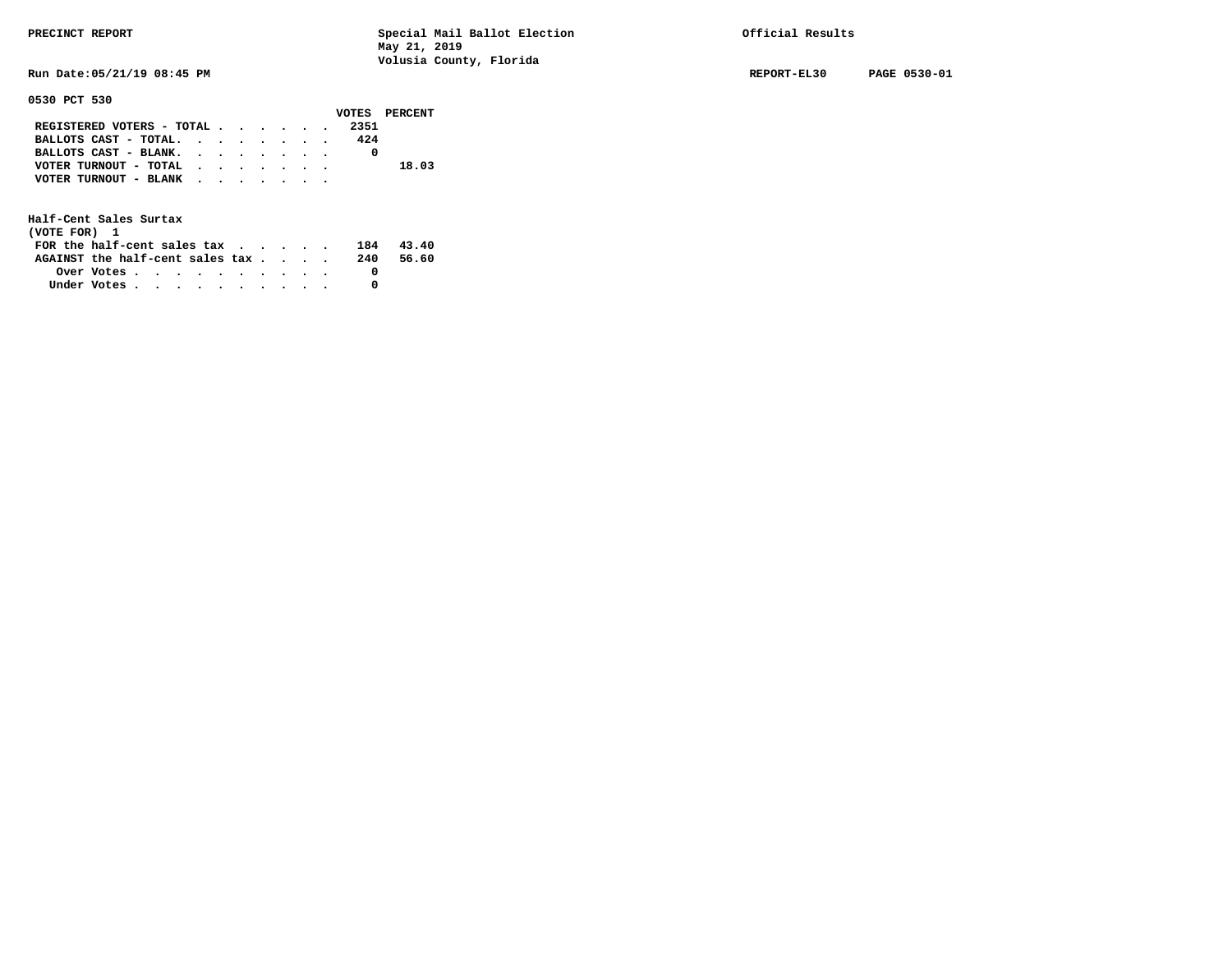**0530 PCT 530** 

**PRECINCT REPORT Special Mail Ballot Election Official Results May 21, 2019 Volusia County, Florida** 

**Run Date:05/21/19 08:45 PM REPORT-EL30 PAGE 0530-01** 

|                           |  |  |  |  |      | VOTES PERCENT |
|---------------------------|--|--|--|--|------|---------------|
| REGISTERED VOTERS - TOTAL |  |  |  |  | 2351 |               |
| BALLOTS CAST - TOTAL.     |  |  |  |  | 424  |               |
| BALLOTS CAST - BLANK.     |  |  |  |  |      |               |
| VOTER TURNOUT - TOTAL     |  |  |  |  |      | 18.03         |
| VOTER TURNOUT - BLANK     |  |  |  |  |      |               |
|                           |  |  |  |  |      |               |

| (VOTE FOR) 1                                            |  |  |  |  |  |     |       |
|---------------------------------------------------------|--|--|--|--|--|-----|-------|
| FOR the half-cent sales $\mathsf{tax}$                  |  |  |  |  |  | 184 | 43.40 |
| AGAINST the half-cent sales tax                         |  |  |  |  |  | 240 | 56.60 |
| Over Votes $\cdots$ $\cdots$ $\cdots$ $\cdots$ $\cdots$ |  |  |  |  |  |     |       |
| Under Votes                                             |  |  |  |  |  |     |       |
|                                                         |  |  |  |  |  |     |       |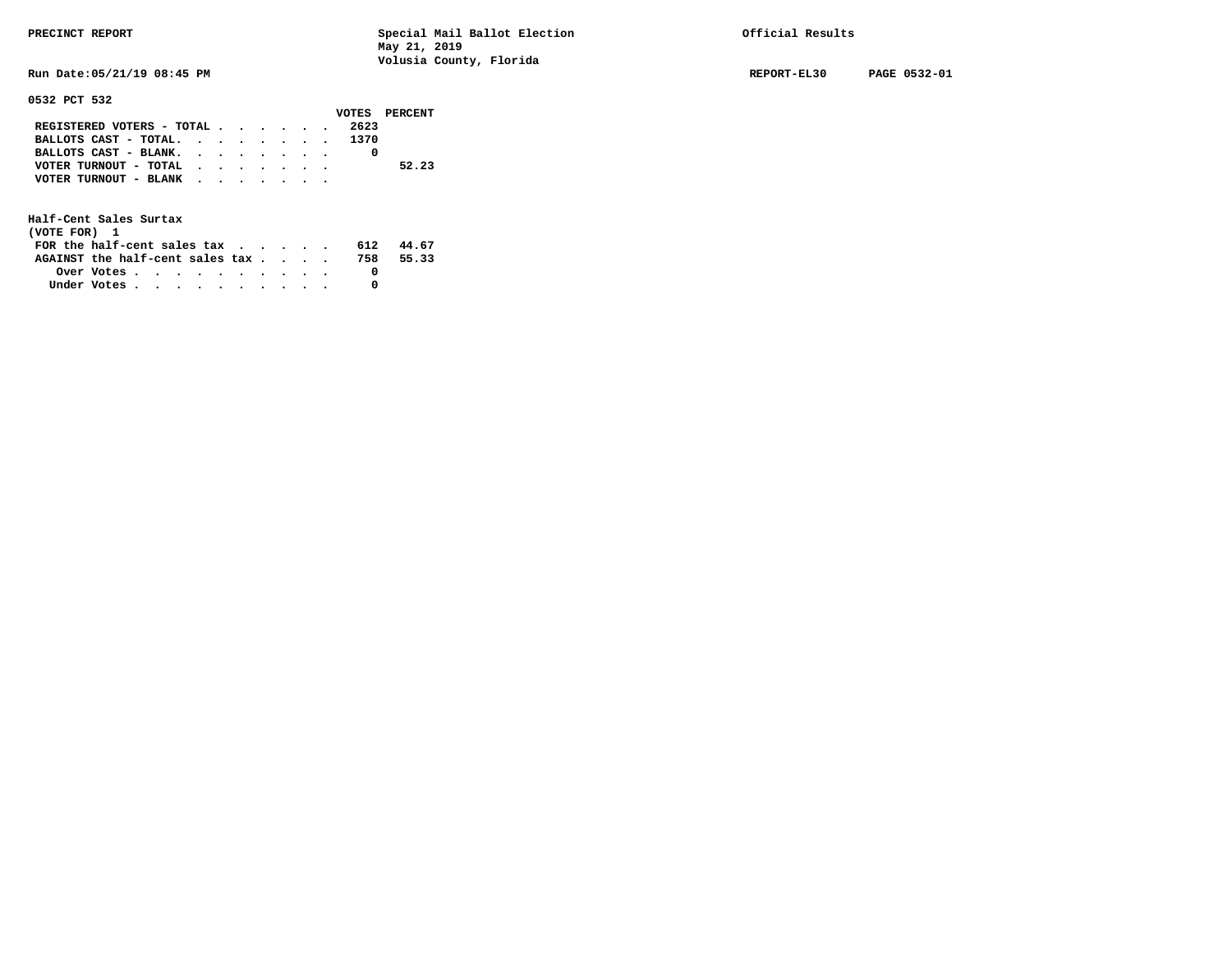**Run Date:05/21/19 08:45 PM REPORT-EL30 PAGE 0532-01** 

**0532 PCT 532** 

|                            |  |  |  |      | VOTES PERCENT |
|----------------------------|--|--|--|------|---------------|
| REGISTERED VOTERS - TOTAL  |  |  |  | 2623 |               |
| BALLOTS CAST - TOTAL. 1370 |  |  |  |      |               |
| BALLOTS CAST - BLANK.      |  |  |  |      |               |
| VOTER TURNOUT - TOTAL      |  |  |  |      | 52.23         |
| VOTER TURNOUT - BLANK      |  |  |  |      |               |
|                            |  |  |  |      |               |

| (VOTE FOR) 1                                                |  |  |  |  |  |     |       |
|-------------------------------------------------------------|--|--|--|--|--|-----|-------|
| FOR the half-cent sales tax $\cdot$ $\cdot$ $\cdot$ $\cdot$ |  |  |  |  |  | 612 | 44.67 |
| AGAINST the half-cent sales tax                             |  |  |  |  |  | 758 | 55.33 |
| Over Votes $\cdots$ $\cdots$ $\cdots$ $\cdots$ $\cdots$     |  |  |  |  |  |     |       |
| Under Votes                                                 |  |  |  |  |  |     |       |
|                                                             |  |  |  |  |  |     |       |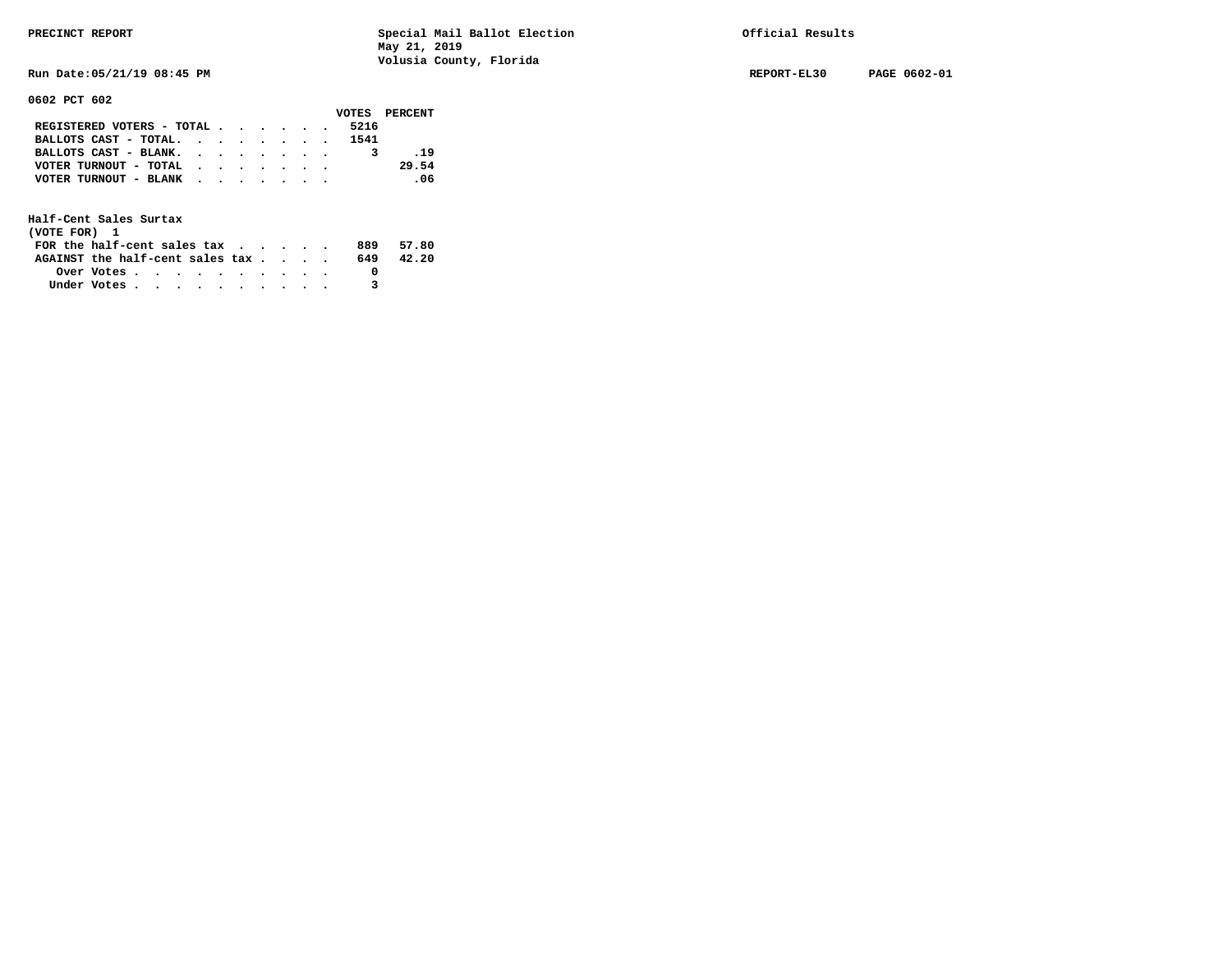**Run Date:05/21/19 08:45 PM REPORT-EL30 PAGE 0602-01** 

**0602 PCT 602** 

|                                             |  |  |  |      | VOTES PERCENT |
|---------------------------------------------|--|--|--|------|---------------|
| REGISTERED VOTERS - TOTAL $\cdot$ , , , , . |  |  |  | 5216 |               |
| BALLOTS CAST - TOTAL. 1541                  |  |  |  |      |               |
| BALLOTS CAST - BLANK.                       |  |  |  |      | .19           |
| VOTER TURNOUT - TOTAL                       |  |  |  |      | 29.54         |
| VOTER TURNOUT - BLANK                       |  |  |  |      | $\sim$ 06     |
|                                             |  |  |  |      |               |

| (VOTE FOR) 1                                                |            |  |  |  |  |     |       |
|-------------------------------------------------------------|------------|--|--|--|--|-----|-------|
| FOR the half-cent sales tax $\cdot$ $\cdot$ $\cdot$ $\cdot$ |            |  |  |  |  | 889 | 57.80 |
| AGAINST the half-cent sales tax                             |            |  |  |  |  | 649 | 42.20 |
|                                                             | Over Votes |  |  |  |  |     |       |
| Under Votes                                                 |            |  |  |  |  |     |       |
|                                                             |            |  |  |  |  |     |       |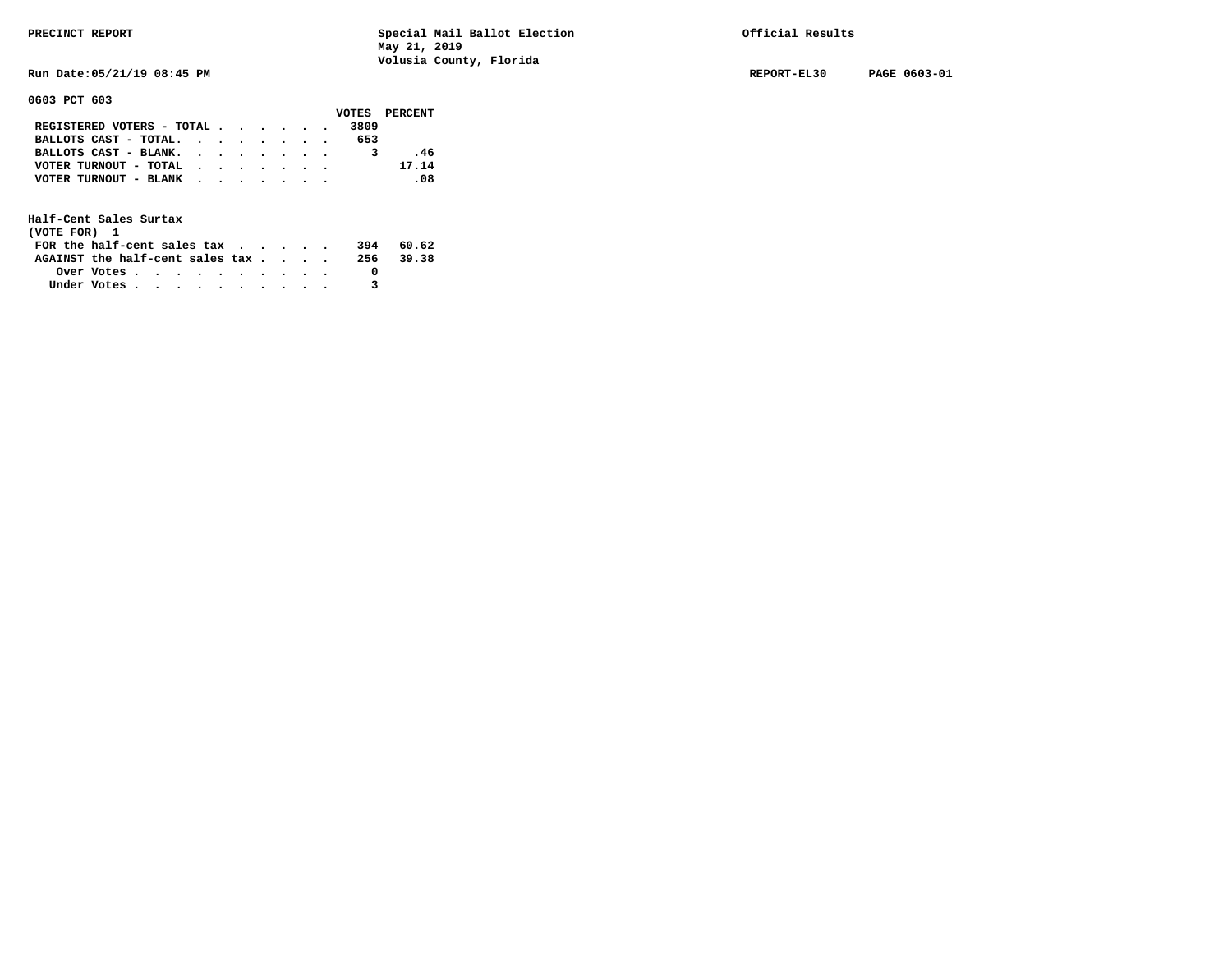**Run Date:05/21/19 08:45 PM REPORT-EL30 PAGE 0603-01** 

**0603 PCT 603** 

|                               |  |  |  |      | VOTES PERCENT |
|-------------------------------|--|--|--|------|---------------|
| REGISTERED VOTERS - TOTAL     |  |  |  | 3809 |               |
| BALLOTS CAST - TOTAL. $\cdot$ |  |  |  | 653  |               |
| BALLOTS CAST - BLANK.         |  |  |  |      | . 46          |
| VOTER TURNOUT - TOTAL         |  |  |  |      | 17.14         |
| VOTER TURNOUT - BLANK         |  |  |  |      | .08           |
|                               |  |  |  |      |               |

| (VOTE FOR) 1                           |            |  |  |  |  |     |           |
|----------------------------------------|------------|--|--|--|--|-----|-----------|
| FOR the half-cent sales $\mathsf{tax}$ |            |  |  |  |  | 394 | 60.62     |
| AGAINST the half-cent sales tax        |            |  |  |  |  |     | 256 39.38 |
|                                        | Over Votes |  |  |  |  |     |           |
| Under Votes                            |            |  |  |  |  |     |           |
|                                        |            |  |  |  |  |     |           |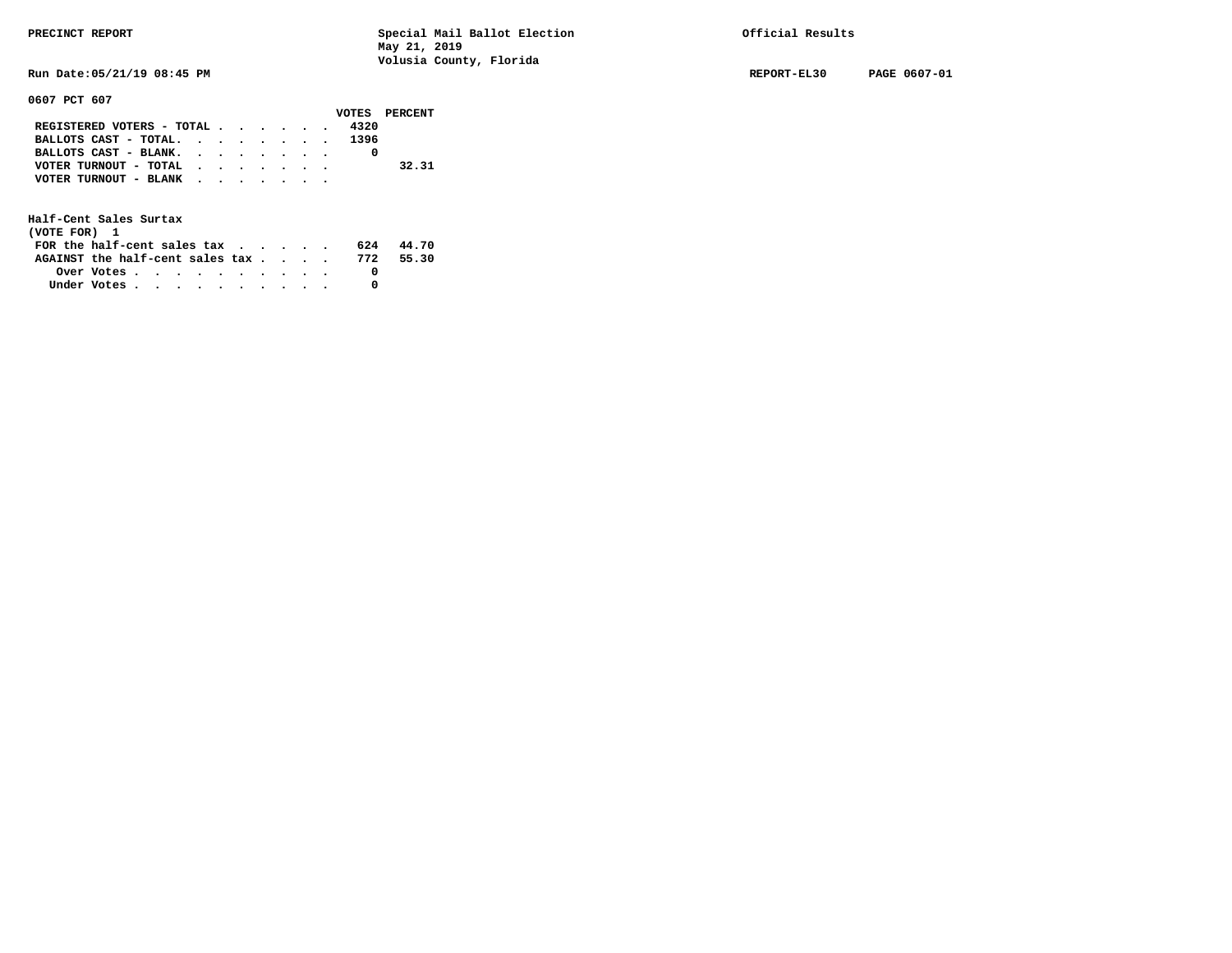**0607 PCT 607** 

**PRECINCT REPORT Special Mail Ballot Election Official Results May 21, 2019 Volusia County, Florida** 

**Run Date:05/21/19 08:45 PM REPORT-EL30 PAGE 0607-01** 

|                                             |  |  |  |      | VOTES PERCENT |
|---------------------------------------------|--|--|--|------|---------------|
| REGISTERED VOTERS - TOTAL                   |  |  |  | 4320 |               |
| BALLOTS CAST - TOTAL. 1396                  |  |  |  |      |               |
| BALLOTS CAST - BLANK.                       |  |  |  |      |               |
| VOTER TURNOUT - TOTAL $\cdot$ , , , , , , , |  |  |  |      | 32.31         |
| VOTER TURNOUT - BLANK                       |  |  |  |      |               |
|                                             |  |  |  |      |               |

| (VOTE FOR) 1                                            |  |  |  |  |  |     |       |
|---------------------------------------------------------|--|--|--|--|--|-----|-------|
| FOR the half-cent sales $\mathsf{tax}$                  |  |  |  |  |  | 624 | 44.70 |
| AGAINST the half-cent sales tax 772                     |  |  |  |  |  |     | 55.30 |
| Over Votes $\cdots$ $\cdots$ $\cdots$ $\cdots$ $\cdots$ |  |  |  |  |  |     |       |
| Under Votes                                             |  |  |  |  |  |     |       |
|                                                         |  |  |  |  |  |     |       |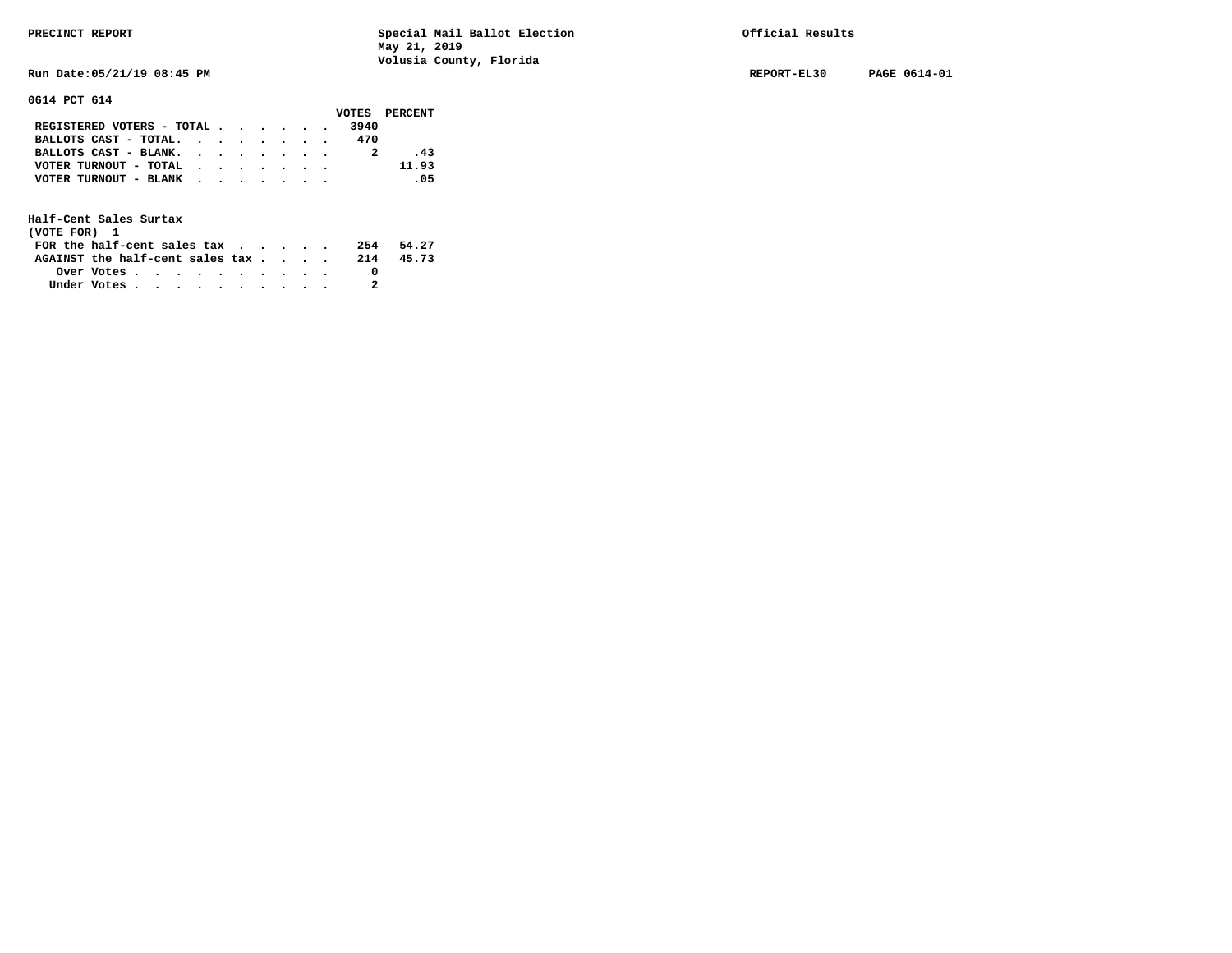**Run Date:05/21/19 08:45 PM REPORT-EL30 PAGE 0614-01** 

**0614 PCT 614** 

|                                                             |  |  |  |      | VOTES PERCENT |
|-------------------------------------------------------------|--|--|--|------|---------------|
| REGISTERED VOTERS - TOTAL                                   |  |  |  | 3940 |               |
| BALLOTS CAST - TOTAL.                                       |  |  |  | 470  |               |
| BALLOTS CAST - BLANK.                                       |  |  |  |      | .43           |
| VOTER TURNOUT - TOTAL $\cdot \cdot \cdot \cdot \cdot \cdot$ |  |  |  |      | 11.93         |
| VOTER TURNOUT - BLANK                                       |  |  |  |      | .05           |
|                                                             |  |  |  |      |               |

| (VOTE FOR) 1                           |            |  |  |  |  |     |       |
|----------------------------------------|------------|--|--|--|--|-----|-------|
| FOR the half-cent sales $\mathsf{tax}$ |            |  |  |  |  | 254 | 54.27 |
| AGAINST the half-cent sales tax        |            |  |  |  |  | 214 | 45.73 |
|                                        | Over Votes |  |  |  |  |     |       |
| Under Votes                            |            |  |  |  |  |     |       |
|                                        |            |  |  |  |  |     |       |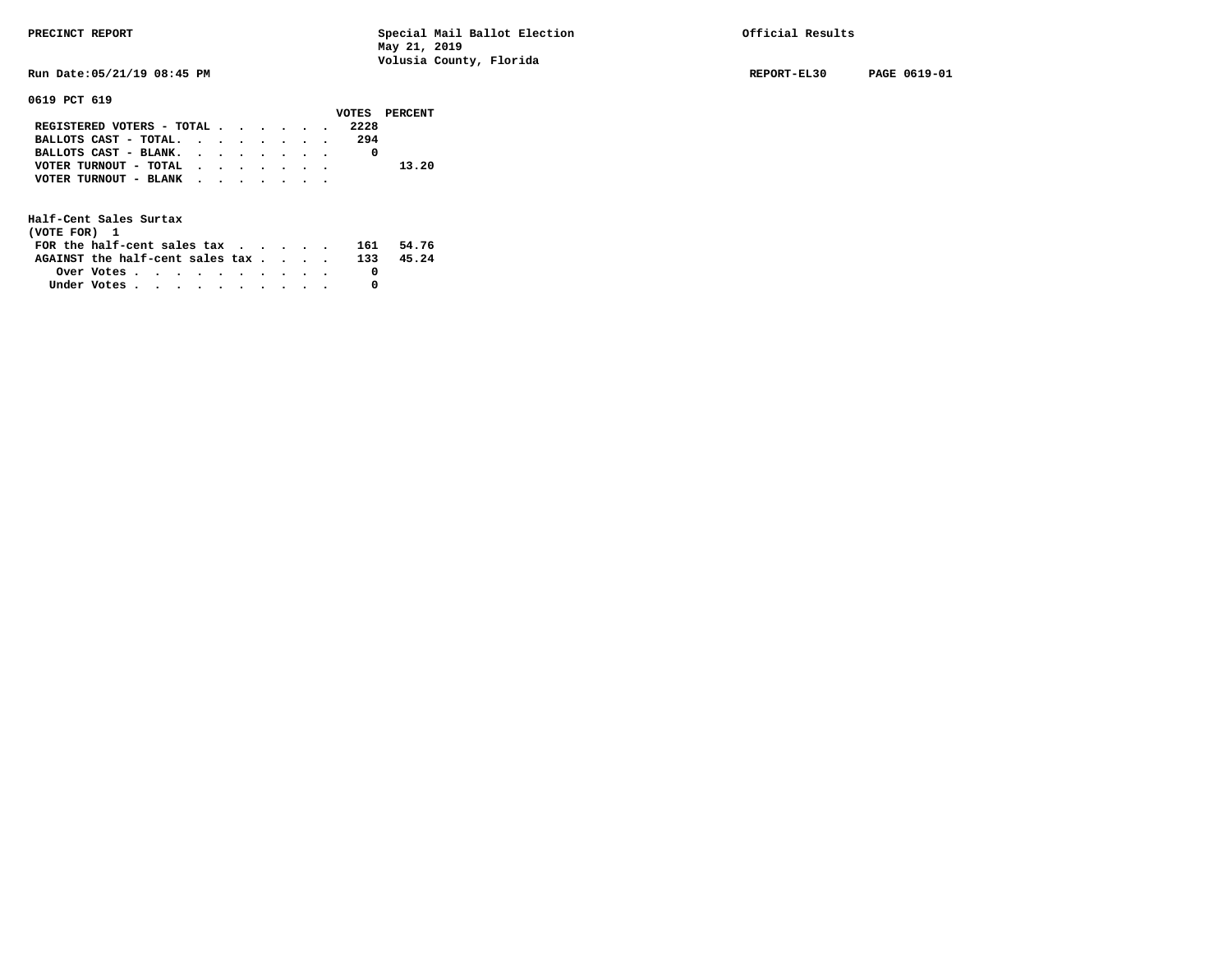**Run Date:05/21/19 08:45 PM REPORT-EL30 PAGE 0619-01** 

**0619 PCT 619** 

|                                           |  |  |  |      | VOTES PERCENT |
|-------------------------------------------|--|--|--|------|---------------|
| REGISTERED VOTERS - TOTAL                 |  |  |  | 2228 |               |
| BALLOTS CAST - TOTAL.                     |  |  |  | 294  |               |
| BALLOTS CAST - BLANK.                     |  |  |  |      |               |
| VOTER TURNOUT - TOTAL $\cdot$ , , , , , , |  |  |  |      | 13.20         |
| VOTER TURNOUT - BLANK                     |  |  |  |      |               |
|                                           |  |  |  |      |               |

| (VOTE FOR) 1                                                |                                                         |  |  |  |  |     |       |
|-------------------------------------------------------------|---------------------------------------------------------|--|--|--|--|-----|-------|
| FOR the half-cent sales tax $\cdot$ $\cdot$ $\cdot$ $\cdot$ |                                                         |  |  |  |  | 161 | 54.76 |
| AGAINST the half-cent sales tax                             |                                                         |  |  |  |  | 133 | 45.24 |
|                                                             | Over Votes $\cdots$ $\cdots$ $\cdots$ $\cdots$ $\cdots$ |  |  |  |  |     |       |
| Under Votes                                                 |                                                         |  |  |  |  |     |       |
|                                                             |                                                         |  |  |  |  |     |       |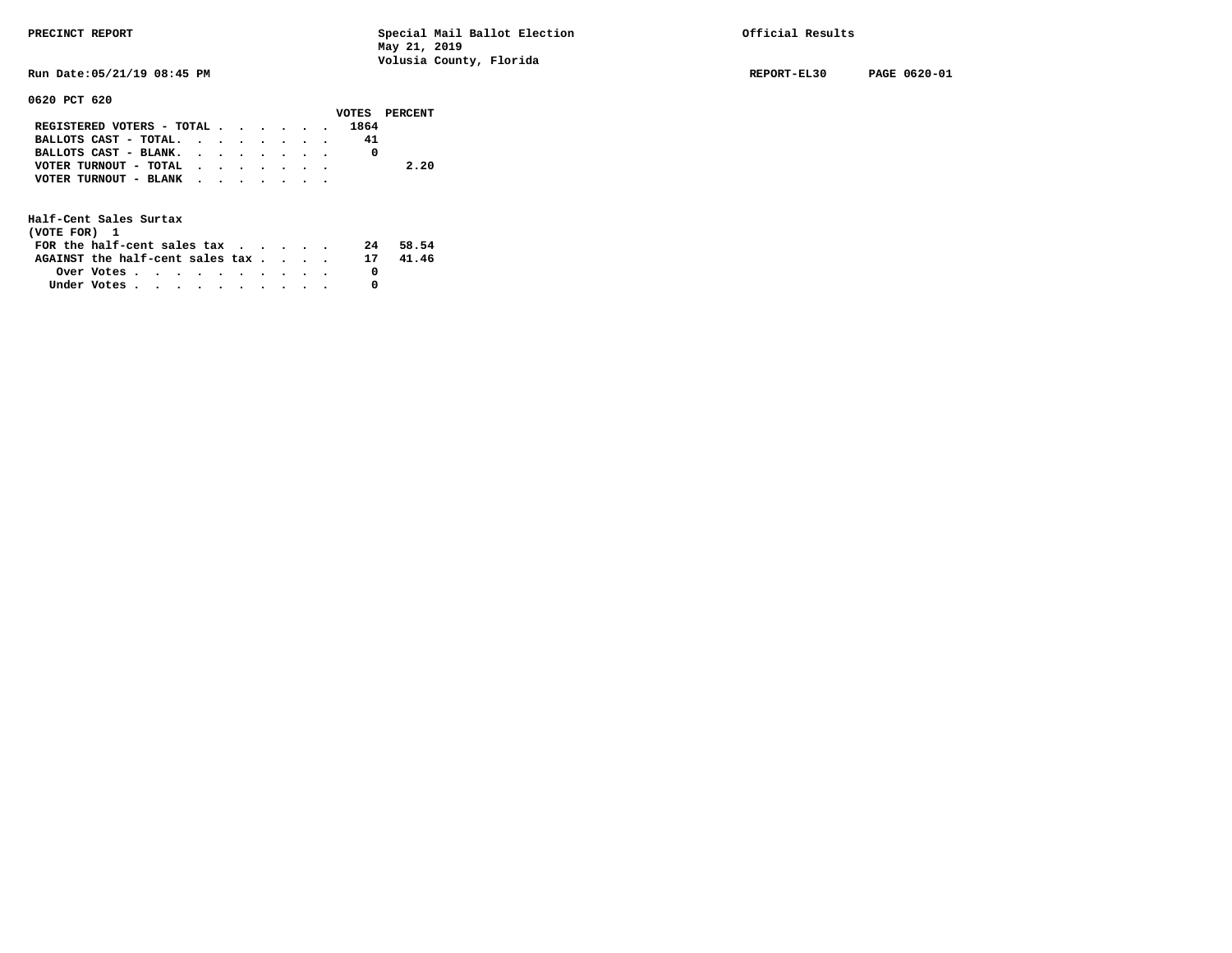**Run Date:05/21/19 08:45 PM REPORT-EL30 PAGE 0620-01** 

**0620 PCT 620** 

|  |  |  |                                                                                             | VOTES PERCENT                                           |
|--|--|--|---------------------------------------------------------------------------------------------|---------------------------------------------------------|
|  |  |  |                                                                                             |                                                         |
|  |  |  | 41                                                                                          |                                                         |
|  |  |  |                                                                                             |                                                         |
|  |  |  |                                                                                             | 2.20                                                    |
|  |  |  |                                                                                             |                                                         |
|  |  |  |                                                                                             |                                                         |
|  |  |  | BALLOTS CAST - BLANK.<br>VOTER TURNOUT - TOTAL $\cdot$ , , , , , ,<br>VOTER TURNOUT - BLANK | REGISTERED VOTERS - TOTAL 1864<br>BALLOTS CAST - TOTAL. |

| (VOTE FOR) 1                     |            |  |  |  |  |    |       |
|----------------------------------|------------|--|--|--|--|----|-------|
| FOR the half-cent sales $\alpha$ |            |  |  |  |  | 24 | 58.54 |
| AGAINST the half-cent sales tax  |            |  |  |  |  | 17 | 41.46 |
|                                  | Over Votes |  |  |  |  |    |       |
| Under Votes                      |            |  |  |  |  |    |       |
|                                  |            |  |  |  |  |    |       |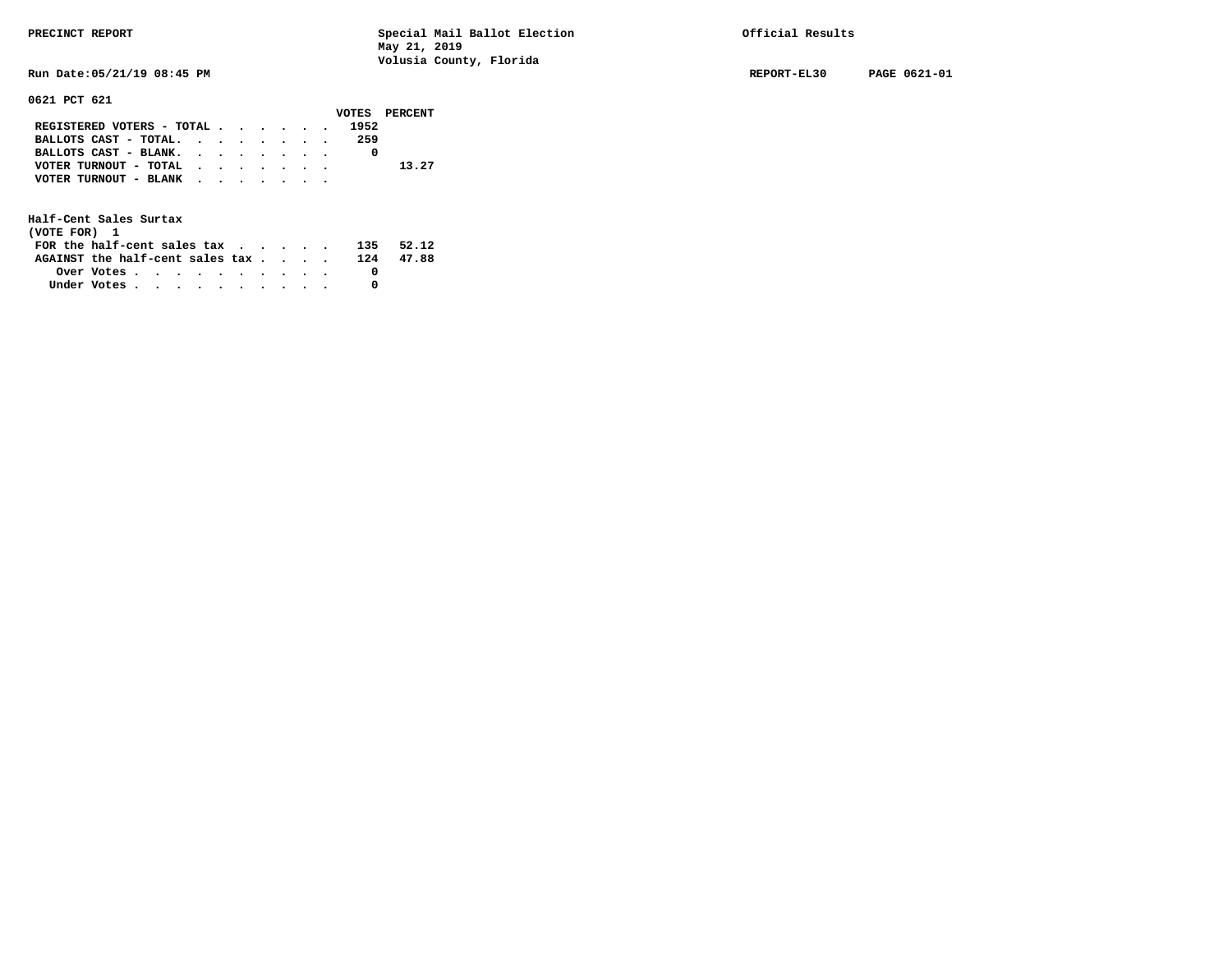**Run Date:05/21/19 08:45 PM REPORT-EL30 PAGE 0621-01** 

**0621 PCT 621** 

|                                |  |  |  |     | VOTES PERCENT |
|--------------------------------|--|--|--|-----|---------------|
| REGISTERED VOTERS - TOTAL 1952 |  |  |  |     |               |
| BALLOTS CAST - TOTAL.          |  |  |  | 259 |               |
| BALLOTS CAST - BLANK.          |  |  |  |     |               |
| VOTER TURNOUT - TOTAL          |  |  |  |     | 13.27         |
| VOTER TURNOUT - BLANK          |  |  |  |     |               |
|                                |  |  |  |     |               |

| (VOTE FOR) 1                                            |  |  |  |  |  |     |       |
|---------------------------------------------------------|--|--|--|--|--|-----|-------|
| FOR the half-cent sales $\mathsf{tax}$                  |  |  |  |  |  | 135 | 52.12 |
| AGAINST the half-cent sales tax                         |  |  |  |  |  | 124 | 47.88 |
| Over Votes $\cdots$ $\cdots$ $\cdots$ $\cdots$ $\cdots$ |  |  |  |  |  |     |       |
| Under Votes                                             |  |  |  |  |  |     |       |
|                                                         |  |  |  |  |  |     |       |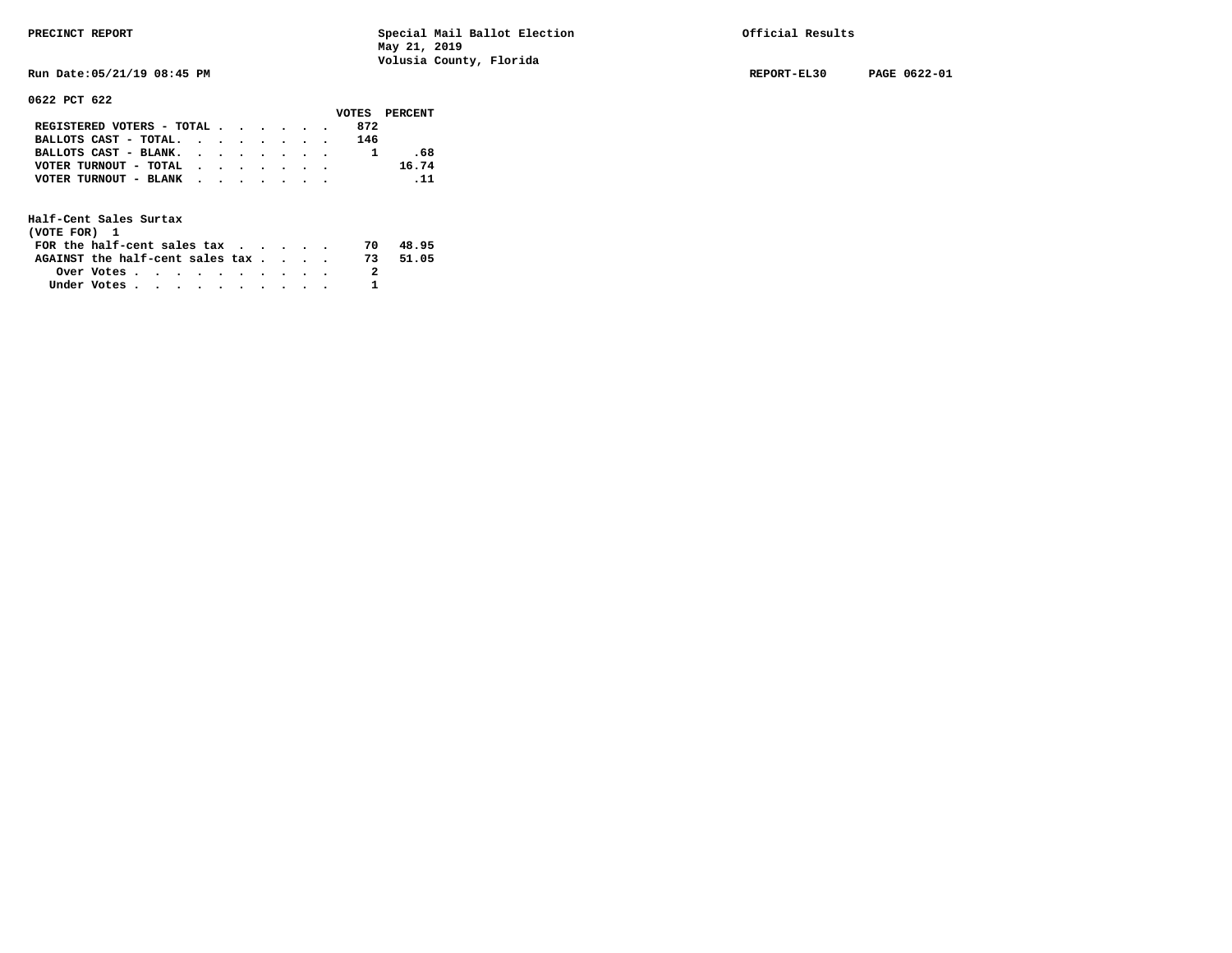**Run Date:05/21/19 08:45 PM REPORT-EL30 PAGE 0622-01** 

**0622 PCT 622** 

|                               |  |  |  | VOTES PERCENT |
|-------------------------------|--|--|--|---------------|
| REGISTERED VOTERS - TOTAL     |  |  |  | 872           |
| BALLOTS CAST - TOTAL. $\cdot$ |  |  |  | 146           |
| BALLOTS CAST - BLANK.         |  |  |  | .68           |
| VOTER TURNOUT - TOTAL         |  |  |  | 16.74         |
| VOTER TURNOUT - BLANK         |  |  |  | $\ldots$ 11   |
|                               |  |  |  |               |

| (VOTE FOR) 1                     |            |  |  |  |  |     |       |
|----------------------------------|------------|--|--|--|--|-----|-------|
| FOR the half-cent sales $\alpha$ |            |  |  |  |  | 70  | 48.95 |
| AGAINST the half-cent sales tax  |            |  |  |  |  | 73. | 51.05 |
|                                  | Over Votes |  |  |  |  |     |       |
| Under Votes                      |            |  |  |  |  |     |       |
|                                  |            |  |  |  |  |     |       |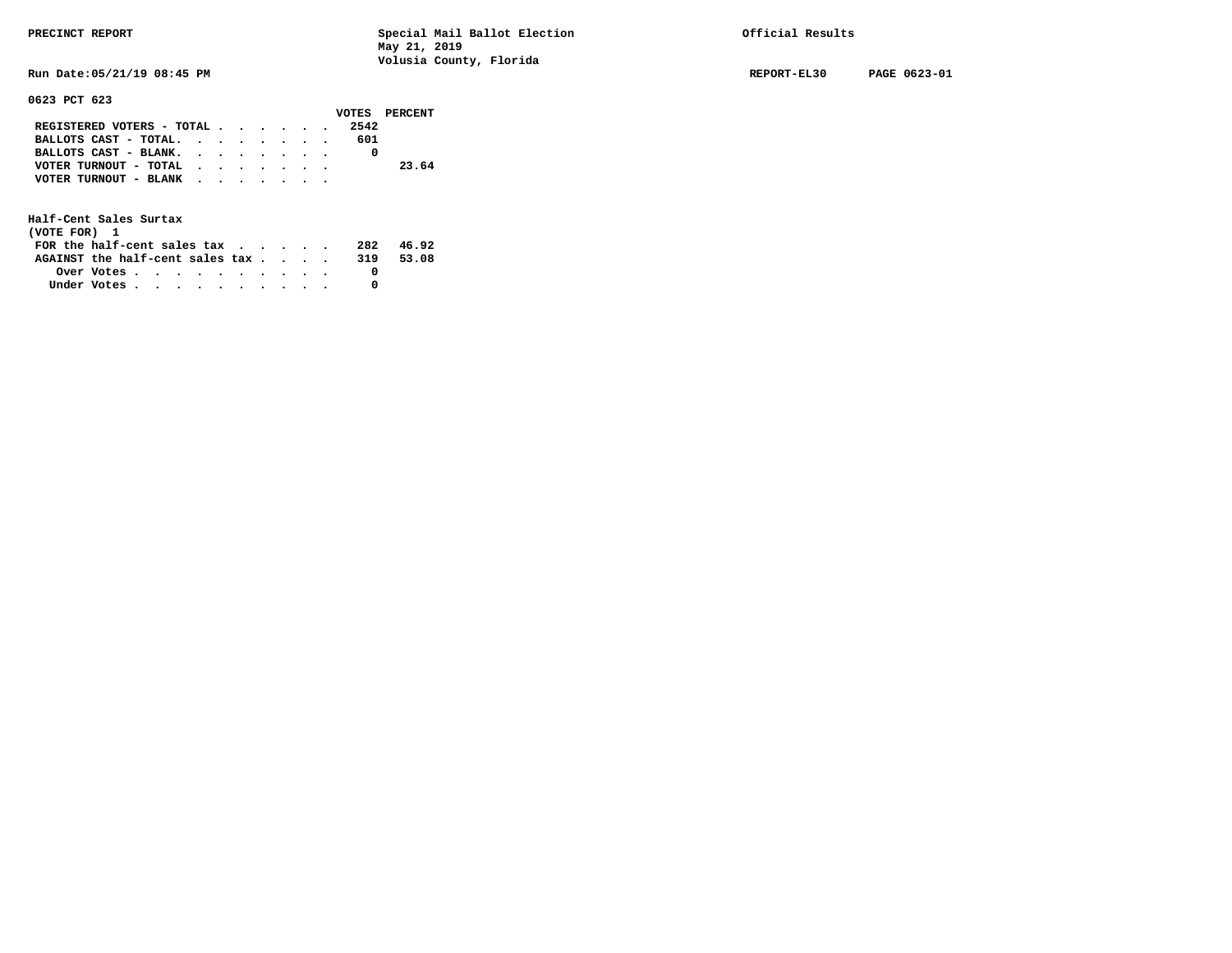**Run Date:05/21/19 08:45 PM REPORT-EL30 PAGE 0623-01** 

## **0623 PCT 623**

|                                               |  |  |  |      | VOTES PERCENT |  |
|-----------------------------------------------|--|--|--|------|---------------|--|
| REGISTERED VOTERS - TOTAL $\cdot$ , , , , , , |  |  |  | 2542 |               |  |
| BALLOTS CAST - TOTAL.                         |  |  |  | 601  |               |  |
| BALLOTS CAST - BLANK.                         |  |  |  |      |               |  |
| VOTER TURNOUT - TOTAL $\cdot$ , , , , , ,     |  |  |  |      | 23.64         |  |
| VOTER TURNOUT - BLANK $\cdot$ , , , , , , ,   |  |  |  |      |               |  |
|                                               |  |  |  |      |               |  |

| (VOTE FOR) 1                                            |  |  |  |  |  |     |       |
|---------------------------------------------------------|--|--|--|--|--|-----|-------|
| FOR the half-cent sales $\mathsf{tax}$                  |  |  |  |  |  | 282 | 46.92 |
| AGAINST the half-cent sales tax                         |  |  |  |  |  | 319 | 53.08 |
| Over Votes $\cdots$ $\cdots$ $\cdots$ $\cdots$ $\cdots$ |  |  |  |  |  |     |       |
| Under Votes                                             |  |  |  |  |  |     |       |
|                                                         |  |  |  |  |  |     |       |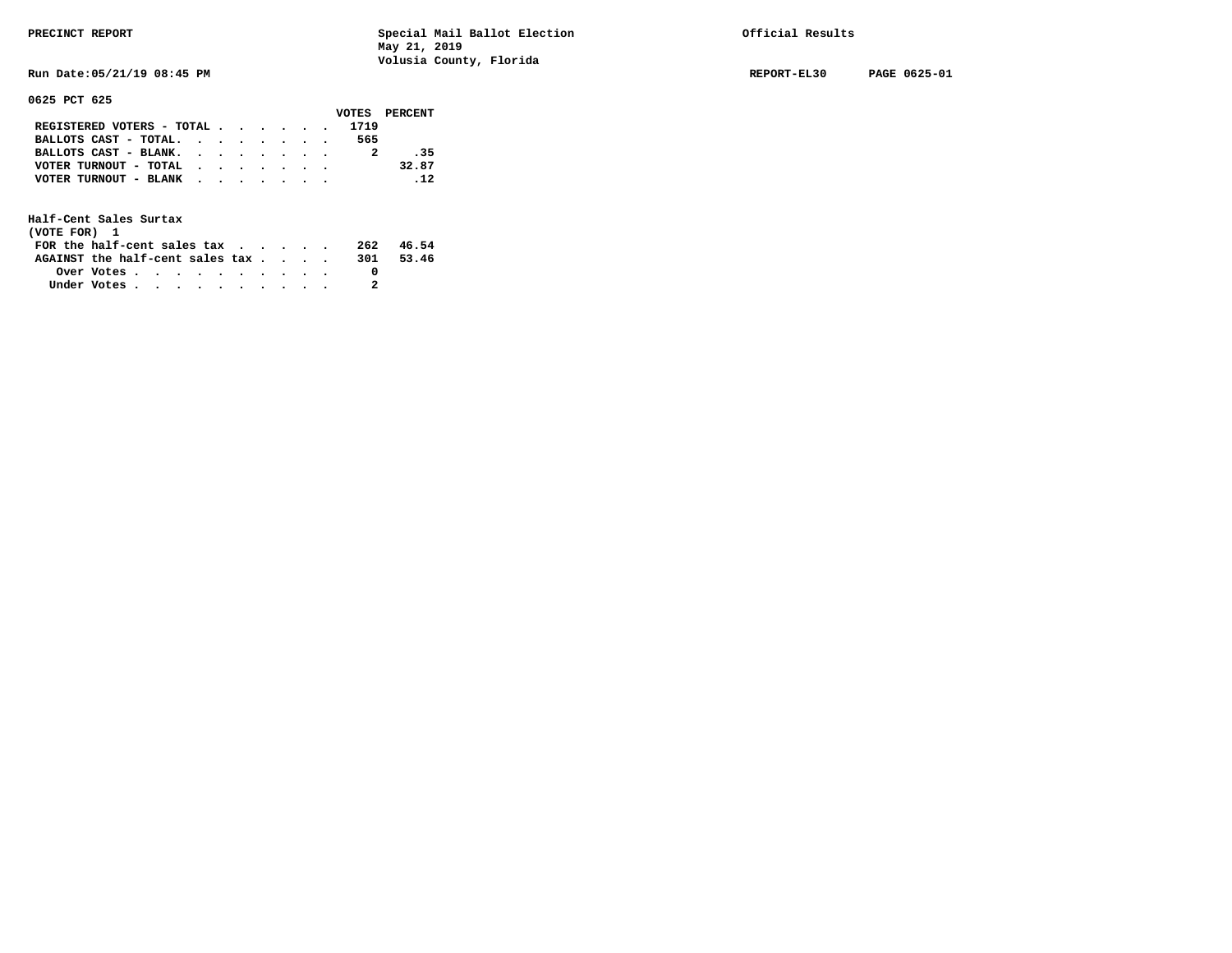**Run Date:05/21/19 08:45 PM REPORT-EL30 PAGE 0625-01** 

**0625 PCT 625** 

|                                                             |  |  |  |      | VOTES PERCENT |
|-------------------------------------------------------------|--|--|--|------|---------------|
| REGISTERED VOTERS - TOTAL                                   |  |  |  | 1719 |               |
| BALLOTS CAST - TOTAL. $\cdot$ , $\cdot$ , $\cdot$ , $\cdot$ |  |  |  | 565  |               |
| BALLOTS CAST - BLANK.                                       |  |  |  |      | - 35          |
| VOTER TURNOUT - TOTAL                                       |  |  |  |      | 32.87         |
| VOTER TURNOUT - BLANK                                       |  |  |  |      | $\sim$ 12     |
|                                                             |  |  |  |      |               |

| (VOTE FOR) 1                           |            |  |  |  |  |     |       |
|----------------------------------------|------------|--|--|--|--|-----|-------|
| FOR the half-cent sales $\mathsf{tax}$ |            |  |  |  |  | 262 | 46.54 |
| AGAINST the half-cent sales tax        |            |  |  |  |  | 301 | 53.46 |
|                                        | Over Votes |  |  |  |  |     |       |
| Under Votes                            |            |  |  |  |  |     |       |
|                                        |            |  |  |  |  |     |       |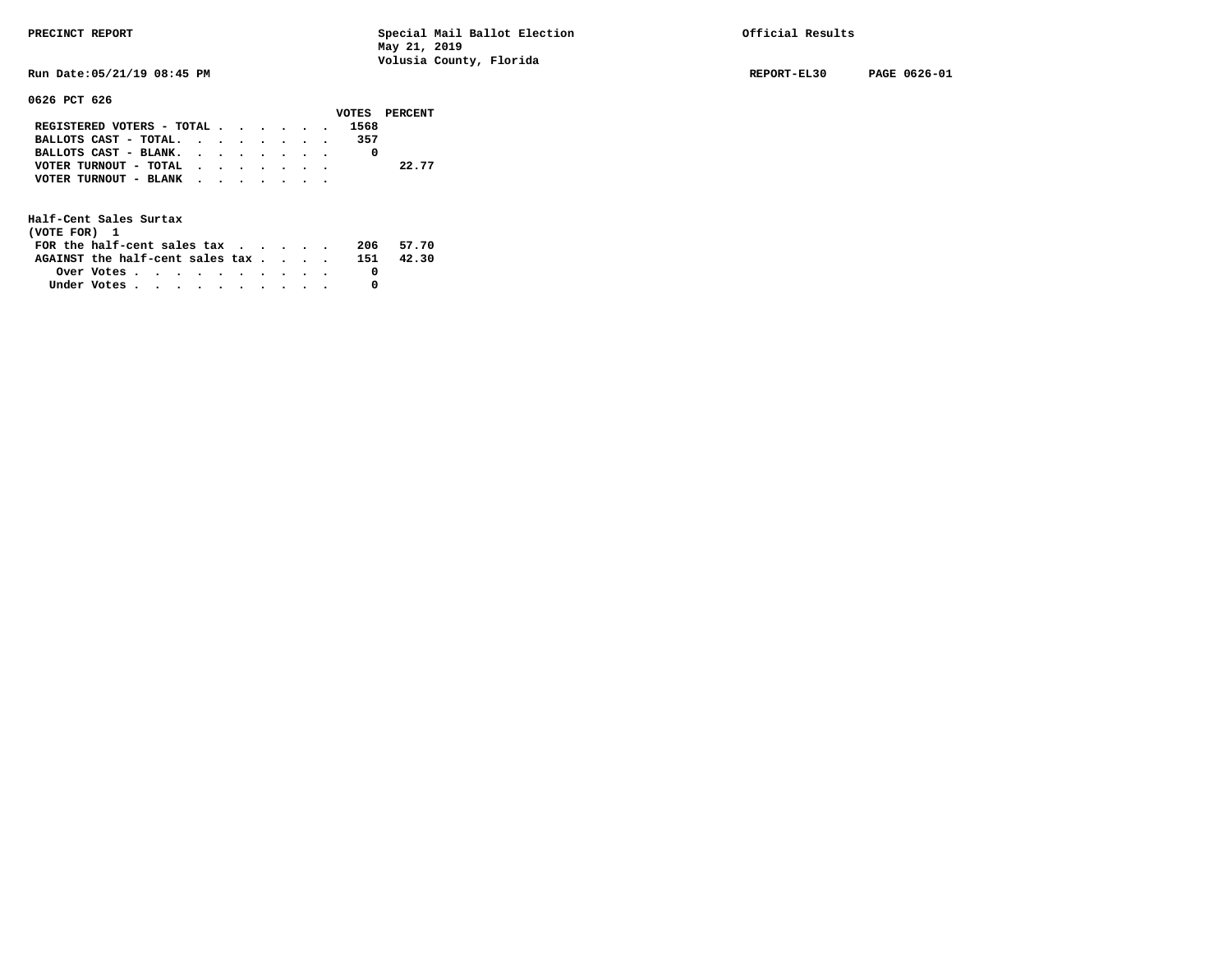**Run Date:05/21/19 08:45 PM REPORT-EL30 PAGE 0626-01** 

**0626 PCT 626** 

|                           |  |  |  |      | VOTES PERCENT |
|---------------------------|--|--|--|------|---------------|
| REGISTERED VOTERS - TOTAL |  |  |  | 1568 |               |
| BALLOTS $CAST - TOTAL$ .  |  |  |  | 357  |               |
| BALLOTS CAST - BLANK.     |  |  |  |      |               |
| VOTER TURNOUT - TOTAL     |  |  |  |      | 22.77         |
| VOTER TURNOUT - BLANK     |  |  |  |      |               |
|                           |  |  |  |      |               |

| (VOTE FOR) 1                     |                                                         |  |  |  |  |     |           |
|----------------------------------|---------------------------------------------------------|--|--|--|--|-----|-----------|
| FOR the half-cent sales $\alpha$ |                                                         |  |  |  |  |     | 206 57.70 |
| AGAINST the half-cent sales tax  |                                                         |  |  |  |  | 151 | 42.30     |
|                                  | Over Votes $\cdots$ $\cdots$ $\cdots$ $\cdots$ $\cdots$ |  |  |  |  |     |           |
| Under Votes                      |                                                         |  |  |  |  |     |           |
|                                  |                                                         |  |  |  |  |     |           |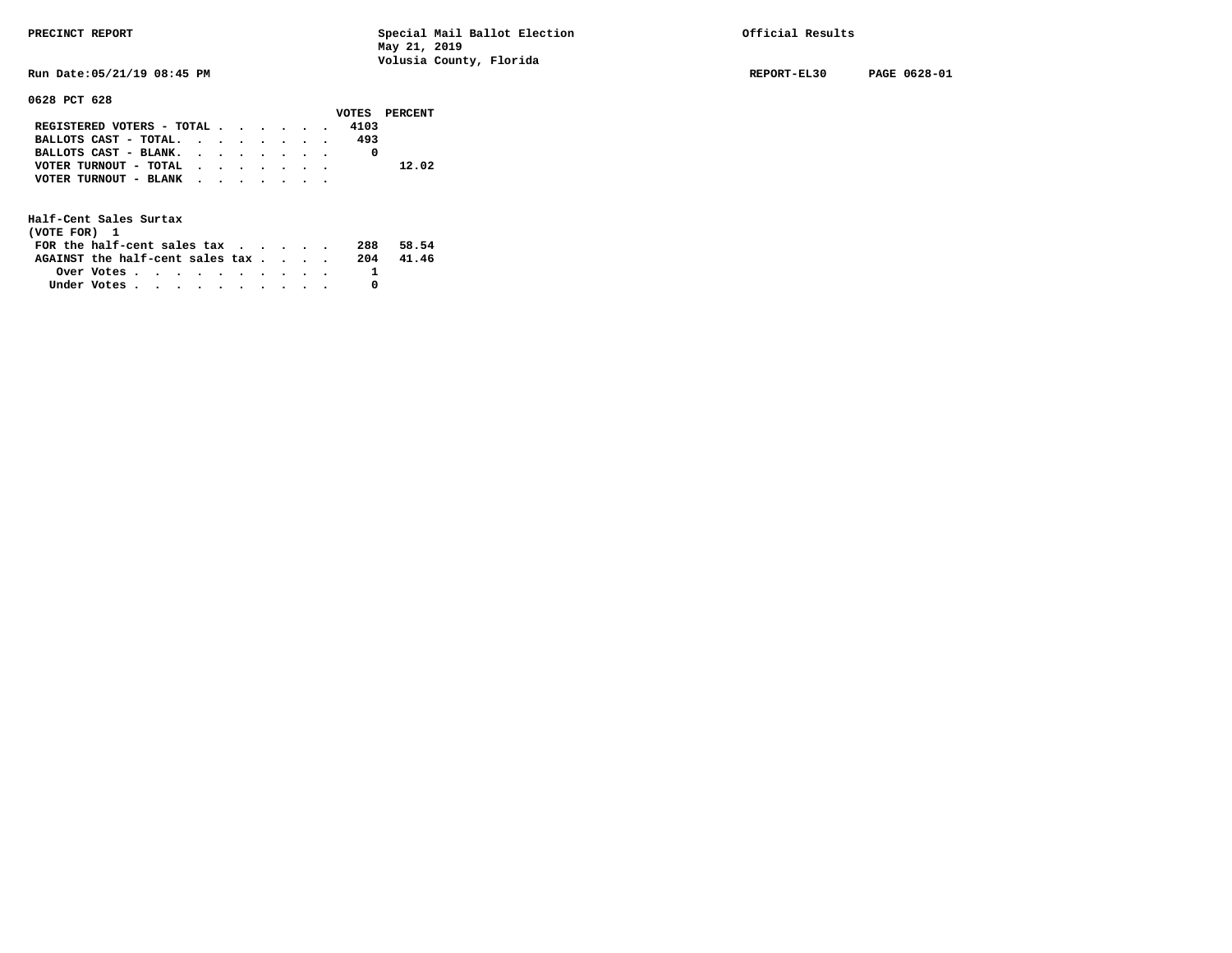**0628 PCT 628** 

**PRECINCT REPORT Special Mail Ballot Election Official Results May 21, 2019 Volusia County, Florida** 

**Run Date:05/21/19 08:45 PM REPORT-EL30 PAGE 0628-01** 

|                           |  |  |  |      | VOTES PERCENT |
|---------------------------|--|--|--|------|---------------|
| REGISTERED VOTERS - TOTAL |  |  |  | 4103 |               |
| BALLOTS CAST - TOTAL.     |  |  |  | 493  |               |
| BALLOTS CAST - BLANK.     |  |  |  |      |               |
| VOTER TURNOUT - TOTAL     |  |  |  |      | 12.02         |
| VOTER TURNOUT - BLANK     |  |  |  |      |               |
|                           |  |  |  |      |               |

| (VOTE FOR) 1                     |                                                         |  |  |  |  |     |       |
|----------------------------------|---------------------------------------------------------|--|--|--|--|-----|-------|
| FOR the half-cent sales $\alpha$ |                                                         |  |  |  |  | 288 | 58.54 |
| AGAINST the half-cent sales tax  |                                                         |  |  |  |  | 204 | 41.46 |
|                                  | Over Votes $\cdots$ $\cdots$ $\cdots$ $\cdots$ $\cdots$ |  |  |  |  |     |       |
| Under Votes                      |                                                         |  |  |  |  |     |       |
|                                  |                                                         |  |  |  |  |     |       |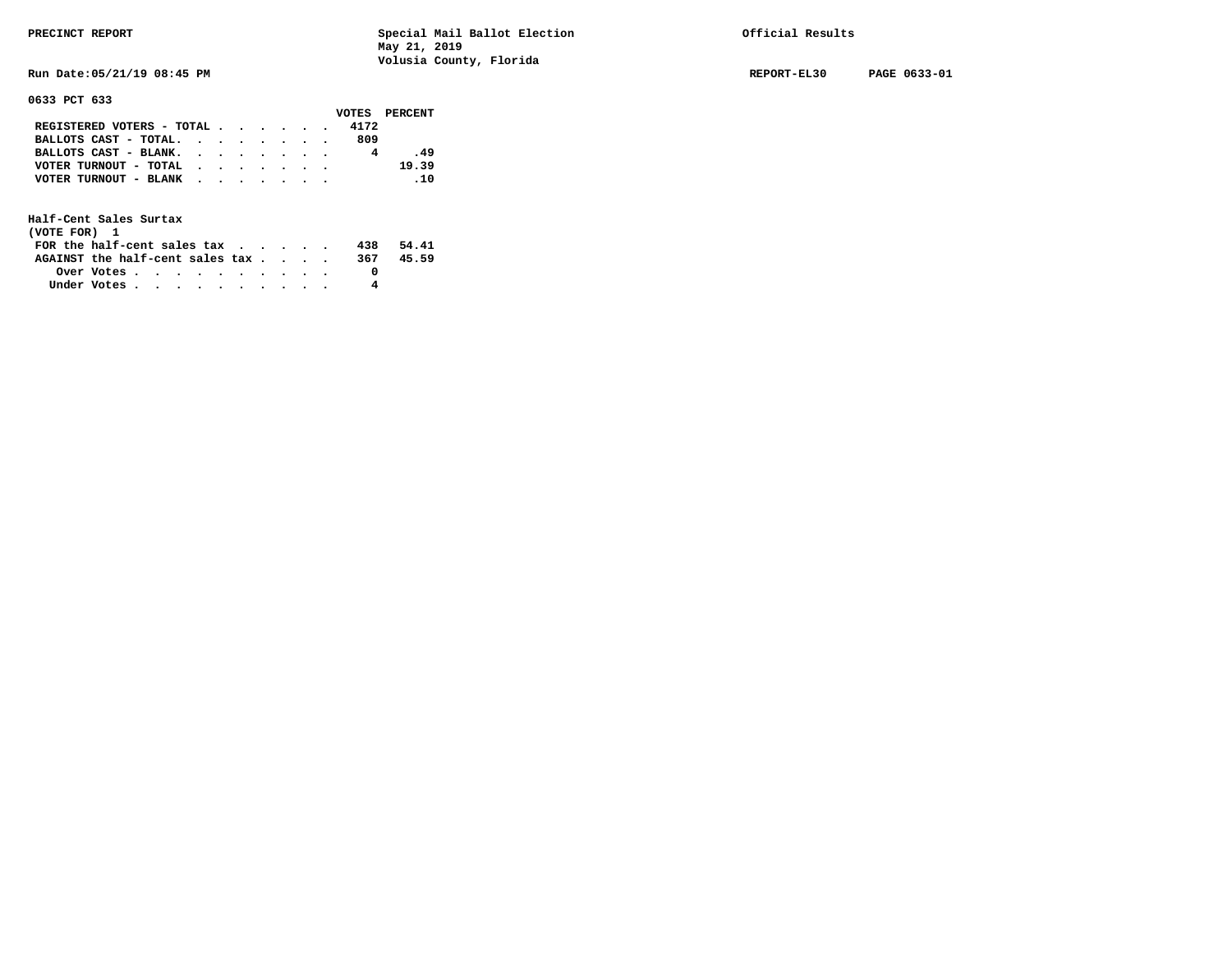**Run Date:05/21/19 08:45 PM REPORT-EL30 PAGE 0633-01** 

**0633 PCT 633** 

|                                           |  |  |  |      | VOTES PERCENT |
|-------------------------------------------|--|--|--|------|---------------|
| REGISTERED VOTERS - TOTAL                 |  |  |  | 4172 |               |
| BALLOTS CAST - TOTAL.                     |  |  |  | 809  |               |
| BALLOTS CAST - BLANK.                     |  |  |  |      | .49           |
| VOTER TURNOUT - TOTAL $\cdot$ , , , , , , |  |  |  |      | 19.39         |
| VOTER TURNOUT - BLANK                     |  |  |  |      | $\ldots$ 10   |
|                                           |  |  |  |      |               |

| (VOTE FOR) 1                     |                                                         |  |  |  |  |     |       |
|----------------------------------|---------------------------------------------------------|--|--|--|--|-----|-------|
| FOR the half-cent sales $\alpha$ |                                                         |  |  |  |  | 438 | 54.41 |
| AGAINST the half-cent sales tax  |                                                         |  |  |  |  | 367 | 45.59 |
|                                  | Over Votes $\cdots$ $\cdots$ $\cdots$ $\cdots$ $\cdots$ |  |  |  |  |     |       |
| Under Votes                      |                                                         |  |  |  |  |     |       |
|                                  |                                                         |  |  |  |  |     |       |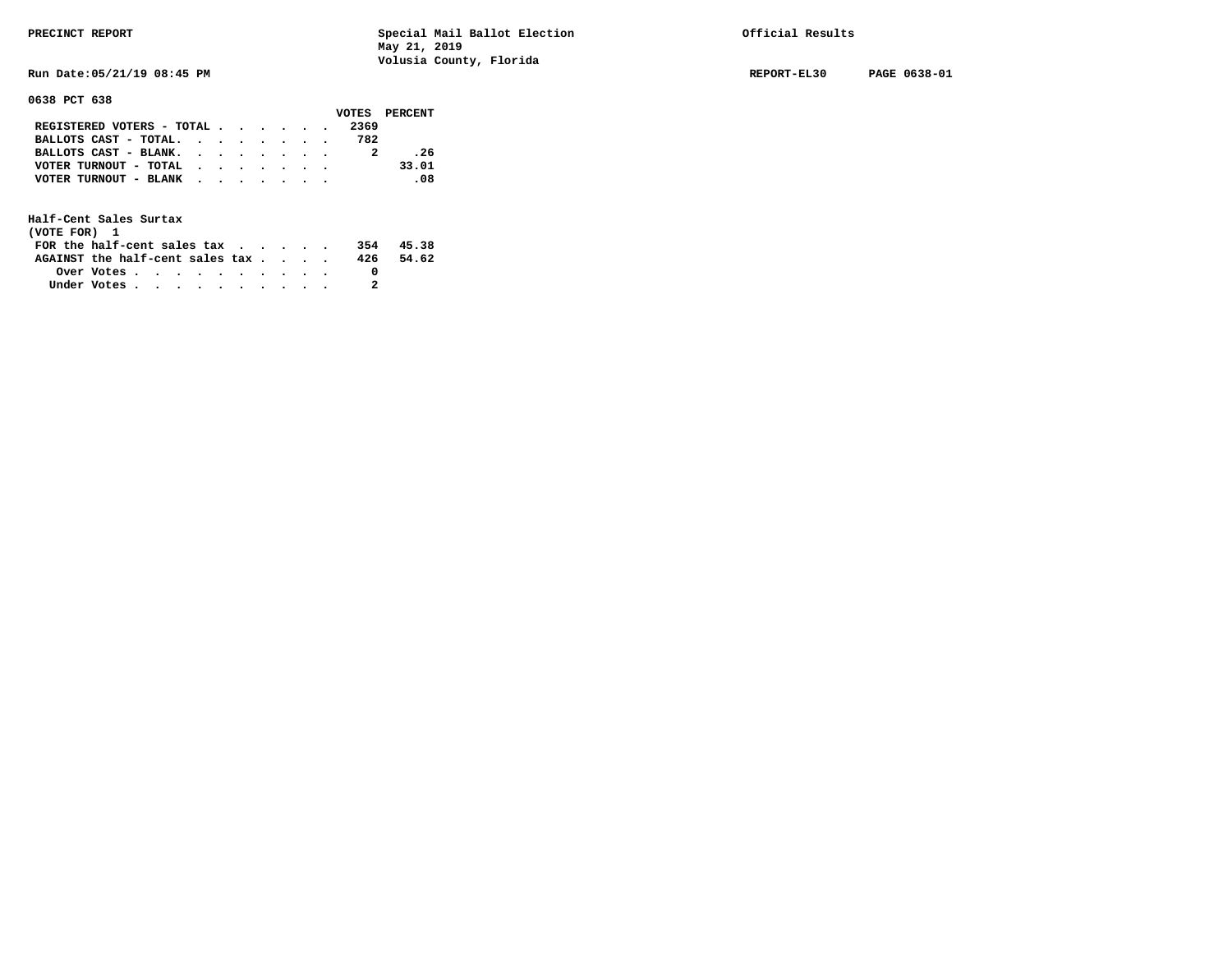**Run Date:05/21/19 08:45 PM REPORT-EL30 PAGE 0638-01** 

**0638 PCT 638** 

|                                           |  |  |  |      | VOTES PERCENT |
|-------------------------------------------|--|--|--|------|---------------|
| REGISTERED VOTERS - TOTAL                 |  |  |  | 2369 |               |
| BALLOTS CAST - TOTAL. $\cdot$             |  |  |  | 782  |               |
| BALLOTS CAST - BLANK.                     |  |  |  |      | .26           |
| VOTER TURNOUT - TOTAL $\cdot$ , , , , , , |  |  |  |      | 33.01         |
| VOTER TURNOUT - BLANK                     |  |  |  |      | -08           |
|                                           |  |  |  |      |               |

| (VOTE FOR) 1                           |                                                         |  |  |  |  |     |       |
|----------------------------------------|---------------------------------------------------------|--|--|--|--|-----|-------|
| FOR the half-cent sales $\mathsf{tax}$ |                                                         |  |  |  |  | 354 | 45.38 |
| AGAINST the half-cent sales tax        |                                                         |  |  |  |  | 426 | 54.62 |
|                                        | Over Votes $\cdots$ $\cdots$ $\cdots$ $\cdots$ $\cdots$ |  |  |  |  |     |       |
| Under Votes                            |                                                         |  |  |  |  |     |       |
|                                        |                                                         |  |  |  |  |     |       |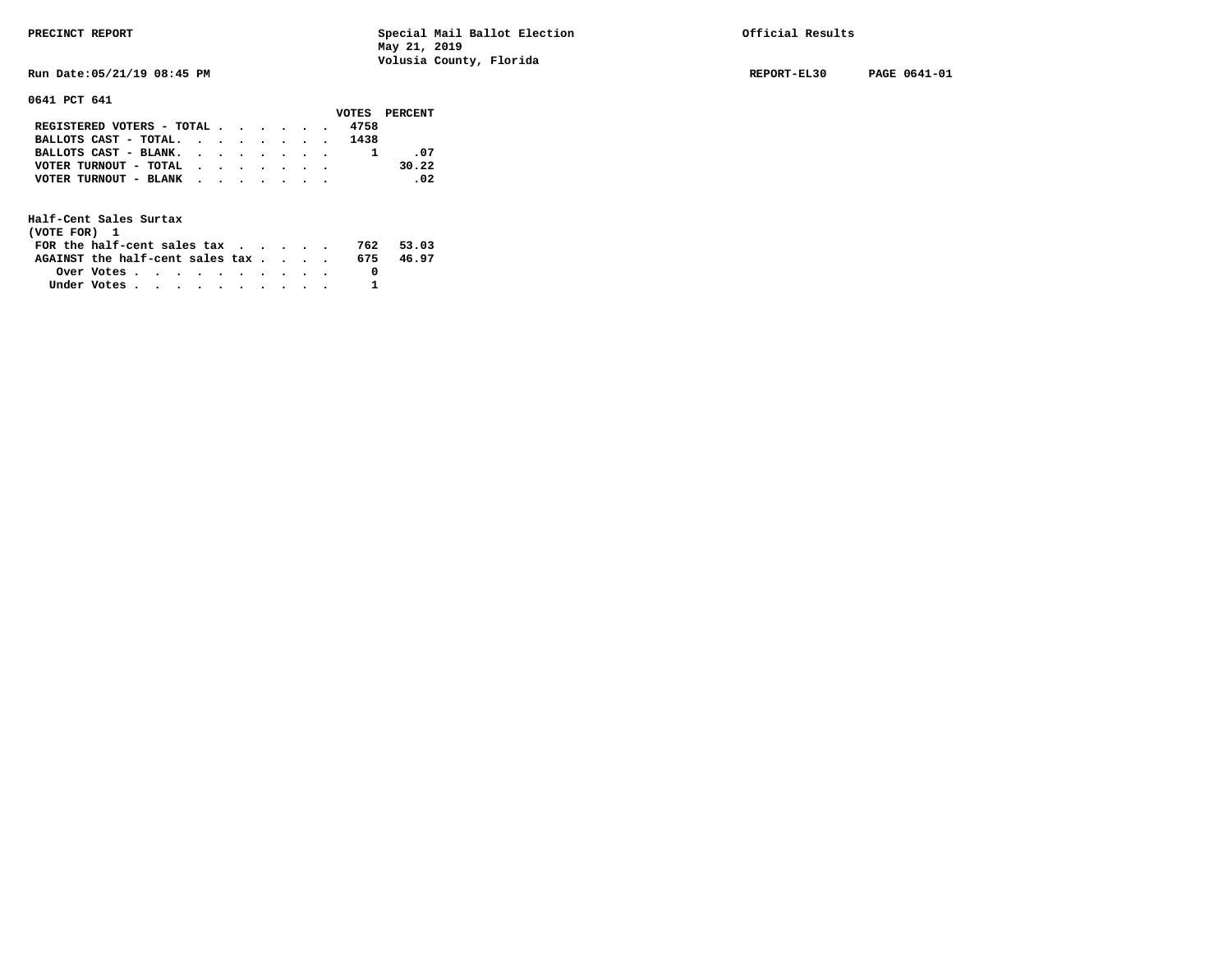**Run Date:05/21/19 08:45 PM REPORT-EL30 PAGE 0641-01** 

**0641 PCT 641** 

|                                           |  |  |  |      | VOTES PERCENT |
|-------------------------------------------|--|--|--|------|---------------|
| REGISTERED VOTERS - TOTAL                 |  |  |  | 4758 |               |
| BALLOTS CAST - TOTAL. 1438                |  |  |  |      |               |
| BALLOTS CAST - BLANK.                     |  |  |  |      | - 07          |
| VOTER TURNOUT - TOTAL $\cdot$ , , , , , , |  |  |  |      | 30.22         |
| VOTER TURNOUT - BLANK                     |  |  |  |      | $\sim$ 02     |
|                                           |  |  |  |      |               |

| (VOTE FOR) 1                                                |            |  |  |  |  |     |       |
|-------------------------------------------------------------|------------|--|--|--|--|-----|-------|
| FOR the half-cent sales tax $\cdot$ $\cdot$ $\cdot$ $\cdot$ |            |  |  |  |  | 762 | 53.03 |
| AGAINST the half-cent sales tax                             |            |  |  |  |  | 675 | 46.97 |
|                                                             | Over Votes |  |  |  |  |     |       |
| Under Votes                                                 |            |  |  |  |  |     |       |
|                                                             |            |  |  |  |  |     |       |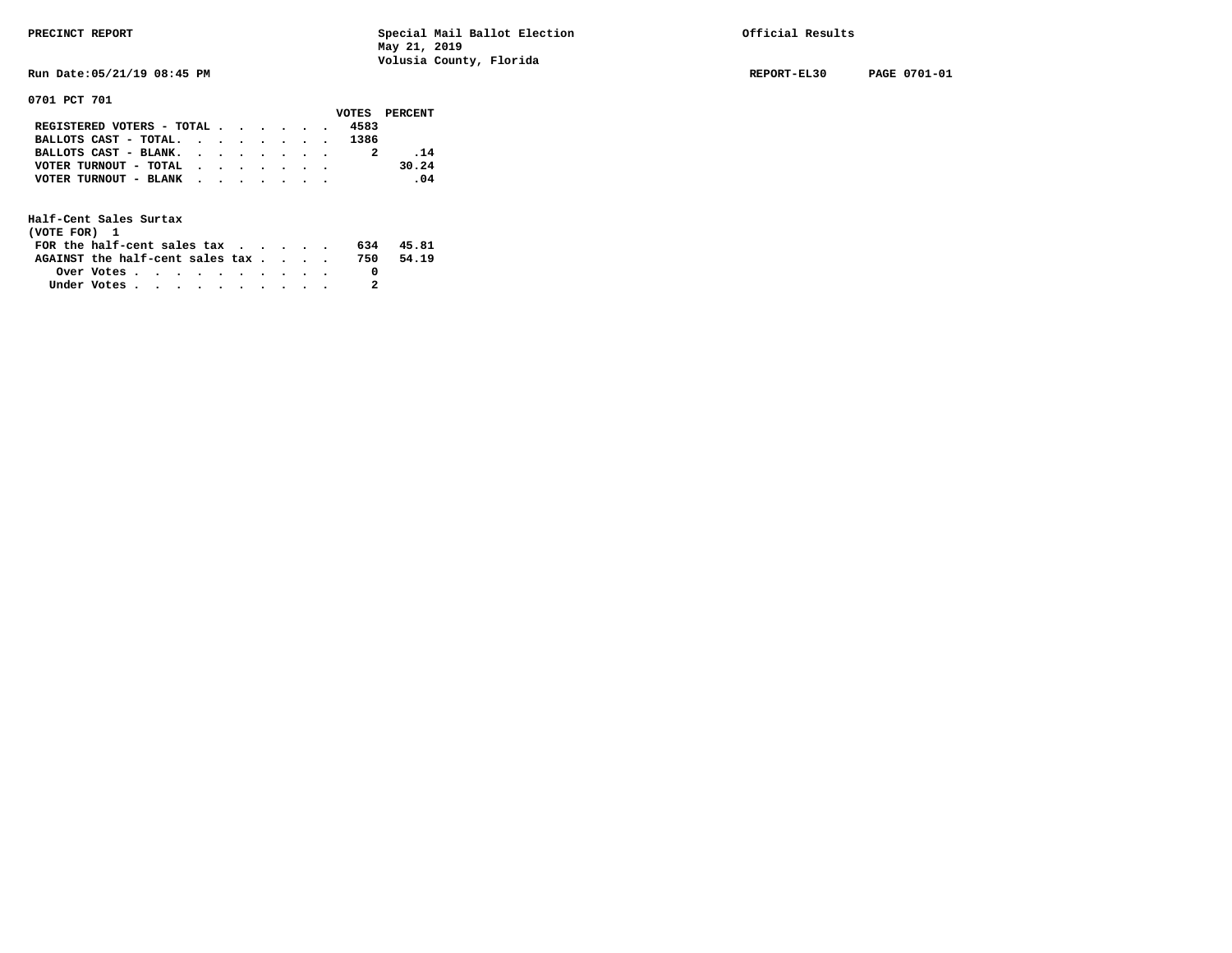**Run Date:05/21/19 08:45 PM REPORT-EL30 PAGE 0701-01** 

**0701 PCT 701** 

|                                                                           |  |  |  |      | VOTES PERCENT |
|---------------------------------------------------------------------------|--|--|--|------|---------------|
| REGISTERED VOTERS - TOTAL $\cdot$ $\cdot$ $\cdot$ $\cdot$ $\cdot$ $\cdot$ |  |  |  | 4583 |               |
| BALLOTS CAST - TOTAL. 1386                                                |  |  |  |      |               |
| BALLOTS CAST - BLANK.                                                     |  |  |  |      | .14           |
| VOTER TURNOUT - TOTAL                                                     |  |  |  |      | 30.24         |
| VOTER TURNOUT - BLANK                                                     |  |  |  |      | .04           |
|                                                                           |  |  |  |      |               |

| (VOTE FOR) 1                                                |            |  |  |  |  |     |       |
|-------------------------------------------------------------|------------|--|--|--|--|-----|-------|
| FOR the half-cent sales tax $\cdot$ $\cdot$ $\cdot$ $\cdot$ |            |  |  |  |  | 634 | 45.81 |
| AGAINST the half-cent sales tax                             |            |  |  |  |  | 750 | 54.19 |
|                                                             | Over Votes |  |  |  |  |     |       |
| Under Votes                                                 |            |  |  |  |  |     |       |
|                                                             |            |  |  |  |  |     |       |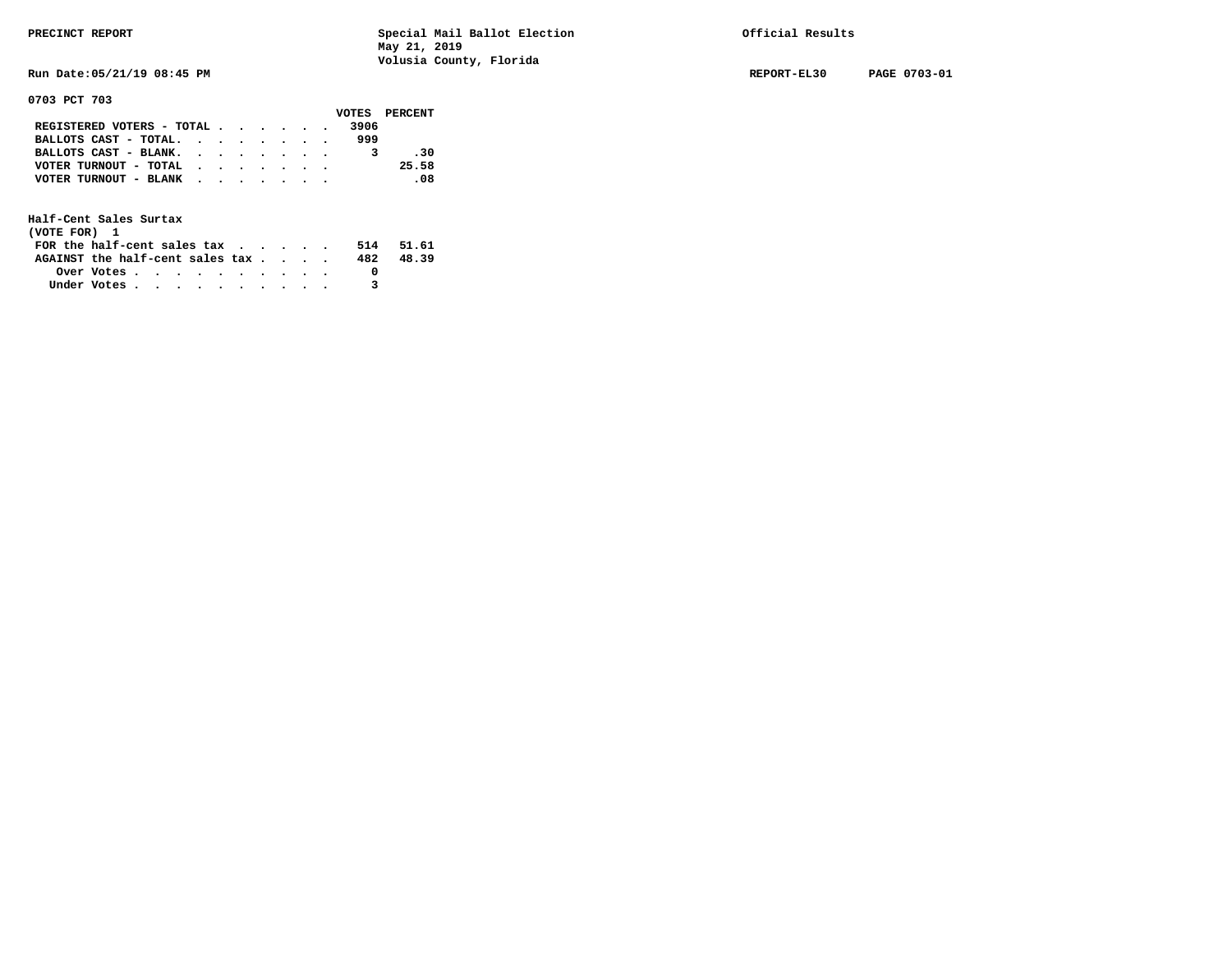**Run Date:05/21/19 08:45 PM REPORT-EL30 PAGE 0703-01** 

**0703 PCT 703** 

|                               |  |  |  |      | VOTES PERCENT |
|-------------------------------|--|--|--|------|---------------|
| REGISTERED VOTERS - TOTAL     |  |  |  | 3906 |               |
| BALLOTS CAST - TOTAL. $\cdot$ |  |  |  | 999  |               |
| BALLOTS CAST - BLANK.         |  |  |  |      | - 30          |
| VOTER TURNOUT - TOTAL         |  |  |  |      | 25.58         |
| VOTER TURNOUT - BLANK         |  |  |  |      | .08           |
|                               |  |  |  |      |               |

| (VOTE FOR) 1                           |                                                         |  |  |  |  |     |       |
|----------------------------------------|---------------------------------------------------------|--|--|--|--|-----|-------|
| FOR the half-cent sales $\mathsf{tax}$ |                                                         |  |  |  |  | 514 | 51.61 |
| AGAINST the half-cent sales tax        |                                                         |  |  |  |  | 482 | 48.39 |
|                                        | Over Votes $\cdots$ $\cdots$ $\cdots$ $\cdots$ $\cdots$ |  |  |  |  |     |       |
| Under Votes                            |                                                         |  |  |  |  |     |       |
|                                        |                                                         |  |  |  |  |     |       |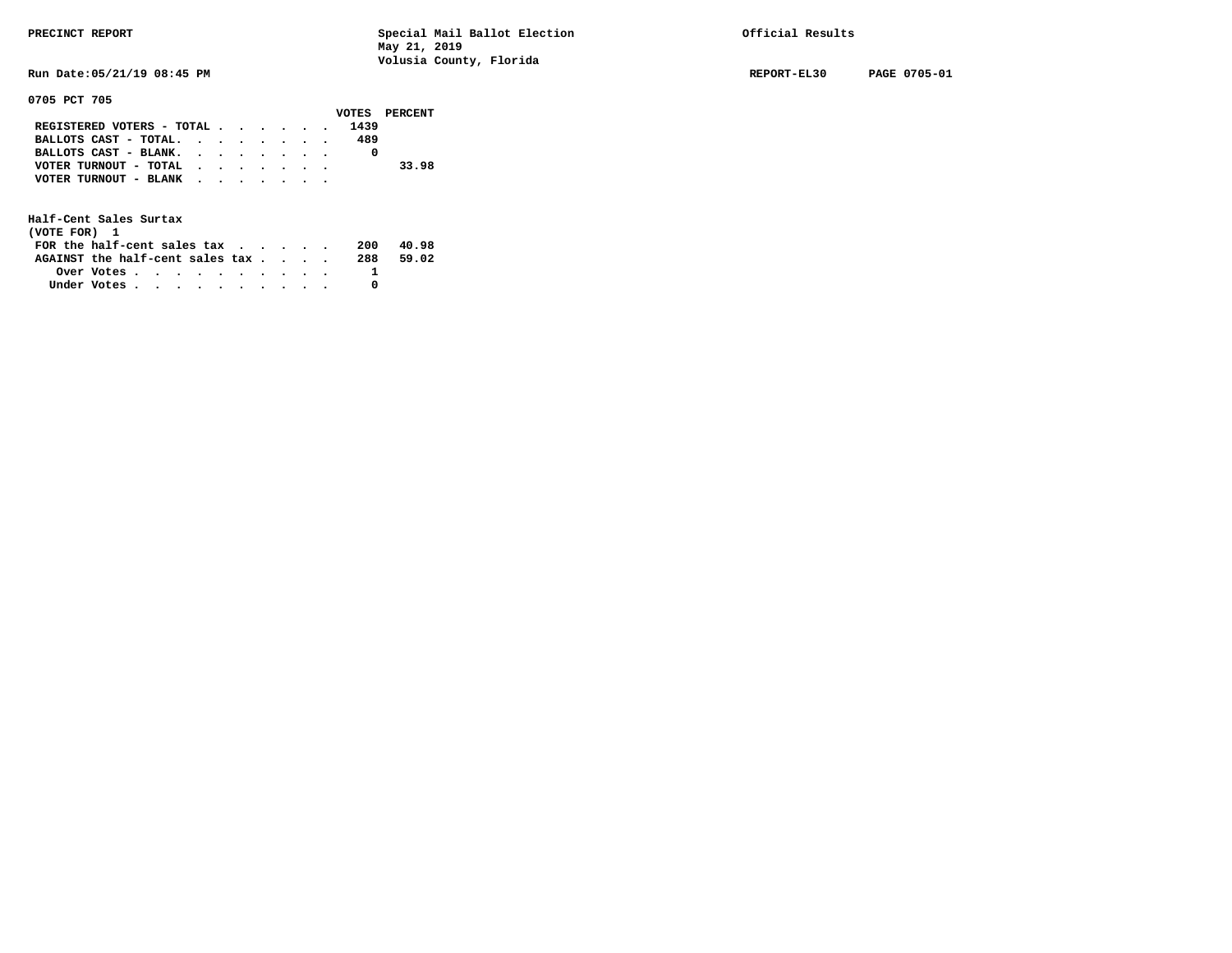**Run Date:05/21/19 08:45 PM REPORT-EL30 PAGE 0705-01** 

**0705 PCT 705** 

|                                           |  |  |  |      | VOTES PERCENT |
|-------------------------------------------|--|--|--|------|---------------|
| REGISTERED VOTERS - TOTAL                 |  |  |  | 1439 |               |
| BALLOTS CAST - TOTAL.                     |  |  |  | 489  |               |
| BALLOTS CAST - BLANK.                     |  |  |  |      |               |
| VOTER TURNOUT - TOTAL                     |  |  |  |      | 33.98         |
| VOTER TURNOUT - BLANK $\cdot$ , , , , , , |  |  |  |      |               |
|                                           |  |  |  |      |               |

| (VOTE FOR) 1                     |                                                         |  |  |  |  |     |       |
|----------------------------------|---------------------------------------------------------|--|--|--|--|-----|-------|
| FOR the half-cent sales $\alpha$ |                                                         |  |  |  |  | 200 | 40.98 |
| AGAINST the half-cent sales tax  |                                                         |  |  |  |  | 288 | 59.02 |
|                                  | Over Votes $\cdots$ $\cdots$ $\cdots$ $\cdots$ $\cdots$ |  |  |  |  |     |       |
| Under Votes                      |                                                         |  |  |  |  |     |       |
|                                  |                                                         |  |  |  |  |     |       |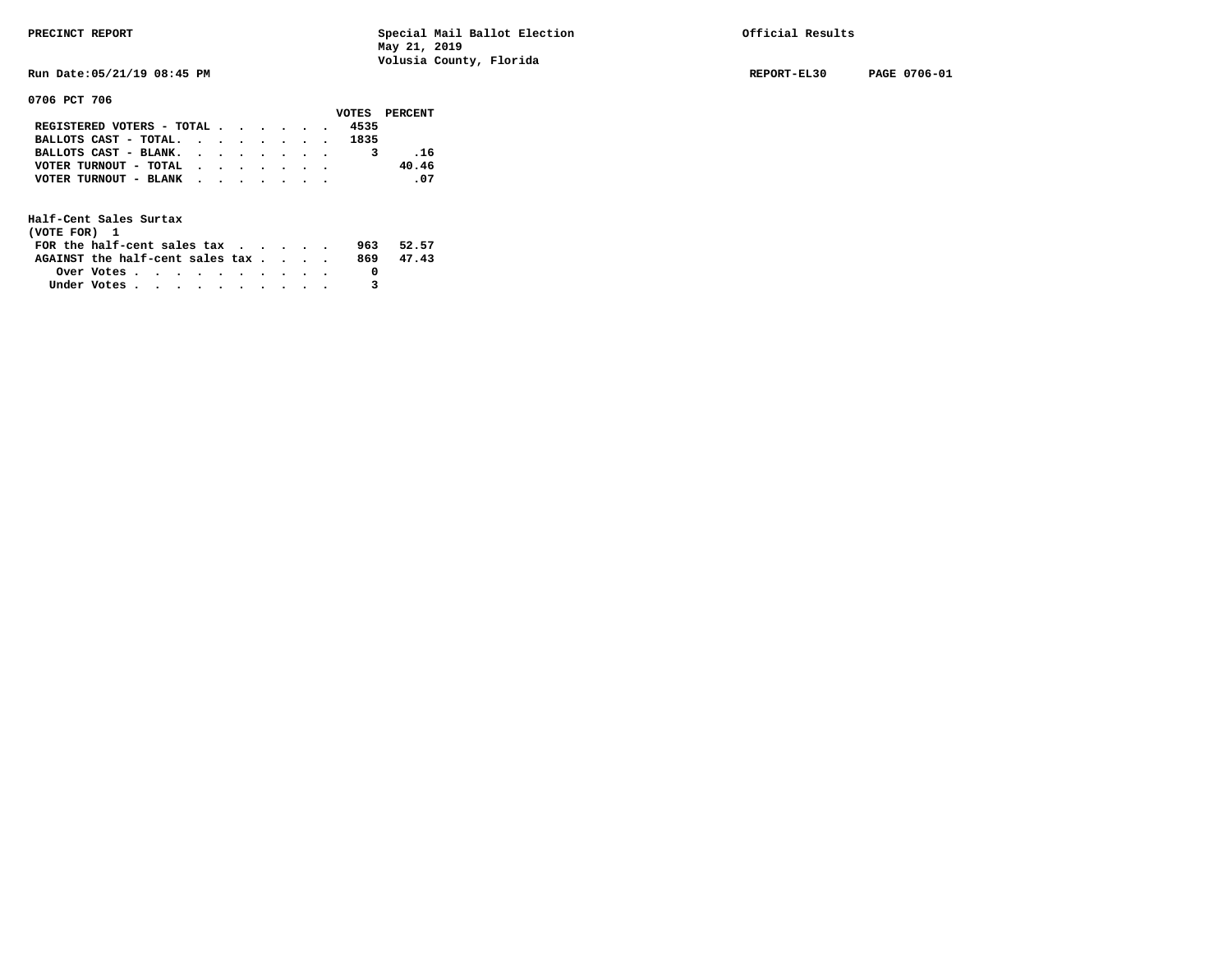**Run Date:05/21/19 08:45 PM REPORT-EL30 PAGE 0706-01** 

**0706 PCT 706** 

|                                                             |  |  |  |      | VOTES PERCENT |
|-------------------------------------------------------------|--|--|--|------|---------------|
| REGISTERED VOTERS - TOTAL                                   |  |  |  | 4535 |               |
| BALLOTS CAST - TOTAL.                                       |  |  |  | 1835 |               |
| BALLOTS CAST - BLANK.                                       |  |  |  |      | . 16          |
| VOTER TURNOUT - TOTAL $\cdot \cdot \cdot \cdot \cdot \cdot$ |  |  |  |      | 40.46         |
| VOTER TURNOUT - BLANK                                       |  |  |  |      | .07           |
|                                                             |  |  |  |      |               |

| (VOTE FOR) 1                                                |            |  |  |  |  |     |       |
|-------------------------------------------------------------|------------|--|--|--|--|-----|-------|
| FOR the half-cent sales tax $\cdot$ $\cdot$ $\cdot$ $\cdot$ |            |  |  |  |  | 963 | 52.57 |
| AGAINST the half-cent sales tax                             |            |  |  |  |  | 869 | 47.43 |
|                                                             | Over Votes |  |  |  |  |     |       |
| Under Votes                                                 |            |  |  |  |  |     |       |
|                                                             |            |  |  |  |  |     |       |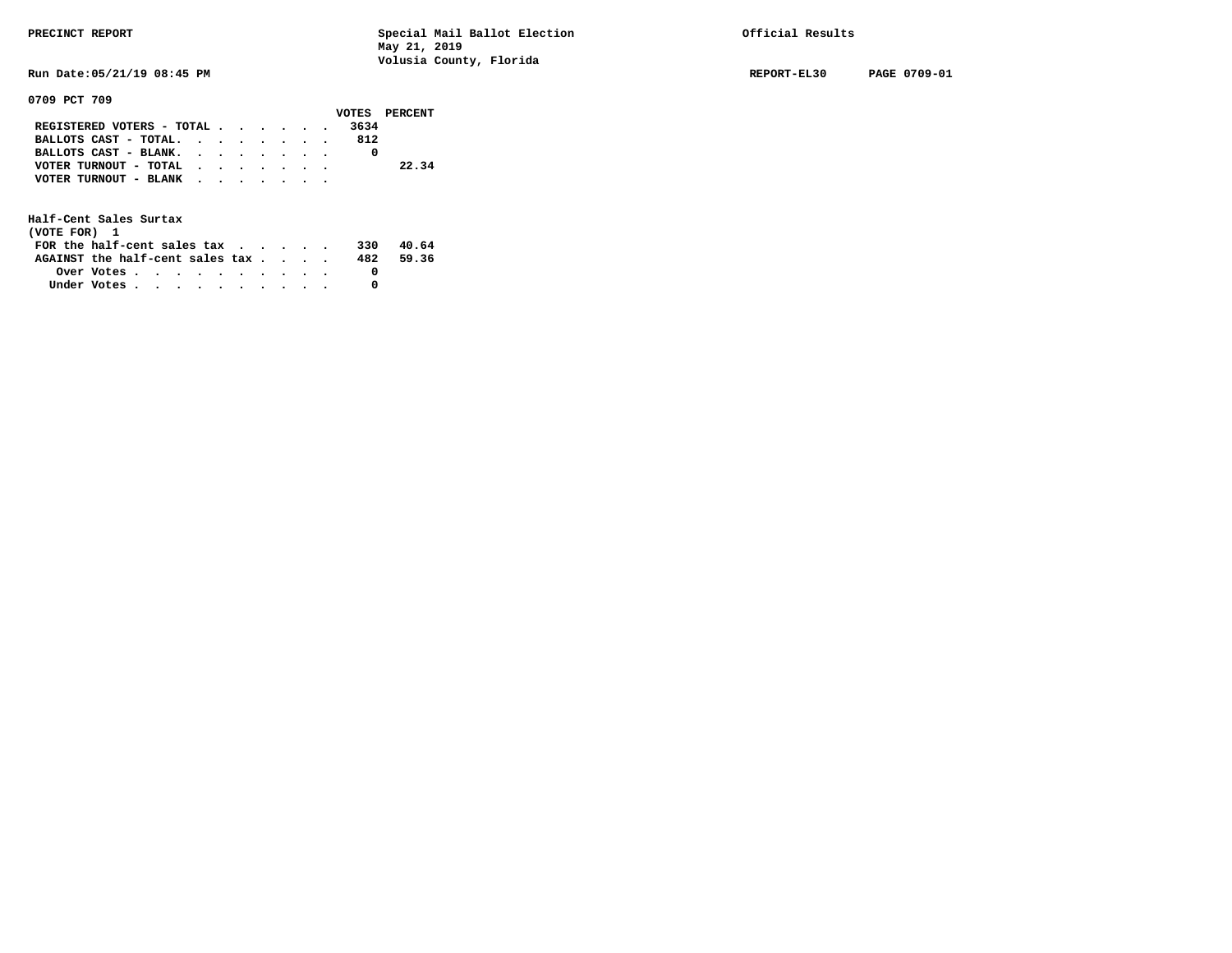**Run Date:05/21/19 08:45 PM REPORT-EL30 PAGE 0709-01** 

**0709 PCT 709** 

|                                               |  |  |  |      | VOTES PERCENT |
|-----------------------------------------------|--|--|--|------|---------------|
| REGISTERED VOTERS - TOTAL $\cdot$ , , , , , , |  |  |  | 3634 |               |
| BALLOTS CAST - TOTAL.                         |  |  |  | 812  |               |
| BALLOTS CAST - BLANK.                         |  |  |  |      |               |
| VOTER TURNOUT - TOTAL                         |  |  |  |      | 22.34         |
| VOTER TURNOUT - BLANK                         |  |  |  |      |               |
|                                               |  |  |  |      |               |

| (VOTE FOR) 1                                                |                                                         |  |  |  |  |     |       |
|-------------------------------------------------------------|---------------------------------------------------------|--|--|--|--|-----|-------|
| FOR the half-cent sales tax $\cdot$ $\cdot$ $\cdot$ $\cdot$ |                                                         |  |  |  |  | 330 | 40.64 |
| AGAINST the half-cent sales tax                             |                                                         |  |  |  |  | 482 | 59.36 |
|                                                             | Over Votes $\cdots$ $\cdots$ $\cdots$ $\cdots$ $\cdots$ |  |  |  |  |     |       |
| Under Votes                                                 |                                                         |  |  |  |  |     |       |
|                                                             |                                                         |  |  |  |  |     |       |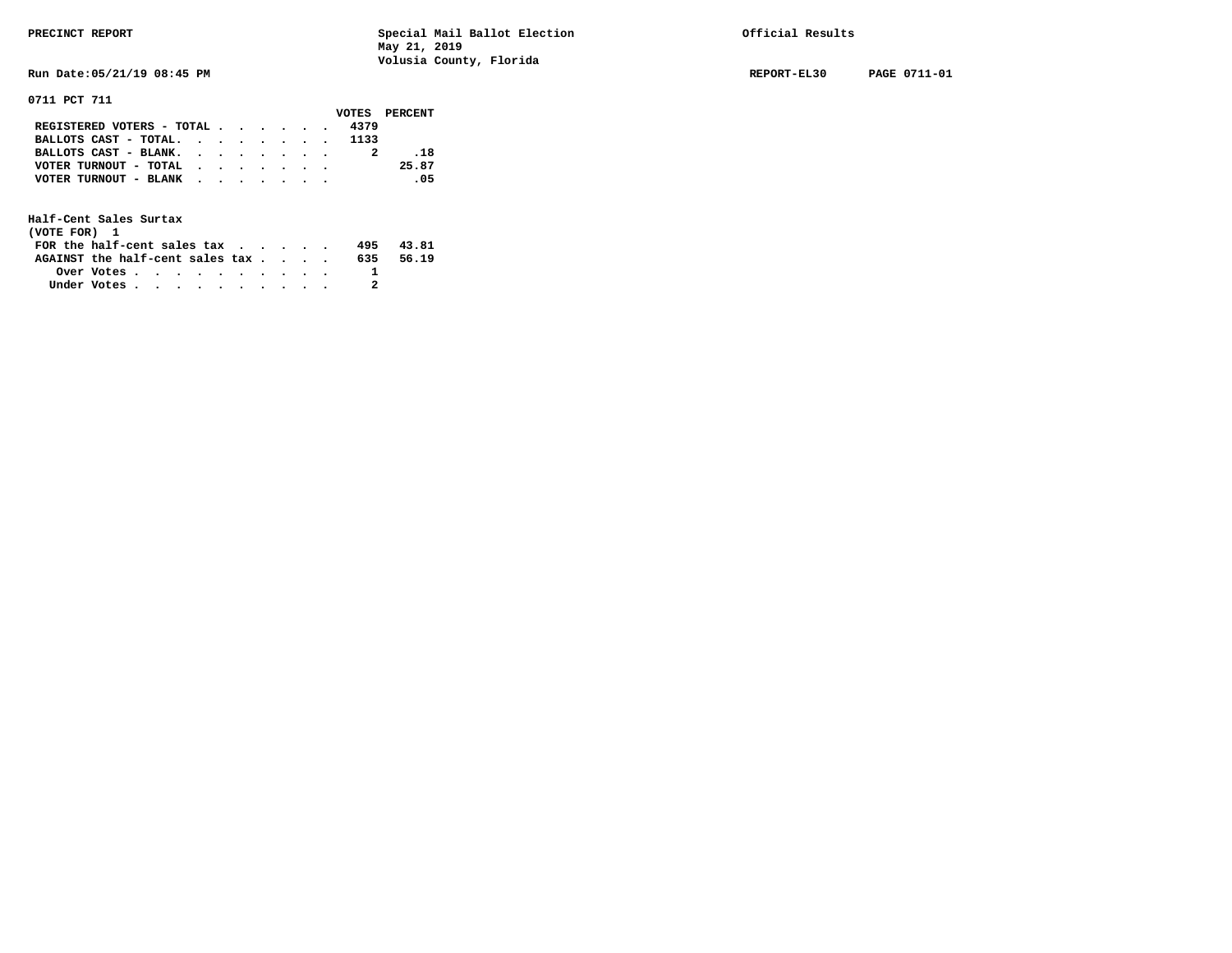**Run Date:05/21/19 08:45 PM REPORT-EL30 PAGE 0711-01** 

**0711 PCT 711** 

|                                           |  |  |  |      | VOTES PERCENT |
|-------------------------------------------|--|--|--|------|---------------|
| REGISTERED VOTERS - TOTAL                 |  |  |  | 4379 |               |
| BALLOTS CAST - TOTAL. 1133                |  |  |  |      |               |
| BALLOTS CAST - BLANK.                     |  |  |  |      | . 18          |
| VOTER TURNOUT - TOTAL $\cdot$ , , , , , , |  |  |  |      | 25.87         |
| VOTER TURNOUT - BLANK                     |  |  |  |      | .05           |
|                                           |  |  |  |      |               |

| (VOTE FOR) 1                           |                                                         |  |  |  |  |     |       |
|----------------------------------------|---------------------------------------------------------|--|--|--|--|-----|-------|
| FOR the half-cent sales $\mathbf{tax}$ |                                                         |  |  |  |  | 495 | 43.81 |
| AGAINST the half-cent sales tax        |                                                         |  |  |  |  | 635 | 56.19 |
|                                        | Over Votes $\cdots$ $\cdots$ $\cdots$ $\cdots$ $\cdots$ |  |  |  |  |     |       |
| Under Votes                            |                                                         |  |  |  |  |     |       |
|                                        |                                                         |  |  |  |  |     |       |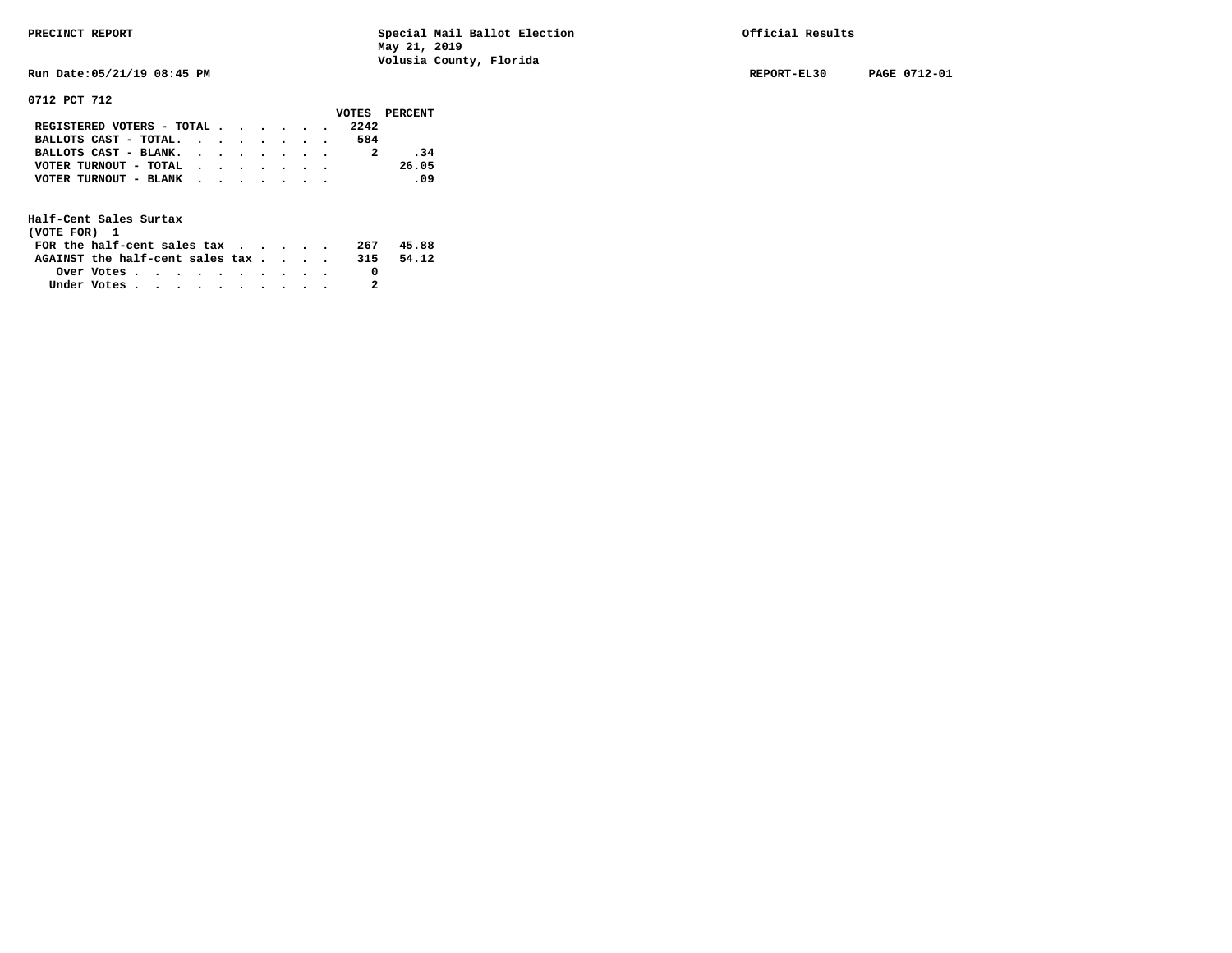**Run Date:05/21/19 08:45 PM REPORT-EL30 PAGE 0712-01** 

**0712 PCT 712** 

|                                           |  |  |  |      | VOTES PERCENT |
|-------------------------------------------|--|--|--|------|---------------|
| REGISTERED VOTERS - TOTAL                 |  |  |  | 2242 |               |
| BALLOTS CAST - TOTAL.                     |  |  |  | 584  |               |
| BALLOTS CAST - BLANK.                     |  |  |  |      | .34           |
| VOTER TURNOUT - TOTAL $\cdot$ , , , , , , |  |  |  |      | 26.05         |
| VOTER TURNOUT - BLANK                     |  |  |  |      | .09           |
|                                           |  |  |  |      |               |

| (VOTE FOR) 1                           |            |  |  |  |  |     |       |
|----------------------------------------|------------|--|--|--|--|-----|-------|
| FOR the half-cent sales $\mathsf{tax}$ |            |  |  |  |  | 267 | 45.88 |
| AGAINST the half-cent sales tax        |            |  |  |  |  | 315 | 54.12 |
|                                        | Over Votes |  |  |  |  |     |       |
| Under Votes                            |            |  |  |  |  |     |       |
|                                        |            |  |  |  |  |     |       |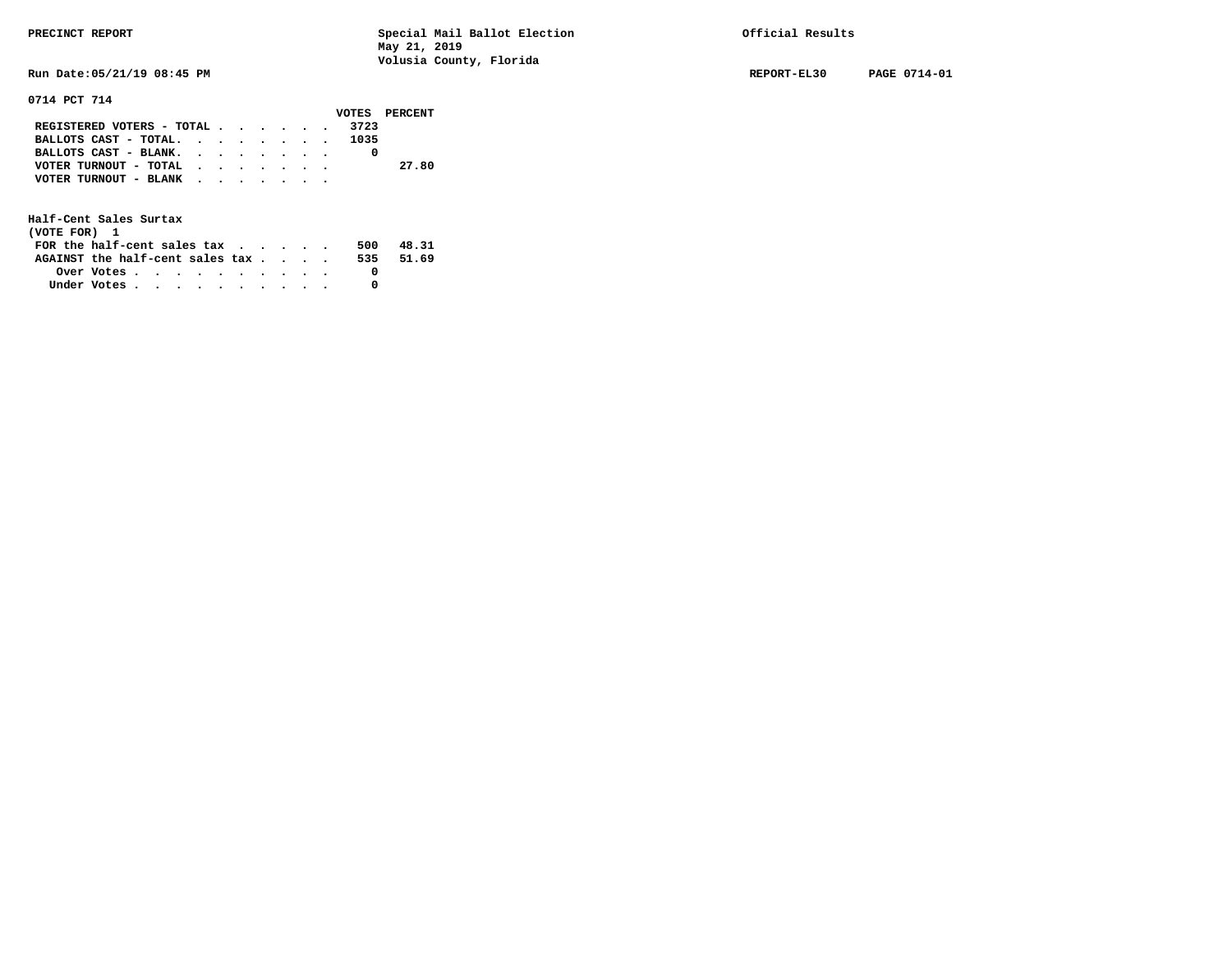**Run Date:05/21/19 08:45 PM REPORT-EL30 PAGE 0714-01** 

**0714 PCT 714** 

|                            |  |  |  |      | VOTES PERCENT |
|----------------------------|--|--|--|------|---------------|
| REGISTERED VOTERS - TOTAL  |  |  |  | 3723 |               |
| BALLOTS CAST - TOTAL. 1035 |  |  |  |      |               |
| BALLOTS CAST - BLANK.      |  |  |  |      |               |
| VOTER TURNOUT - TOTAL      |  |  |  |      | 27.80         |
| VOTER TURNOUT - BLANK      |  |  |  |      |               |
|                            |  |  |  |      |               |

| (VOTE FOR) 1                           |            |  |  |  |  |     |       |
|----------------------------------------|------------|--|--|--|--|-----|-------|
| FOR the half-cent sales $\mathsf{tax}$ |            |  |  |  |  | 500 | 48.31 |
| AGAINST the half-cent sales tax        |            |  |  |  |  | 535 | 51.69 |
|                                        | Over Votes |  |  |  |  |     |       |
| Under Votes                            |            |  |  |  |  |     |       |
|                                        |            |  |  |  |  |     |       |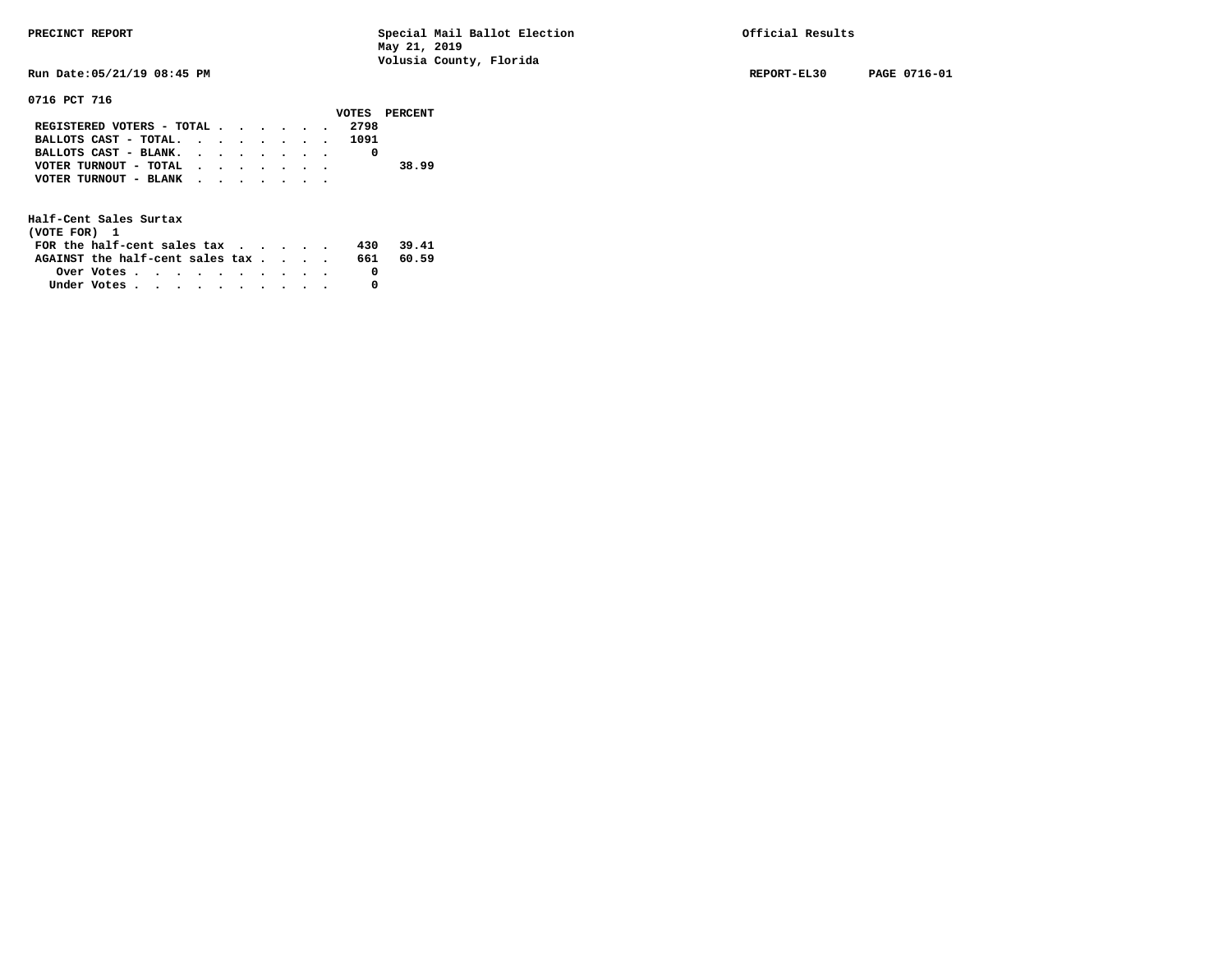**Run Date:05/21/19 08:45 PM REPORT-EL30 PAGE 0716-01** 

### **0716 PCT 716**

|                                |  |  |  | VOTES PERCENT |
|--------------------------------|--|--|--|---------------|
| REGISTERED VOTERS - TOTAL 2798 |  |  |  |               |
| BALLOTS CAST - TOTAL. 1091     |  |  |  |               |
| BALLOTS CAST - BLANK.          |  |  |  |               |
| VOTER TURNOUT - TOTAL          |  |  |  | 38.99         |
| VOTER TURNOUT - BLANK          |  |  |  |               |
|                                |  |  |  |               |

| (VOTE FOR) 1                                                |                                                         |  |  |  |  |     |       |
|-------------------------------------------------------------|---------------------------------------------------------|--|--|--|--|-----|-------|
| FOR the half-cent sales tax $\cdot$ $\cdot$ $\cdot$ $\cdot$ |                                                         |  |  |  |  | 430 | 39.41 |
| AGAINST the half-cent sales tax                             |                                                         |  |  |  |  | 661 | 60.59 |
|                                                             | Over Votes $\cdots$ $\cdots$ $\cdots$ $\cdots$ $\cdots$ |  |  |  |  |     |       |
| Under Votes                                                 |                                                         |  |  |  |  |     |       |
|                                                             |                                                         |  |  |  |  |     |       |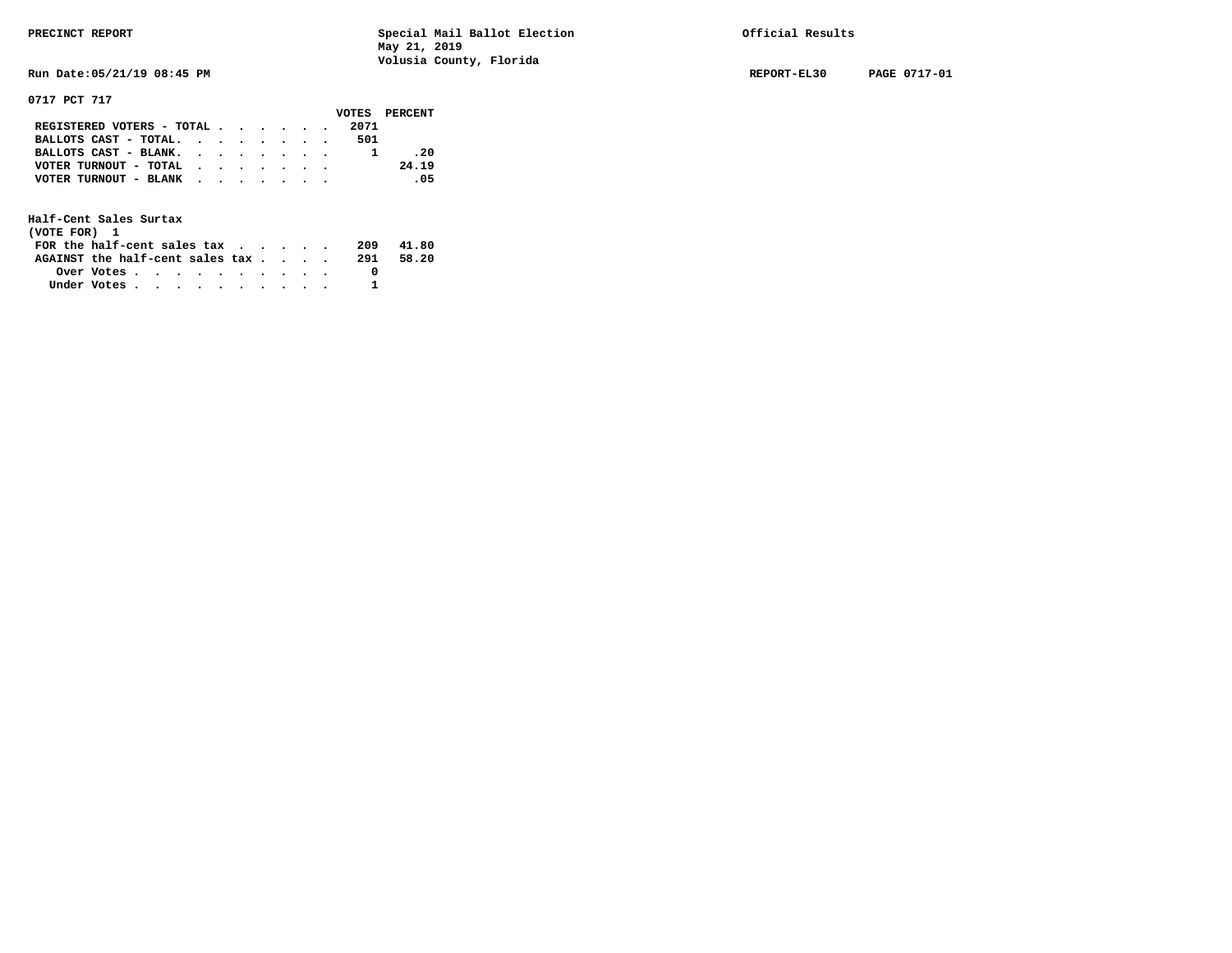**Run Date:05/21/19 08:45 PM REPORT-EL30 PAGE 0717-01** 

**0717 PCT 717** 

|                                           |  |  |  |      | VOTES PERCENT |
|-------------------------------------------|--|--|--|------|---------------|
| REGISTERED VOTERS - TOTAL                 |  |  |  | 2071 |               |
| BALLOTS CAST - TOTAL. $\cdot$             |  |  |  | 501  |               |
| BALLOTS CAST - BLANK.                     |  |  |  |      | .20           |
| VOTER TURNOUT - TOTAL $\cdot$ , , , , , . |  |  |  |      | 24.19         |
| VOTER TURNOUT - BLANK                     |  |  |  |      | .05           |
|                                           |  |  |  |      |               |

| (VOTE FOR) 1                           |            |  |  |  |  |     |       |
|----------------------------------------|------------|--|--|--|--|-----|-------|
| FOR the half-cent sales $\mathsf{tax}$ |            |  |  |  |  | 209 | 41.80 |
| AGAINST the half-cent sales tax        |            |  |  |  |  | 291 | 58.20 |
|                                        | Over Votes |  |  |  |  |     |       |
| Under Votes                            |            |  |  |  |  |     |       |
|                                        |            |  |  |  |  |     |       |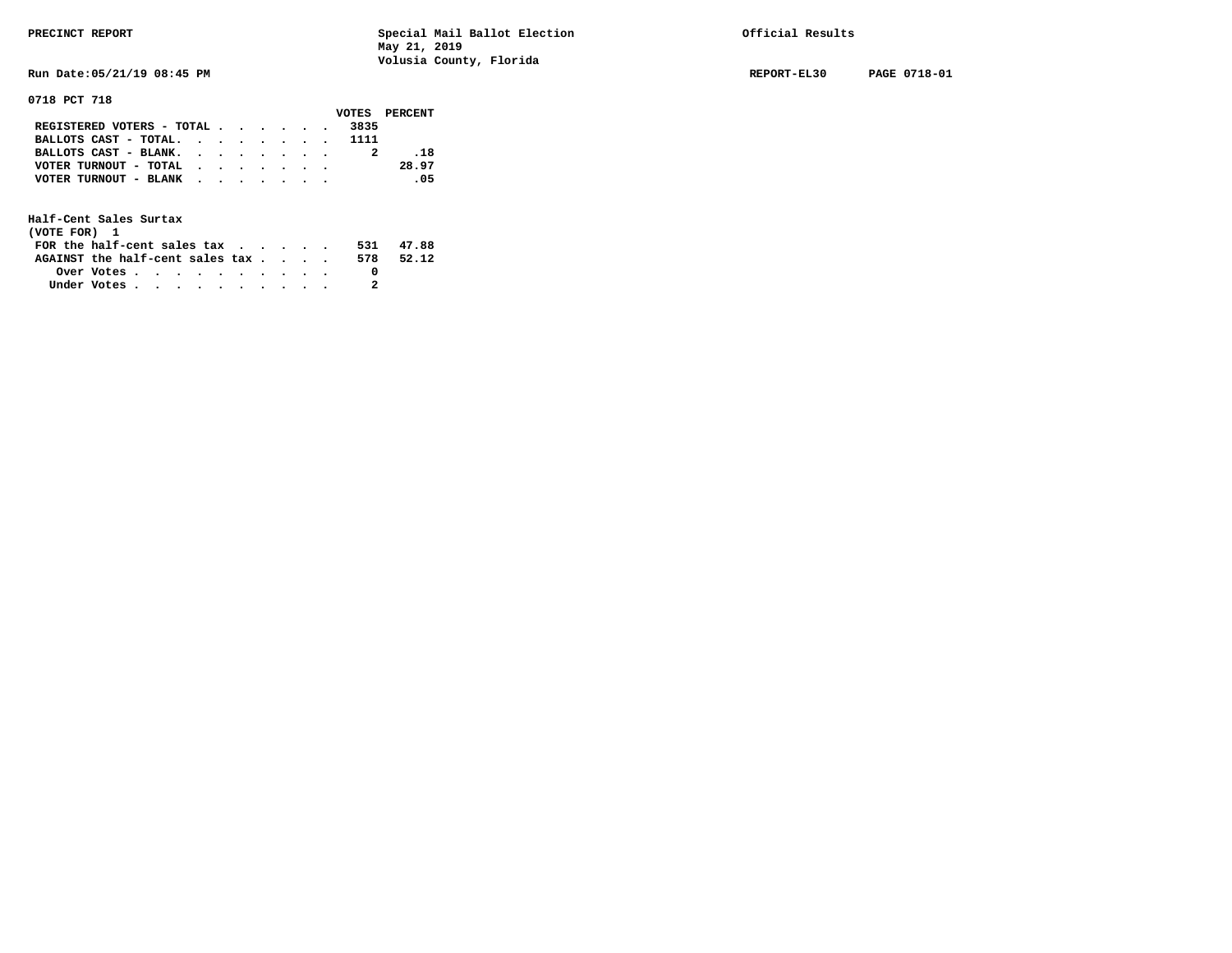**Run Date:05/21/19 08:45 PM REPORT-EL30 PAGE 0718-01** 

**0718 PCT 718** 

|                                             |  |  |  |      | VOTES PERCENT |
|---------------------------------------------|--|--|--|------|---------------|
| REGISTERED VOTERS - TOTAL $\cdot$ , , , , . |  |  |  | 3835 |               |
| BALLOTS CAST - TOTAL. 1111                  |  |  |  |      |               |
| BALLOTS CAST - BLANK.                       |  |  |  |      | . 18          |
| VOTER TURNOUT - TOTAL $\cdot$ , , , , , .   |  |  |  |      | 28.97         |
| VOTER TURNOUT - BLANK                       |  |  |  |      | .05           |
|                                             |  |  |  |      |               |

| (VOTE FOR) 1                           |            |  |  |  |  |     |       |
|----------------------------------------|------------|--|--|--|--|-----|-------|
| FOR the half-cent sales $\mathsf{tax}$ |            |  |  |  |  | 531 | 47.88 |
| AGAINST the half-cent sales tax        |            |  |  |  |  | 578 | 52.12 |
|                                        | Over Votes |  |  |  |  |     |       |
| Under Votes                            |            |  |  |  |  |     |       |
|                                        |            |  |  |  |  |     |       |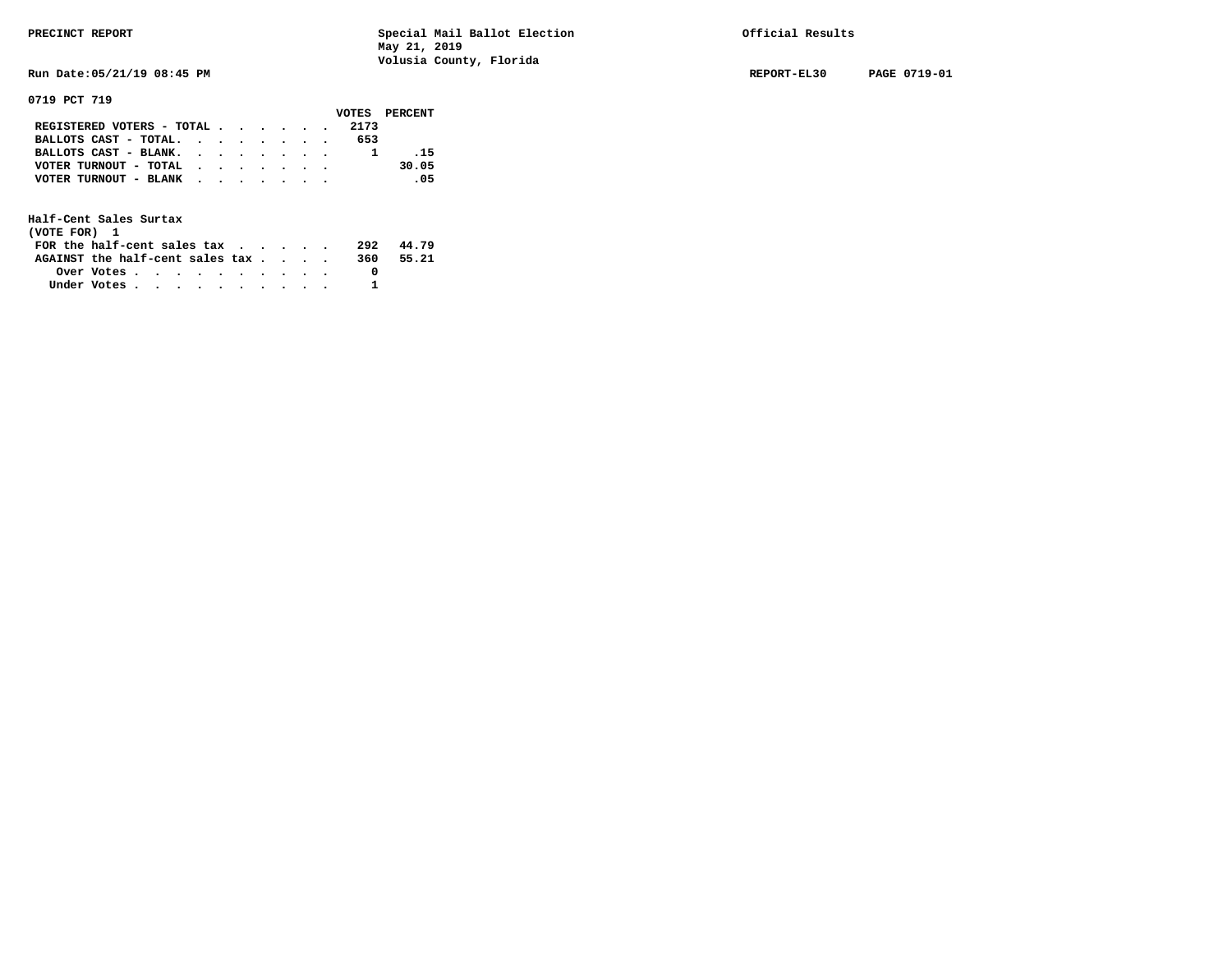**Run Date:05/21/19 08:45 PM REPORT-EL30 PAGE 0719-01** 

**0719 PCT 719** 

|                               |  |  |  |      | VOTES PERCENT |
|-------------------------------|--|--|--|------|---------------|
| REGISTERED VOTERS - TOTAL     |  |  |  | 2173 |               |
| BALLOTS CAST - TOTAL. $\cdot$ |  |  |  | 653  |               |
| BALLOTS CAST - BLANK.         |  |  |  |      | $-15$         |
| VOTER TURNOUT - TOTAL         |  |  |  |      | 30.05         |
| VOTER TURNOUT - BLANK         |  |  |  |      | .05           |
|                               |  |  |  |      |               |

| (VOTE FOR) 1                     |            |  |  |  |  |     |       |
|----------------------------------|------------|--|--|--|--|-----|-------|
| FOR the half-cent sales $\alpha$ |            |  |  |  |  | 292 | 44.79 |
| AGAINST the half-cent sales tax  |            |  |  |  |  | 360 | 55.21 |
|                                  | Over Votes |  |  |  |  |     |       |
| Under Votes                      |            |  |  |  |  |     |       |
|                                  |            |  |  |  |  |     |       |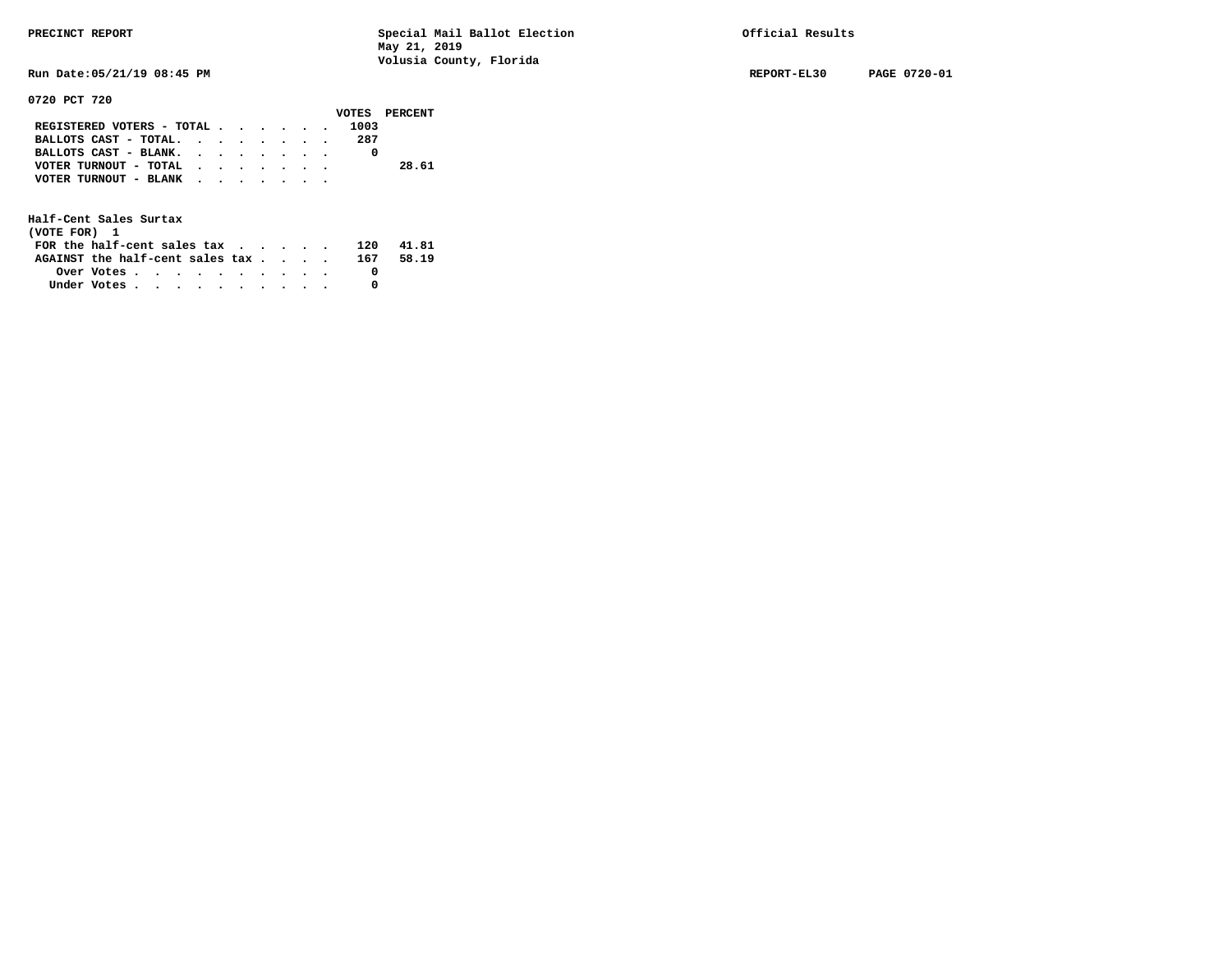**Run Date:05/21/19 08:45 PM REPORT-EL30 PAGE 0720-01** 

# **0720 PCT 720**

|                                                             |  |  |  |     | VOTES PERCENT |
|-------------------------------------------------------------|--|--|--|-----|---------------|
| REGISTERED VOTERS - TOTAL 1003                              |  |  |  |     |               |
| BALLOTS CAST - TOTAL.                                       |  |  |  | 287 |               |
| BALLOTS CAST - BLANK.                                       |  |  |  |     |               |
| VOTER TURNOUT - TOTAL $\cdot \cdot \cdot \cdot \cdot \cdot$ |  |  |  |     | 28.61         |
| VOTER TURNOUT - BLANK $\cdot$ , , , , , , ,                 |  |  |  |     |               |
|                                                             |  |  |  |     |               |

| (VOTE FOR) 1                                                  |  |  |  |  |  |     |       |
|---------------------------------------------------------------|--|--|--|--|--|-----|-------|
| FOR the half-cent sales $\mathbf{tax}$                        |  |  |  |  |  | 120 | 41.81 |
| AGAINST the half-cent sales tax $\cdot \cdot \cdot \cdot$ 167 |  |  |  |  |  |     | 58.19 |
| Over Votes $\cdots$ $\cdots$ $\cdots$ $\cdots$ $\cdots$       |  |  |  |  |  |     |       |
| Under Votes                                                   |  |  |  |  |  |     |       |
|                                                               |  |  |  |  |  |     |       |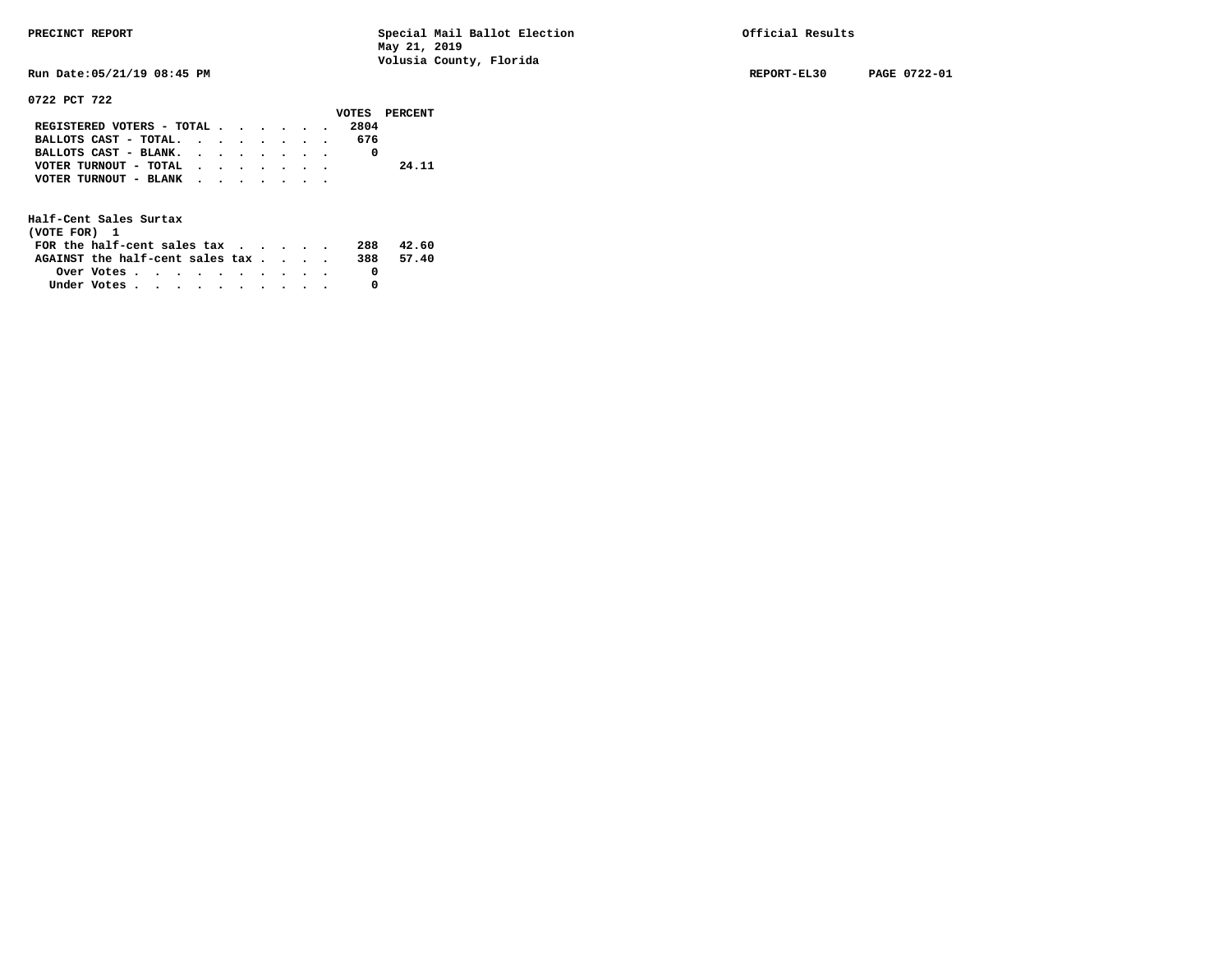**Run Date:05/21/19 08:45 PM REPORT-EL30 PAGE 0722-01** 

**0722 PCT 722** 

|                                           |  |  |  |      | VOTES PERCENT |
|-------------------------------------------|--|--|--|------|---------------|
| REGISTERED VOTERS - TOTAL                 |  |  |  | 2804 |               |
| BALLOTS CAST - TOTAL.                     |  |  |  | 676  |               |
| BALLOTS CAST - BLANK.                     |  |  |  |      |               |
| VOTER TURNOUT - TOTAL $\cdot$ , , , , , , |  |  |  |      | 24.11         |
| VOTER TURNOUT - BLANK                     |  |  |  |      |               |
|                                           |  |  |  |      |               |

| (VOTE FOR) 1                           |                                                         |  |  |  |  |     |       |
|----------------------------------------|---------------------------------------------------------|--|--|--|--|-----|-------|
| FOR the half-cent sales $\mathsf{tax}$ |                                                         |  |  |  |  | 288 | 42.60 |
| AGAINST the half-cent sales tax        |                                                         |  |  |  |  | 388 | 57.40 |
|                                        | Over Votes $\cdots$ $\cdots$ $\cdots$ $\cdots$ $\cdots$ |  |  |  |  |     |       |
| Under Votes                            |                                                         |  |  |  |  |     |       |
|                                        |                                                         |  |  |  |  |     |       |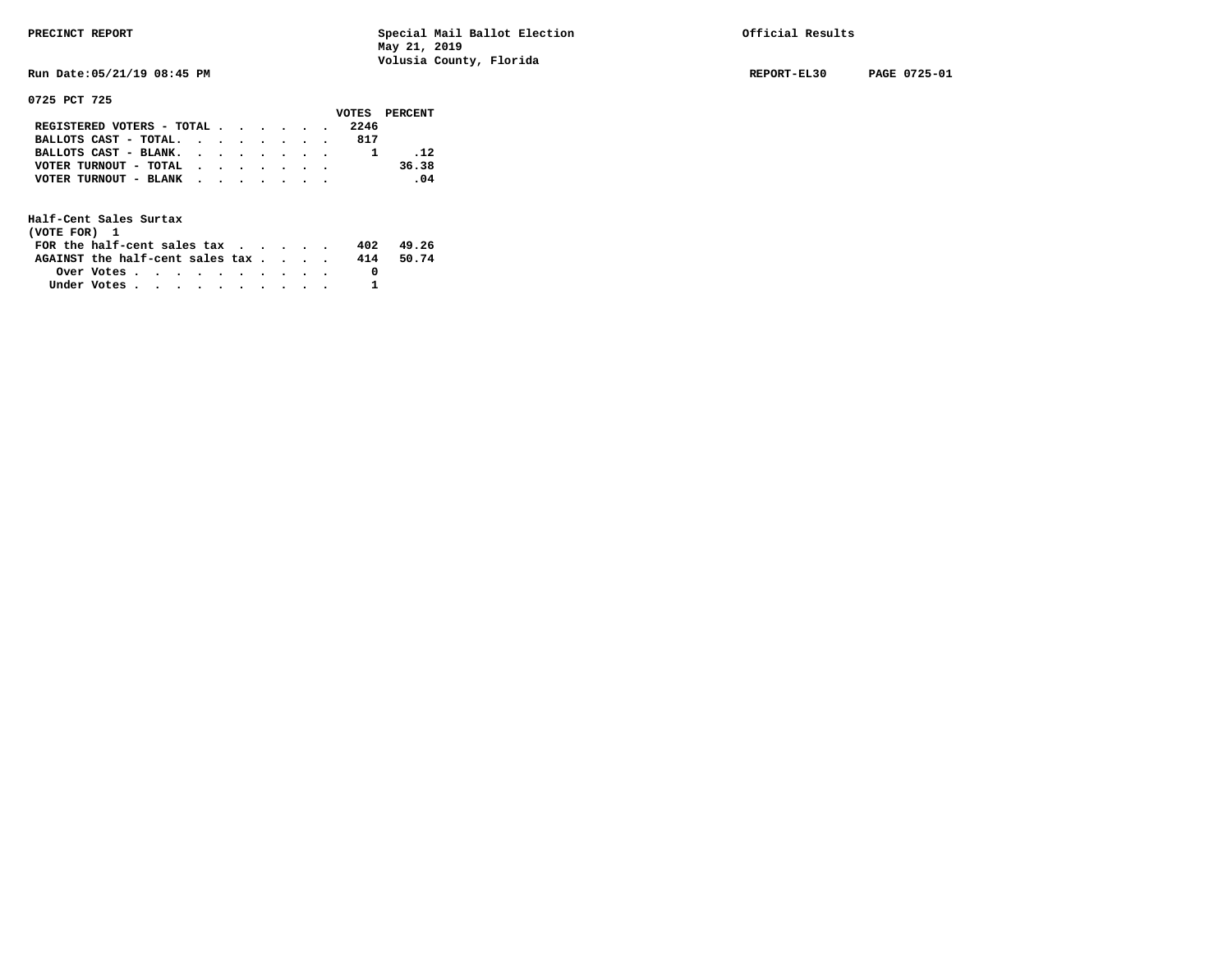**Run Date:05/21/19 08:45 PM REPORT-EL30 PAGE 0725-01** 

**0725 PCT 725** 

|                           |  |  |  |      | VOTES PERCENT                |
|---------------------------|--|--|--|------|------------------------------|
| REGISTERED VOTERS - TOTAL |  |  |  | 2246 |                              |
| BALLOTS CAST - TOTAL.     |  |  |  | 817  |                              |
| BALLOTS CAST - BLANK.     |  |  |  |      | $-12$                        |
| VOTER TURNOUT - TOTAL     |  |  |  |      | 36.38                        |
| VOTER TURNOUT - BLANK     |  |  |  |      | $\overline{\phantom{0}}$ .04 |
|                           |  |  |  |      |                              |

| (VOTE FOR) 1                           |                                                         |  |  |  |  |     |       |
|----------------------------------------|---------------------------------------------------------|--|--|--|--|-----|-------|
| FOR the half-cent sales $\mathsf{tax}$ |                                                         |  |  |  |  | 402 | 49.26 |
| AGAINST the half-cent sales tax        |                                                         |  |  |  |  | 414 | 50.74 |
|                                        | Over Votes $\cdots$ $\cdots$ $\cdots$ $\cdots$ $\cdots$ |  |  |  |  |     |       |
| Under Votes                            |                                                         |  |  |  |  |     |       |
|                                        |                                                         |  |  |  |  |     |       |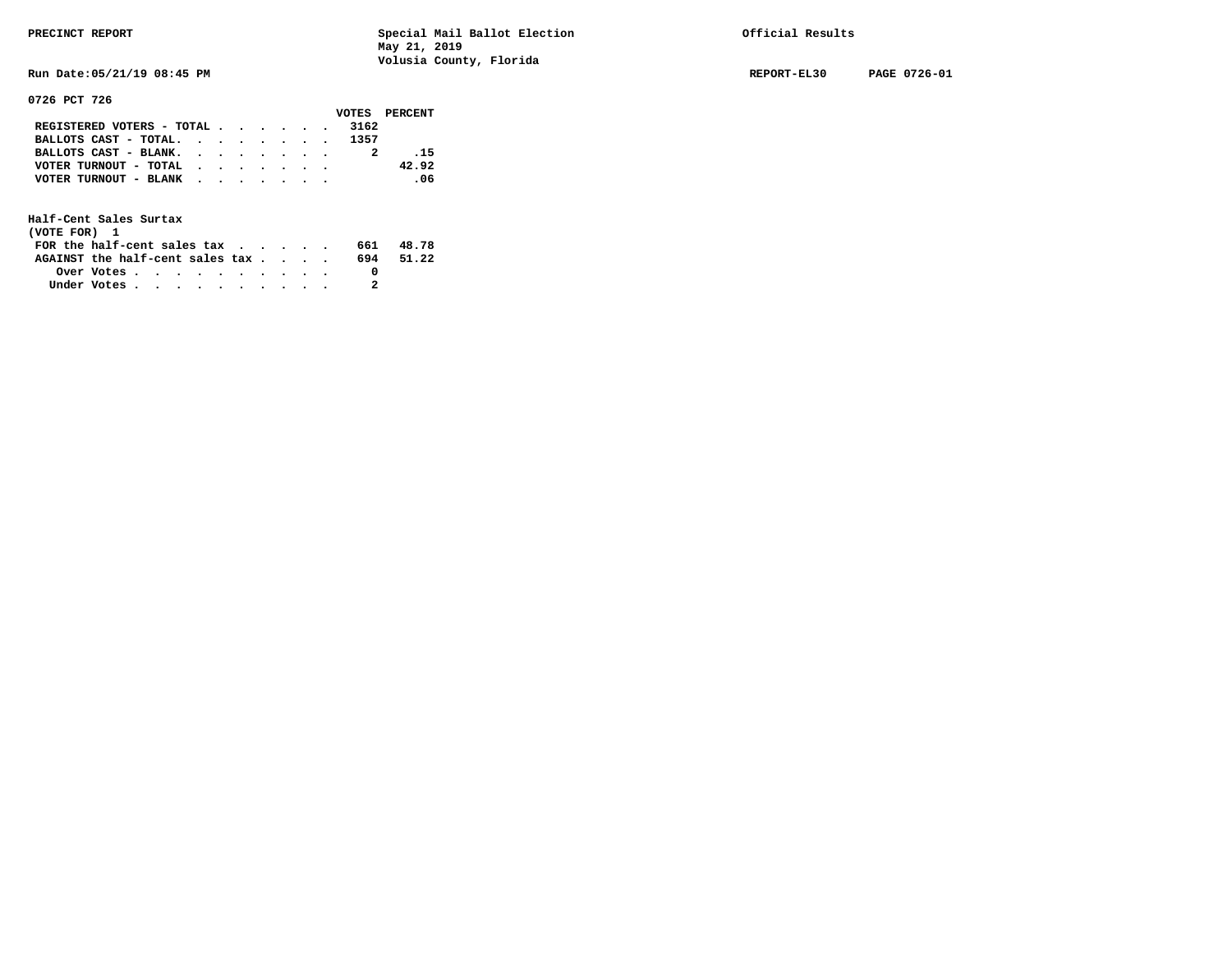**0726 PCT 726** 

**PRECINCT REPORT Special Mail Ballot Election Official Results May 21, 2019 Volusia County, Florida** 

**Run Date:05/21/19 08:45 PM REPORT-EL30 PAGE 0726-01** 

|                            |  |  |  |      | VOTES PERCENT |
|----------------------------|--|--|--|------|---------------|
| REGISTERED VOTERS - TOTAL  |  |  |  | 3162 |               |
| BALLOTS CAST - TOTAL. 1357 |  |  |  |      |               |
| BALLOTS CAST - BLANK.      |  |  |  |      | $-15$         |
| VOTER TURNOUT - TOTAL      |  |  |  |      | 42.92         |
| VOTER TURNOUT - BLANK      |  |  |  |      | .06           |
|                            |  |  |  |      |               |

| (VOTE FOR) 1                                                |            |  |  |  |  |     |       |
|-------------------------------------------------------------|------------|--|--|--|--|-----|-------|
| FOR the half-cent sales tax $\cdot$ $\cdot$ $\cdot$ $\cdot$ |            |  |  |  |  | 661 | 48.78 |
| AGAINST the half-cent sales tax                             |            |  |  |  |  | 694 | 51.22 |
|                                                             | Over Votes |  |  |  |  |     |       |
| Under Votes                                                 |            |  |  |  |  |     |       |
|                                                             |            |  |  |  |  |     |       |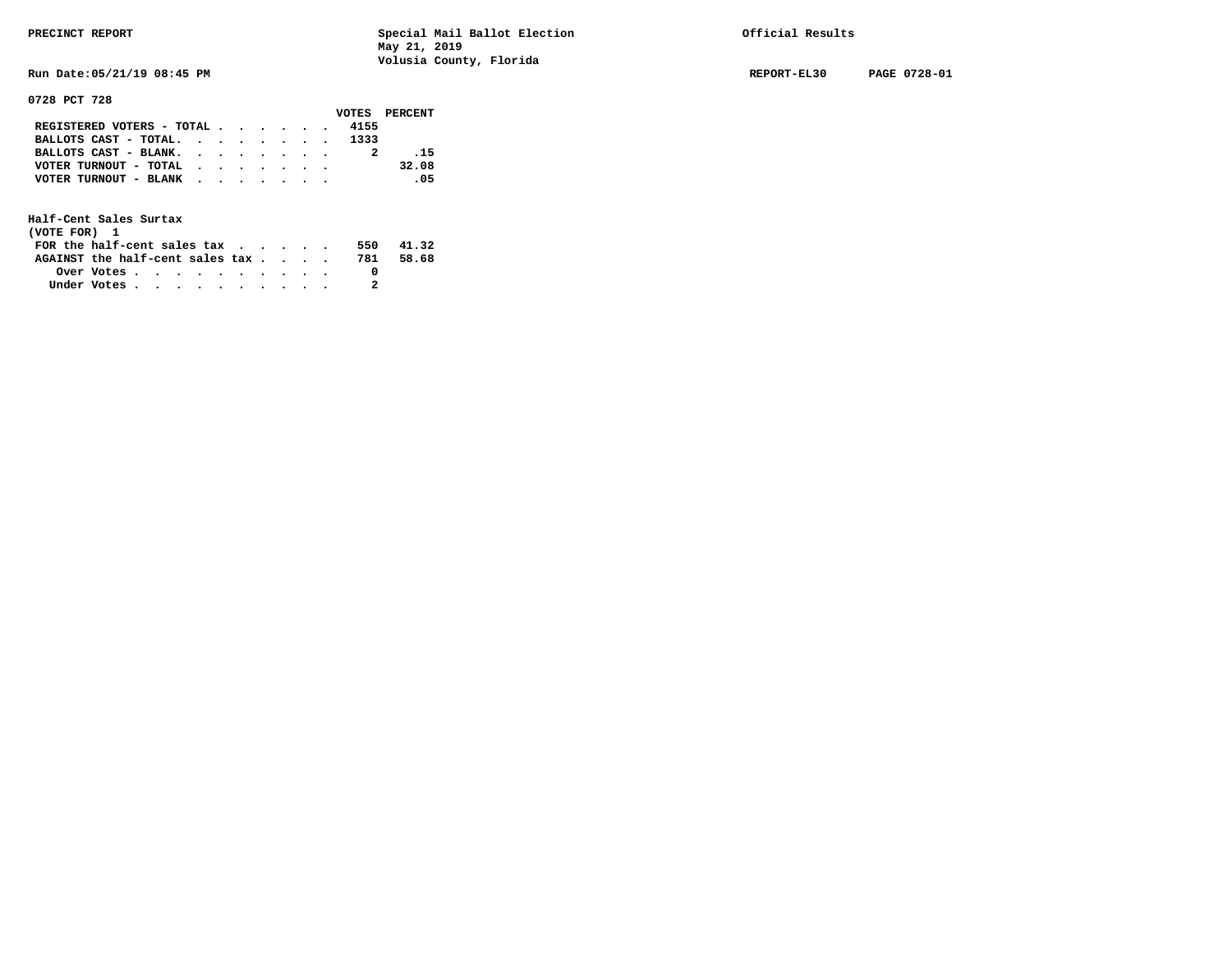**Run Date:05/21/19 08:45 PM REPORT-EL30 PAGE 0728-01** 

**0728 PCT 728** 

|                            |  |  |  |      | VOTES PERCENT |
|----------------------------|--|--|--|------|---------------|
| REGISTERED VOTERS - TOTAL  |  |  |  | 4155 |               |
| BALLOTS CAST - TOTAL. 1333 |  |  |  |      |               |
| BALLOTS CAST - BLANK.      |  |  |  |      | .15           |
| VOTER TURNOUT - TOTAL      |  |  |  |      | 32.08         |
| VOTER TURNOUT - BLANK      |  |  |  |      | $\sim$ 05     |
|                            |  |  |  |      |               |

| (VOTE FOR) 1                           |            |  |  |  |  |     |       |
|----------------------------------------|------------|--|--|--|--|-----|-------|
| FOR the half-cent sales $\mathsf{tax}$ |            |  |  |  |  | 550 | 41.32 |
| AGAINST the half-cent sales tax        |            |  |  |  |  | 781 | 58.68 |
|                                        | Over Votes |  |  |  |  |     |       |
| Under Votes                            |            |  |  |  |  |     |       |
|                                        |            |  |  |  |  |     |       |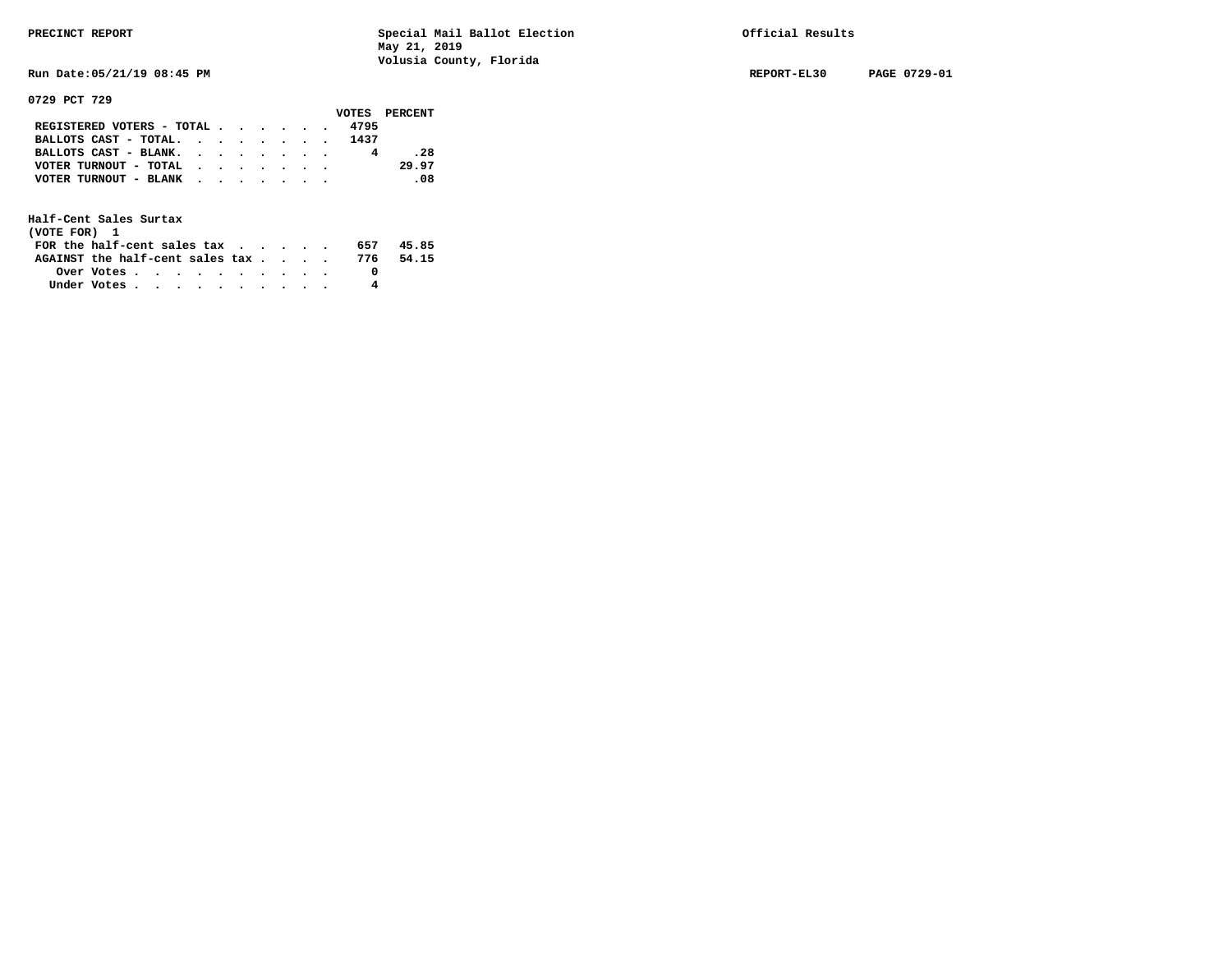**Run Date:05/21/19 08:45 PM REPORT-EL30 PAGE 0729-01** 

**0729 PCT 729** 

|                                                             |  |  |  |      | VOTES PERCENT |
|-------------------------------------------------------------|--|--|--|------|---------------|
| REGISTERED VOTERS - TOTAL                                   |  |  |  | 4795 |               |
| BALLOTS CAST - TOTAL.                                       |  |  |  | 1437 |               |
| BALLOTS CAST - BLANK.                                       |  |  |  |      | .28           |
| VOTER TURNOUT - TOTAL $\cdot \cdot \cdot \cdot \cdot \cdot$ |  |  |  |      | 29.97         |
| VOTER TURNOUT - BLANK                                       |  |  |  |      | -08           |
|                                                             |  |  |  |      |               |

| (VOTE FOR) 1                           |                                                         |  |  |  |  |     |       |
|----------------------------------------|---------------------------------------------------------|--|--|--|--|-----|-------|
| FOR the half-cent sales $\mathsf{tax}$ |                                                         |  |  |  |  | 657 | 45.85 |
| AGAINST the half-cent sales tax 776    |                                                         |  |  |  |  |     | 54.15 |
|                                        | Over Votes $\cdots$ $\cdots$ $\cdots$ $\cdots$ $\cdots$ |  |  |  |  |     |       |
| Under Votes                            |                                                         |  |  |  |  | 4   |       |
|                                        |                                                         |  |  |  |  |     |       |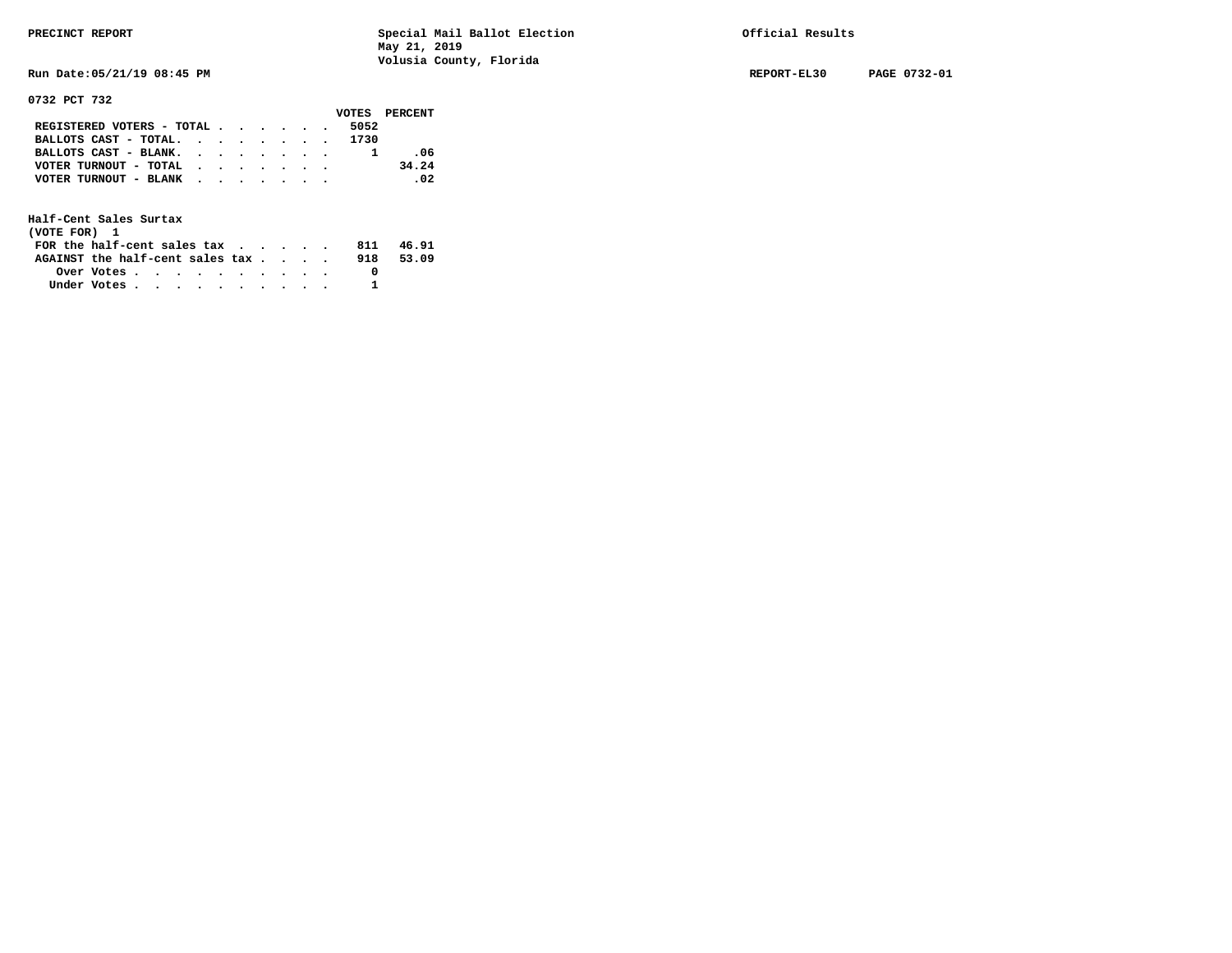**Run Date:05/21/19 08:45 PM REPORT-EL30 PAGE 0732-01** 

**0732 PCT 732** 

|                                             |  |  |  |      | VOTES PERCENT |
|---------------------------------------------|--|--|--|------|---------------|
| REGISTERED VOTERS - TOTAL $\cdot$ , , , , . |  |  |  | 5052 |               |
| BALLOTS CAST - TOTAL. 1730                  |  |  |  |      |               |
| BALLOTS CAST - BLANK.                       |  |  |  |      | -06           |
| VOTER TURNOUT - TOTAL $\cdot$               |  |  |  |      | 34.24         |
| VOTER TURNOUT - BLANK                       |  |  |  |      | .02           |
|                                             |  |  |  |      |               |

| (VOTE FOR) 1                           |            |  |  |  |  |     |       |
|----------------------------------------|------------|--|--|--|--|-----|-------|
| FOR the half-cent sales $\mathsf{tax}$ |            |  |  |  |  | 811 | 46.91 |
| AGAINST the half-cent sales tax        |            |  |  |  |  | 918 | 53.09 |
|                                        | Over Votes |  |  |  |  |     |       |
| Under Votes                            |            |  |  |  |  |     |       |
|                                        |            |  |  |  |  |     |       |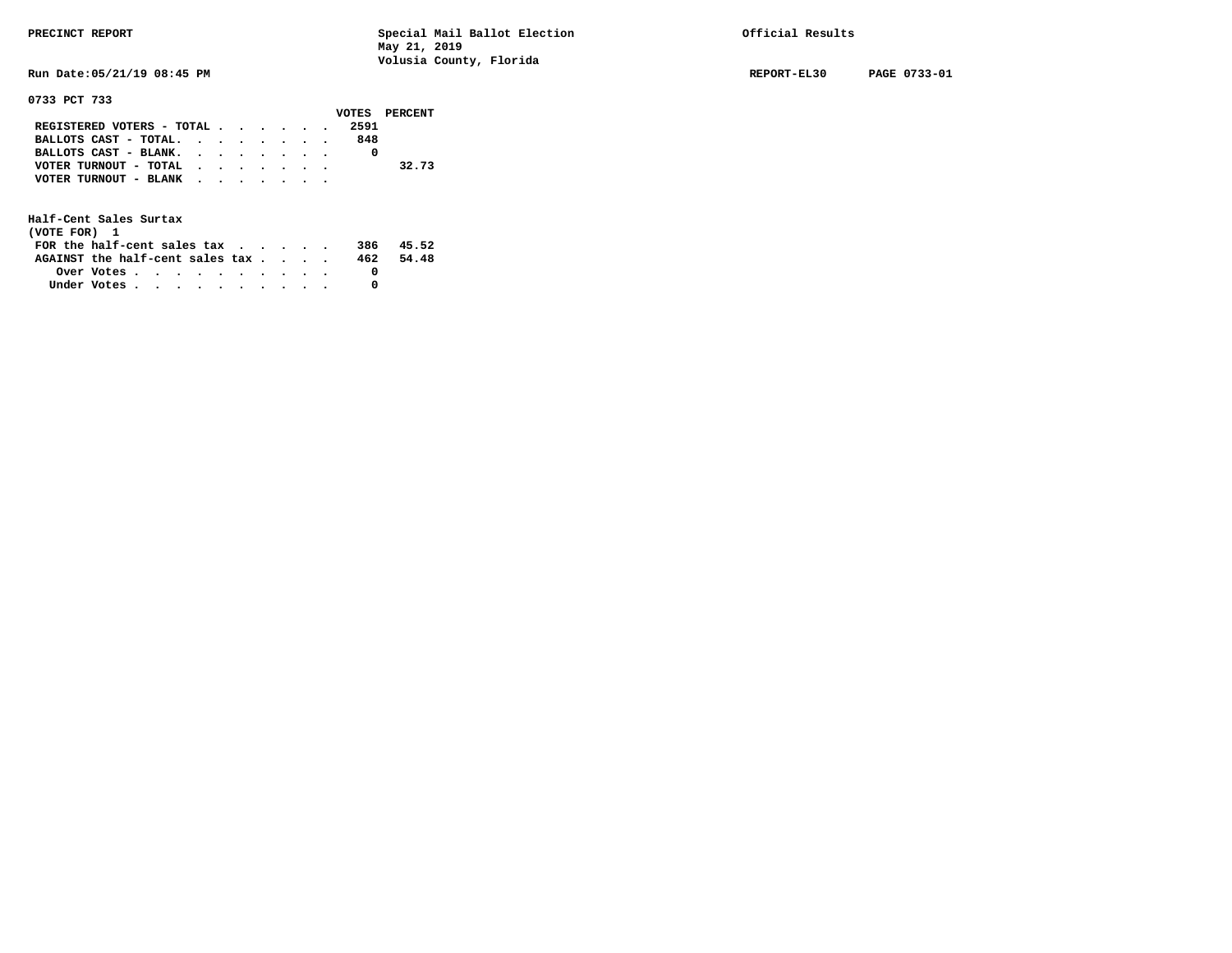**Run Date:05/21/19 08:45 PM REPORT-EL30 PAGE 0733-01** 

### **0733 PCT 733**

|                                                       |  |  |  |     | VOTES PERCENT |
|-------------------------------------------------------|--|--|--|-----|---------------|
| REGISTERED VOTERS - TOTAL 2591                        |  |  |  |     |               |
| BALLOTS CAST - TOTAL.                                 |  |  |  | 848 |               |
| BALLOTS CAST - BLANK.                                 |  |  |  |     |               |
| VOTER TURNOUT - TOTAL $\cdot \cdot \cdot \cdot \cdot$ |  |  |  |     | 32.73         |
| VOTER TURNOUT - BLANK                                 |  |  |  |     |               |
|                                                       |  |  |  |     |               |

| (VOTE FOR) 1                           |                                                         |  |  |  |  |     |       |
|----------------------------------------|---------------------------------------------------------|--|--|--|--|-----|-------|
| FOR the half-cent sales $\mathsf{tax}$ |                                                         |  |  |  |  | 386 | 45.52 |
| AGAINST the half-cent sales tax        |                                                         |  |  |  |  | 462 | 54.48 |
|                                        | Over Votes $\cdots$ $\cdots$ $\cdots$ $\cdots$ $\cdots$ |  |  |  |  |     |       |
| Under Votes                            |                                                         |  |  |  |  |     |       |
|                                        |                                                         |  |  |  |  |     |       |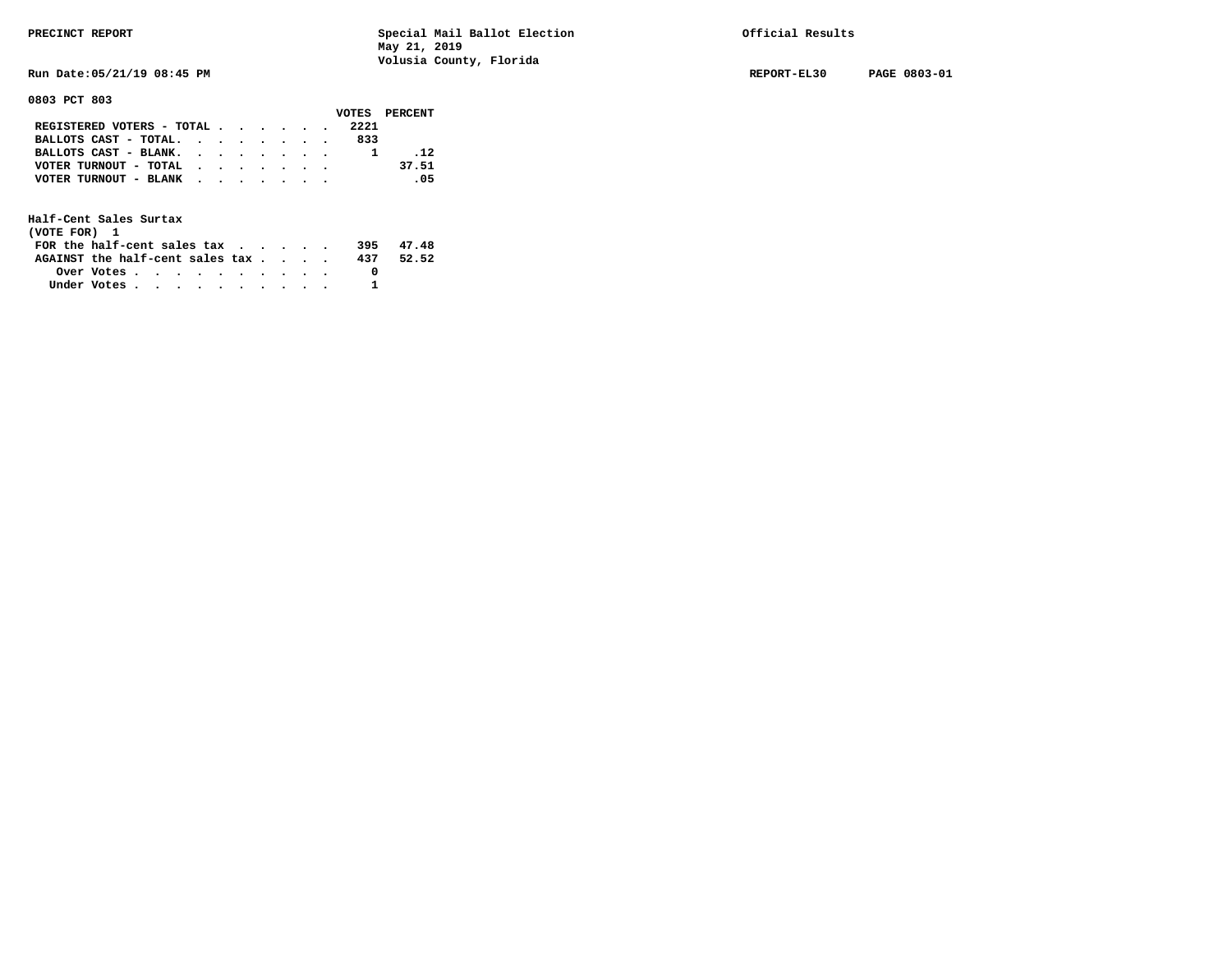**Run Date:05/21/19 08:45 PM REPORT-EL30 PAGE 0803-01** 

**0803 PCT 803** 

|                                           |  |  |  |      | VOTES PERCENT |
|-------------------------------------------|--|--|--|------|---------------|
| REGISTERED VOTERS - TOTAL                 |  |  |  | 2221 |               |
| BALLOTS CAST - TOTAL.                     |  |  |  | 833  |               |
| BALLOTS CAST - BLANK.                     |  |  |  |      | .12           |
| VOTER TURNOUT - TOTAL $\cdot$ , , , , , , |  |  |  |      | 37.51         |
| VOTER TURNOUT - BLANK                     |  |  |  |      | $\sim$ 0.5    |
|                                           |  |  |  |      |               |

| (VOTE FOR) 1                                                |            |  |  |  |  |     |       |
|-------------------------------------------------------------|------------|--|--|--|--|-----|-------|
| FOR the half-cent sales tax $\cdot$ $\cdot$ $\cdot$ $\cdot$ |            |  |  |  |  | 395 | 47.48 |
| AGAINST the half-cent sales tax                             |            |  |  |  |  | 437 | 52.52 |
|                                                             | Over Votes |  |  |  |  |     |       |
| Under Votes                                                 |            |  |  |  |  |     |       |
|                                                             |            |  |  |  |  |     |       |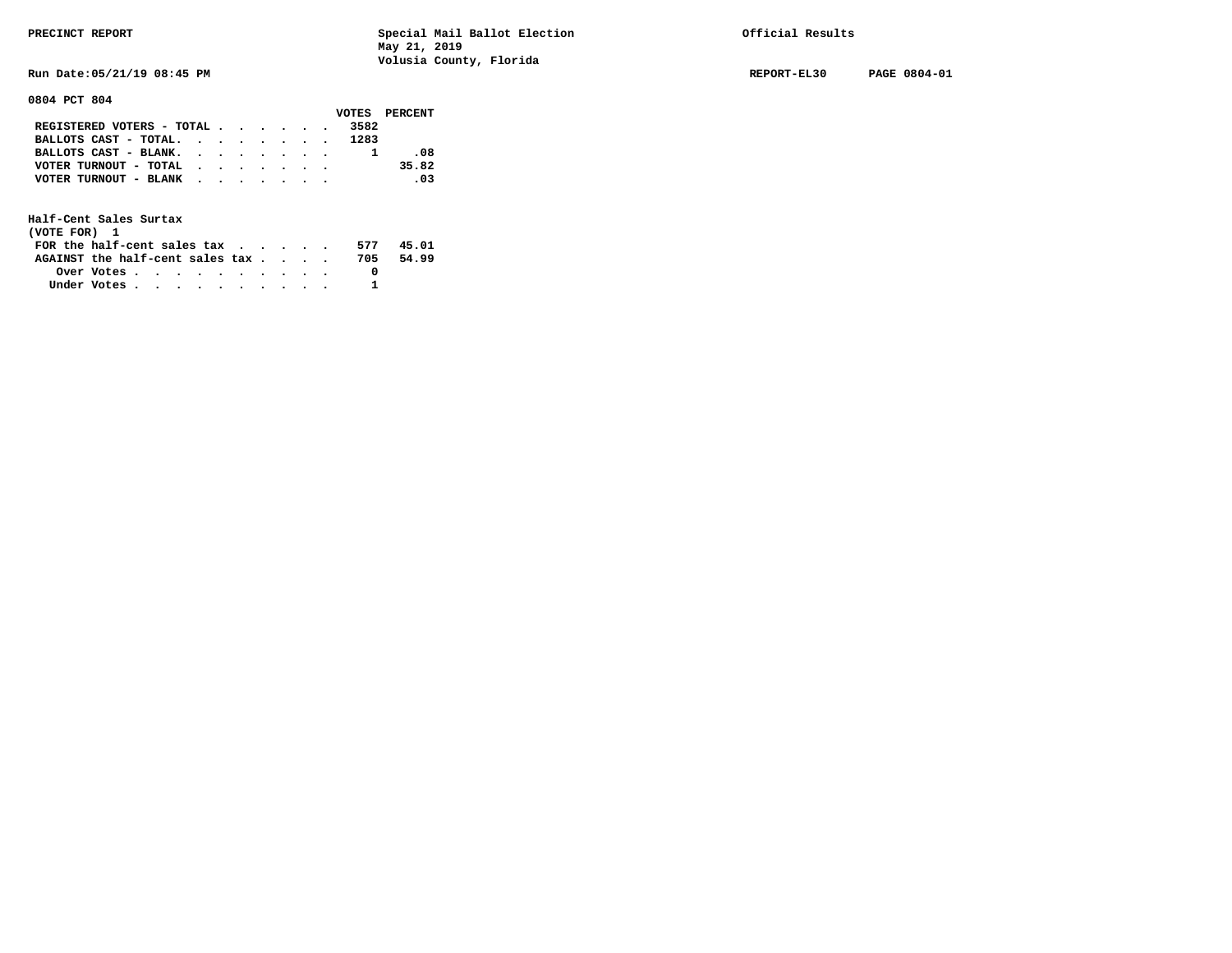**Run Date:05/21/19 08:45 PM REPORT-EL30 PAGE 0804-01** 

**0804 PCT 804** 

|                            |  |  |  |      | VOTES PERCENT |
|----------------------------|--|--|--|------|---------------|
| REGISTERED VOTERS - TOTAL  |  |  |  | 3582 |               |
| BALLOTS CAST - TOTAL. 1283 |  |  |  |      |               |
| BALLOTS CAST - BLANK.      |  |  |  |      | -08           |
| VOTER TURNOUT - TOTAL      |  |  |  |      | 35.82         |
| VOTER TURNOUT - BLANK      |  |  |  |      | .03           |
|                            |  |  |  |      |               |

| (VOTE FOR) 1                     |            |  |  |  |  |     |       |
|----------------------------------|------------|--|--|--|--|-----|-------|
| FOR the half-cent sales $\alpha$ |            |  |  |  |  | 577 | 45.01 |
| AGAINST the half-cent sales tax  |            |  |  |  |  | 705 | 54.99 |
|                                  | Over Votes |  |  |  |  |     |       |
| Under Votes                      |            |  |  |  |  |     |       |
|                                  |            |  |  |  |  |     |       |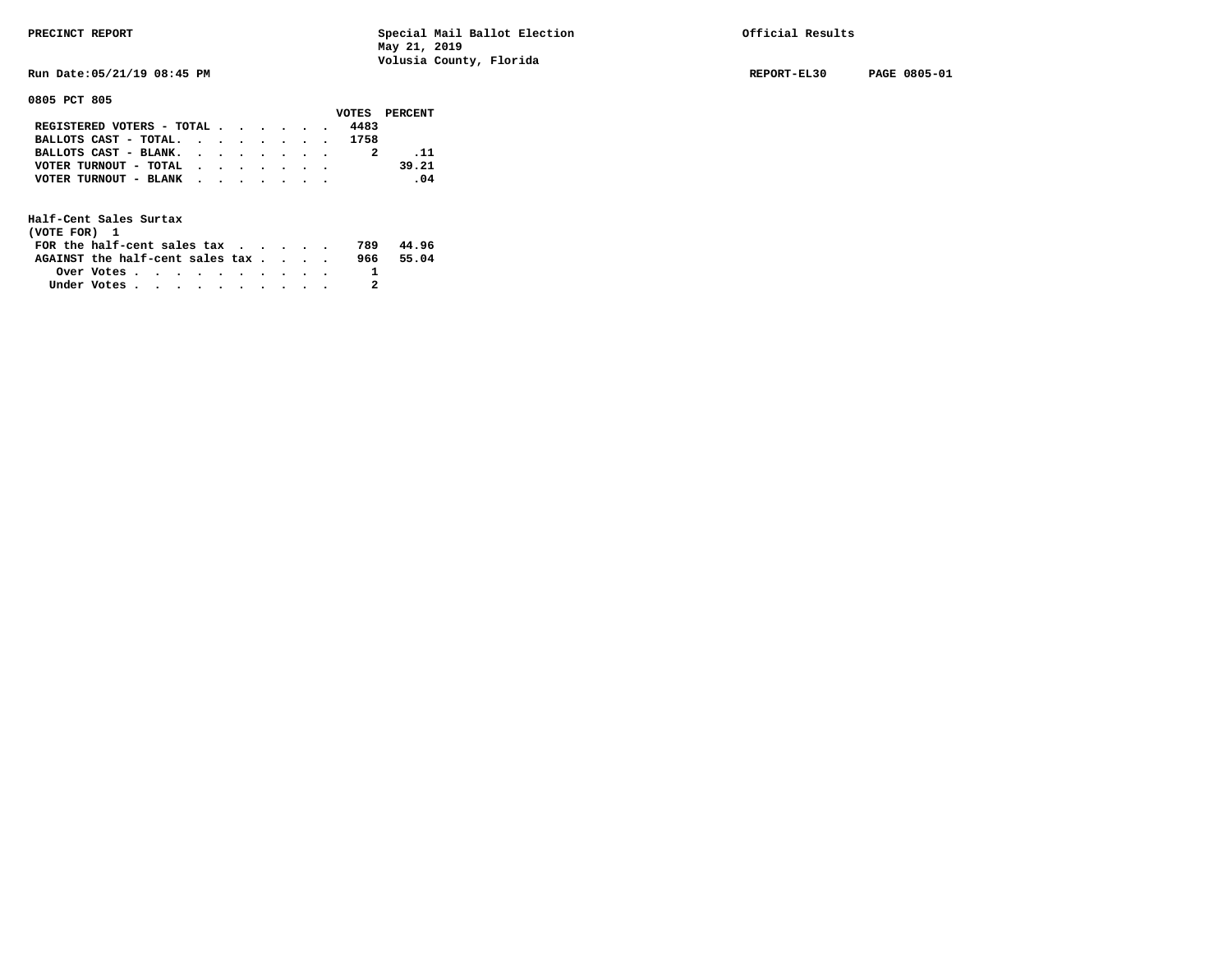**Run Date:05/21/19 08:45 PM REPORT-EL30 PAGE 0805-01** 

**0805 PCT 805** 

|                            |  |  |  |      | VOTES PERCENT |
|----------------------------|--|--|--|------|---------------|
| REGISTERED VOTERS - TOTAL  |  |  |  | 4483 |               |
| BALLOTS CAST - TOTAL. 1758 |  |  |  |      |               |
| BALLOTS CAST - BLANK.      |  |  |  |      | .11           |
| VOTER TURNOUT - TOTAL      |  |  |  |      | 39.21         |
| VOTER TURNOUT - BLANK      |  |  |  |      | .04           |
|                            |  |  |  |      |               |

| (VOTE FOR) 1                    |                                                         |  |  |  |  |     |       |
|---------------------------------|---------------------------------------------------------|--|--|--|--|-----|-------|
| FOR the half-cent sales tax     |                                                         |  |  |  |  | 789 | 44.96 |
| AGAINST the half-cent sales tax |                                                         |  |  |  |  | 966 | 55.04 |
|                                 | Over Votes $\cdots$ $\cdots$ $\cdots$ $\cdots$ $\cdots$ |  |  |  |  |     |       |
| Under Votes                     |                                                         |  |  |  |  |     |       |
|                                 |                                                         |  |  |  |  |     |       |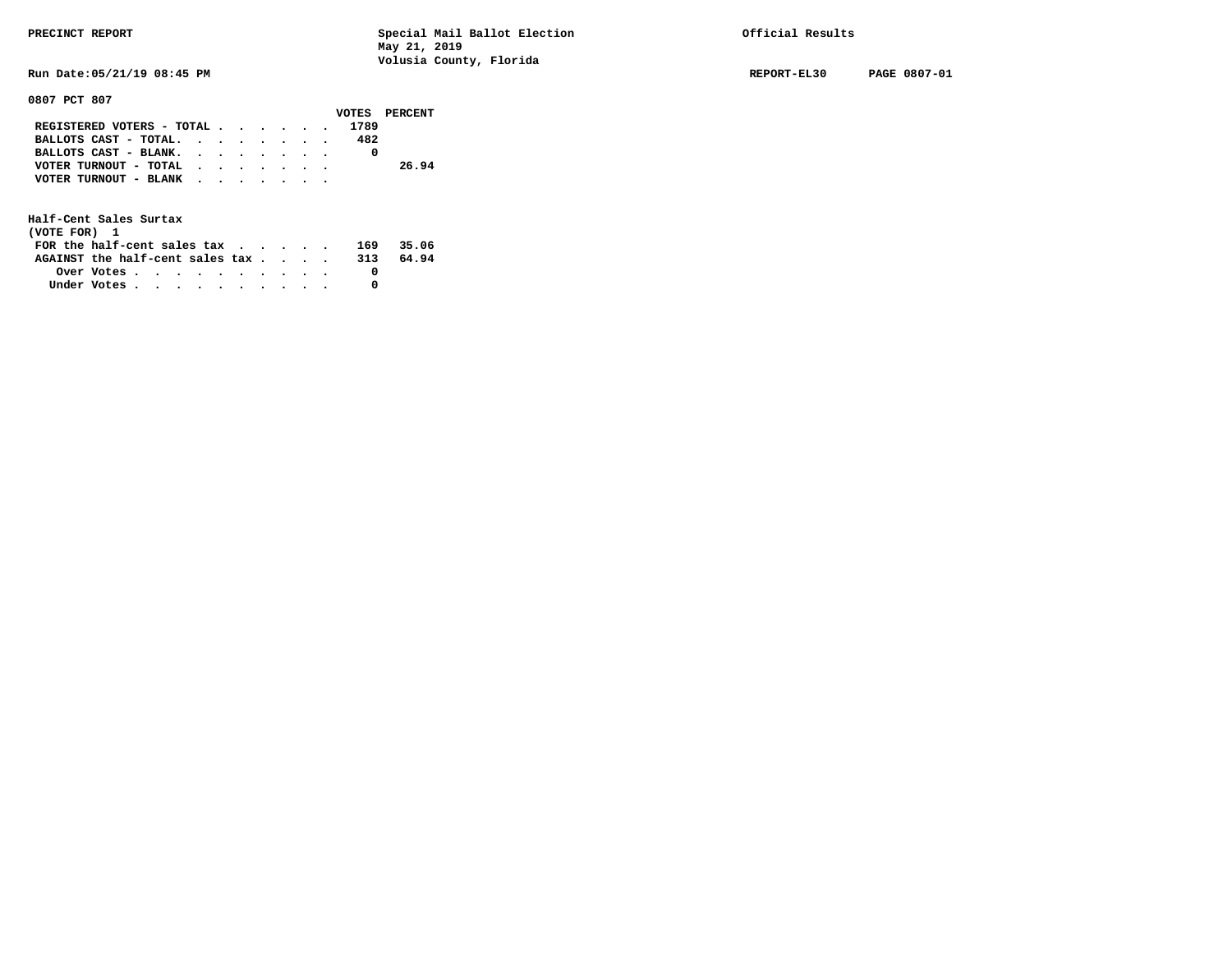**Run Date:05/21/19 08:45 PM REPORT-EL30 PAGE 0807-01** 

### **0807 PCT 807**

|                                           |  |  |  |      | VOTES PERCENT |
|-------------------------------------------|--|--|--|------|---------------|
| REGISTERED VOTERS - TOTAL                 |  |  |  | 1789 |               |
| BALLOTS CAST - TOTAL. $\cdot$ , , , , , . |  |  |  | 482  |               |
| BALLOTS CAST - BLANK.                     |  |  |  |      |               |
| VOTER TURNOUT - TOTAL                     |  |  |  |      | 26.94         |
| VOTER TURNOUT - BLANK                     |  |  |  |      |               |
|                                           |  |  |  |      |               |

| (VOTE FOR) 1                                                |            |  |  |  |  |     |       |
|-------------------------------------------------------------|------------|--|--|--|--|-----|-------|
| FOR the half-cent sales tax $\cdot$ $\cdot$ $\cdot$ $\cdot$ |            |  |  |  |  | 169 | 35.06 |
| AGAINST the half-cent sales tax                             |            |  |  |  |  | 313 | 64.94 |
|                                                             | Over Votes |  |  |  |  |     |       |
| Under Votes                                                 |            |  |  |  |  |     |       |
|                                                             |            |  |  |  |  |     |       |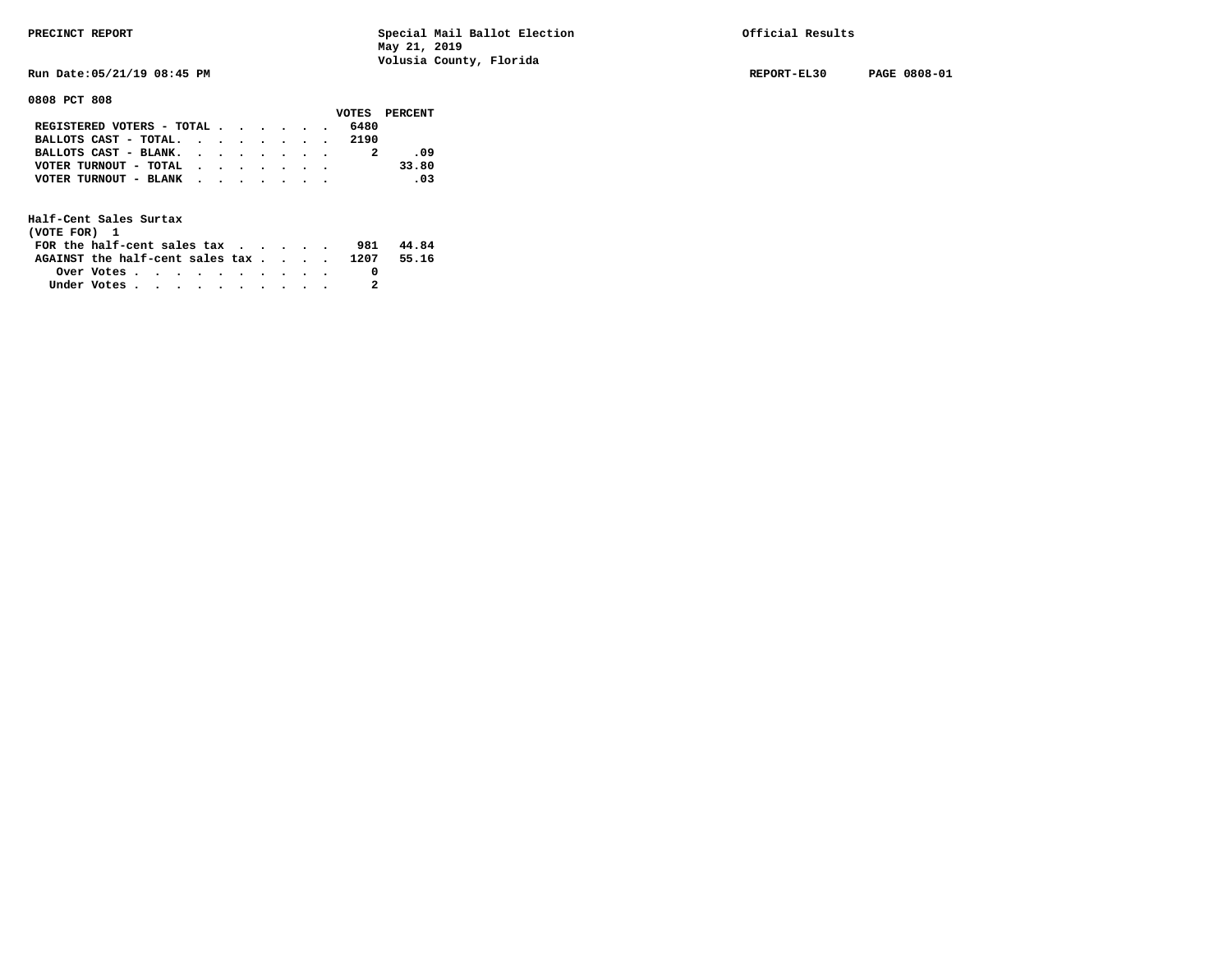**Run Date:05/21/19 08:45 PM REPORT-EL30 PAGE 0808-01** 

**0808 PCT 808** 

|                                               |  |  |  |      | VOTES PERCENT |
|-----------------------------------------------|--|--|--|------|---------------|
| REGISTERED VOTERS - TOTAL $\cdot$ , , , , , , |  |  |  | 6480 |               |
| BALLOTS CAST - TOTAL. 2190                    |  |  |  |      |               |
| BALLOTS CAST - BLANK.                         |  |  |  |      | - 09          |
| VOTER TURNOUT - TOTAL                         |  |  |  |      | 33.80         |
| VOTER TURNOUT - BLANK                         |  |  |  |      | .03           |
|                                               |  |  |  |      |               |

| (VOTE FOR) 1                                                |                                                         |  |  |  |  |     |       |
|-------------------------------------------------------------|---------------------------------------------------------|--|--|--|--|-----|-------|
| FOR the half-cent sales tax $\cdot$ $\cdot$ $\cdot$ $\cdot$ |                                                         |  |  |  |  | 981 | 44.84 |
| AGAINST the half-cent sales tax 1207                        |                                                         |  |  |  |  |     | 55.16 |
|                                                             | Over Votes $\cdots$ $\cdots$ $\cdots$ $\cdots$ $\cdots$ |  |  |  |  |     |       |
| Under Votes                                                 |                                                         |  |  |  |  |     |       |
|                                                             |                                                         |  |  |  |  |     |       |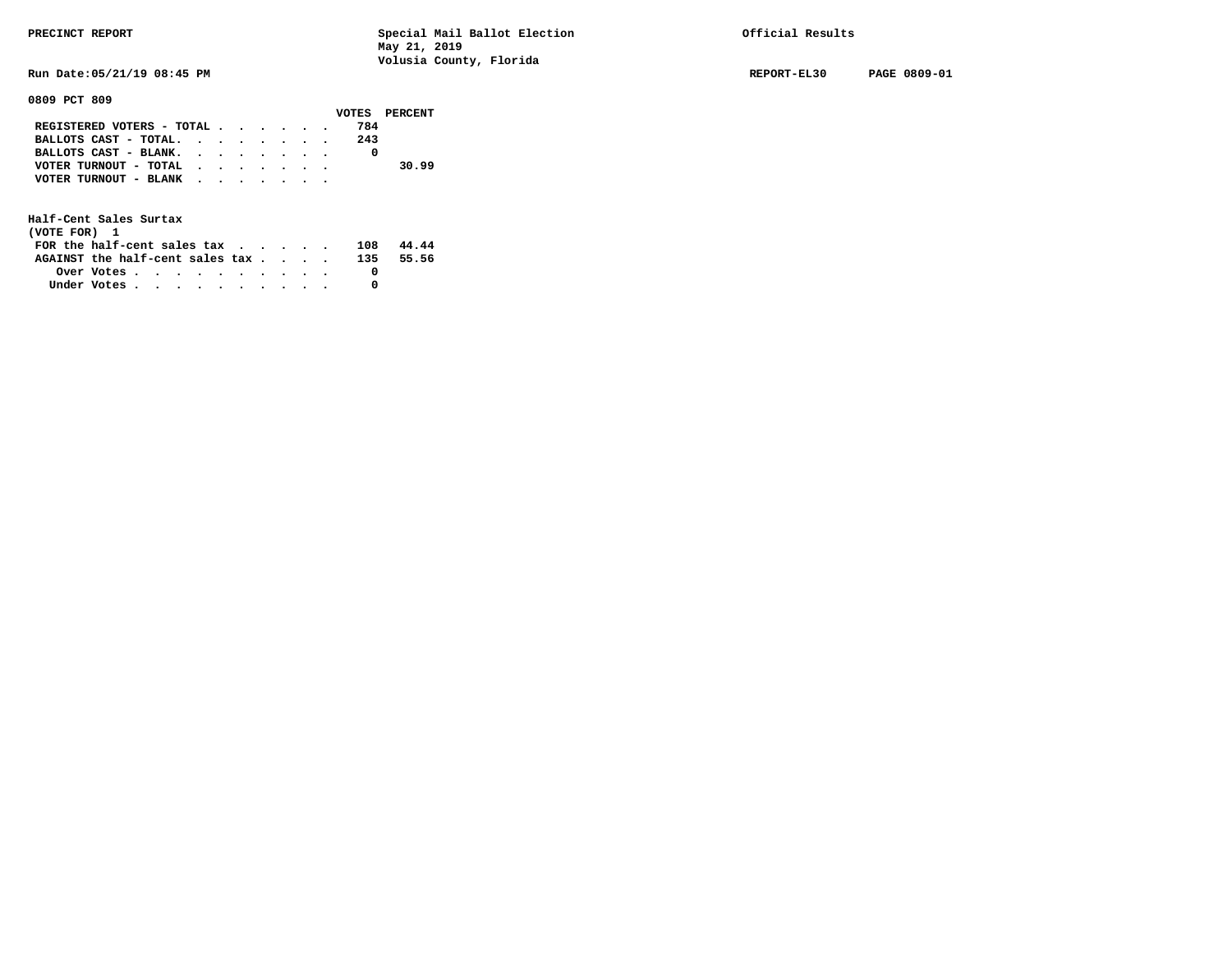**Run Date:05/21/19 08:45 PM REPORT-EL30 PAGE 0809-01** 

**0809 PCT 809** 

|                                           |  |  |  |     | VOTES PERCENT |
|-------------------------------------------|--|--|--|-----|---------------|
| REGISTERED VOTERS - TOTAL                 |  |  |  | 784 |               |
| BALLOTS CAST - TOTAL.                     |  |  |  | 243 |               |
| BALLOTS CAST - BLANK.                     |  |  |  |     |               |
| VOTER TURNOUT - TOTAL $\cdot$ , , , , , , |  |  |  |     | 30.99         |
| VOTER TURNOUT - BLANK                     |  |  |  |     |               |
|                                           |  |  |  |     |               |

| (VOTE FOR) 1                    |                                                         |  |  |  |  |     |       |
|---------------------------------|---------------------------------------------------------|--|--|--|--|-----|-------|
| FOR the half-cent sales tax     |                                                         |  |  |  |  | 108 | 44.44 |
| AGAINST the half-cent sales tax |                                                         |  |  |  |  | 135 | 55.56 |
|                                 | Over Votes $\cdots$ $\cdots$ $\cdots$ $\cdots$ $\cdots$ |  |  |  |  |     |       |
| Under Votes                     |                                                         |  |  |  |  |     |       |
|                                 |                                                         |  |  |  |  |     |       |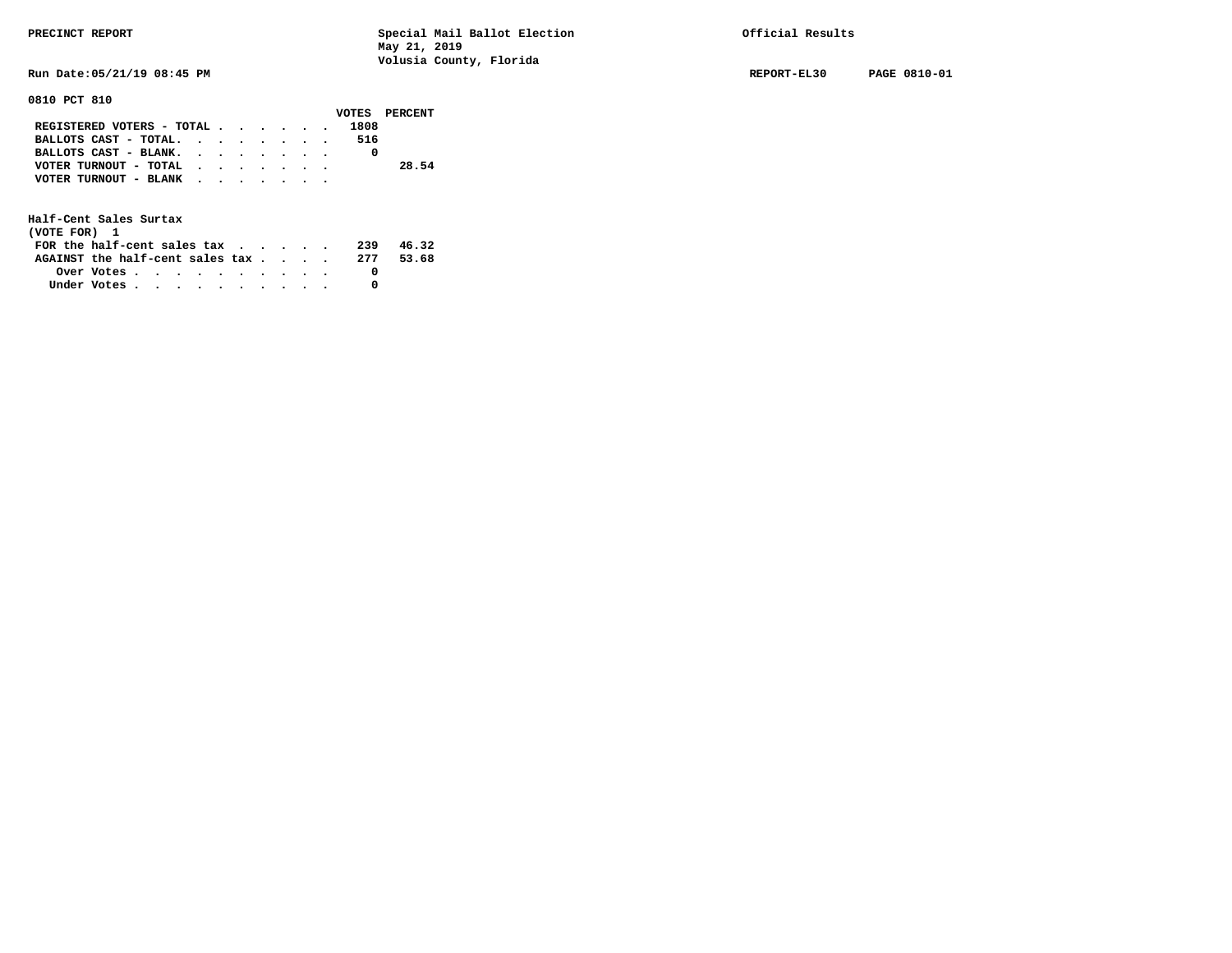**Run Date:05/21/19 08:45 PM REPORT-EL30 PAGE 0810-01** 

### **0810 PCT 810**

|                           |  |  |  |      | VOTES PERCENT |
|---------------------------|--|--|--|------|---------------|
| REGISTERED VOTERS - TOTAL |  |  |  | 1808 |               |
| BALLOTS CAST - TOTAL.     |  |  |  | 516  |               |
| BALLOTS CAST - BLANK.     |  |  |  |      |               |
| VOTER TURNOUT - TOTAL     |  |  |  |      | 28.54         |
| VOTER TURNOUT - BLANK     |  |  |  |      |               |
|                           |  |  |  |      |               |

| (VOTE FOR) 1                                            |  |  |  |  |  |     |       |
|---------------------------------------------------------|--|--|--|--|--|-----|-------|
| FOR the half-cent sales $\mathbf{tax}$                  |  |  |  |  |  | 239 | 46.32 |
| AGAINST the half-cent sales tax 277                     |  |  |  |  |  |     | 53.68 |
| Over Votes $\cdots$ $\cdots$ $\cdots$ $\cdots$ $\cdots$ |  |  |  |  |  |     |       |
| Under Votes                                             |  |  |  |  |  |     |       |
|                                                         |  |  |  |  |  |     |       |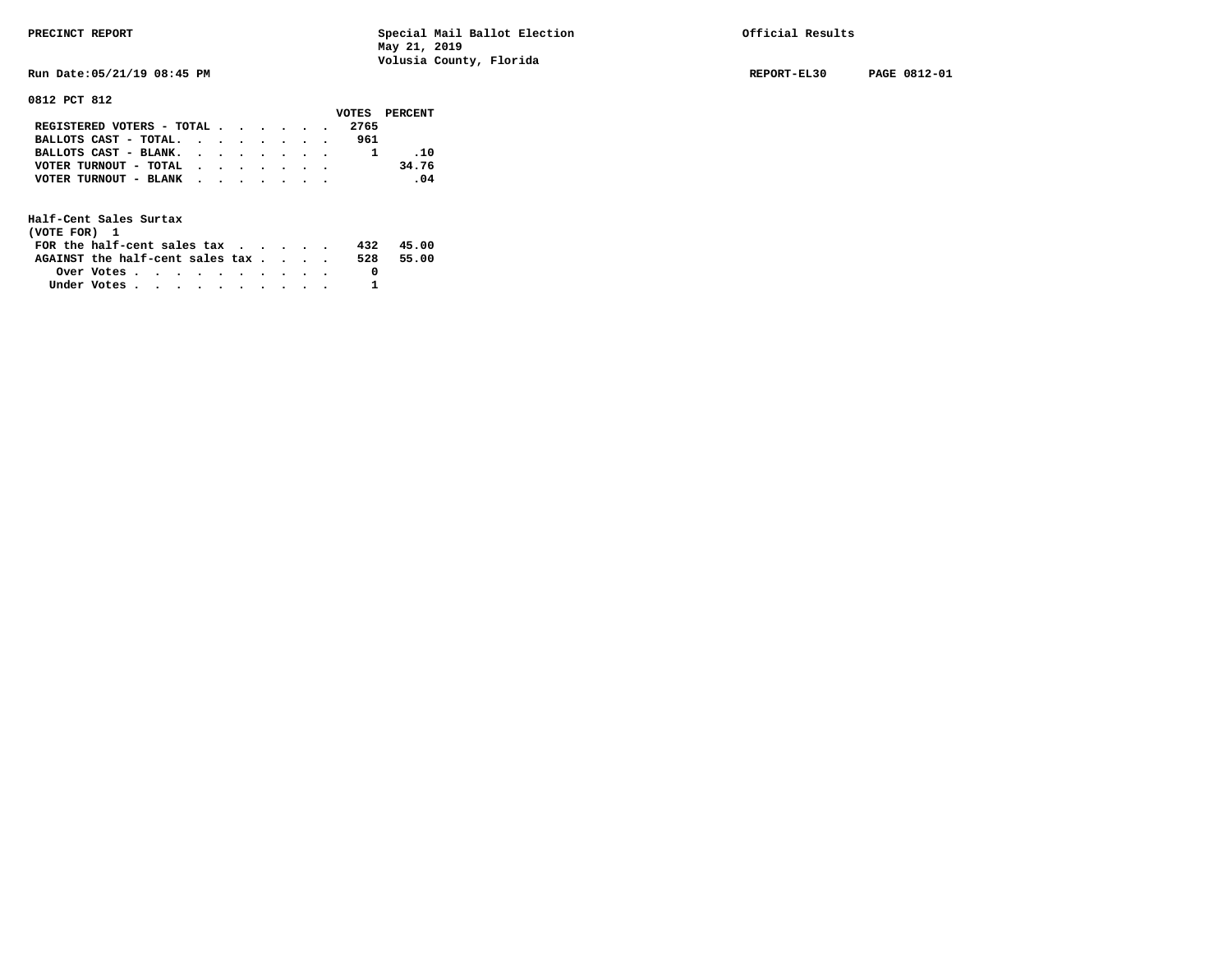**Run Date:05/21/19 08:45 PM REPORT-EL30 PAGE 0812-01** 

**0812 PCT 812** 

|                                                                           |  |  |  |      | VOTES PERCENT |
|---------------------------------------------------------------------------|--|--|--|------|---------------|
| REGISTERED VOTERS - TOTAL $\cdot$ $\cdot$ $\cdot$ $\cdot$ $\cdot$ $\cdot$ |  |  |  | 2765 |               |
| BALLOTS CAST - TOTAL.                                                     |  |  |  | 961  |               |
| BALLOTS CAST - BLANK.                                                     |  |  |  |      | .10           |
| VOTER TURNOUT - TOTAL                                                     |  |  |  |      | 34.76         |
| VOTER TURNOUT - BLANK                                                     |  |  |  |      | .04           |
|                                                                           |  |  |  |      |               |

| (VOTE FOR) 1                                                |            |  |  |  |  |     |       |
|-------------------------------------------------------------|------------|--|--|--|--|-----|-------|
| FOR the half-cent sales tax $\cdot$ $\cdot$ $\cdot$ $\cdot$ |            |  |  |  |  | 432 | 45.00 |
| AGAINST the half-cent sales tax                             |            |  |  |  |  | 528 | 55.00 |
|                                                             | Over Votes |  |  |  |  |     |       |
| Under Votes                                                 |            |  |  |  |  |     |       |
|                                                             |            |  |  |  |  |     |       |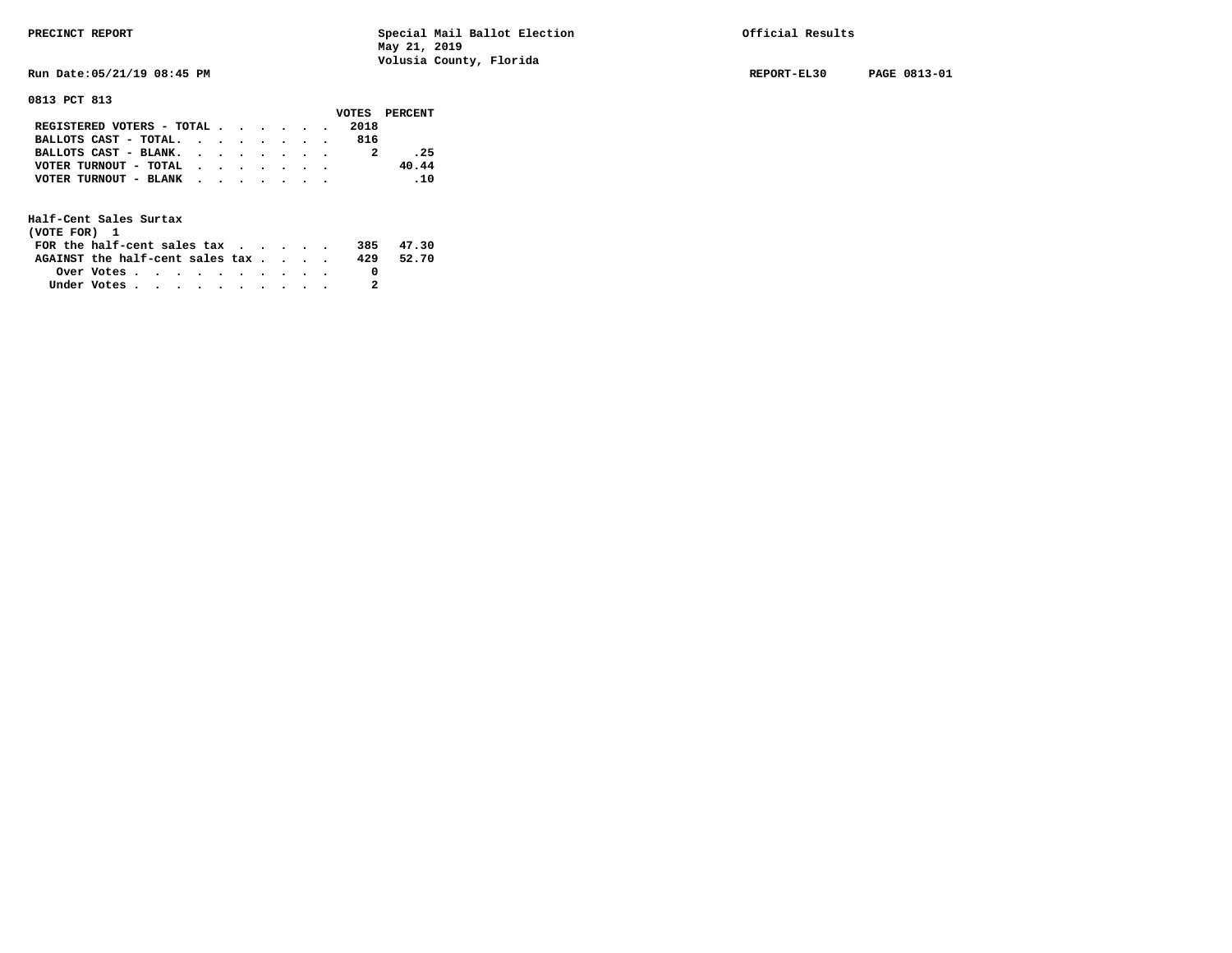**Run Date:05/21/19 08:45 PM REPORT-EL30 PAGE 0813-01** 

**0813 PCT 813** 

|                                                             |  |  |  |      | VOTES PERCENT |
|-------------------------------------------------------------|--|--|--|------|---------------|
| REGISTERED VOTERS - TOTAL                                   |  |  |  | 2018 |               |
| BALLOTS CAST - TOTAL.                                       |  |  |  | 816  |               |
| BALLOTS CAST - BLANK.                                       |  |  |  |      | .25           |
| VOTER TURNOUT - TOTAL $\cdot \cdot \cdot \cdot \cdot \cdot$ |  |  |  |      | 40.44         |
| VOTER TURNOUT - BLANK                                       |  |  |  |      | $\ldots$      |
|                                                             |  |  |  |      |               |

| (VOTE FOR) 1                                                |            |  |  |  |  |     |       |
|-------------------------------------------------------------|------------|--|--|--|--|-----|-------|
| FOR the half-cent sales tax $\cdot$ $\cdot$ $\cdot$ $\cdot$ |            |  |  |  |  | 385 | 47.30 |
| AGAINST the half-cent sales tax                             |            |  |  |  |  | 429 | 52.70 |
|                                                             | Over Votes |  |  |  |  |     |       |
| Under Votes                                                 |            |  |  |  |  |     |       |
|                                                             |            |  |  |  |  |     |       |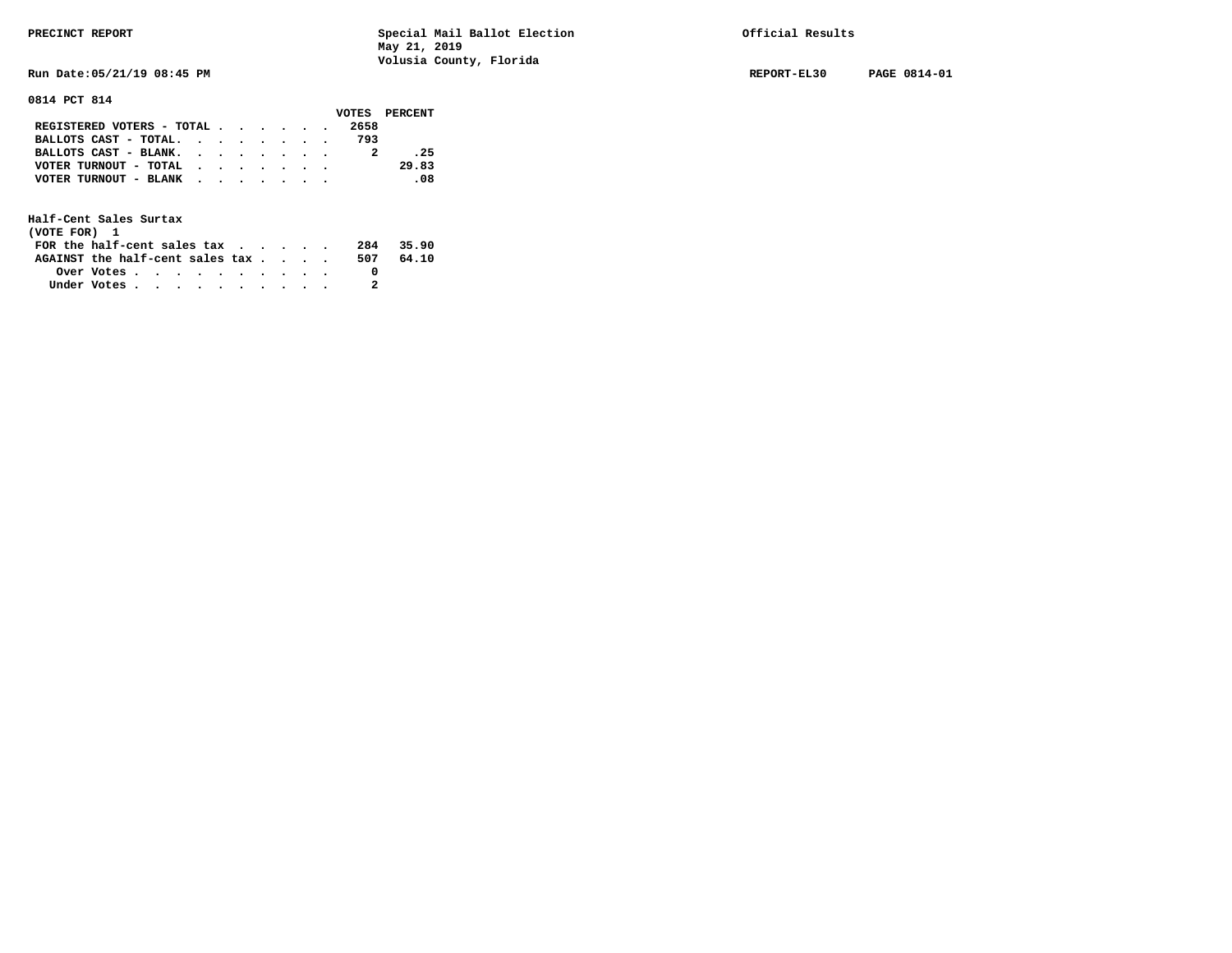**Run Date:05/21/19 08:45 PM REPORT-EL30 PAGE 0814-01** 

**0814 PCT 814** 

|                                                             |  |  |  | VOTES PERCENT |  |
|-------------------------------------------------------------|--|--|--|---------------|--|
| REGISTERED VOTERS - TOTAL                                   |  |  |  | 2658          |  |
| BALLOTS CAST - TOTAL. $\cdot$ , $\cdot$ , $\cdot$ , $\cdot$ |  |  |  | 793           |  |
| BALLOTS CAST - BLANK.                                       |  |  |  | .25           |  |
| VOTER TURNOUT - TOTAL $\cdot \cdot \cdot \cdot \cdot \cdot$ |  |  |  | 29.83         |  |
| VOTER TURNOUT - BLANK                                       |  |  |  | $\sim$ 08.    |  |
|                                                             |  |  |  |               |  |

| (VOTE FOR) 1                     |            |  |  |  |  |     |       |
|----------------------------------|------------|--|--|--|--|-----|-------|
| FOR the half-cent sales $\alpha$ |            |  |  |  |  | 284 | 35.90 |
| AGAINST the half-cent sales tax  |            |  |  |  |  | 507 | 64.10 |
|                                  | Over Votes |  |  |  |  |     |       |
| Under Votes                      |            |  |  |  |  |     |       |
|                                  |            |  |  |  |  |     |       |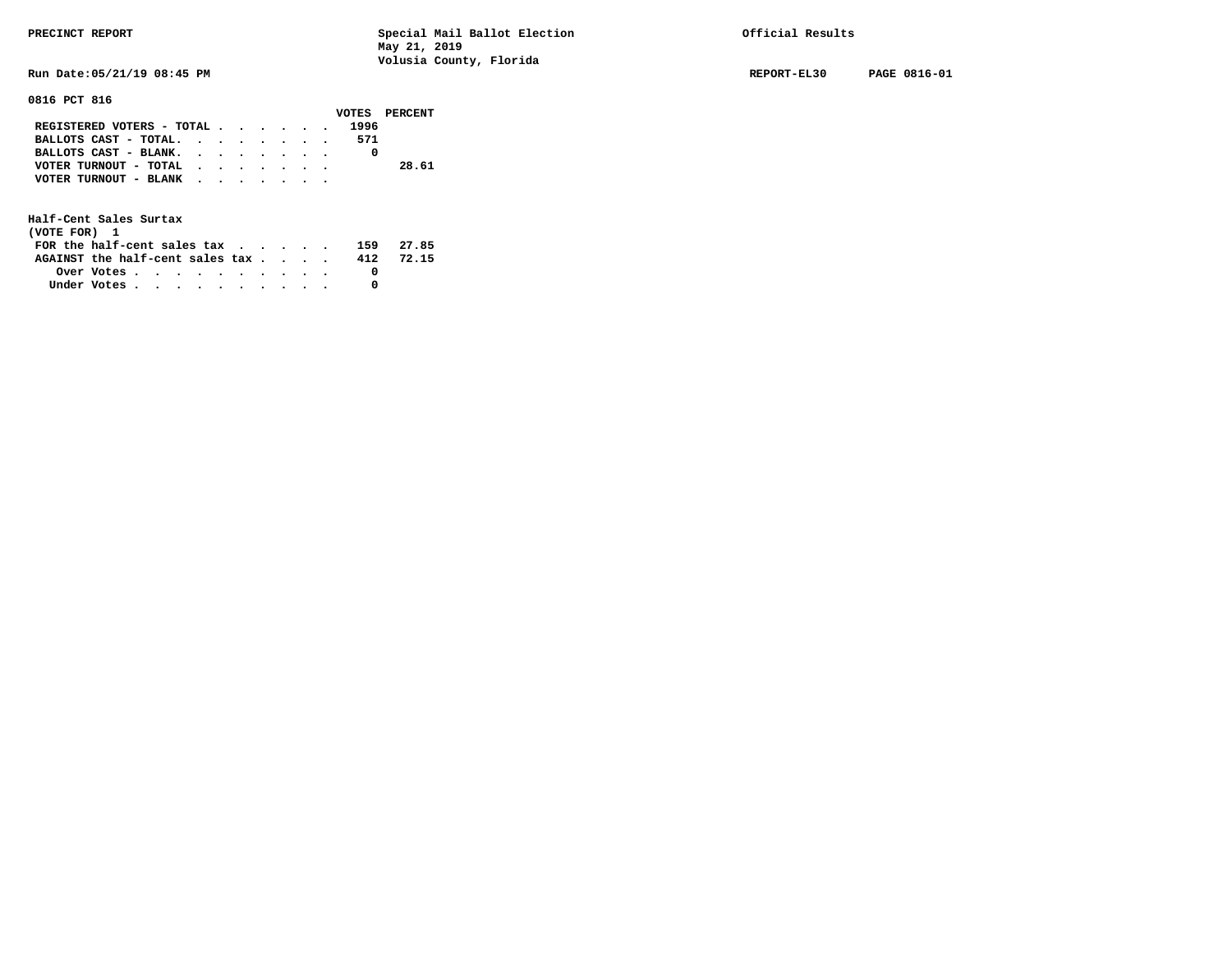**Run Date:05/21/19 08:45 PM REPORT-EL30 PAGE 0816-01** 

# **0816 PCT 816**

|                                                             |  |  |  |      | VOTES PERCENT |
|-------------------------------------------------------------|--|--|--|------|---------------|
| REGISTERED VOTERS - TOTAL                                   |  |  |  | 1996 |               |
| BALLOTS CAST - TOTAL.                                       |  |  |  | 571  |               |
| BALLOTS CAST - BLANK.                                       |  |  |  |      |               |
| VOTER TURNOUT - TOTAL $\cdot \cdot \cdot \cdot \cdot \cdot$ |  |  |  |      | 28.61         |
| VOTER TURNOUT - BLANK                                       |  |  |  |      |               |
|                                                             |  |  |  |      |               |

| (VOTE FOR) 1                           |                                                         |  |  |  |  |     |       |
|----------------------------------------|---------------------------------------------------------|--|--|--|--|-----|-------|
| FOR the half-cent sales $\mathsf{tax}$ |                                                         |  |  |  |  | 159 | 27.85 |
| AGAINST the half-cent sales tax        |                                                         |  |  |  |  | 412 | 72.15 |
|                                        | Over Votes $\cdots$ $\cdots$ $\cdots$ $\cdots$ $\cdots$ |  |  |  |  |     |       |
| Under Votes                            |                                                         |  |  |  |  |     |       |
|                                        |                                                         |  |  |  |  |     |       |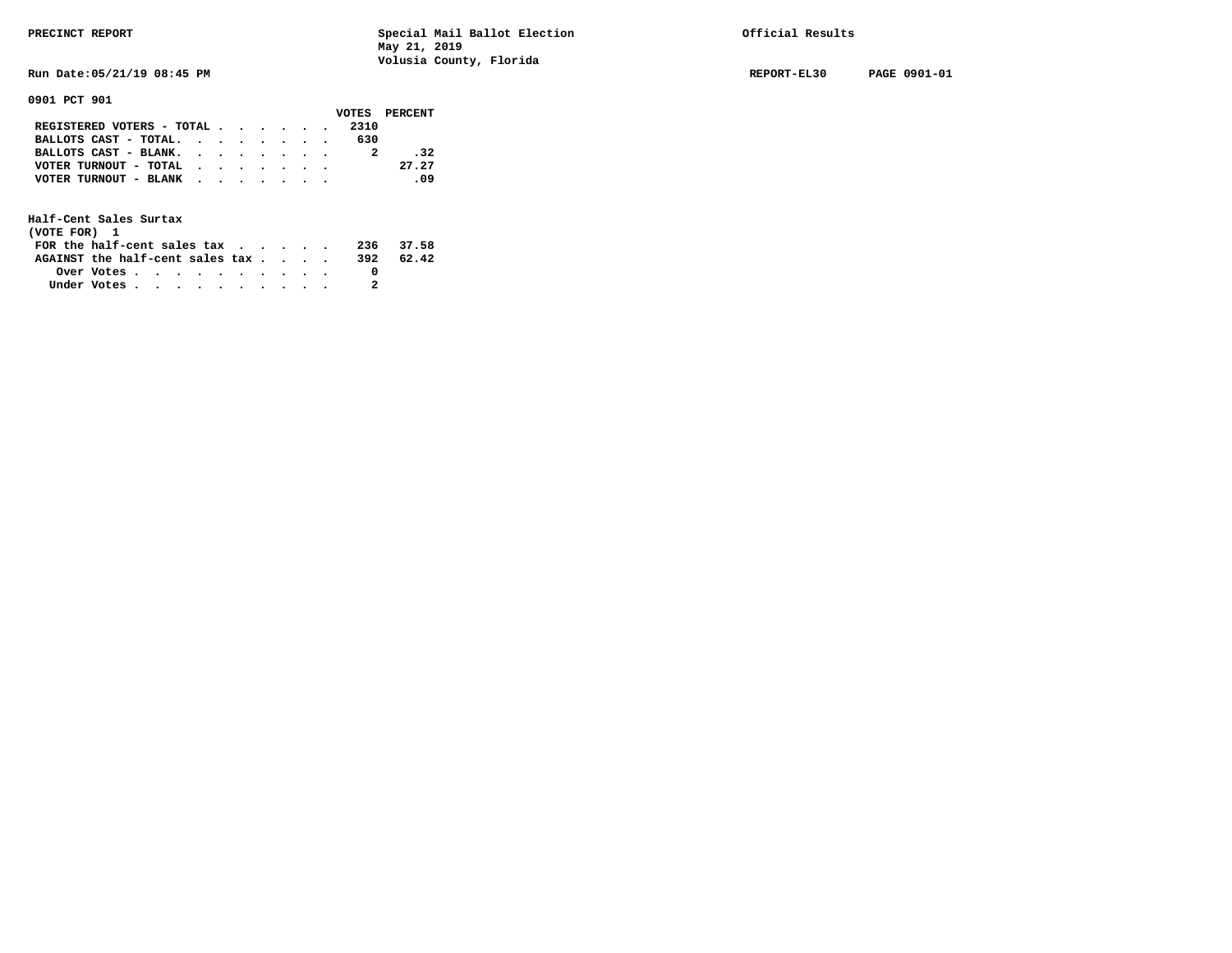**Run Date:05/21/19 08:45 PM REPORT-EL30 PAGE 0901-01** 

**0901 PCT 901** 

|  |  |  |                       | VOTES PERCENT                                                                                        |
|--|--|--|-----------------------|------------------------------------------------------------------------------------------------------|
|  |  |  | 2310                  |                                                                                                      |
|  |  |  | 630                   |                                                                                                      |
|  |  |  |                       | .32                                                                                                  |
|  |  |  |                       | 27.27                                                                                                |
|  |  |  |                       | .09                                                                                                  |
|  |  |  |                       |                                                                                                      |
|  |  |  | VOTER TURNOUT - TOTAL | REGISTERED VOTERS - TOTAL<br>BALLOTS CAST - TOTAL.<br>BALLOTS CAST - BLANK.<br>VOTER TURNOUT - BLANK |

| (VOTE FOR) 1                     |            |  |  |  |  |     |           |
|----------------------------------|------------|--|--|--|--|-----|-----------|
| FOR the half-cent sales $\alpha$ |            |  |  |  |  |     | 236 37.58 |
| AGAINST the half-cent sales tax  |            |  |  |  |  | 392 | 62.42     |
|                                  | Over Votes |  |  |  |  |     |           |
| Under Votes                      |            |  |  |  |  |     |           |
|                                  |            |  |  |  |  |     |           |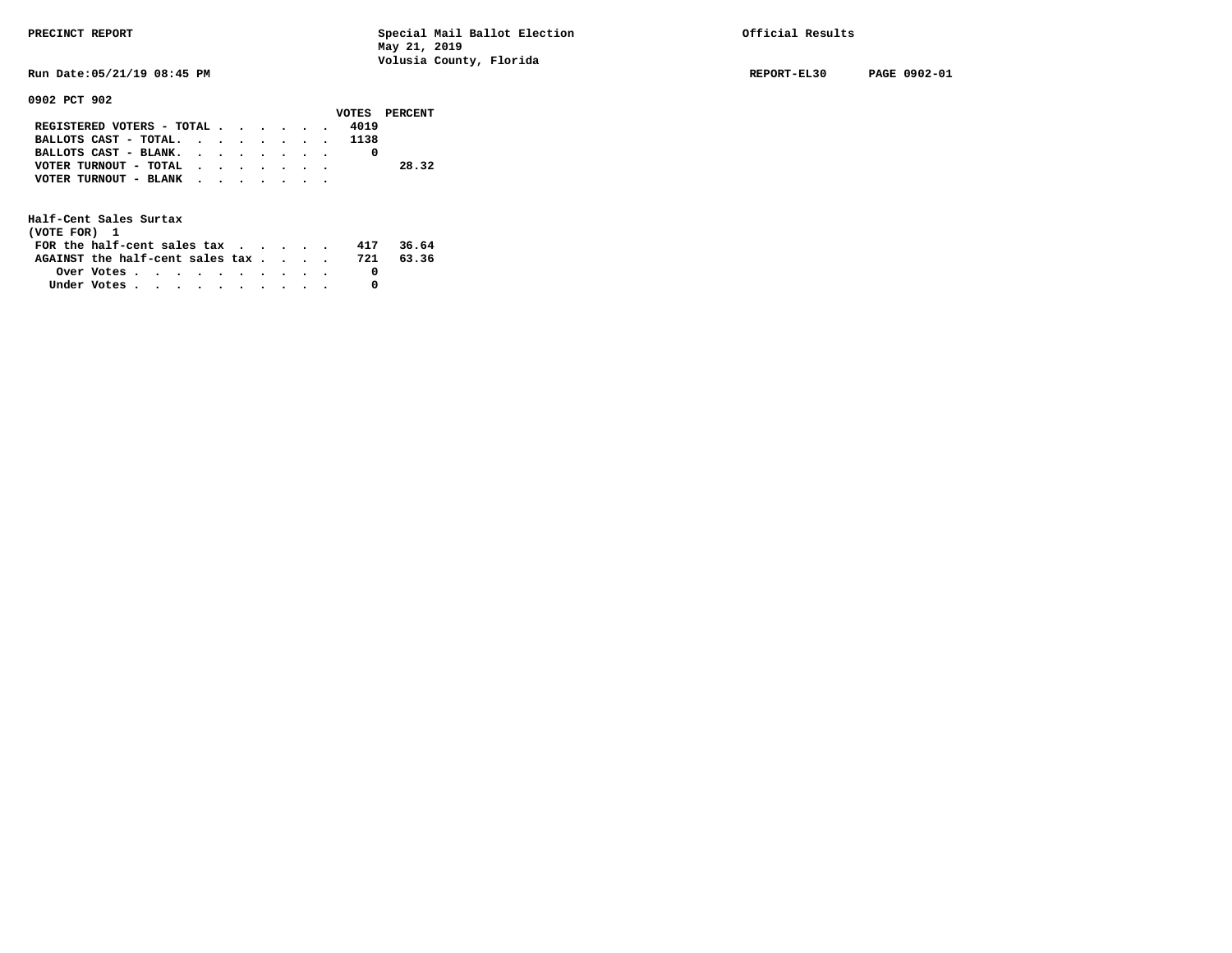**Run Date:05/21/19 08:45 PM REPORT-EL30 PAGE 0902-01** 

**0902 PCT 902** 

|                            |  |  |  |      | VOTES PERCENT |
|----------------------------|--|--|--|------|---------------|
| REGISTERED VOTERS - TOTAL  |  |  |  | 4019 |               |
| BALLOTS CAST - TOTAL. 1138 |  |  |  |      |               |
| BALLOTS CAST - BLANK.      |  |  |  |      |               |
| VOTER TURNOUT - TOTAL      |  |  |  |      | 28.32         |
| VOTER TURNOUT - BLANK      |  |  |  |      |               |
|                            |  |  |  |      |               |

| (VOTE FOR) 1                                                |  |  |  |  |  |     |       |
|-------------------------------------------------------------|--|--|--|--|--|-----|-------|
| FOR the half-cent sales tax $\cdot$ $\cdot$ $\cdot$ $\cdot$ |  |  |  |  |  | 417 | 36.64 |
| AGAINST the half-cent sales tax 721                         |  |  |  |  |  |     | 63.36 |
| Over Votes $\cdots$ $\cdots$ $\cdots$ $\cdots$ $\cdots$     |  |  |  |  |  |     |       |
| Under Votes                                                 |  |  |  |  |  |     |       |
|                                                             |  |  |  |  |  |     |       |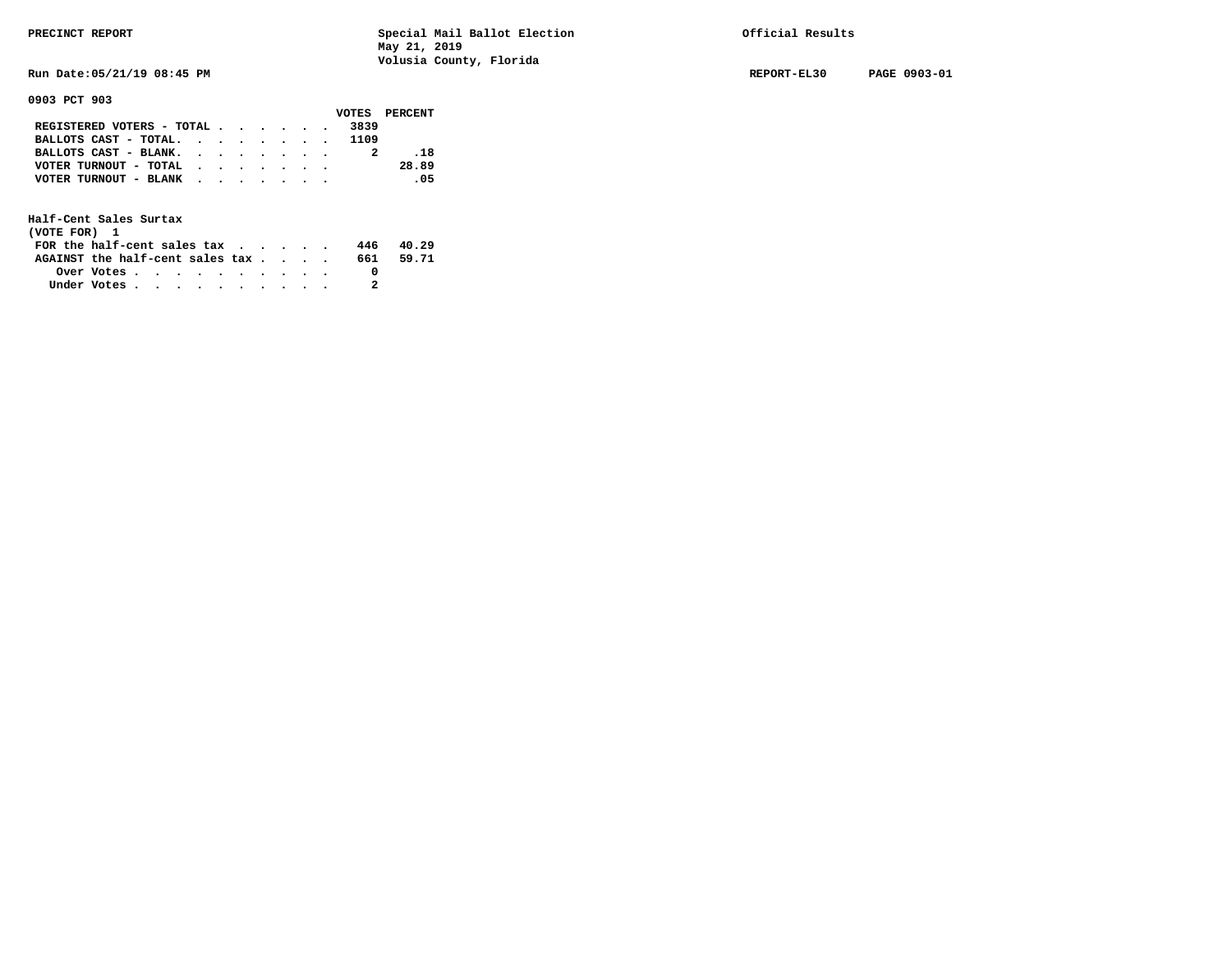**Run Date:05/21/19 08:45 PM REPORT-EL30 PAGE 0903-01** 

**0903 PCT 903** 

|                            |  |  |  |      | VOTES PERCENT |
|----------------------------|--|--|--|------|---------------|
| REGISTERED VOTERS - TOTAL  |  |  |  | 3839 |               |
| BALLOTS CAST - TOTAL. 1109 |  |  |  |      |               |
| BALLOTS CAST - BLANK.      |  |  |  |      | . 18          |
| VOTER TURNOUT - TOTAL      |  |  |  |      | 28.89         |
| VOTER TURNOUT - BLANK      |  |  |  |      | - 05          |
|                            |  |  |  |      |               |

| (VOTE FOR) 1                           |            |  |  |  |  |     |       |
|----------------------------------------|------------|--|--|--|--|-----|-------|
| FOR the half-cent sales $\mathsf{tax}$ |            |  |  |  |  | 446 | 40.29 |
| AGAINST the half-cent sales tax        |            |  |  |  |  | 661 | 59.71 |
|                                        | Over Votes |  |  |  |  |     |       |
| Under Votes                            |            |  |  |  |  |     |       |
|                                        |            |  |  |  |  |     |       |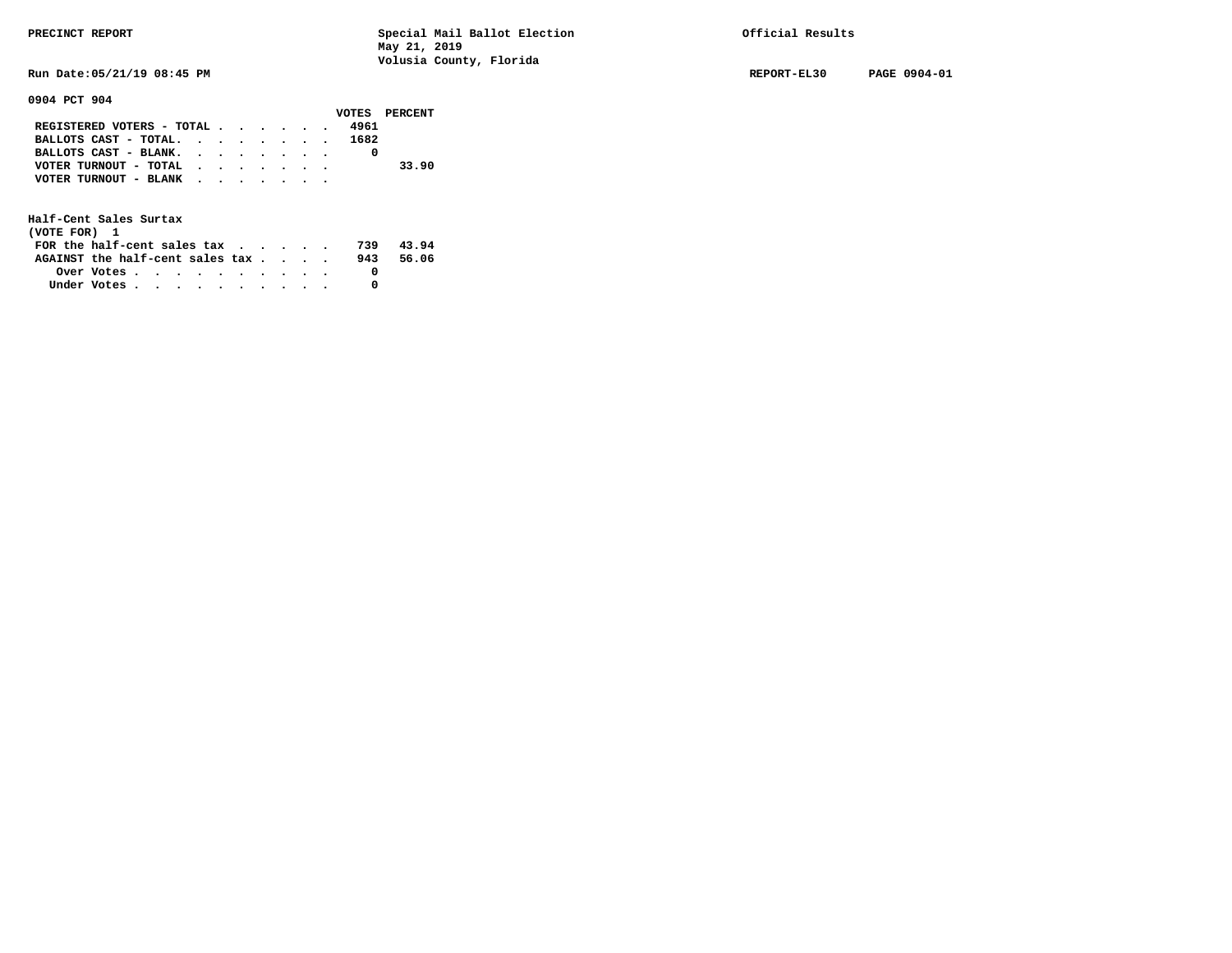**Run Date:05/21/19 08:45 PM REPORT-EL30 PAGE 0904-01** 

## **0904 PCT 904**

|                                |  |  |  | VOTES PERCENT |
|--------------------------------|--|--|--|---------------|
| REGISTERED VOTERS - TOTAL 4961 |  |  |  |               |
| BALLOTS CAST - TOTAL. 1682     |  |  |  |               |
| BALLOTS CAST - BLANK.          |  |  |  |               |
| VOTER TURNOUT - TOTAL          |  |  |  | 33.90         |
| VOTER TURNOUT - BLANK          |  |  |  |               |
|                                |  |  |  |               |

| (VOTE FOR) 1                                                |                                                         |  |  |  |  |     |       |
|-------------------------------------------------------------|---------------------------------------------------------|--|--|--|--|-----|-------|
| FOR the half-cent sales tax $\cdot$ $\cdot$ $\cdot$ $\cdot$ |                                                         |  |  |  |  | 739 | 43.94 |
| AGAINST the half-cent sales tax                             |                                                         |  |  |  |  | 943 | 56.06 |
|                                                             | Over Votes $\cdots$ $\cdots$ $\cdots$ $\cdots$ $\cdots$ |  |  |  |  |     |       |
| Under Votes                                                 |                                                         |  |  |  |  |     |       |
|                                                             |                                                         |  |  |  |  |     |       |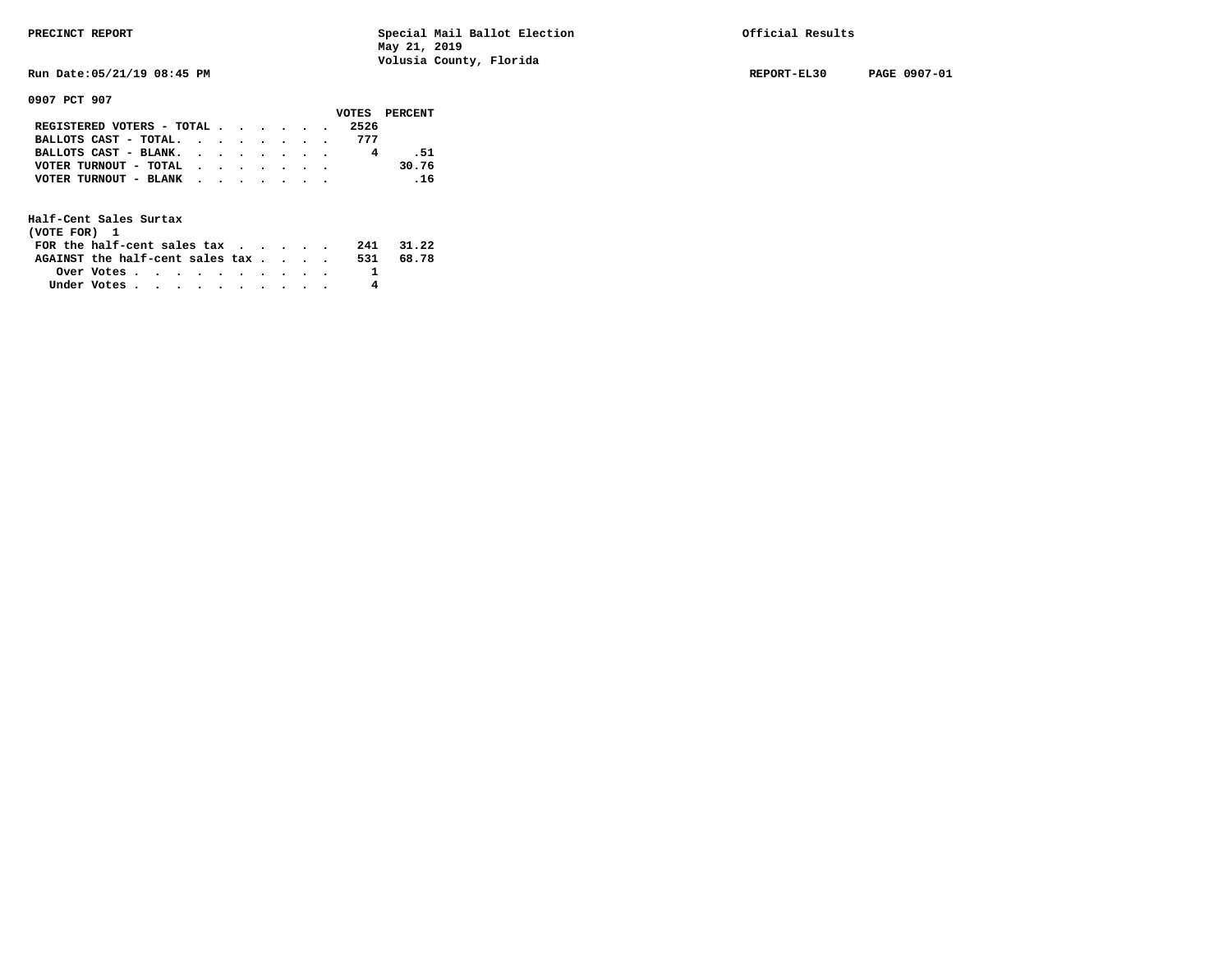**Run Date:05/21/19 08:45 PM REPORT-EL30 PAGE 0907-01** 

**0907 PCT 907** 

|                           |  |  |  |      | VOTES PERCENT |
|---------------------------|--|--|--|------|---------------|
| REGISTERED VOTERS - TOTAL |  |  |  | 2526 |               |
| BALLOTS CAST - TOTAL.     |  |  |  | 777  |               |
| BALLOTS CAST - BLANK.     |  |  |  |      | .51           |
| VOTER TURNOUT - TOTAL     |  |  |  |      | 30.76         |
| VOTER TURNOUT - BLANK     |  |  |  |      | .16           |
|                           |  |  |  |      |               |

| (VOTE FOR) 1                           |            |  |  |  |  |     |       |
|----------------------------------------|------------|--|--|--|--|-----|-------|
| FOR the half-cent sales $\mathsf{tax}$ |            |  |  |  |  | 241 | 31.22 |
| AGAINST the half-cent sales tax        |            |  |  |  |  | 531 | 68.78 |
|                                        | Over Votes |  |  |  |  |     |       |
| Under Votes                            |            |  |  |  |  |     |       |
|                                        |            |  |  |  |  |     |       |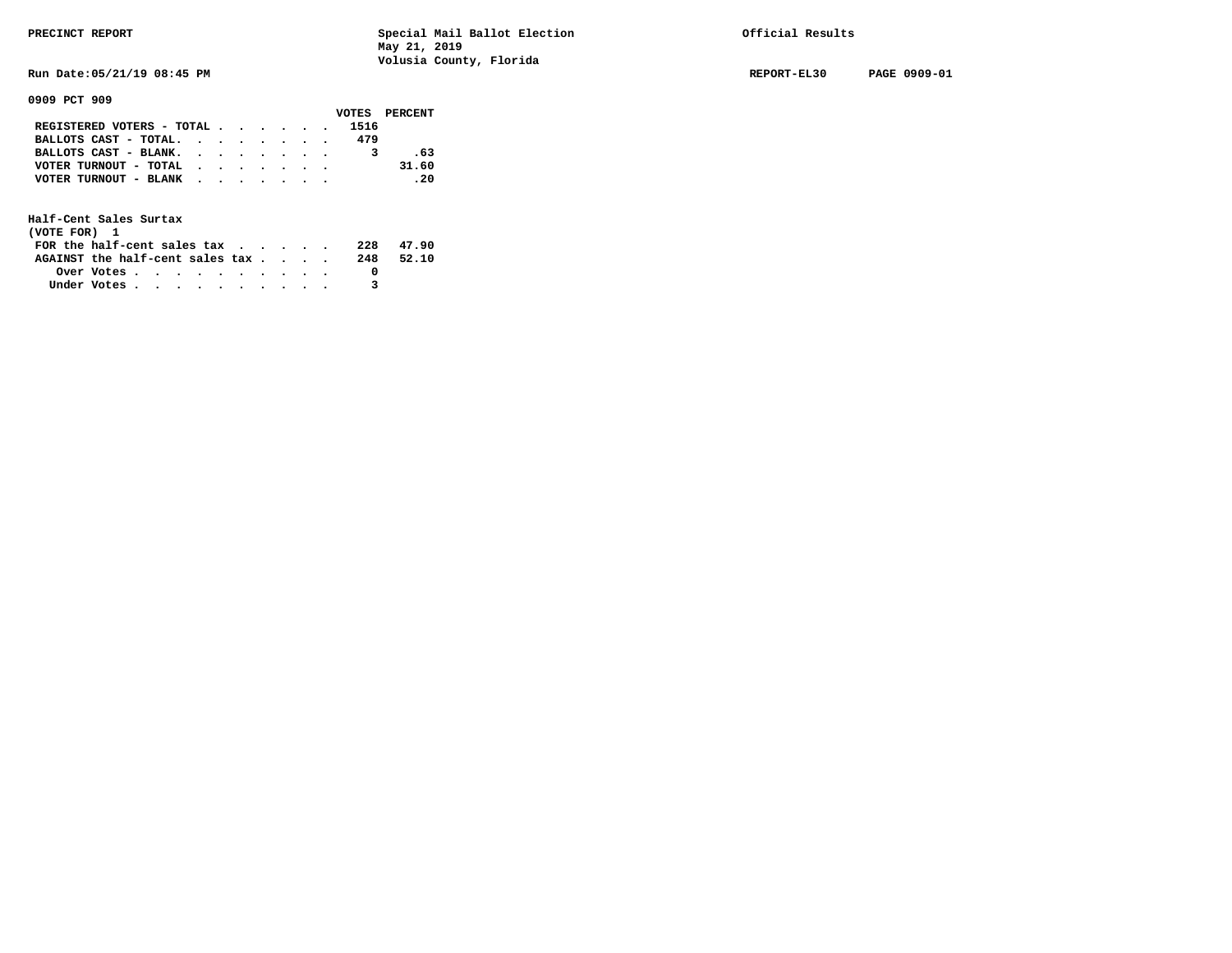**Run Date:05/21/19 08:45 PM REPORT-EL30 PAGE 0909-01** 

**0909 PCT 909** 

|                                                             |  |  |  |      | VOTES PERCENT |
|-------------------------------------------------------------|--|--|--|------|---------------|
| REGISTERED VOTERS - TOTAL                                   |  |  |  | 1516 |               |
| BALLOTS CAST - TOTAL. $\cdot$ , $\cdot$ , $\cdot$ , $\cdot$ |  |  |  | 479  |               |
| BALLOTS CAST - BLANK.                                       |  |  |  |      | .63           |
| VOTER TURNOUT - TOTAL                                       |  |  |  |      | 31.60         |
| VOTER TURNOUT - BLANK                                       |  |  |  |      | .20           |
|                                                             |  |  |  |      |               |

| (VOTE FOR) 1                     |            |  |  |  |  |     |       |
|----------------------------------|------------|--|--|--|--|-----|-------|
| FOR the half-cent sales $\alpha$ |            |  |  |  |  | 228 | 47.90 |
| AGAINST the half-cent sales tax  |            |  |  |  |  | 248 | 52.10 |
|                                  | Over Votes |  |  |  |  |     |       |
| Under Votes                      |            |  |  |  |  |     |       |
|                                  |            |  |  |  |  |     |       |